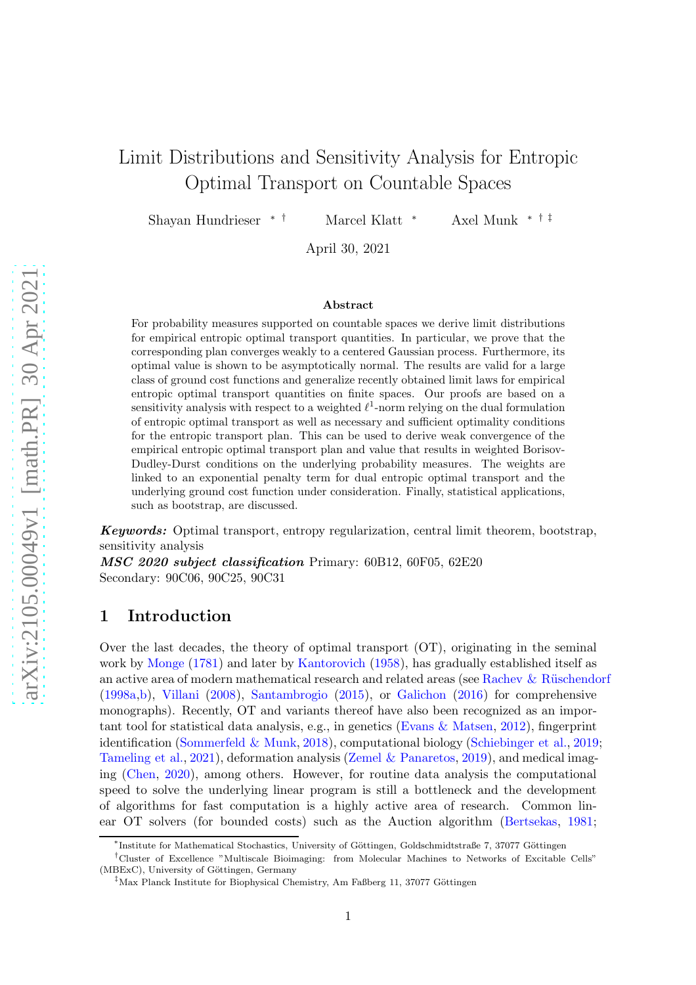# Limit Distributions and Sensitivity Analysis for Entropic Optimal Transport on Countable Spaces

Shayan Hundrieser ∗ † Marcel Klatt <sup>∗</sup> Axel Munk ∗ † ‡

April 30, 2021

#### Abstract

For probability measures supported on countable spaces we derive limit distributions for empirical entropic optimal transport quantities. In particular, we prove that the corresponding plan converges weakly to a centered Gaussian process. Furthermore, its optimal value is shown to be asymptotically normal. The results are valid for a large class of ground cost functions and generalize recently obtained limit laws for empirical entropic optimal transport quantities on finite spaces. Our proofs are based on a sensitivity analysis with respect to a weighted  $\ell^1$ -norm relying on the dual formulation of entropic optimal transport as well as necessary and sufficient optimality conditions for the entropic transport plan. This can be used to derive weak convergence of the empirical entropic optimal transport plan and value that results in weighted Borisov-Dudley-Durst conditions on the underlying probability measures. The weights are linked to an exponential penalty term for dual entropic optimal transport and the underlying ground cost function under consideration. Finally, statistical applications, such as bootstrap, are discussed.

Keywords: Optimal transport, entropy regularization, central limit theorem, bootstrap, sensitivity analysis

MSC 2020 subject classification Primary: 60B12, 60F05, 62E20 Secondary: 90C06, 90C25, 90C31

### 1 Introduction

Over the last decades, the theory of optimal transport (OT), originating in the seminal work by [Monge](#page-38-0) [\(1781\)](#page-38-0) and later by [Kantorovich](#page-38-1) [\(1958](#page-38-1)), has gradually established itself as an active area of modern mathematical research and related areas (see Rachev  $&$  Rüschendorf [\(1998a](#page-38-2)[,b\)](#page-38-3), [Villani](#page-39-0) [\(2008](#page-39-0)), [Santambrogio](#page-38-4) [\(2015](#page-38-4)), or [Galichon](#page-38-5) [\(2016](#page-38-5)) for comprehensive monographs). Recently, OT and variants thereof have also been recognized as an impor-tant tool for statistical data analysis, e.g., in genetics [\(Evans & Matsen,](#page-37-0) [2012\)](#page-37-0), fingerprint identification [\(Sommerfeld & Munk,](#page-39-1) [2018\)](#page-39-1), computational biology [\(Schiebinger et al.,](#page-39-2) [2019](#page-39-2); [Tameling et al.,](#page-39-3) [2021](#page-39-3)), deformation analysis [\(Zemel & Panaretos](#page-39-4), [2019](#page-39-4)), and medical imaging [\(Chen](#page-37-1), [2020](#page-37-1)), among others. However, for routine data analysis the computational speed to solve the underlying linear program is still a bottleneck and the development of algorithms for fast computation is a highly active area of research. Common linear OT solvers (for bounded costs) such as the Auction algorithm [\(Bertsekas](#page-36-0), [1981](#page-36-0);

<sup>\*</sup>Institute for Mathematical Stochastics, University of Göttingen, Goldschmidtstraße 7, 37077 Göttingen

<sup>†</sup>Cluster of Excellence "Multiscale Bioimaging: from Molecular Machines to Networks of Excitable Cells" (MBExC), University of Göttingen, Germany

<sup>&</sup>lt;sup>‡</sup>Max Planck Institute for Biophysical Chemistry, Am Faßberg 11, 37077 Göttingen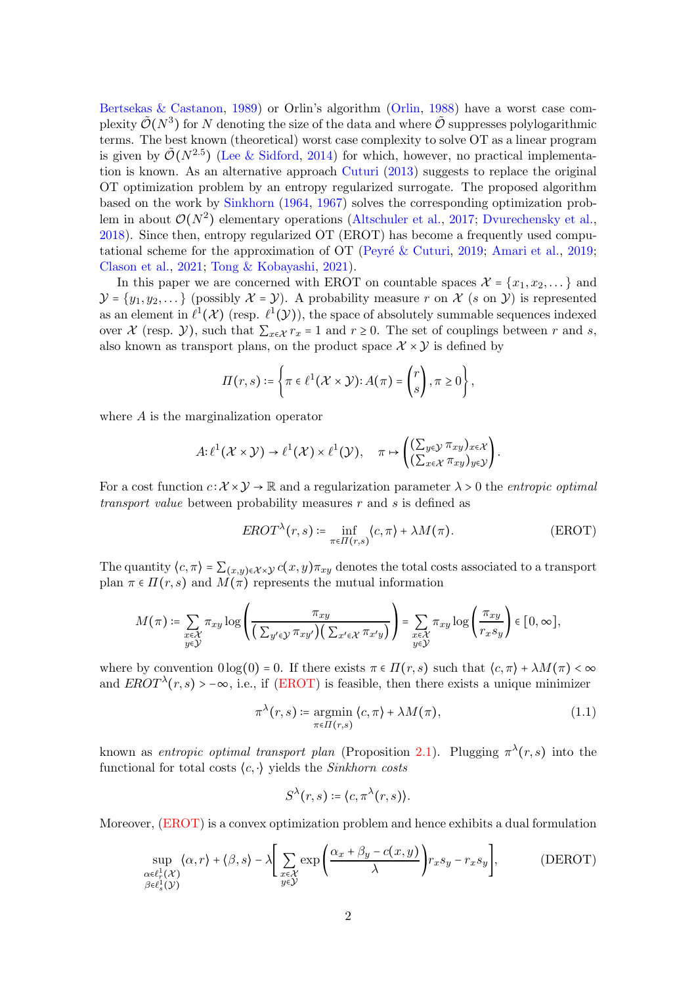[Bertsekas & Castanon,](#page-36-1) [1989](#page-36-1)) or Orlin's algorithm [\(Orlin](#page-38-6), [1988](#page-38-6)) have a worst case complexity  $\tilde{\mathcal{O}}(N^3)$  for  $N$  denoting the size of the data and where  $\tilde{\mathcal{O}}$  suppresses polylogarithmic terms. The best known (theoretical) worst case complexity to solve OT as a linear program is given by  $\mathcal{O}(N^{2.5})$  [\(Lee & Sidford,](#page-38-7) [2014](#page-38-7)) for which, however, no practical implementation is known. As an alternative approach [Cuturi](#page-37-2) [\(2013](#page-37-2)) suggests to replace the original OT optimization problem by an entropy regularized surrogate. The proposed algorithm based on the work by [Sinkhorn](#page-39-5) [\(1964](#page-39-5), [1967\)](#page-39-6) solves the corresponding optimization problem in about  $\mathcal{O}(N^2)$  elementary operations [\(Altschuler et al.](#page-36-2), [2017;](#page-36-2) [Dvurechensky et al.](#page-37-3), [2018\)](#page-37-3). Since then, entropy regularized OT (EROT) has become a frequently used compu-tational scheme for the approximation of OT (Peyré & Cuturi, [2019](#page-36-3); [Amari et al.](#page-36-3), 2019; [Clason et al.](#page-37-4), [2021](#page-37-4); [Tong & Kobayashi](#page-39-7), [2021\)](#page-39-7).

In this paper we are concerned with EROT on countable spaces  $\mathcal{X} = \{x_1, x_2, \dots\}$  and  $\mathcal{Y} = \{y_1, y_2, \dots\}$  (possibly  $\mathcal{X} = \mathcal{Y}$ ). A probability measure r on X (s on Y) is represented as an element in  $\ell^1(\mathcal{X})$  (resp.  $\ell^1(\mathcal{Y})$ ), the space of absolutely summable sequences indexed over X (resp. Y), such that  $\sum_{x \in \mathcal{X}} r_x = 1$  and  $r \geq 0$ . The set of couplings between r and s, also known as transport plans, on the product space  $\mathcal{X} \times \mathcal{Y}$  is defined by

$$
\Pi(r,s) := \left\{ \pi \in \ell^1(\mathcal{X} \times \mathcal{Y}) : A(\pi) = \binom{r}{s}, \pi \geq 0 \right\},\,
$$

where A is the marginalization operator

$$
A \colon \ell^1(\mathcal{X} \times \mathcal{Y}) \to \ell^1(\mathcal{X}) \times \ell^1(\mathcal{Y}), \quad \pi \mapsto \left( \begin{matrix} (\sum_{y \in \mathcal{Y}} \pi_{xy})_{x \in \mathcal{X}} \\ (\sum_{x \in \mathcal{X}} \pi_{xy})_{y \in \mathcal{Y}} \end{matrix} \right).
$$

For a cost function  $c: \mathcal{X} \times \mathcal{Y} \to \mathbb{R}$  and a regularization parameter  $\lambda > 0$  the *entropic optimal* transport value between probability measures r and s is defined as

<span id="page-1-0"></span>
$$
EROT^{\lambda}(r,s) \coloneqq \inf_{\pi \in \Pi(r,s)} \langle c, \pi \rangle + \lambda M(\pi). \tag{EROT}
$$

The quantity  $\langle c, \pi \rangle = \sum_{(x,y)\in \mathcal{X}\times \mathcal{Y}} c(x,y) \pi_{xy}$  denotes the total costs associated to a transport plan  $\pi \in \Pi(r,s)$  and  $\overline{M}(\pi)$  represents the mutual information

$$
M(\pi) \coloneqq \sum_{\substack{x \in \mathcal{X} \\ y \in \mathcal{Y}}} \pi_{xy} \log \left( \frac{\pi_{xy}}{\left( \sum_{y' \in \mathcal{Y}} \pi_{xy'} \right) \left( \sum_{x' \in \mathcal{X}} \pi_{x'y} \right)} \right) = \sum_{\substack{x \in \mathcal{X} \\ y \in \mathcal{Y}}} \pi_{xy} \log \left( \frac{\pi_{xy}}{r_x s_y} \right) \in [0, \infty],
$$

where by convention  $0\log(0) = 0$ . If there exists  $\pi \in \Pi(r, s)$  such that  $\langle c, \pi \rangle + \lambda \cdot M(\pi) \langle \infty \rangle$ and  $EROT^{\lambda}(r, s) > -\infty$ , i.e., if [\(EROT\)](#page-1-0) is feasible, then there exists a unique minimizer

<span id="page-1-2"></span>
$$
\pi^{\lambda}(r,s) \coloneqq \underset{\pi \in \Pi(r,s)}{\operatorname{argmin}} \langle c, \pi \rangle + \lambda M(\pi), \tag{1.1}
$$

known as entropic optimal transport plan (Proposition [2.1\)](#page-6-0). Plugging  $\pi^{\lambda}(r,s)$  into the functional for total costs  $\langle c, \cdot \rangle$  yields the *Sinkhorn costs* 

<span id="page-1-1"></span>
$$
S^{\lambda}(r,s)\coloneqq\langle c,\pi^{\lambda}(r,s)\rangle.
$$

Moreover, [\(EROT\)](#page-1-0) is a convex optimization problem and hence exhibits a dual formulation

$$
\sup_{\substack{\alpha \in \ell_r^1(\mathcal{X}) \\ \beta \in \ell_s^1(\mathcal{Y})}} \langle \alpha, r \rangle + \langle \beta, s \rangle - \lambda \Bigg[ \sum_{\substack{x \in \mathcal{X} \\ y \in \mathcal{Y}}} \exp \Bigg( \frac{\alpha_x + \beta_y - c(x, y)}{\lambda} \Bigg) r_x s_y - r_x s_y \Bigg], \tag{DEROT}
$$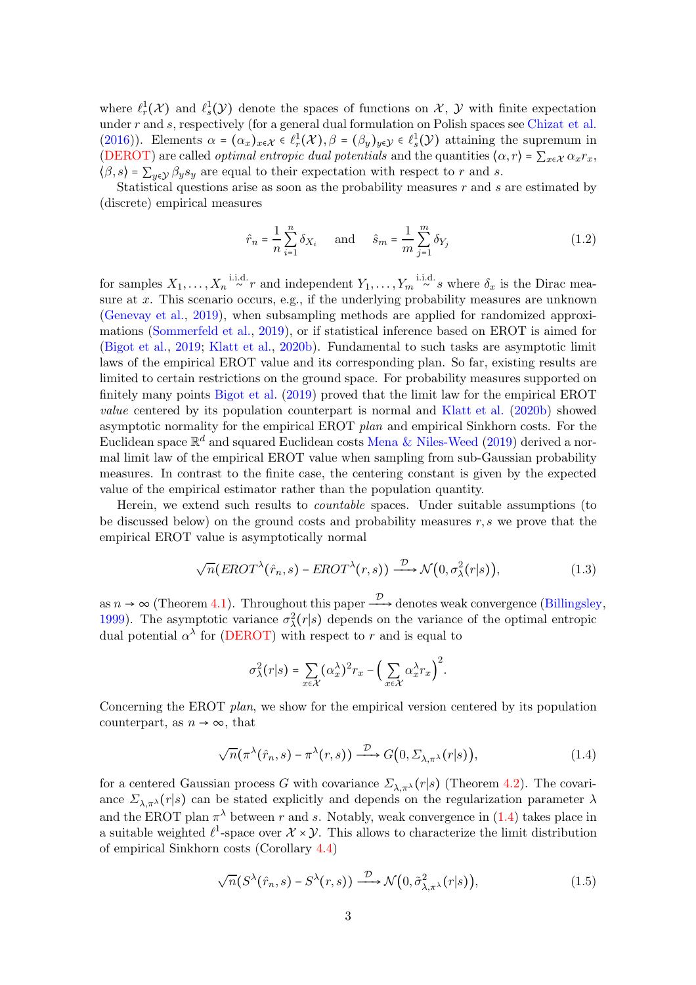where  $\ell_r^1(\mathcal{X})$  and  $\ell_s^1(\mathcal{Y})$  denote the spaces of functions on  $\mathcal{X}, \mathcal{Y}$  with finite expectation under  $r$  and  $s$ , respectively (for a general dual formulation on Polish spaces see [Chizat et al.](#page-37-5) [\(2016](#page-37-5))). Elements  $\alpha = (\alpha_x)_{x \in \mathcal{X}} \in \ell_r^1(\mathcal{X}), \beta = (\beta_y)_{y \in \mathcal{Y}} \in \ell_s^1(\mathcal{Y})$  attaining the supremum in [\(DEROT\)](#page-1-1) are called *optimal entropic dual potentials* and the quantities  $\langle \alpha, r \rangle = \sum_{x \in \mathcal{X}} \alpha_x r_x$ ,  $\langle \beta, s \rangle = \sum_{y \in \mathcal{Y}} \beta_y s_y$  are equal to their expectation with respect to r and s.

Statistical questions arise as soon as the probability measures  $r$  and  $s$  are estimated by (discrete) empirical measures

<span id="page-2-3"></span>
$$
\hat{r}_n = \frac{1}{n} \sum_{i=1}^n \delta_{X_i}
$$
 and  $\hat{s}_m = \frac{1}{m} \sum_{j=1}^m \delta_{Y_j}$  (1.2)

for samples  $X_1, \ldots, X_n \stackrel{\text{i.i.d.}}{\sim} r$  and independent  $Y_1, \ldots, Y_m \stackrel{\text{i.i.d.}}{\sim} s$  where  $\delta_x$  is the Dirac measure at  $x$ . This scenario occurs, e.g., if the underlying probability measures are unknown [\(Genevay et al.](#page-38-9), [2019\)](#page-38-9), when subsampling methods are applied for randomized approximations [\(Sommerfeld et al.](#page-39-8), [2019](#page-39-8)), or if statistical inference based on EROT is aimed for [\(Bigot et al.](#page-36-4), [2019;](#page-36-4) [Klatt et al.](#page-38-10), [2020b](#page-38-10)). Fundamental to such tasks are asymptotic limit laws of the empirical EROT value and its corresponding plan. So far, existing results are limited to certain restrictions on the ground space. For probability measures supported on finitely many points [Bigot et al.](#page-36-4) [\(2019](#page-36-4)) proved that the limit law for the empirical EROT value centered by its population counterpart is normal and [Klatt et al.](#page-38-10) [\(2020b](#page-38-10)) showed asymptotic normality for the empirical EROT plan and empirical Sinkhorn costs. For the Euclidean space  $\mathbb{R}^d$  and squared Euclidean costs [Mena & Niles-Weed](#page-38-11) [\(2019](#page-38-11)) derived a normal limit law of the empirical EROT value when sampling from sub-Gaussian probability measures. In contrast to the finite case, the centering constant is given by the expected value of the empirical estimator rather than the population quantity.

Herein, we extend such results to countable spaces. Under suitable assumptions (to be discussed below) on the ground costs and probability measures  $r, s$  we prove that the empirical EROT value is asymptotically normal

<span id="page-2-2"></span>
$$
\sqrt{n}(EROT^{\lambda}(\hat{r}_n, s) - EROT^{\lambda}(r, s)) \xrightarrow{\mathcal{D}} \mathcal{N}\big(0, \sigma_{\lambda}^2(r|s)\big),\tag{1.3}
$$

as  $n \to \infty$  (Theorem [4.1\)](#page-13-0). Throughout this paper  $\stackrel{\mathcal{D}}{\longrightarrow}$  denotes weak convergence [\(Billingsley](#page-36-5), [1999\)](#page-36-5). The asymptotic variance  $\sigma_{\lambda}^2(r|s)$  depends on the variance of the optimal entropic dual potential  $\alpha^{\lambda}$  for [\(DEROT\)](#page-1-1) with respect to r and is equal to

$$
\sigma_{\lambda}^{2}(r|s) = \sum_{x \in \mathcal{X}} (\alpha_{x}^{\lambda})^{2} r_{x} - \left(\sum_{x \in \mathcal{X}} \alpha_{x}^{\lambda} r_{x}\right)^{2}.
$$

Concerning the EROT plan, we show for the empirical version centered by its population counterpart, as  $n \to \infty$ , that

<span id="page-2-0"></span>
$$
\sqrt{n}(\pi^{\lambda}(\hat{r}_n, s) - \pi^{\lambda}(r, s)) \xrightarrow{\mathcal{D}} G(0, \Sigma_{\lambda, \pi^{\lambda}}(r|s)),
$$
\n(1.4)

for a centered Gaussian process G with covariance  $\Sigma_{\lambda,\pi^{\lambda}}(r|s)$  (Theorem [4.2\)](#page-14-0). The covariance  $\Sigma_{\lambda,\pi\lambda}(r|s)$  can be stated explicitly and depends on the regularization parameter  $\lambda$ and the EROT plan  $\pi^{\lambda}$  between r and s. Notably, weak convergence in [\(1.4\)](#page-2-0) takes place in a suitable weighted  $\ell^1$ -space over  $\mathcal{X} \times \mathcal{Y}$ . This allows to characterize the limit distribution of empirical Sinkhorn costs (Corollary [4.4\)](#page-15-0)

<span id="page-2-1"></span>
$$
\sqrt{n}(S^{\lambda}(\hat{r}_n, s) - S^{\lambda}(r, s)) \xrightarrow{\mathcal{D}} \mathcal{N}(0, \tilde{\sigma}_{\lambda, \pi^{\lambda}}^2(r|s)), \tag{1.5}
$$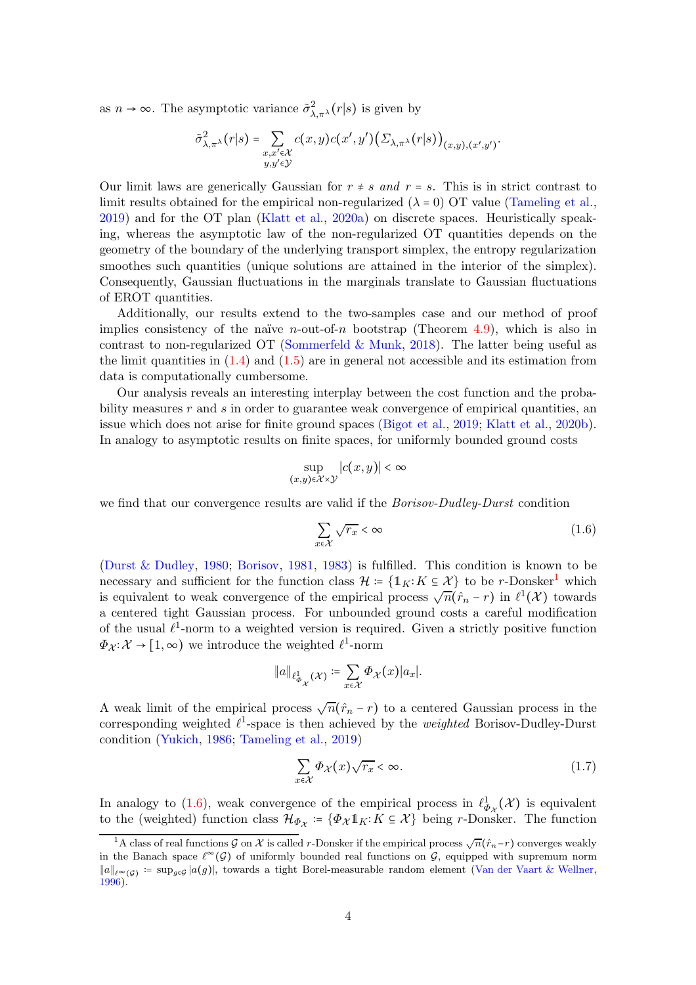as  $n \to \infty$ . The asymptotic variance  $\tilde{\sigma}^2_{\lambda,\pi^{\lambda}}(r|s)$  is given by

$$
\tilde{\sigma}_{\lambda,\pi^{\lambda}}^{2}(r|s) = \sum_{\substack{x,x'\in\mathcal{X}\\y,y'\in\mathcal{Y}}} c(x,y)c(x',y') \Big(\Sigma_{\lambda,\pi^{\lambda}}(r|s)\Big)_{(x,y),(x',y')}.
$$

Our limit laws are generically Gaussian for  $r \neq s$  and  $r = s$ . This is in strict contrast to limit results obtained for the empirical non-regularized  $(\lambda = 0)$  OT value [\(Tameling et al.](#page-39-9), [2019\)](#page-39-9) and for the OT plan [\(Klatt et al.,](#page-38-12) [2020a](#page-38-12)) on discrete spaces. Heuristically speaking, whereas the asymptotic law of the non-regularized OT quantities depends on the geometry of the boundary of the underlying transport simplex, the entropy regularization smoothes such quantities (unique solutions are attained in the interior of the simplex). Consequently, Gaussian fluctuations in the marginals translate to Gaussian fluctuations of EROT quantities.

Additionally, our results extend to the two-samples case and our method of proof implies consistency of the naïve *n*-out-of-*n* bootstrap (Theorem [4.9\)](#page-20-0), which is also in contrast to non-regularized OT (Sommerfeld  $\&$  Munk, [2018](#page-39-1)). The latter being useful as the limit quantities in  $(1.4)$  and  $(1.5)$  are in general not accessible and its estimation from data is computationally cumbersome.

Our analysis reveals an interesting interplay between the cost function and the probability measures  $r$  and  $s$  in order to guarantee weak convergence of empirical quantities, an issue which does not arise for finite ground spaces [\(Bigot et al.](#page-36-4), [2019](#page-36-4); [Klatt et al.,](#page-38-10) [2020b\)](#page-38-10). In analogy to asymptotic results on finite spaces, for uniformly bounded ground costs

$$
\sup_{(x,y)\in\mathcal{X}\times\mathcal{Y}}|c(x,y)| < \infty
$$

we find that our convergence results are valid if the *Borisov-Dudley-Durst* condition

<span id="page-3-1"></span>
$$
\sum_{x \in \mathcal{X}} \sqrt{r_x} < \infty \tag{1.6}
$$

[\(Durst & Dudley](#page-37-6), [1980](#page-37-6); [Borisov,](#page-36-6) [1981](#page-36-6), [1983](#page-36-7)) is fulfilled. This condition is known to be necessary and sufficient for the function class  $\mathcal{H} = \{1_K: K \subseteq \mathcal{X}\}\)$  $\mathcal{H} = \{1_K: K \subseteq \mathcal{X}\}\)$  $\mathcal{H} = \{1_K: K \subseteq \mathcal{X}\}\)$  to be r-Donsker<sup>1</sup> which is equivalent to weak convergence of the empirical process  $\sqrt{n}(\hat{r}_n - r)$  in  $\ell^1(\mathcal{X})$  towards a centered tight Gaussian process. For unbounded ground costs a careful modification of the usual  $\ell^1$ -norm to a weighted version is required. Given a strictly positive function  $\Phi_{\mathcal{X}}: \mathcal{X} \to [1, \infty)$  we introduce the weighted  $\ell^1$ -norm

$$
\|a\|_{\ell^1_{\Phi_{\mathcal{X}}}(\mathcal{X})} \coloneqq \sum_{x \in \mathcal{X}} \Phi_{\mathcal{X}}(x)|a_x|.
$$

A weak limit of the empirical process  $\sqrt{n}(\hat{r}_n - r)$  to a centered Gaussian process in the corresponding weighted  $\ell^1$ -space is then achieved by the *weighted* Borisov-Dudley-Durst condition [\(Yukich,](#page-39-10) [1986](#page-39-10); [Tameling et al.,](#page-39-9) [2019](#page-39-9))

<span id="page-3-2"></span>
$$
\sum_{x \in \mathcal{X}} \Phi_{\mathcal{X}}(x) \sqrt{r_x} < \infty. \tag{1.7}
$$

In analogy to [\(1.6\)](#page-3-1), weak convergence of the empirical process in  $\ell_{\Phi_{\mathcal{X}}}^1(\mathcal{X})$  is equivalent to the (weighted) function class  $\mathcal{H}_{\Phi_{\mathcal{X}}} \coloneqq {\Phi_{\mathcal{X}}} \mathbb{1}_K$ :  $K \subseteq \mathcal{X}$  being r-Donsker. The function

<span id="page-3-0"></span><sup>&</sup>lt;sup>1</sup>A class of real functions G on  $\chi$  is called r-Donsker if the empirical process  $\sqrt{n}(\hat{r}_n - r)$  converges weakly in the Banach space  $\ell^{\infty}(\mathcal{G})$  of uniformly bounded real functions on  $\mathcal{G}$ , equipped with supremum norm  $||a||_{\ell^{\infty}(G)} := \sup_{q \in \mathcal{G}} |a(g)|$ , towards a tight Borel-measurable random element [\(Van der Vaart & Wellner,](#page-39-11) [1996](#page-39-11)).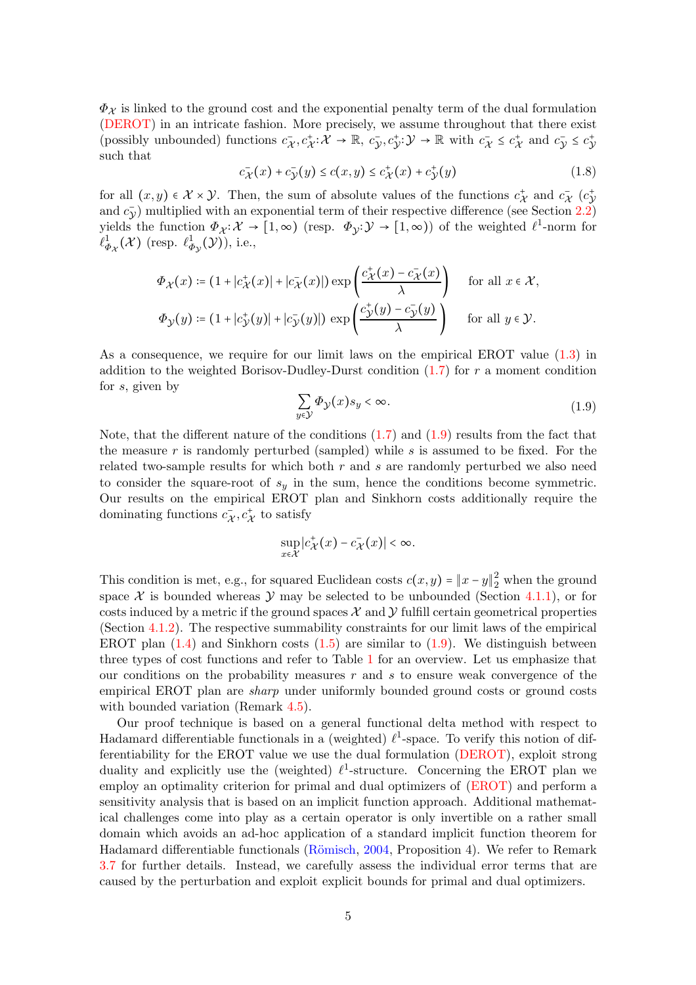$\Phi_{\mathcal{X}}$  is linked to the ground cost and the exponential penalty term of the dual formulation [\(DEROT\)](#page-1-1) in an intricate fashion. More precisely, we assume throughout that there exist (possibly unbounded) functions  $c_{\mathcal{X}}^-, c_{\mathcal{X}}^+ : \mathcal{X} \to \mathbb{R}$ ,  $c_{\mathcal{Y}}^-, c_{\mathcal{Y}}^+ : \mathcal{Y} \to \mathbb{R}$  with  $c_{\mathcal{X}}^- \leq c_{\mathcal{X}}^+$  and  $c_{\mathcal{Y}}^- \leq c_{\mathcal{Y}}^+$ such that

<span id="page-4-1"></span>
$$
c_X^-(x) + c_Y^-(y) \le c(x, y) \le c_X^+(x) + c_Y^+(y) \tag{1.8}
$$

for all  $(x, y) \in \mathcal{X} \times \mathcal{Y}$ . Then, the sum of absolute values of the functions  $c^+_{\mathcal{X}}$  and  $c^-_{\mathcal{X}}$   $(c^+_{\mathcal{Y}})$ and  $c_{\mathcal{Y}}$ ) multiplied with an exponential term of their respective difference (see Section [2.2\)](#page-7-0) yields the function  $\Phi_{\mathcal{X}}: \mathcal{X} \to [1, \infty)$  (resp.  $\Phi_{\mathcal{Y}}: \mathcal{Y} \to [1, \infty)$ ) of the weighted  $\ell^1$ -norm for  $\ell_{\Phi_{\mathcal{X}}}^1(\mathcal{X})$  (resp.  $\ell_{\Phi_{\mathcal{Y}}}^1(\mathcal{Y})$ ), i.e.,

$$
\Phi_{\mathcal{X}}(x) \coloneqq (1 + |c^+_{\mathcal{X}}(x)| + |c^-_{\mathcal{X}}(x)|) \exp\left(\frac{c^+_{\mathcal{X}}(x) - c^-_{\mathcal{X}}(x)}{\lambda}\right) \quad \text{ for all } x \in \mathcal{X},
$$
  

$$
\Phi_{\mathcal{Y}}(y) \coloneqq (1 + |c^+_{\mathcal{Y}}(y)| + |c^-_{\mathcal{Y}}(y)|) \exp\left(\frac{c^+_{\mathcal{Y}}(y) - c^-_{\mathcal{Y}}(y)}{\lambda}\right) \quad \text{ for all } y \in \mathcal{Y}.
$$

As a consequence, we require for our limit laws on the empirical EROT value [\(1.3\)](#page-2-2) in addition to the weighted Borisov-Dudley-Durst condition  $(1.7)$  for r a moment condition for s, given by

<span id="page-4-0"></span>
$$
\sum_{y \in \mathcal{Y}} \Phi_{\mathcal{Y}}(x) s_y < \infty. \tag{1.9}
$$

Note, that the different nature of the conditions  $(1.7)$  and  $(1.9)$  results from the fact that the measure r is randomly perturbed (sampled) while s is assumed to be fixed. For the related two-sample results for which both  $r$  and  $s$  are randomly perturbed we also need to consider the square-root of  $s_y$  in the sum, hence the conditions become symmetric. Our results on the empirical EROT plan and Sinkhorn costs additionally require the dominating functions  $c_{\mathcal{X}}^{\dagger}$ ,  $c_{\mathcal{X}}^{\dagger}$  to satisfy

$$
\sup_{x \in \mathcal{X}} |c_{\mathcal{X}}^+(x) - c_{\mathcal{X}}^-(x)| < \infty.
$$

This condition is met, e.g., for squared Euclidean costs  $c(x, y) = ||x - y||_2^2$  when the ground space  $\mathcal X$  is bounded whereas  $\mathcal Y$  may be selected to be unbounded (Section [4.1.1\)](#page-16-0), or for costs induced by a metric if the ground spaces  $\mathcal X$  and  $\mathcal Y$  fulfill certain geometrical properties (Section [4.1.2\)](#page-17-0). The respective summability constraints for our limit laws of the empirical EROT plan  $(1.4)$  and Sinkhorn costs  $(1.5)$  are similar to  $(1.9)$ . We distinguish between three types of cost functions and refer to Table [1](#page-5-0) for an overview. Let us emphasize that our conditions on the probability measures  $r$  and  $s$  to ensure weak convergence of the empirical EROT plan are *sharp* under uniformly bounded ground costs or ground costs with bounded variation (Remark [4.5\)](#page-15-1).

Our proof technique is based on a general functional delta method with respect to Hadamard differentiable functionals in a (weighted)  $\ell^1$ -space. To verify this notion of differentiability for the EROT value we use the dual formulation [\(DEROT\)](#page-1-1), exploit strong duality and explicitly use the (weighted)  $\ell^1$ -structure. Concerning the EROT plan we employ an optimality criterion for primal and dual optimizers of [\(EROT\)](#page-1-0) and perform a sensitivity analysis that is based on an implicit function approach. Additional mathematical challenges come into play as a certain operator is only invertible on a rather small domain which avoids an ad-hoc application of a standard implicit function theorem for Hadamard differentiable functionals (Römisch, [2004,](#page-38-13) Proposition 4). We refer to Remark [3.7](#page-12-0) for further details. Instead, we carefully assess the individual error terms that are caused by the perturbation and exploit explicit bounds for primal and dual optimizers.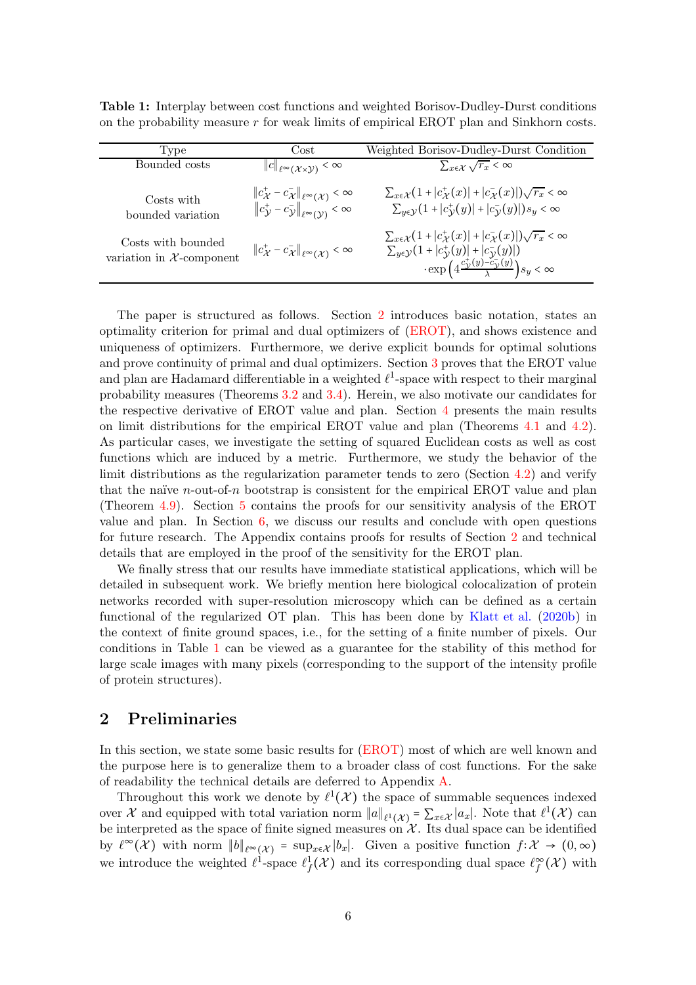<span id="page-5-0"></span>Table 1: Interplay between cost functions and weighted Borisov-Dudley-Durst conditions on the probability measure r for weak limits of empirical EROT plan and Sinkhorn costs.

| Type                                              | Cost                                                                                                                                                                     | Weighted Borisov-Dudley-Durst Condition                                                                                                                                                                                                                                                |
|---------------------------------------------------|--------------------------------------------------------------------------------------------------------------------------------------------------------------------------|----------------------------------------------------------------------------------------------------------------------------------------------------------------------------------------------------------------------------------------------------------------------------------------|
| Bounded costs                                     | $  c  _{\ell^{\infty}(\mathcal{X}\times\mathcal{Y})}<\infty$                                                                                                             | $\sum_{x \in \mathcal{X}} \sqrt{r_x} < \infty$                                                                                                                                                                                                                                         |
| Costs with<br>bounded variation                   | $  c^+_{\mathcal{X}} - c^-_{\mathcal{X}}  _{\ell^{\infty}(\mathcal{X})} < \infty$<br>$  c_{\mathcal{Y}}^+ - c_{\mathcal{Y}}^-  _{\ell^{\infty}(\mathcal{Y})}$ < $\infty$ | $\sum_{x \in \mathcal{X}} (1 +  c^+_{\mathcal{X}}(x)  +  c^-_{\mathcal{X}}(x) ) \sqrt{r_x} < \infty$<br>$\sum_{y \in \mathcal{Y}} (1 +  c_{\mathcal{V}}^+(y)  +  c_{\mathcal{V}}^-(y) ) s_y < \infty$                                                                                  |
| Costs with bounded<br>variation in $X$ -component | $  c^+_{\mathcal{X}} - c^-_{\mathcal{X}}  _{\ell^{\infty}(\mathcal{X})} < \infty$                                                                                        | $\sum_{x \in \mathcal{X}} (1 +  c^+_{\mathcal{X}}(x)  +  c^-_{\mathcal{X}}(x) ) \sqrt{r_x} < \infty$<br>$\sum_{y \in \mathcal{Y}} (1 +  c^+_{\mathcal{Y}}(y)  +  c^-_{\mathcal{V}}(y) )$<br>$-\exp\left(4\frac{c_{\mathcal{Y}}^+(y)-c_{\mathcal{Y}}^-(y)}{\lambda}\right)s_y < \infty$ |

The paper is structured as follows. Section [2](#page-5-1) introduces basic notation, states an optimality criterion for primal and dual optimizers of [\(EROT\)](#page-1-0), and shows existence and uniqueness of optimizers. Furthermore, we derive explicit bounds for optimal solutions and prove continuity of primal and dual optimizers. Section [3](#page-8-0) proves that the EROT value and plan are Hadamard differentiable in a weighted  $\ell^1$ -space with respect to their marginal probability measures (Theorems [3.2](#page-8-1) and [3.4\)](#page-10-0). Herein, we also motivate our candidates for the respective derivative of EROT value and plan. Section [4](#page-12-1) presents the main results on limit distributions for the empirical EROT value and plan (Theorems [4.1](#page-13-0) and [4.2\)](#page-14-0). As particular cases, we investigate the setting of squared Euclidean costs as well as cost functions which are induced by a metric. Furthermore, we study the behavior of the limit distributions as the regularization parameter tends to zero (Section [4.2\)](#page-18-0) and verify that the naïve *n*-out-of-*n* bootstrap is consistent for the empirical EROT value and plan (Theorem [4.9\)](#page-20-0). Section [5](#page-20-1) contains the proofs for our sensitivity analysis of the EROT value and plan. In Section [6,](#page-35-0) we discuss our results and conclude with open questions for future research. The Appendix contains proofs for results of Section [2](#page-5-1) and technical details that are employed in the proof of the sensitivity for the EROT plan.

We finally stress that our results have immediate statistical applications, which will be detailed in subsequent work. We briefly mention here biological colocalization of protein networks recorded with super-resolution microscopy which can be defined as a certain functional of the regularized OT plan. This has been done by [Klatt et al.](#page-38-10) [\(2020b\)](#page-38-10) in the context of finite ground spaces, i.e., for the setting of a finite number of pixels. Our conditions in Table [1](#page-5-0) can be viewed as a guarantee for the stability of this method for large scale images with many pixels (corresponding to the support of the intensity profile of protein structures).

### <span id="page-5-1"></span>2 Preliminaries

In this section, we state some basic results for [\(EROT\)](#page-1-0) most of which are well known and the purpose here is to generalize them to a broader class of cost functions. For the sake of readability the technical details are deferred to Appendix [A.](#page-40-0)

Throughout this work we denote by  $\ell^1(\mathcal{X})$  the space of summable sequences indexed over X and equipped with total variation norm  $||a||_{\ell^1(\mathcal{X})} = \sum_{x \in \mathcal{X}} |a_x|$ . Note that  $\ell^1(\mathcal{X})$  can be interpreted as the space of finite signed measures on  $\mathcal{X}$ . Its dual space can be identified by  $\ell^{\infty}(\mathcal{X})$  with norm  $||b||_{\ell^{\infty}(\mathcal{X})} = \sup_{x \in \mathcal{X}} |b_x|$ . Given a positive function  $f: \mathcal{X} \to (0, \infty)$ we introduce the weighted  $\ell^1$ -space  $\ell_f^1(\mathcal{X})$  and its corresponding dual space  $\ell_f^{\infty}(\mathcal{X})$  with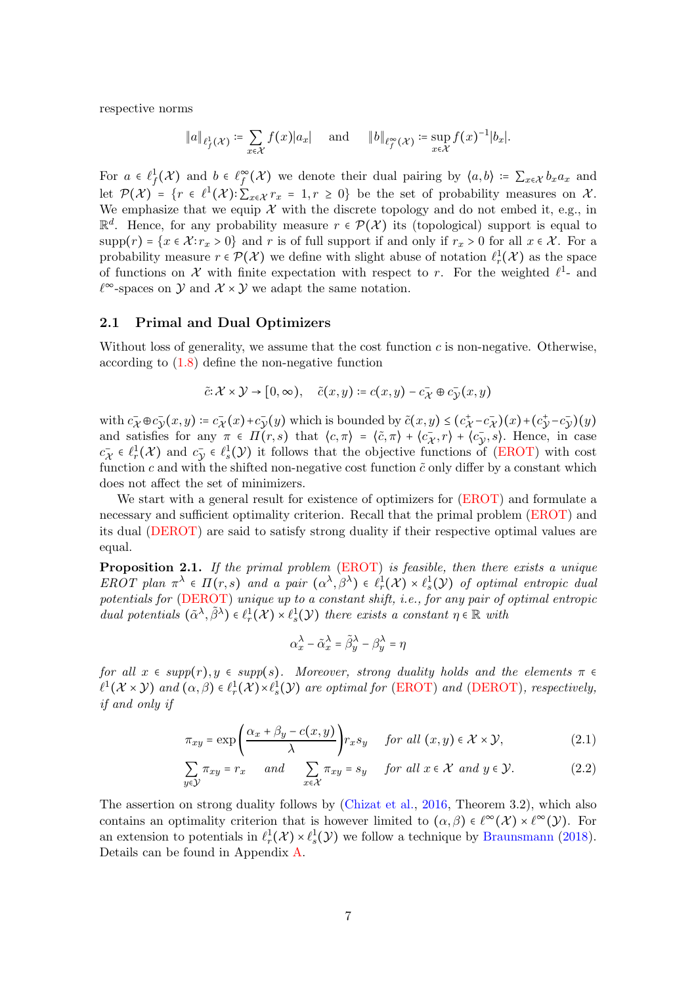respective norms

$$
\|a\|_{\ell_f^1(\mathcal{X})} \coloneqq \sum_{x \in \mathcal{X}} f(x)|a_x| \quad \text{ and } \quad \|b\|_{\ell_f^\infty(\mathcal{X})} \coloneqq \sup_{x \in \mathcal{X}} f(x)^{-1}|b_x|.
$$

For  $a \in \ell_f^1(\mathcal{X})$  and  $b \in \ell_f^{\infty}(\mathcal{X})$  we denote their dual pairing by  $\langle a,b \rangle \coloneqq \sum_{x \in \mathcal{X}} b_x a_x$  and let  $\mathcal{P}(\mathcal{X}) = \{r \in \ell^1(\mathcal{X}) : \sum_{x \in \mathcal{X}} r_x = 1, r \geq 0\}$  be the set of probability measures on  $\mathcal{X}$ . We emphasize that we equip  $\mathcal X$  with the discrete topology and do not embed it, e.g., in  $\mathbb{R}^d$ . Hence, for any probability measure  $r \in \mathcal{P}(\mathcal{X})$  its (topological) support is equal to  $\text{supp}(r) = \{x \in \mathcal{X} : r_x > 0\}$  and r is of full support if and only if  $r_x > 0$  for all  $x \in \mathcal{X}$ . For a probability measure  $r \in \mathcal{P}(\mathcal{X})$  we define with slight abuse of notation  $\ell_r^1(\mathcal{X})$  as the space of functions on X with finite expectation with respect to r. For the weighted  $\ell^1$ - and  $\ell^{\infty}$ -spaces on  $\mathcal Y$  and  $\mathcal X \times \mathcal Y$  we adapt the same notation.

#### <span id="page-6-1"></span>2.1 Primal and Dual Optimizers

Without loss of generality, we assume that the cost function  $c$  is non-negative. Otherwise, according to [\(1.8\)](#page-4-1) define the non-negative function

$$
\tilde{c}: \mathcal{X} \times \mathcal{Y} \to [0, \infty), \quad \tilde{c}(x, y) \coloneqq c(x, y) - c_X^{\top} \oplus c_Y^{\top}(x, y)
$$

with  $c_X^-\oplus c_Y^-(x,y) = c_X^-(x) + c_Y^-(y)$  which is bounded by  $\tilde{c}(x,y) \leq (c_X^+ - c_X^-(x)) + (c_Y^+ - c_Y^-(y))$ and satisfies for any  $\pi \in \Pi(r,s)$  that  $\langle c, \pi \rangle = \langle \tilde{c}, \pi \rangle + \langle c_{\mathcal{X}}^-, r \rangle + \langle c_{\mathcal{Y}}^-, s \rangle$ . Hence, in case  $c_X^-\in\ell^1_r(\mathcal{X})$  and  $c_Y^-\in\ell^1_s(\mathcal{Y})$  it follows that the objective functions of [\(EROT\)](#page-1-0) with cost function c and with the shifted non-negative cost function  $\tilde{c}$  only differ by a constant which does not affect the set of minimizers.

We start with a general result for existence of optimizers for [\(EROT\)](#page-1-0) and formulate a necessary and sufficient optimality criterion. Recall that the primal problem [\(EROT\)](#page-1-0) and its dual [\(DEROT\)](#page-1-1) are said to satisfy strong duality if their respective optimal values are equal.

<span id="page-6-0"></span>**Proposition 2.1.** If the primal problem [\(EROT\)](#page-1-0) is feasible, then there exists a unique EROT plan  $\pi^{\lambda} \in \Pi(r, s)$  and a pair  $(\alpha^{\lambda}, \beta^{\lambda}) \in \ell_r^1(\mathcal{X}) \times \ell_s^1(\mathcal{Y})$  of optimal entropic dual potentials for [\(DEROT\)](#page-1-1) unique up to a constant shift, i.e., for any pair of optimal entropic dual potentials  $(\tilde{\alpha}^{\lambda}, \tilde{\beta}^{\lambda}) \in \ell_r^1(\mathcal{X}) \times \ell_s^1(\mathcal{Y})$  there exists a constant  $\eta \in \mathbb{R}$  with

<span id="page-6-3"></span><span id="page-6-2"></span>
$$
\alpha_x^{\lambda} - \tilde{\alpha}_x^{\lambda} = \tilde{\beta}_y^{\lambda} - \beta_y^{\lambda} = \eta
$$

for all  $x \in supp(r), y \in supp(s)$ . Moreover, strong duality holds and the elements  $\pi \in$  $\ell^1(\mathcal{X}\times\mathcal{Y})$  and  $(\alpha,\beta)\in\ell^1_r(\mathcal{X})\times\ell^1_s(\mathcal{Y})$  are optimal for [\(EROT\)](#page-1-0) and [\(DEROT\)](#page-1-1), respectively, if and only if

$$
\pi_{xy} = \exp\left(\frac{\alpha_x + \beta_y - c(x, y)}{\lambda}\right) r_x s_y \quad \text{for all } (x, y) \in \mathcal{X} \times \mathcal{Y}, \tag{2.1}
$$

$$
\sum_{y \in \mathcal{Y}} \pi_{xy} = r_x \quad \text{and} \quad \sum_{x \in \mathcal{X}} \pi_{xy} = s_y \quad \text{for all } x \in \mathcal{X} \text{ and } y \in \mathcal{Y}.
$$
 (2.2)

The assertion on strong duality follows by [\(Chizat et al.](#page-37-5), [2016](#page-37-5), Theorem 3.2), which also contains an optimality criterion that is however limited to  $(\alpha, \beta) \in \ell^{\infty}(\mathcal{X}) \times \ell^{\infty}(\mathcal{Y})$ . For an extension to potentials in  $\ell_r^1(\mathcal{X}) \times \ell_s^1(\mathcal{Y})$  we follow a technique by [Braunsmann](#page-37-7) [\(2018\)](#page-37-7). Details can be found in Appendix [A.](#page-40-0)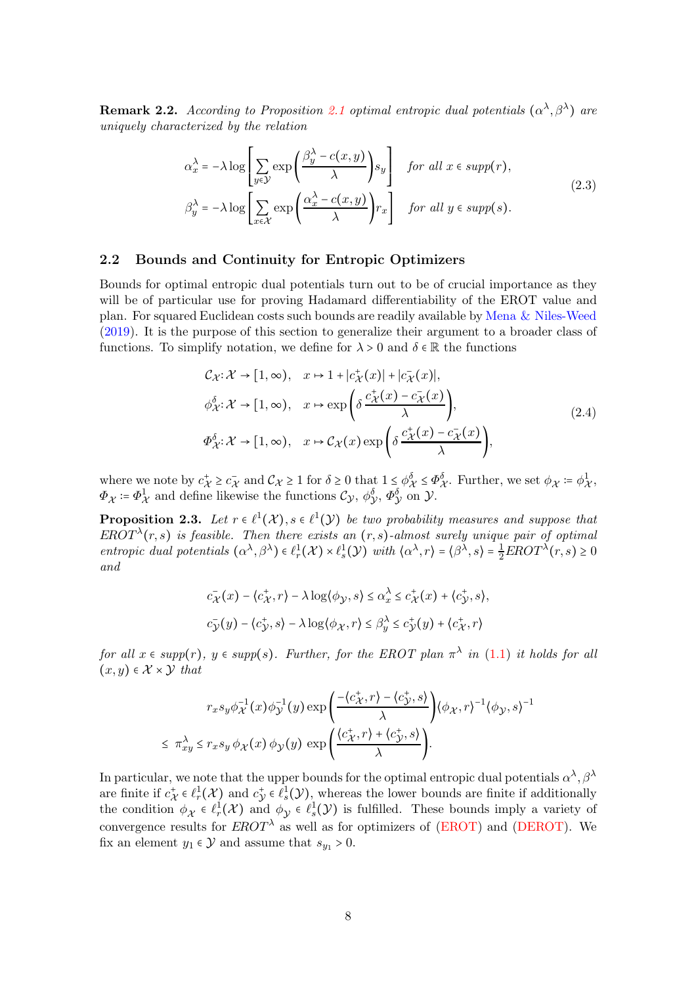<span id="page-7-2"></span>**Remark 2.2.** According to Proposition [2.1](#page-6-0) optimal entropic dual potentials  $(\alpha^{\lambda}, \beta^{\lambda})$  are uniquely characterized by the relation

$$
\alpha_x^{\lambda} = -\lambda \log \left[ \sum_{y \in \mathcal{Y}} \exp \left( \frac{\beta_y^{\lambda} - c(x, y)}{\lambda} \right) s_y \right] \quad \text{for all } x \in \text{supp}(r),
$$
\n
$$
\beta_y^{\lambda} = -\lambda \log \left[ \sum_{x \in \mathcal{X}} \exp \left( \frac{\alpha_x^{\lambda} - c(x, y)}{\lambda} \right) r_x \right] \quad \text{for all } y \in \text{supp}(s).
$$
\n(2.3)

#### <span id="page-7-0"></span>2.2 Bounds and Continuity for Entropic Optimizers

Bounds for optimal entropic dual potentials turn out to be of crucial importance as they will be of particular use for proving Hadamard differentiability of the EROT value and plan. For squared Euclidean costs such bounds are readily available by [Mena & Niles-Weed](#page-38-11) [\(2019](#page-38-11)). It is the purpose of this section to generalize their argument to a broader class of functions. To simplify notation, we define for  $\lambda > 0$  and  $\delta \in \mathbb{R}$  the functions

<span id="page-7-1"></span>
$$
\mathcal{C}_{\mathcal{X}}:\mathcal{X} \to [1,\infty), \quad x \mapsto 1 + |c_{\mathcal{X}}^+(x)| + |c_{\mathcal{X}}^-(x)|,
$$
\n
$$
\phi_{\mathcal{X}}^{\delta}:\mathcal{X} \to [1,\infty), \quad x \mapsto \exp\left(\delta \frac{c_{\mathcal{X}}^+(x) - c_{\mathcal{X}}^-(x)}{\lambda}\right),
$$
\n
$$
\Phi_{\mathcal{X}}^{\delta}:\mathcal{X} \to [1,\infty), \quad x \mapsto \mathcal{C}_{\mathcal{X}}(x) \exp\left(\delta \frac{c_{\mathcal{X}}^+(x) - c_{\mathcal{X}}^-(x)}{\lambda}\right),
$$
\n(2.4)

where we note by  $c^*_{\mathcal{X}} \geq c^-_{\mathcal{X}}$  and  $\mathcal{C}_{\mathcal{X}} \geq 1$  for  $\delta \geq 0$  that  $1 \leq \phi_{\mathcal{X}}^{\delta} \leq \Phi_{\mathcal{X}}^{\delta}$ . Further, we set  $\phi_{\mathcal{X}} \coloneqq \phi_{\mathcal{X}}^1$ ,  $\Phi_{\mathcal{X}} \coloneqq \Phi_{\mathcal{X}}^1$  and define likewise the functions  $\mathcal{C}_{\mathcal{Y}}, \phi_{\mathcal{Y}}^{\delta}, \Phi_{\mathcal{Y}}^{\delta}$  on  $\mathcal{Y}$ .

<span id="page-7-3"></span>**Proposition 2.3.** Let  $r \in \ell^1(\mathcal{X}), s \in \ell^1(\mathcal{Y})$  be two probability measures and suppose that  $EROT^{\lambda}(r,s)$  is feasible. Then there exists an  $(r,s)$ -almost surely unique pair of optimal entropic dual potentials  $(\alpha^{\lambda}, \beta^{\lambda}) \in \ell_r^1(\mathcal{X}) \times \ell_s^1(\mathcal{Y})$  with  $\langle \alpha^{\lambda}, r \rangle = \langle \beta^{\lambda}, s \rangle = \frac{1}{2} EROT^{\lambda}(r, s) \geq 0$ and

$$
c_X^-(x) - \langle c_X^+, r \rangle - \lambda \log \langle \phi_Y, s \rangle \le \alpha_x^{\lambda} \le c_X^+(x) + \langle c_Y^+, s \rangle,
$$
  

$$
c_Y^-(y) - \langle c_Y^+, s \rangle - \lambda \log \langle \phi_X, r \rangle \le \beta_y^{\lambda} \le c_Y^+(y) + \langle c_X^+, r \rangle
$$

for all  $x \in supp(r)$ ,  $y \in supp(s)$ . Further, for the EROT plan  $\pi^{\lambda}$  in  $(1.1)$  it holds for all  $(x, y) \in \mathcal{X} \times \mathcal{Y}$  that

$$
r_x s_y \phi_{\mathcal{X}}^{-1}(x) \phi_{\mathcal{Y}}^{-1}(y) \exp\left(\frac{-\langle c_{\mathcal{X}}^+, r \rangle - \langle c_{\mathcal{Y}}^+, s \rangle}{\lambda}\right) \langle \phi_{\mathcal{X}}, r \rangle^{-1} \langle \phi_{\mathcal{Y}}, s \rangle^{-1}
$$
  

$$
\leq \pi_{xy}^{\lambda} \leq r_x s_y \phi_{\mathcal{X}}(x) \phi_{\mathcal{Y}}(y) \exp\left(\frac{\langle c_{\mathcal{X}}^+, r \rangle + \langle c_{\mathcal{Y}}^+, s \rangle}{\lambda}\right).
$$

In particular, we note that the upper bounds for the optimal entropic dual potentials  $\alpha^{\lambda}, \beta^{\lambda}$ are finite if  $c^+_{\mathcal{X}} \in \ell^1_r(\mathcal{X})$  and  $c^+_{\mathcal{Y}} \in \ell^1_s(\mathcal{Y})$ , whereas the lower bounds are finite if additionally the condition  $\phi_{\chi} \in \ell^1_r(\mathcal{X})$  and  $\phi_{\chi} \in \ell^1_s(\mathcal{Y})$  is fulfilled. These bounds imply a variety of convergence results for  $EROT^{\lambda}$  as well as for optimizers of [\(EROT\)](#page-1-0) and [\(DEROT\)](#page-1-1). We fix an element  $y_1 \in \mathcal{Y}$  and assume that  $s_{y_1} > 0$ .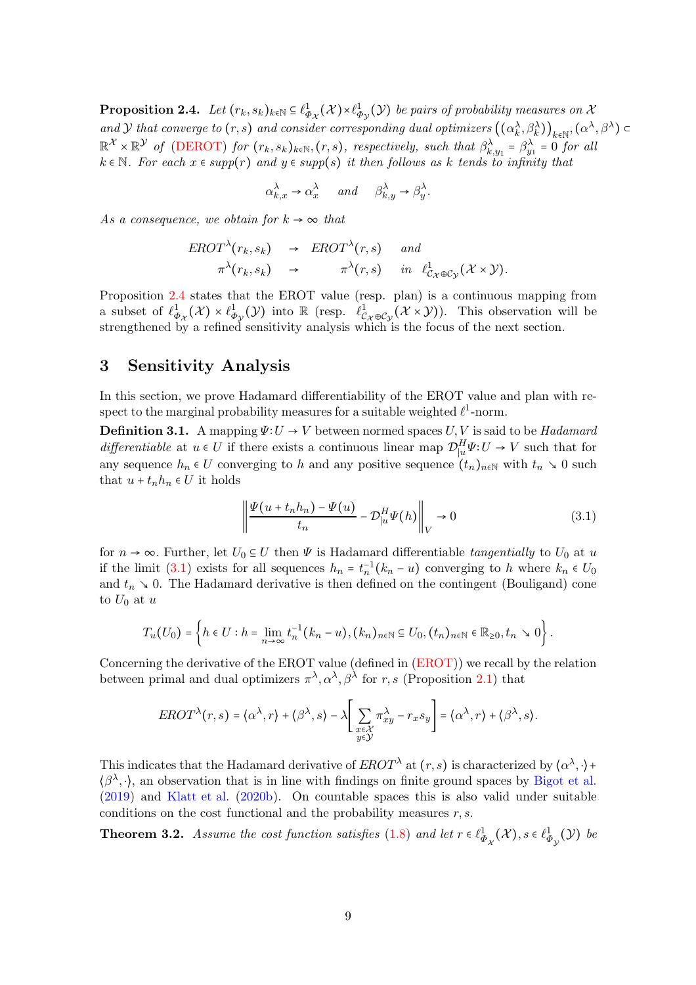<span id="page-8-2"></span>**Proposition 2.4.** Let  $(r_k, s_k)_{k \in \mathbb{N}} \in \ell_{\Phi_X}^1(\mathcal{X}) \times \ell_{\Phi_Y}^1(\mathcal{Y})$  be pairs of probability measures on  $\mathcal{X}$ and Y that converge to  $(r, s)$  and consider corresponding dual optimizers  $((\alpha_k^{\lambda}, \beta_k^{\lambda}))_{k \in \mathbb{N}}, (\alpha^{\lambda}, \beta^{\lambda}) \in$  $\mathbb{R}^{\mathcal{X}} \times \mathbb{R}^{\mathcal{Y}}$  of [\(DEROT\)](#page-1-1) for  $(r_k, s_k)_{k \in \mathbb{N}}$ ,  $(r, s)$ , respectively, such that  $\beta_{k, y_1}^{\lambda} = \beta_{y_1}^{\lambda} = 0$  for all  $k \in \mathbb{N}$ . For each  $x \in supp(r)$  and  $y \in supp(s)$  it then follows as k tends to infinity that

$$
\alpha_{k,x}^{\lambda} \to \alpha_x^{\lambda} \quad \text{and} \quad \beta_{k,y}^{\lambda} \to \beta_y^{\lambda}.
$$

As a consequence, we obtain for  $k \to \infty$  that

$$
EROT^{\lambda}(r_k, s_k) \rightarrow EROT^{\lambda}(r, s) \text{ and}
$$
  

$$
\pi^{\lambda}(r_k, s_k) \rightarrow \pi^{\lambda}(r, s) \text{ in } \ell^1_{\mathcal{C}_{\mathcal{X}} \oplus \mathcal{C}_{\mathcal{Y}}}(\mathcal{X} \times \mathcal{Y}).
$$

<span id="page-8-0"></span>Proposition [2.4](#page-8-2) states that the EROT value (resp. plan) is a continuous mapping from a subset of  $\ell^1_{\Phi_{\mathcal{X}}}(\mathcal{X}) \times \ell^1_{\Phi_{\mathcal{Y}}}(\mathcal{Y})$  into  $\mathbb{R}$  (resp.  $\ell^1_{\mathcal{C}_{\mathcal{X}} \oplus \mathcal{C}_{\mathcal{Y}}}(\mathcal{X} \times \mathcal{Y})$ ). This observation will be strengthened by a refined sensitivity analysis which is the focus of the next section.

### 3 Sensitivity Analysis

In this section, we prove Hadamard differentiability of the EROT value and plan with respect to the marginal probability measures for a suitable weighted  $\ell^1$ -norm.

**Definition 3.1.** A mapping  $\Psi: U \to V$  between normed spaces U, V is said to be Hadamard differentiable at  $u \in U$  if there exists a continuous linear map  $\mathcal{D}_{|u}^H \Psi: U \to V$  such that for any sequence  $h_n \in U$  converging to h and any positive sequence  $(t_n)_{n \in \mathbb{N}}$  with  $t_n \searrow 0$  such that  $u + t_n h_n \in U$  it holds

<span id="page-8-3"></span>
$$
\left\| \frac{\Psi(u+t_n h_n) - \Psi(u)}{t_n} - \mathcal{D}_{|u}^H \Psi(h) \right\|_V \to 0 \tag{3.1}
$$

for  $n \to \infty$ . Further, let  $U_0 \subseteq U$  then  $\Psi$  is Hadamard differentiable tangentially to  $U_0$  at u if the limit [\(3.1\)](#page-8-3) exists for all sequences  $h_n = t_n^{-1}(k_n - u)$  converging to h where  $k_n \in U_0$ and  $t_n \searrow 0$ . The Hadamard derivative is then defined on the contingent (Bouligand) cone to  $U_0$  at u

$$
T_u(U_0)=\left\{h\in U: h=\lim_{n\to\infty}t_n^{-1}(k_n-u), (k_n)_{n\in\mathbb{N}}\subseteq U_0, (t_n)_{n\in\mathbb{N}}\in\mathbb{R}_{\geq 0}, t_n\searrow 0\right\}.
$$

Concerning the derivative of the EROT value (defined in [\(EROT\)](#page-1-0)) we recall by the relation between primal and dual optimizers  $\pi^{\lambda}, \alpha^{\lambda}, \beta^{\lambda}$  for r, s (Proposition [2.1\)](#page-6-0) that

$$
EROT^{\lambda}(r,s) = \langle \alpha^{\lambda}, r \rangle + \langle \beta^{\lambda}, s \rangle - \lambda \Bigg[ \sum_{\substack{x \in \mathcal{X} \\ y \in \mathcal{Y}}} \pi^{\lambda}_{xy} - r_x s_y \Bigg] = \langle \alpha^{\lambda}, r \rangle + \langle \beta^{\lambda}, s \rangle.
$$

This indicates that the Hadamard derivative of  $EROT^{\lambda}$  at  $(r, s)$  is characterized by  $\langle \alpha^{\lambda}, \cdot \rangle$ +  $(\beta^{\lambda}, \cdot)$ , an observation that is in line with findings on finite ground spaces by [Bigot et al.](#page-36-4) [\(2019](#page-36-4)) and [Klatt et al.](#page-38-10) [\(2020b](#page-38-10)). On countable spaces this is also valid under suitable conditions on the cost functional and the probability measures  $r, s$ .

<span id="page-8-1"></span>**Theorem 3.2.** Assume the cost function satisfies [\(1.8\)](#page-4-1) and let  $r \in \ell_{\Phi_{\chi}}^1(\mathcal{X}), s \in \ell_{\Phi_{\chi}}^1(\mathcal{Y})$  be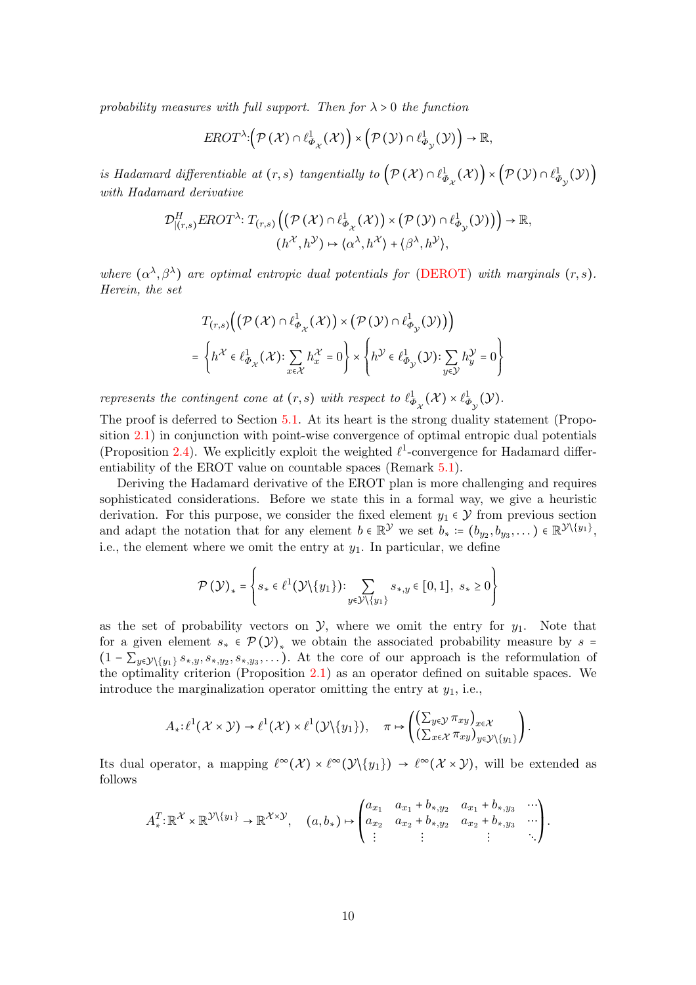probability measures with full support. Then for  $\lambda > 0$  the function

$$
EROT^{\lambda_{\cdot}}(\mathcal{P}(\mathcal{X}) \cap \ell_{\Phi_{\mathcal{X}}}^{1}(\mathcal{X})) \times (\mathcal{P}(\mathcal{Y}) \cap \ell_{\Phi_{\mathcal{Y}}}^{1}(\mathcal{Y})) \rightarrow \mathbb{R},
$$

is Hadamard differentiable at  $(r, s)$  tangentially to  $(P(\mathcal{X}) \cap \ell_{\Phi_{\mathcal{X}}}^1(\mathcal{X})) \times (P(\mathcal{Y}) \cap \ell_{\Phi_{\mathcal{Y}}}^1(\mathcal{Y}))$ with Hadamard derivative

$$
\mathcal{D}_{|(r,s)}^{H} EROT^{\lambda}: T_{(r,s)} \left( \left( \mathcal{P} \left( \mathcal{X} \right) \cap \ell_{\Phi_{\mathcal{X}}}^{1} (\mathcal{X}) \right) \times \left( \mathcal{P} \left( \mathcal{Y} \right) \cap \ell_{\Phi_{\mathcal{Y}}}^{1} (\mathcal{Y}) \right) \right) \to \mathbb{R}, (h^{\mathcal{X}}, h^{\mathcal{Y}}) \mapsto \langle \alpha^{\lambda}, h^{\mathcal{X}} \rangle + \langle \beta^{\lambda}, h^{\mathcal{Y}} \rangle,
$$

where  $(\alpha^{\lambda}, \beta^{\lambda})$  are optimal entropic dual potentials for [\(DEROT\)](#page-1-1) with marginals  $(r, s)$ . Herein, the set

$$
T_{(r,s)}\Big(\Big(\mathcal{P}\left(\mathcal{X}\right)\cap \ell_{\Phi_{\mathcal{X}}}^{1}(\mathcal{X})\Big) \times \Big(\mathcal{P}\left(\mathcal{Y}\right)\cap \ell_{\Phi_{\mathcal{Y}}}^{1}(\mathcal{Y})\Big)\Big) = \left\{h^{\mathcal{X}} \in \ell_{\Phi_{\mathcal{X}}}^{1}(\mathcal{X}) \colon \sum_{x \in \mathcal{X}} h_{x}^{\mathcal{X}} = 0\right\} \times \left\{h^{\mathcal{Y}} \in \ell_{\Phi_{\mathcal{Y}}}^{1}(\mathcal{Y}) \colon \sum_{y \in \mathcal{Y}} h_{y}^{\mathcal{Y}} = 0\right\}
$$

represents the contingent cone at  $(r, s)$  with respect to  $\ell_{\Phi_{\chi}}^1(\mathcal{X}) \times \ell_{\Phi_{\chi}}^1(\mathcal{Y})$ .

The proof is deferred to Section [5.1.](#page-20-2) At its heart is the strong duality statement (Proposition [2.1\)](#page-6-0) in conjunction with point-wise convergence of optimal entropic dual potentials (Proposition [2.4\)](#page-8-2). We explicitly exploit the weighted  $\ell^1$ -convergence for Hadamard differentiability of the EROT value on countable spaces (Remark [5.1\)](#page-23-0).

Deriving the Hadamard derivative of the EROT plan is more challenging and requires sophisticated considerations. Before we state this in a formal way, we give a heuristic derivation. For this purpose, we consider the fixed element  $y_1 \in \mathcal{Y}$  from previous section and adapt the notation that for any element  $b \in \mathbb{R}^{\mathcal{Y}}$  we set  $b_* := (b_{y_2}, b_{y_3}, \dots) \in \mathbb{R}^{\mathcal{Y}\setminus\{y_1\}},$ i.e., the element where we omit the entry at  $y_1$ . In particular, we define

$$
\mathcal{P}(\mathcal{Y})_* = \left\{ s_* \in \ell^1(\mathcal{Y} \setminus \{y_1\}) : \sum_{y \in \mathcal{Y} \setminus \{y_1\}} s_{*,y} \in [0,1], s_* \ge 0 \right\}
$$

as the set of probability vectors on  $\mathcal{Y}$ , where we omit the entry for  $y_1$ . Note that for a given element  $s_* \in \mathcal{P}(\mathcal{Y})_*$  we obtain the associated probability measure by  $s =$  $(1 - \sum_{y \in \mathcal{Y} \setminus \{y_1\}} s_{*,y}, s_{*,y_2}, s_{*,y_3}, \dots)$ . At the core of our approach is the reformulation of the optimality criterion (Proposition [2.1\)](#page-6-0) as an operator defined on suitable spaces. We introduce the marginalization operator omitting the entry at  $y_1$ , i.e.,

$$
A_*\!:\ell^1(\mathcal{X}\times\mathcal{Y})\to\ell^1(\mathcal{X})\times\ell^1(\mathcal{Y}\setminus\{y_1\}),\quad \pi\mapsto\left(\left(\sum_{y\in\mathcal{Y}}\pi_{xy}\right)_{x\in\mathcal{X}}\atop(\sum_{x\in\mathcal{X}}\pi_{xy})_{y\in\mathcal{Y}\setminus\{y_1\}}\right).
$$

Its dual operator, a mapping  $\ell^{\infty}(\mathcal{X}) \times \ell^{\infty}(\mathcal{Y}\setminus \{y_1\}) \to \ell^{\infty}(\mathcal{X} \times \mathcal{Y})$ , will be extended as follows

$$
A_{*}^{T}:\mathbb{R}^{\mathcal{X}}\times\mathbb{R}^{\mathcal{Y}\setminus\{y_{1}\}}\to\mathbb{R}^{\mathcal{X}\times\mathcal{Y}},\quad(a,b_{*})\mapsto\begin{pmatrix}a_{x_{1}}&a_{x_{1}}+b_{*,y_{2}}&a_{x_{1}}+b_{*,y_{3}}&\cdots\\a_{x_{2}}&a_{x_{2}}+b_{*,y_{2}}&a_{x_{2}}+b_{*,y_{3}}&\cdots\\ \vdots&\vdots&\vdots&\ddots\end{pmatrix}.
$$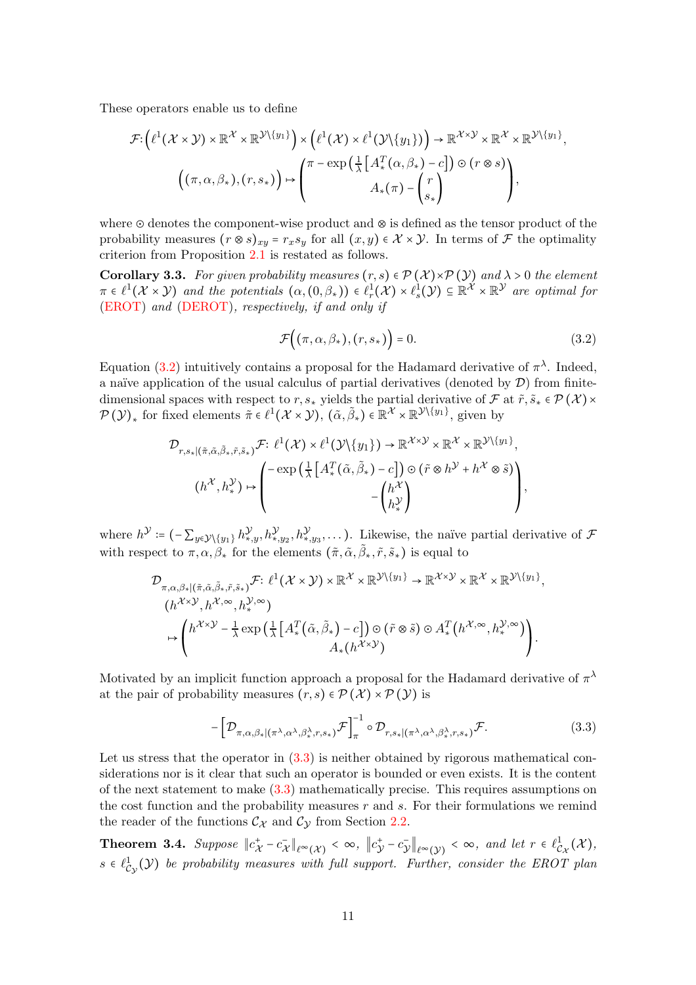These operators enable us to define

$$
\mathcal{F}: \left(\ell^1(\mathcal{X}\times\mathcal{Y})\times\mathbb{R}^{\mathcal{X}}\times\mathbb{R}^{\mathcal{Y}\backslash\{y_1\}}\right)\times\left(\ell^1(\mathcal{X})\times\ell^1(\mathcal{Y}\backslash\{y_1\})\right)\to\mathbb{R}^{\mathcal{X}\times\mathcal{Y}}\times\mathbb{R}^{\mathcal{X}}\times\mathbb{R}^{\mathcal{Y}\backslash\{y_1\}},
$$

$$
\left((\pi,\alpha,\beta_*),(r,s_*)\right)\mapsto\begin{pmatrix}\pi-\exp\left(\frac{1}{\lambda}\left[A_*^T(\alpha,\beta_*)-c\right]\right)\odot(r\otimes s)\\A_*(\pi)-\binom{r}{s_*}\end{pmatrix},
$$

where ⊙ denotes the component-wise product and ⊗ is defined as the tensor product of the probability measures  $(r \otimes s)_{xy} = r_x s_y$  for all  $(x, y) \in \mathcal{X} \times \mathcal{Y}$ . In terms of  $\mathcal{F}$  the optimality criterion from Proposition [2.1](#page-6-0) is restated as follows.

<span id="page-10-3"></span>**Corollary 3.3.** For given probability measures  $(r, s) \in \mathcal{P}(\mathcal{X}) \times \mathcal{P}(\mathcal{Y})$  and  $\lambda > 0$  the element  $\pi \in \ell^1(\mathcal{X} \times \mathcal{Y})$  and the potentials  $(\alpha, (0, \beta_*)) \in \ell^1_r(\mathcal{X}) \times \ell^1_s(\mathcal{Y}) \subseteq \mathbb{R}^{\mathcal{X}} \times \mathbb{R}^{\mathcal{Y}}$  are optimal for [\(EROT\)](#page-1-0) and [\(DEROT\)](#page-1-1), respectively, if and only if

<span id="page-10-1"></span>
$$
\mathcal{F}\Big((\pi,\alpha,\beta_*), (r,s_*)\Big) = 0. \tag{3.2}
$$

Equation [\(3.2\)](#page-10-1) intuitively contains a proposal for the Hadamard derivative of  $\pi^{\lambda}$ . Indeed, a naïve application of the usual calculus of partial derivatives (denoted by  $\mathcal{D}$ ) from finitedimensional spaces with respect to r, s<sub>\*</sub> yields the partial derivative of F at  $\tilde{r}, \tilde{s}_{*} \in \mathcal{P}(\mathcal{X}) \times$  $\mathcal{P}(\mathcal{Y})_*$  for fixed elements  $\tilde{\pi} \in \ell^1(\mathcal{X} \times \mathcal{Y}), (\tilde{\alpha}, \tilde{\beta}_*) \in \mathbb{R}^{\mathcal{X}} \times \mathbb{R}^{\mathcal{Y} \setminus \{y_1\}},$  given by

$$
\mathcal{D}_{r,s_{*}|(\tilde{\pi},\tilde{\alpha},\tilde{\beta}_{*},\tilde{r},\tilde{s}_{*})}\mathcal{F}: \ell^{1}(\mathcal{X}) \times \ell^{1}(\mathcal{Y}\setminus \{y_{1}\}) \to \mathbb{R}^{\mathcal{X}\times\mathcal{Y}} \times \mathbb{R}^{\mathcal{X}} \times \mathbb{R}^{\mathcal{Y}\setminus \{y_{1}\}},
$$
\n
$$
(h^{\mathcal{X}},h^{\mathcal{Y}}_{*}) \mapsto \left( \begin{matrix} -\exp\left(\frac{1}{\lambda}\left[A_{*}^{T}(\tilde{\alpha},\tilde{\beta}_{*})-c\right]\right)\odot (\tilde{r}\otimes h^{\mathcal{Y}}+h^{\mathcal{X}}\otimes \tilde{s})\\ -\left(h_{*}^{\mathcal{X}}\right) \end{matrix}\right),
$$

where  $h^{\mathcal{Y}} \coloneqq (-\sum_{y \in \mathcal{Y} \setminus \{y_1\}} h^{\mathcal{Y}}_{*,y}, h^{\mathcal{Y}}_{*,y_2}, h^{\mathcal{Y}}_{*,y_3}, \dots).$  Likewise, the naïve partial derivative of  $\mathcal{F}$ with respect to  $\pi, \alpha, \beta_*$  for the elements  $(\tilde{\pi}, \tilde{\alpha}, \tilde{\beta}_*, \tilde{r}, \tilde{s}_*)$  is equal to

$$
\mathcal{D}_{\pi,\alpha,\beta_{*}|\left(\tilde{\pi},\tilde{\alpha},\tilde{\beta}_{*},\tilde{r},\tilde{s}_{*}\right)}\mathcal{F}\colon \ell^{1}(\mathcal{X}\times\mathcal{Y})\times\mathbb{R}^{\mathcal{X}}\times\mathbb{R}^{\mathcal{Y}\setminus\{y_{1}\}}\to\mathbb{R}^{\mathcal{X}\times\mathcal{Y}}\times\mathbb{R}^{\mathcal{X}}\times\mathbb{R}^{\mathcal{Y}\setminus\{y_{1}\}},
$$
\n
$$
(h^{\mathcal{X}\times\mathcal{Y}},h^{\mathcal{X},\infty},h_{*}^{\mathcal{Y},\infty})
$$
\n
$$
\mapsto\left(h^{\mathcal{X}\times\mathcal{Y}}-\frac{1}{\lambda}\exp\left(\frac{1}{\lambda}\left[A_{*}^{T}\left(\tilde{\alpha},\tilde{\beta}_{*}\right)-c\right]\right)\odot\left(\tilde{r}\otimes\tilde{s}\right)\odot A_{*}^{T}\left(h^{\mathcal{X},\infty},h_{*}^{\mathcal{Y},\infty}\right)\right).
$$

Motivated by an implicit function approach a proposal for the Hadamard derivative of  $\pi^{\lambda}$ at the pair of probability measures  $(r, s) \in \mathcal{P}(\mathcal{X}) \times \mathcal{P}(\mathcal{Y})$  is

<span id="page-10-2"></span>
$$
-\left[\mathcal{D}_{\pi,\alpha,\beta_*|(\pi^\lambda,\alpha^\lambda,\beta^\lambda_*,r,s_*)}\mathcal{F}\right]_{\pi}^{-1}\circ\mathcal{D}_{r,s_*|(\pi^\lambda,\alpha^\lambda,\beta^\lambda_*,r,s_*)}\mathcal{F}.\tag{3.3}
$$

Let us stress that the operator in  $(3.3)$  is neither obtained by rigorous mathematical considerations nor is it clear that such an operator is bounded or even exists. It is the content of the next statement to make [\(3.3\)](#page-10-2) mathematically precise. This requires assumptions on the cost function and the probability measures  $r$  and  $s$ . For their formulations we remind the reader of the functions  $\mathcal{C}_{\chi}$  and  $\mathcal{C}_{\gamma}$  from Section [2.2.](#page-7-0)

<span id="page-10-0"></span>Theorem 3.4. Suppose  $||c^+_{\mathcal{X}} - c^-_{\mathcal{X}}||_{\ell^{\infty}(\mathcal{X})} < \infty$ ,  $||c^+_{\mathcal{Y}} - c^-_{\mathcal{Y}}||_{\ell^{\infty}(\mathcal{Y})} < \infty$ , and let  $r \in \ell^1_{\mathcal{C}_{\mathcal{X}}}(\mathcal{X})$ ,  $s \in \ell_{C_{\mathcal{Y}}}^1(\mathcal{Y})$  be probability measures with full support. Further, consider the EROT plan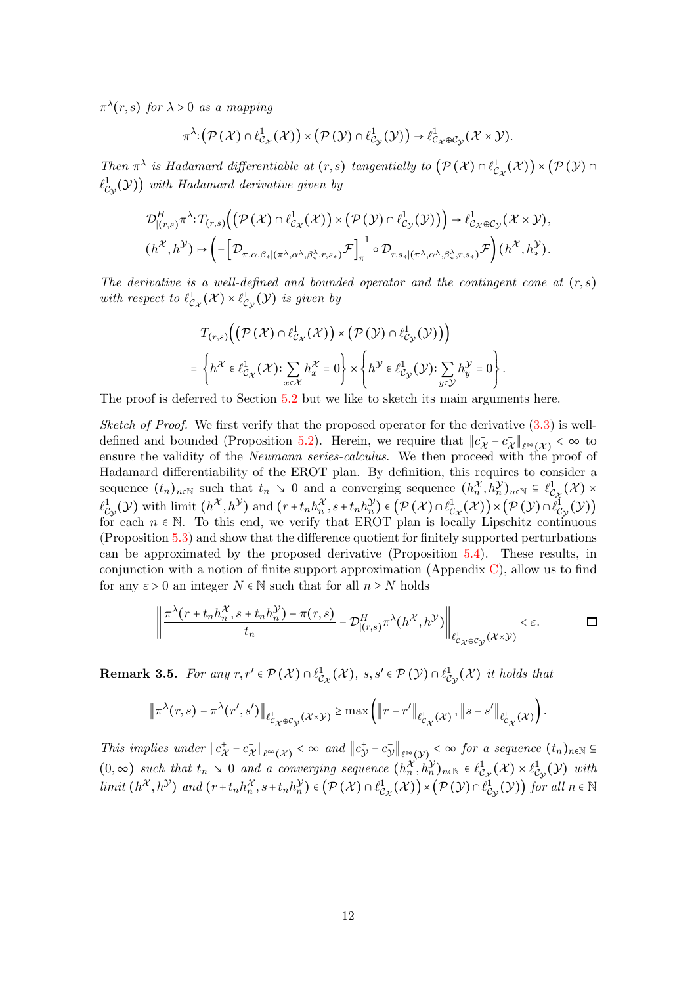$\pi^{\lambda}(r,s)$  for  $\lambda > 0$  as a mapping

$$
\pi^{\lambda} \colon (\mathcal{P}(\mathcal{X}) \cap \ell_{\mathcal{C}_{\mathcal{X}}}^1(\mathcal{X})) \times (\mathcal{P}(\mathcal{Y}) \cap \ell_{\mathcal{C}_{\mathcal{Y}}}^1(\mathcal{Y})) \to \ell_{\mathcal{C}_{\mathcal{X}} \oplus \mathcal{C}_{\mathcal{Y}}}^1(\mathcal{X} \times \mathcal{Y}).
$$

Then  $\pi^{\lambda}$  is Hadamard differentiable at  $(r, s)$  tangentially to  $(\mathcal{P}(\mathcal{X}) \cap \ell^1_{\mathcal{C}_{\mathcal{X}}}(\mathcal{X})) \times (\mathcal{P}(\mathcal{Y}) \cap \ell^1_{\mathcal{C}_{\mathcal{X}}}(\mathcal{X}))$  $\ell^1_{\mathcal{C}_{\mathcal{Y}}}(\mathcal{Y})$  with Hadamard derivative given by

$$
\mathcal{D}_{|(r,s)}^{H} \pi^{\lambda} : T_{(r,s)} \Big( \big( \mathcal{P} \left( \mathcal{X} \right) \cap \ell_{C_{\mathcal{X}}}^{1} (\mathcal{X}) \big) \times \big( \mathcal{P} \left( \mathcal{Y} \right) \cap \ell_{C_{\mathcal{Y}}}^{1} (\mathcal{Y}) \big) \Big) \to \ell_{C_{\mathcal{X}} \oplus C_{\mathcal{Y}}}^{1} (\mathcal{X} \times \mathcal{Y}),
$$
\n
$$
(h^{\mathcal{X}}, h^{\mathcal{Y}}) \mapsto \left( - \left[ \mathcal{D}_{\pi,\alpha,\beta_{*}|(\pi^{\lambda},\alpha^{\lambda},\beta_{*}^{\lambda},r,s_{*})} \mathcal{F} \right]_{\pi}^{-1} \circ \mathcal{D}_{r,s_{*}|(\pi^{\lambda},\alpha^{\lambda},\beta_{*}^{\lambda},r,s_{*})} \mathcal{F} \right) (h^{\mathcal{X}}, h^{\mathcal{Y}}_{*}).
$$

The derivative is a well-defined and bounded operator and the contingent cone at  $(r, s)$ with respect to  $\ell_{C_{\mathcal{X}}}^1(\mathcal{X}) \times \ell_{C_{\mathcal{Y}}}^1(\mathcal{Y})$  is given by

$$
T_{(r,s)}\Big(\big(\mathcal{P}\left(\mathcal{X}\right)\cap\ell_{C_{\mathcal{X}}}^{1}(\mathcal{X})\big)\times\big(\mathcal{P}\left(\mathcal{Y}\right)\cap\ell_{C_{\mathcal{Y}}}^{1}(\mathcal{Y})\big)\Big)
$$
  
=  $\left\{h^{\mathcal{X}}\in\ell_{C_{\mathcal{X}}}^{1}(\mathcal{X})\colon\sum_{x\in\mathcal{X}}h_{x}^{\mathcal{X}}=0\right\}\times\left\{h^{\mathcal{Y}}\in\ell_{C_{\mathcal{Y}}}^{1}(\mathcal{Y})\colon\sum_{y\in\mathcal{Y}}h_{y}^{\mathcal{Y}}=0\right\}.$ 

The proof is deferred to Section [5.2](#page-23-1) but we like to sketch its main arguments here.

Sketch of Proof. We first verify that the proposed operator for the derivative  $(3.3)$  is well-defined and bounded (Proposition [5.2\)](#page-25-0). Herein, we require that  $||c^+_{\mathcal{X}} - c^{\dagger}_{\mathcal{X}}||_{\ell^{\infty}(\mathcal{X})} < \infty$  to ensure the validity of the *Neumann series-calculus*. We then proceed with the proof of Hadamard differentiability of the EROT plan. By definition, this requires to consider a sequence  $(t_n)_{n\in\mathbb{N}}$  such that  $t_n \searrow 0$  and a converging sequence  $(h_n^{\mathcal{X}}, h_n^{\mathcal{Y}})_{n\in\mathbb{N}} \subseteq \ell^1_{\mathcal{C}_{\mathcal{X}}}(\mathcal{X})$  $\ell_{C_{\mathcal{Y}}}^1(\mathcal{Y})$  with limit  $(h^{\mathcal{X}}, h^{\mathcal{Y}})$  and  $(r+t_n h_n^{\mathcal{X}}, s+t_n h_n^{\mathcal{Y}}) \in (\mathcal{P}(\mathcal{X}) \cap \ell_{C_{\mathcal{X}}}^1(\mathcal{X})) \times (\mathcal{P}(\mathcal{Y}) \cap \ell_{C_{\mathcal{Y}}}^1(\mathcal{Y}))$ for each  $n \in \mathbb{N}$ . To this end, we verify that EROT plan is locally Lipschitz continuous (Proposition [5.3\)](#page-25-1) and show that the difference quotient for finitely supported perturbations can be approximated by the proposed derivative (Proposition [5.4\)](#page-26-0). These results, in conjunction with a notion of finite support approximation (Appendix [C\)](#page-51-0), allow us to find for any  $\varepsilon > 0$  an integer  $N \in \mathbb{N}$  such that for all  $n \geq N$  holds

$$
\left\|\frac{\pi^{\lambda}(r+t_nh_n^{\mathcal{X}},s+t_nh_n^{\mathcal{Y}})-\pi(r,s)}{t_n}-\mathcal{D}_{|(r,s)}^H\pi^{\lambda}(h^{\mathcal{X}},h^{\mathcal{Y}})\right\|_{\ell^1_{\mathcal{C}_{\mathcal{X}}\oplus\mathcal{C}_{\mathcal{Y}}}(\mathcal{X}\times\mathcal{Y})}<\varepsilon.\quad \Box
$$

<span id="page-11-0"></span>**Remark 3.5.** For any  $r, r' \in \mathcal{P}(\mathcal{X}) \cap \ell_{C_{\mathcal{X}}}^1(\mathcal{X}), s, s' \in \mathcal{P}(\mathcal{Y}) \cap \ell_{C_{\mathcal{Y}}}^1(\mathcal{X})$  it holds that

$$
\left\|\pi^{\lambda}(r,s)-\pi^{\lambda}(r',s')\right\|_{\ell_{C_{\mathcal{X}}\oplus C_{\mathcal{Y}}}^1(\mathcal{X}\times\mathcal{Y})}\geq \max\left(\left\|r-r'\right\|_{\ell_{C_{\mathcal{X}}}^1(\mathcal{X})},\left\|s-s'\right\|_{\ell_{C_{\mathcal{X}}}^1(\mathcal{X})}\right).
$$

This implies under  $||c^+_{\mathcal{X}} - c^-_{\mathcal{X}}||_{\ell^{\infty}(\mathcal{X})} < \infty$  and  $||c^+_{\mathcal{Y}} - c^-_{\mathcal{Y}}||_{\ell^{\infty}(\mathcal{Y})} < \infty$  for a sequence  $(t_n)_{n \in \mathbb{N}} \subseteq$  $(0, \infty)$  such that  $t_n \searrow 0$  and a converging sequence  $(h_n^{\mathcal{X}}, h_n^{\mathcal{Y}})_{n \in \mathbb{N}} \in \ell^1_{\mathcal{C}_{\mathcal{X}}}(\mathcal{X}) \times \ell^1_{\mathcal{C}_{\mathcal{Y}}}(\mathcal{Y})$  with limit  $(h^{\mathcal{X}}, h^{\mathcal{Y}})$  and  $(r+t_nh_n^{\mathcal{X}}, s+t_nh_n^{\mathcal{Y}}) \in (\mathcal{P}(\mathcal{X}) \cap \ell_{\mathcal{C}_{\mathcal{X}}}^1(\mathcal{X})) \times (\mathcal{P}(\mathcal{Y}) \cap \ell_{\mathcal{C}_{\mathcal{Y}}}^1(\mathcal{Y}))$  for all  $n \in \mathbb{N}$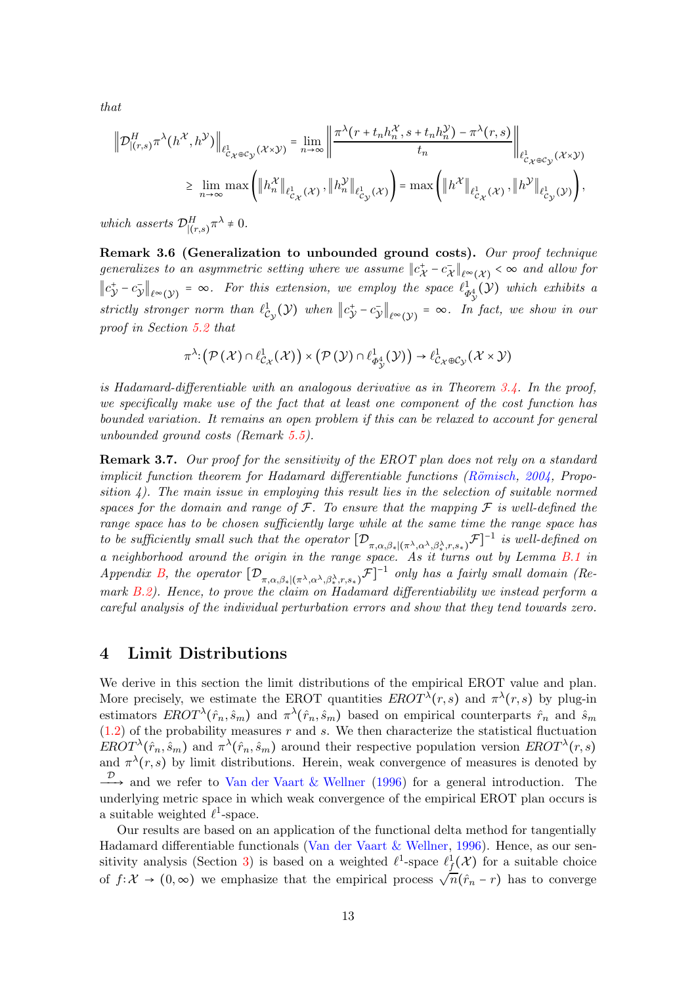that

$$
\begin{split} \left\| \mathcal{D}_{|(r,s)}^{H} \pi^{\lambda}(h^{\mathcal{X}}, h^{\mathcal{Y}}) \right\|_{\ell_{C_{\mathcal{X}} \oplus C_{\mathcal{Y}}}^{1}(\mathcal{X} \times \mathcal{Y})} &= \lim_{n \to \infty} \left\| \frac{\pi^{\lambda}(r + t_n h_n^{\mathcal{X}}, s + t_n h_n^{\mathcal{Y}}) - \pi^{\lambda}(r, s)}{t_n} \right\|_{\ell_{C_{\mathcal{X}} \oplus C_{\mathcal{Y}}}^{1}(\mathcal{X} \times \mathcal{Y})} \\ &\geq \lim_{n \to \infty} \max \left( \left\| h_n^{\mathcal{X}} \right\|_{\ell_{C_{\mathcal{X}}}^{1}(\mathcal{X})}, \left\| h_n^{\mathcal{Y}} \right\|_{\ell_{C_{\mathcal{Y}}}^{1}(\mathcal{X})} \right) = \max \left( \left\| h^{\mathcal{X}} \right\|_{\ell_{C_{\mathcal{X}}}^{1}(\mathcal{X})}, \left\| h^{\mathcal{Y}} \right\|_{\ell_{C_{\mathcal{Y}}}^{1}(\mathcal{Y})} \right), \end{split}
$$

which asserts  $\mathcal{D}_{\text{II}}^H$  $_{|(r,s)}^H \pi^{\lambda} \neq 0.$ 

<span id="page-12-2"></span>Remark 3.6 (Generalization to unbounded ground costs). Our proof technique generalizes to an asymmetric setting where we assume  $||c^+_{\mathcal{X}} - c^-_{\mathcal{X}}||_{\ell^{\infty}(\mathcal{X})} < \infty$  and allow for  $||c_{\mathcal{Y}}^{+}-c_{\mathcal{Y}}^{-}||_{\ell^{\infty}(\mathcal{Y})}$  =  $\infty$ . For this extension, we employ the space  $\ell_{\Phi_{\mathcal{Y}}^{4}}^{1}(\mathcal{Y})$  which exhibits a strictly stronger norm than  $\ell_{C_{\mathcal{Y}}}^1(\mathcal{Y})$  when  $\|c_{\mathcal{Y}}^+ - c_{\mathcal{Y}}^-\|_{\ell^{\infty}(\mathcal{Y})} = \infty$ . In fact, we show in our proof in Section [5.2](#page-23-1) that

$$
\pi^{\lambda}\colon\!\big(\mathcal{P}\left(\mathcal{X}\right)\cap\ell_{\mathcal{C}_{\mathcal{X}}}^{1}(\mathcal{X})\big)\times\left(\mathcal{P}\left(\mathcal{Y}\right)\cap\ell_{\varPhi_{\mathcal{Y}}^{4}}^{1}(\mathcal{Y})\right)\to\ell_{\mathcal{C}_{\mathcal{X}}\oplus\mathcal{C}_{\mathcal{Y}}}^{1}(\mathcal{X}\times\mathcal{Y})
$$

is Hadamard-differentiable with an analogous derivative as in Theorem [3.4.](#page-10-0) In the proof, we specifically make use of the fact that at least one component of the cost function has bounded variation. It remains an open problem if this can be relaxed to account for general unbounded ground costs (Remark [5.5\)](#page-30-0).

<span id="page-12-0"></span>**Remark 3.7.** Our proof for the sensitivity of the EROT plan does not rely on a standard implicit function theorem for Hadamard differentiable functions  $(R\ddot{o}misch, 2004, Propo (R\ddot{o}misch, 2004, Propo (R\ddot{o}misch, 2004, Propo$ sition  $\lambda$ ). The main issue in employing this result lies in the selection of suitable normed spaces for the domain and range of  $\mathcal F$ . To ensure that the mapping  $\mathcal F$  is well-defined the range space has to be chosen sufficiently large while at the same time the range space has to be sufficiently small such that the operator  $[\mathcal{D}_{\pi,\alpha,\beta_*|(\pi^\lambda,\alpha^\lambda,\beta_*^\lambda,r,s_*)}\mathcal{F}]^{-1}$  is well-defined on a neighborhood around the origin in the range space. As it turns out by Lemma [B.1](#page-44-0) in Appendix [B,](#page-44-1) the operator  $[\mathcal{D}_{\pi,\alpha,\beta*|(\pi^\lambda,\alpha^\lambda,\beta_*^\lambda,r,s_*)}\mathcal{F}]^{-1}$  only has a fairly small domain (Remark  $B.2$ ). Hence, to prove the claim on Hadamard differentiability we instead perform a careful analysis of the individual perturbation errors and show that they tend towards zero.

### <span id="page-12-1"></span>4 Limit Distributions

We derive in this section the limit distributions of the empirical EROT value and plan. More precisely, we estimate the EROT quantities  $EROT^{\lambda}(r, s)$  and  $\pi^{\lambda}(r, s)$  by plug-in estimators  $EROT^{\lambda}(\hat{r}_n, \hat{s}_m)$  and  $\pi^{\lambda}(\hat{r}_n, \hat{s}_m)$  based on empirical counterparts  $\hat{r}_n$  and  $\hat{s}_m$  $(1.2)$  of the probability measures r and s. We then characterize the statistical fluctuation  $EROT^{\lambda}(\hat{r}_n, \hat{s}_m)$  and  $\pi^{\lambda}(\hat{r}_n, \hat{s}_m)$  around their respective population version  $EROT^{\lambda}(r, s)$ and  $\pi^{\lambda}(r,s)$  by limit distributions. Herein, weak convergence of measures is denoted by  $\stackrel{\mathcal{D}}{\longrightarrow}$  and we refer to [Van der Vaart & Wellner](#page-39-11) [\(1996](#page-39-11)) for a general introduction. The underlying metric space in which weak convergence of the empirical EROT plan occurs is a suitable weighted  $\ell^1$ -space.

Our results are based on an application of the functional delta method for tangentially Hadamard differentiable functionals [\(Van der Vaart & Wellner](#page-39-11), [1996](#page-39-11)). Hence, as our sen-sitivity analysis (Section [3\)](#page-8-0) is based on a weighted  $\ell^1$ -space  $\ell_f^1(\mathcal{X})$  for a suitable choice of  $f: \mathcal{X} \to (0, \infty)$  we emphasize that the empirical process  $\sqrt{n}(\hat{r}_n - r)$  has to converge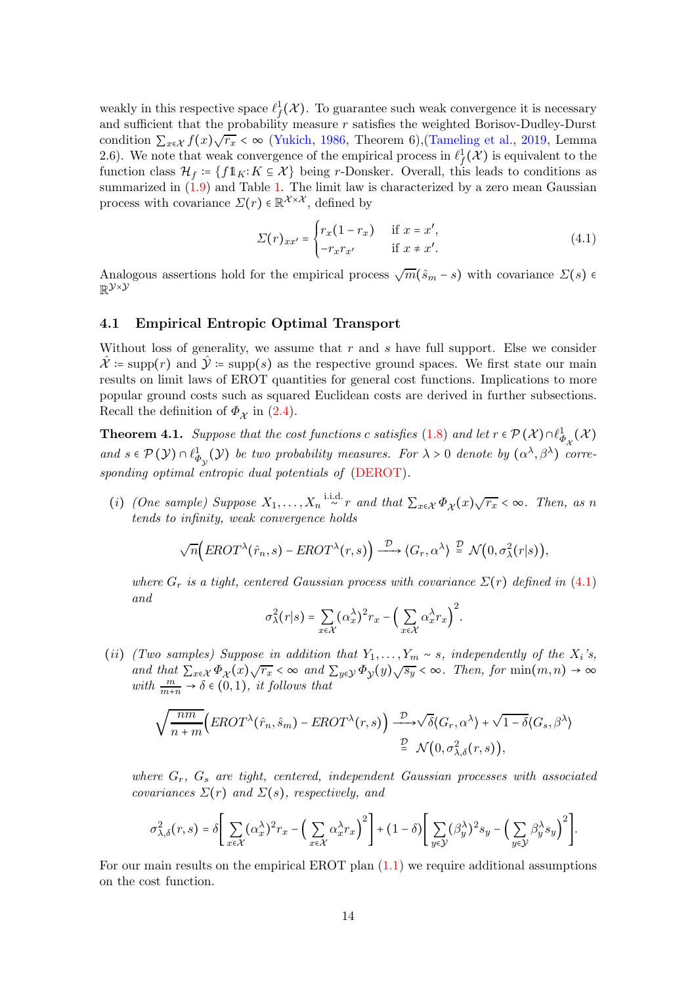weakly in this respective space  $\ell_f^1(\mathcal{X})$ . To guarantee such weak convergence it is necessary and sufficient that the probability measure  $r$  satisfies the weighted Borisov-Dudley-Durst condition  $\sum_{x \in \mathcal{X}} f(x) \sqrt{r_x} < \infty$  [\(Yukich,](#page-39-10) [1986](#page-39-10), Theorem 6), [\(Tameling et al.](#page-39-9), [2019](#page-39-9), Lemma 2.6). We note that weak convergence of the empirical process in  $\ell_f^1(\mathcal{X})$  is equivalent to the function class  $\mathcal{H}_f \coloneqq \{f1_K: K \subseteq \mathcal{X}\}\$ being r-Donsker. Overall, this leads to conditions as summarized in  $(1.9)$  $(1.9)$  $(1.9)$  and Table 1. The limit law is characterized by a zero mean Gaussian process with covariance  $\Sigma(r) \in \mathbb{R}^{\mathcal{X} \times \mathcal{X}}$ , defined by

<span id="page-13-1"></span>
$$
\Sigma(r)_{xx'} = \begin{cases} r_x(1 - r_x) & \text{if } x = x', \\ -r_x r_{x'} & \text{if } x \neq x'. \end{cases}
$$
\n(4.1)

Analogous assertions hold for the empirical process  $\sqrt{m}(\hat{s}_m - s)$  with covariance  $\Sigma(s) \in$  $\mathbb{R}^{\mathcal{Y}\times \mathcal{Y}}$ 

#### 4.1 Empirical Entropic Optimal Transport

Without loss of generality, we assume that  $r$  and  $s$  have full support. Else we consider  $\mathcal{X}$  := supp(r) and  $\mathcal{Y}$  := supp(s) as the respective ground spaces. We first state our main results on limit laws of EROT quantities for general cost functions. Implications to more popular ground costs such as squared Euclidean costs are derived in further subsections. Recall the definition of  $\Phi_{\mathcal{X}}$  in [\(2.4\)](#page-7-1).

<span id="page-13-0"></span>**Theorem 4.1.** Suppose that the cost functions c satisfies [\(1.8\)](#page-4-1) and let  $r \in \mathcal{P}(\mathcal{X}) \cap \ell_{\Phi_{\mathcal{X}}}^1(\mathcal{X})$ and  $s \in \mathcal{P}(\mathcal{Y}) \cap \ell_{\Phi_{\mathcal{Y}}}^1(\mathcal{Y})$  be two probability measures. For  $\lambda > 0$  denote by  $(\alpha^{\lambda}, \beta^{\lambda})$  corresponding optimal entropic dual potentials of [\(DEROT\)](#page-1-1).

(i) (One sample) Suppose  $X_1, \ldots, X_n \stackrel{\text{i.i.d.}}{\sim} r$  and that  $\sum_{x \in \mathcal{X}} \Phi_{\mathcal{X}}(x) \sqrt{r_x} < \infty$ . Then, as n tends to infinity, weak convergence holds

$$
\sqrt{n}\Big(EROT^{\lambda}(\hat{r}_n,s)-EROT^{\lambda}(r,s)\Big) \stackrel{\mathcal{D}}{\longrightarrow} \langle G_r,\alpha^{\lambda}\rangle \stackrel{\mathcal{D}}{=} \mathcal{N}\big(0,\sigma_{\lambda}^2(r|s)\big),
$$

where  $G_r$  is a tight, centered Gaussian process with covariance  $\Sigma(r)$  defined in [\(4.1\)](#page-13-1) and

$$
\sigma_{\lambda}^{2}(r|s) = \sum_{x \in \mathcal{X}} (\alpha_{x}^{\lambda})^{2} r_{x} - \left(\sum_{x \in \mathcal{X}} \alpha_{x}^{\lambda} r_{x}\right)^{2}.
$$

(ii) (Two samples) Suppose in addition that  $Y_1, \ldots, Y_m \sim s$ , independently of the  $X_i$ 's, and that  $\sum_{x \in \mathcal{X}} \Phi_{\mathcal{X}}(x) \sqrt{r_x} < \infty$  and  $\sum_{y \in \mathcal{Y}} \Phi_{\mathcal{Y}}(y) \sqrt{s_y} < \infty$ . Then, for  $\min(m, n) \to \infty$ with  $\frac{m}{m+n} \to \delta \in (0,1)$ , it follows that

$$
\sqrt{\frac{nm}{n+m}}\Big( EROT^{\lambda}(\hat{r}_n, \hat{s}_m) - EROT^{\lambda}(r, s) \Big) \xrightarrow{\mathcal{D}} \sqrt{\delta} \langle G_r, \alpha^{\lambda} \rangle + \sqrt{1-\delta} \langle G_s, \beta^{\lambda} \rangle
$$
  

$$
\xrightarrow{\mathcal{D}} \mathcal{N}\big(0, \sigma_{\lambda, \delta}^2(r, s)\big),
$$

where  $G_r$ ,  $G_s$  are tight, centered, independent Gaussian processes with associated covariances  $\Sigma(r)$  and  $\Sigma(s)$ , respectively, and

$$
\sigma_{\lambda,\delta}^2(r,s)=\delta\Bigg[\sum_{x\in\mathcal{X}}(\alpha_x^\lambda)^2r_x-\Big(\sum_{x\in\mathcal{X}}\alpha_x^\lambda r_x\Big)^2\Bigg]+ \big(1-\delta\big)\Bigg[\sum_{y\in\mathcal{Y}}(\beta_y^\lambda)^2s_y-\Big(\sum_{y\in\mathcal{Y}}\beta_y^\lambda s_y\Big)^2\Bigg].
$$

For our main results on the empirical EROT plan  $(1.1)$  we require additional assumptions on the cost function.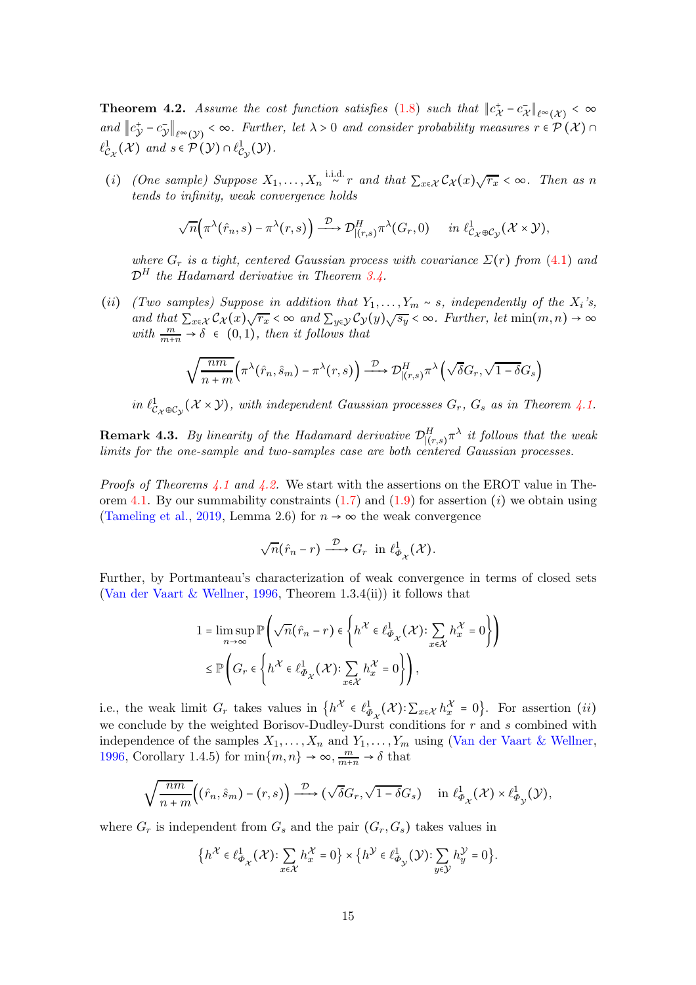<span id="page-14-0"></span>**Theorem 4.2.** Assume the cost function satisfies [\(1.8\)](#page-4-1) such that  $||c^+_{\mathcal{X}} - c^-_{\mathcal{X}}||_{\ell^{\infty}(\mathcal{X})} < \infty$ and  $||c_{\mathcal{Y}}^{+} - c_{\mathcal{Y}}^{-}||_{\ell^{\infty}(\mathcal{Y})} < \infty$ . Further, let  $\lambda > 0$  and consider probability measures  $r \in \mathcal{P}(\mathcal{X})$  $\ell^1_{\mathcal{C}_{\mathcal{X}}}(\mathcal{X})$  and  $s \in \mathcal{P}(\mathcal{Y}) \cap \ell^1_{\mathcal{C}_{\mathcal{Y}}}(\mathcal{Y})$ .

(i) (One sample) Suppose  $X_1, \ldots, X_n \stackrel{\text{i.i.d.}}{\sim} r$  and that  $\sum_{x \in \mathcal{X}} \mathcal{C}_{\mathcal{X}}(x) \sqrt{r_x} < \infty$ . Then as n tends to infinity, weak convergence holds

$$
\sqrt{n}\Big(\pi^{\lambda}(\hat{r}_n,s)-\pi^{\lambda}(r,s)\Big) \stackrel{\mathcal{D}}{\longrightarrow} \mathcal{D}_{|(r,s)}^H\pi^{\lambda}(G_r,0) \quad in \ell^1_{\mathcal{C}_{\mathcal{X}}\oplus\mathcal{C}_{\mathcal{Y}}}(\mathcal{X}\times\mathcal{Y}),
$$

where  $G_r$  is a tight, centered Gaussian process with covariance  $\Sigma(r)$  from [\(4.1\)](#page-13-1) and  $\mathcal{D}^{H}$  the Hadamard derivative in Theorem [3.4.](#page-10-0)

(ii) (Two samples) Suppose in addition that  $Y_1, \ldots, Y_m \sim s$ , independently of the  $X_i$ 's, and that  $\sum_{x \in \mathcal{X}} C_{\mathcal{X}}(x) \sqrt{r_x} < \infty$  and  $\sum_{y \in \mathcal{Y}} C_{\mathcal{Y}}(y) \sqrt{s_y} < \infty$ . Further, let  $\min(m, n) \to \infty$ with  $\frac{m}{m+n} \to \delta \in (0,1)$ , then it follows that

$$
\sqrt{\frac{nm}{n+m}} \Big( \pi^{\lambda}(\hat{r}_n, \hat{s}_m) - \pi^{\lambda}(r, s) \Big) \xrightarrow{\mathcal{D}} \mathcal{D}_{|(r,s)}^H \pi^{\lambda} \Big( \sqrt{\delta}G_r, \sqrt{1 - \delta}G_s \Big)
$$

in  $\ell^1_{C_\mathcal{X} \oplus C_\mathcal{Y}}(\mathcal{X} \times \mathcal{Y})$ , with independent Gaussian processes  $G_r$ ,  $G_s$  as in Theorem [4.1.](#page-13-0)

**Remark 4.3.** By linearity of the Hadamard derivative  $\mathcal{D}_{|(r,s)}^H \pi^{\lambda}$  it follows that the weak limits for the one-sample and two-samples case are both centered Gaussian processes.

*Proofs of Theorems [4.1](#page-13-0) and [4.2.](#page-14-0)* We start with the assertions on the EROT value in The-orem [4.1.](#page-13-0) By our summability constraints  $(1.7)$  and  $(1.9)$  for assertion  $(i)$  we obtain using [\(Tameling et al.](#page-39-9), [2019](#page-39-9), Lemma 2.6) for  $n \to \infty$  the weak convergence

$$
\sqrt{n}(\hat{r}_n-r) \xrightarrow{\mathcal{D}} G_r \text{ in } \ell_{\Phi_{\mathcal{X}}}^1(\mathcal{X}).
$$

Further, by Portmanteau's characterization of weak convergence in terms of closed sets [\(Van der Vaart & Wellner](#page-39-11), [1996,](#page-39-11) Theorem 1.3.4(ii)) it follows that

$$
1 = \limsup_{n \to \infty} \mathbb{P}\left(\sqrt{n}(\hat{r}_n - r) \in \left\{ h^{\mathcal{X}} \in \ell_{\Phi_{\mathcal{X}}}^1(\mathcal{X}) : \sum_{x \in \mathcal{X}} h_x^{\mathcal{X}} = 0 \right\} \right)
$$
  

$$
\leq \mathbb{P}\left(G_r \in \left\{ h^{\mathcal{X}} \in \ell_{\Phi_{\mathcal{X}}}^1(\mathcal{X}) : \sum_{x \in \mathcal{X}} h_x^{\mathcal{X}} = 0 \right\} \right),
$$

i.e., the weak limit  $G_r$  takes values in  $\{h^{\mathcal{X}} \in \ell^1_{\Phi_{\mathcal{X}}}(\mathcal{X})\colon \sum_{x \in \mathcal{X}} h^{\mathcal{X}}_x = 0\}$ . For assertion (*ii*) we conclude by the weighted Borisov-Dudley-Durst conditions for  $r$  and  $s$  combined with independence of the samples  $X_1, \ldots, X_n$  and  $Y_1, \ldots, Y_m$  using [\(Van der Vaart & Wellner](#page-39-11), [1996,](#page-39-11) Corollary 1.4.5) for  $\min\{m, n\} \to \infty$ ,  $\frac{m}{m+n} \to \delta$  that

$$
\sqrt{\frac{nm}{n+m}}\Big((\hat{r}_n,\hat{s}_m)-(r,s)\Big)\stackrel{\mathcal{D}}{\longrightarrow}(\sqrt{\delta}G_r,\sqrt{1-\delta}G_s)\quad\text{in }\ell^1_{\Phi_{\mathcal{X}}}(\mathcal{X})\times\ell^1_{\Phi_{\mathcal{Y}}}(\mathcal{Y}),
$$

where  $G_r$  is independent from  $G_s$  and the pair  $(G_r, G_s)$  takes values in

$$
\left\{ h^{\mathcal{X}} \in \ell_{\Phi_{\mathcal{X}}}^1(\mathcal{X}) : \sum_{x \in \mathcal{X}} h_x^{\mathcal{X}} = 0 \right\} \times \left\{ h^{\mathcal{Y}} \in \ell_{\Phi_{\mathcal{Y}}}^1(\mathcal{Y}) : \sum_{y \in \mathcal{Y}} h_y^{\mathcal{Y}} = 0 \right\}.
$$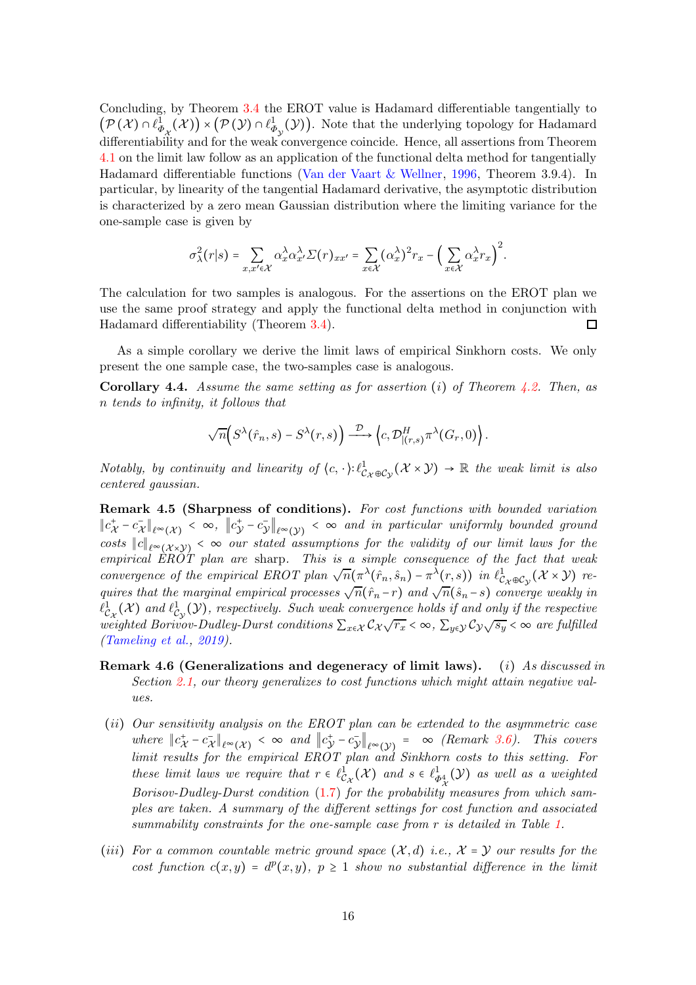Concluding, by Theorem [3.4](#page-10-0) the EROT value is Hadamard differentiable tangentially to  $(\mathcal{P}(\mathcal{X}) \cap \ell_{\Phi_{\mathcal{X}}}^1(\mathcal{X})) \times (\mathcal{P}(\mathcal{Y}) \cap \ell_{\Phi_{\mathcal{Y}}}^1(\mathcal{Y})).$  Note that the underlying topology for Hadamard differentiability and for the weak convergence coincide. Hence, all assertions from Theorem [4.1](#page-13-0) on the limit law follow as an application of the functional delta method for tangentially Hadamard differentiable functions [\(Van der Vaart & Wellner](#page-39-11), [1996,](#page-39-11) Theorem 3.9.4). In particular, by linearity of the tangential Hadamard derivative, the asymptotic distribution is characterized by a zero mean Gaussian distribution where the limiting variance for the one-sample case is given by

$$
\sigma_{\lambda}^{2}(r|s) = \sum_{x,x'\in\mathcal{X}} \alpha_{x}^{\lambda} \alpha_{x'}^{\lambda} \Sigma(r)_{xx'} = \sum_{x\in\mathcal{X}} (\alpha_{x}^{\lambda})^{2} r_{x} - \left(\sum_{x\in\mathcal{X}} \alpha_{x}^{\lambda} r_{x}\right)^{2}.
$$

The calculation for two samples is analogous. For the assertions on the EROT plan we use the same proof strategy and apply the functional delta method in conjunction with Hadamard differentiability (Theorem [3.4\)](#page-10-0). □

As a simple corollary we derive the limit laws of empirical Sinkhorn costs. We only present the one sample case, the two-samples case is analogous.

<span id="page-15-0"></span>**Corollary 4.4.** Assume the same setting as for assertion (i) of Theorem [4.2.](#page-14-0) Then, as n tends to infinity, it follows that

$$
\sqrt{n}\Big(S^{\lambda}(\hat{r}_n,s)-S^{\lambda}(r,s)\Big)\stackrel{\mathcal{D}}{\longrightarrow}\Big\langle c,\mathcal{D}_{|(r,s)}^H\pi^{\lambda}(G_r,0)\Big\rangle.
$$

Notably, by continuity and linearity of  $(c, \cdot): \ell^1_{C_{\mathcal{X}} \oplus C_{\mathcal{Y}}}(\mathcal{X} \times \mathcal{Y}) \to \mathbb{R}$  the weak limit is also centered gaussian.

<span id="page-15-1"></span>Remark 4.5 (Sharpness of conditions). For cost functions with bounded variation  $||c^+_{\mathcal{X}} - c^-_{\mathcal{X}}||_{\ell^{\infty}(\mathcal{X})} < \infty$ ,  $||c^+_{\mathcal{Y}} - c^-_{\mathcal{Y}}||_{\ell^{\infty}(\mathcal{Y})} < \infty$  and in particular uniformly bounded ground costs  $||c||_{\ell^{\infty}(\mathcal{X}\times \mathcal{Y})} < \infty$  our stated assumptions for the validity of our limit laws for the empirical  $\hat{E}R\check{O}T$  plan are sharp. This is a simple consequence of the fact that weak convergence of the empirical EROT plan  $\sqrt{n}(\pi^{\lambda}(\hat{r}_n, \hat{s}_n) - \pi^{\lambda}(r, s))$  in  $\ell^1_{C_{\mathcal{X}} \oplus C_{\mathcal{Y}}}(\mathcal{X} \times \mathcal{Y})$  requires that the marginal empirical processes  $\sqrt{n}(\hat{r}_n - r)$  and  $\sqrt{n}(\hat{s}_n - s)$  converge weakly in  $\ell^1_{\mathcal{C}_\mathcal{X}}(\mathcal{X})$  and  $\ell^1_{\mathcal{C}_\mathcal{Y}}(\mathcal{Y})$ , respectively. Such weak convergence holds if and only if the respective weighted Borivov-Dudley-Durst conditions  $\sum_{x \in \mathcal{X}} c_x \sqrt{r_x} < \infty$ ,  $\sum_{y \in \mathcal{Y}} c_y \sqrt{s_y} < \infty$  are fulfilled [\(Tameling et al.](#page-39-9), [2019\)](#page-39-9).

- Remark 4.6 (Generalizations and degeneracy of limit laws). (i) As discussed in Section [2.1,](#page-6-1) our theory generalizes to cost functions which might attain negative values.
- (ii) Our sensitivity analysis on the EROT plan can be extended to the asymmetric case where  $||c^+_{\mathcal{X}} - c^-_{\mathcal{X}}||_{\ell^{\infty}(\mathcal{X})}$  <  $\infty$  and  $||c^+_{\mathcal{Y}} - c^-_{\mathcal{Y}}||_{\ell^{\infty}(\mathcal{Y})}$  =  $\infty$  (Remark [3.6\)](#page-12-2). This covers limit results for the empirical EROT plan and Sinkhorn costs to this setting. For these limit laws we require that  $r \in \ell_{C_{\mathcal{X}}}^1(\mathcal{X})$  and  $s \in \ell_{\Phi_{\mathcal{X}}^4}^1(\mathcal{Y})$  as well as a weighted Borisov-Dudley-Durst condition  $(1.7)$  for the probability measures from which samples are taken. A summary of the different settings for cost function and associated summability constraints for the one-sample case from r is detailed in Table [1.](#page-5-0)
- (iii) For a common countable metric ground space  $(\mathcal{X}, d)$  i.e.,  $\mathcal{X} = \mathcal{Y}$  our results for the cost function  $c(x,y) = d^p(x,y)$ ,  $p \ge 1$  show no substantial difference in the limit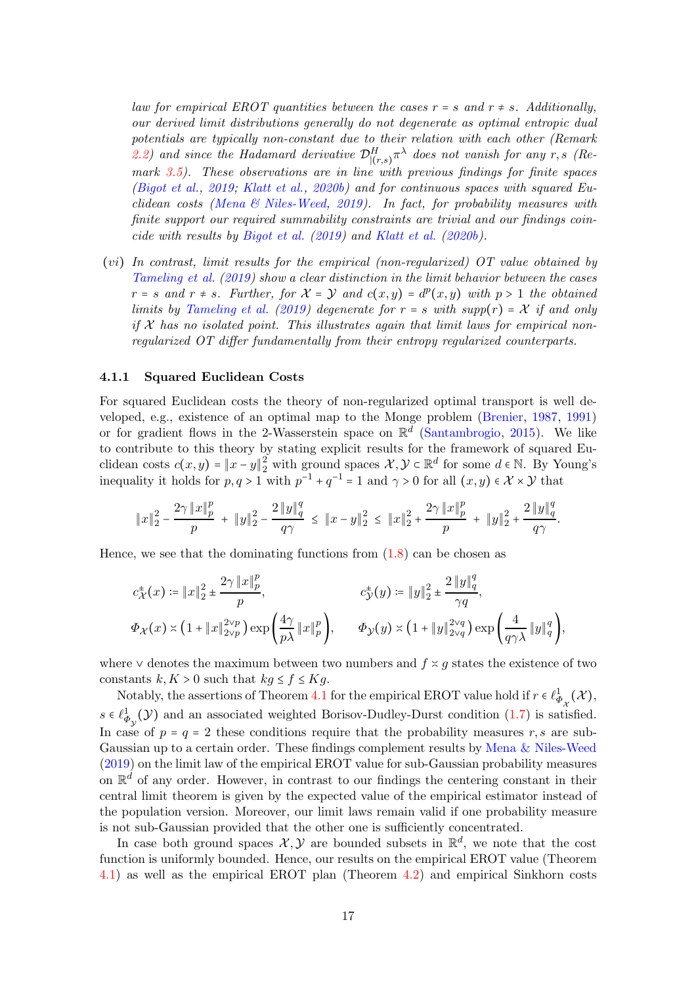law for empirical EROT quantities between the cases  $r = s$  and  $r \neq s$ . Additionally, our derived limit distributions generally do not degenerate as optimal entropic dual potentials are typically non-constant due to their relation with each other (Remark [2.2\)](#page-7-2) and since the Hadamard derivative  $\mathcal{D}^H_{|(r,s)}\pi^\lambda$  does not vanish for any r,s (Re-mark [3.5\)](#page-11-0). These observations are in line with previous findings for finite spaces [\(Bigot et al.](#page-36-4), [2019;](#page-36-4) [Klatt et al.](#page-38-10), [2020b](#page-38-10)) and for continuous spaces with squared Euclidean costs [\(Mena & Niles-Weed,](#page-38-11) [2019](#page-38-11)). In fact, for probability measures with finite support our required summability constraints are trivial and our findings coincide with results by [Bigot et al.](#page-36-4) [\(2019](#page-36-4)) and [Klatt et al.](#page-38-10) [\(2020b](#page-38-10)).

(vi) In contrast, limit results for the empirical (non-regularized) OT value obtained by [Tameling et al.](#page-39-9) [\(2019\)](#page-39-9) show a clear distinction in the limit behavior between the cases  $r = s$  and  $r \neq s$ . Further, for  $\mathcal{X} = \mathcal{Y}$  and  $c(x, y) = d^p(x, y)$  with  $p > 1$  the obtained limits by [Tameling et al.](#page-39-9) [\(2019](#page-39-9)) degenerate for  $r = s$  with supp(r) = X if and only if  $X$  has no isolated point. This illustrates again that limit laws for empirical nonregularized OT differ fundamentally from their entropy regularized counterparts.

#### <span id="page-16-0"></span>4.1.1 Squared Euclidean Costs

For squared Euclidean costs the theory of non-regularized optimal transport is well developed, e.g., existence of an optimal map to the Monge problem [\(Brenier](#page-37-8), [1987,](#page-37-8) [1991](#page-37-9)) or for gradient flows in the 2-Wasserstein space on  $\mathbb{R}^d$  [\(Santambrogio](#page-38-4), [2015\)](#page-38-4). We like to contribute to this theory by stating explicit results for the framework of squared Euclidean costs  $c(x, y) = ||x - y||_2^2$  with ground spaces  $\mathcal{X}, \mathcal{Y} \in \mathbb{R}^d$  for some  $d \in \mathbb{N}$ . By Young's inequality it holds for  $p, q > 1$  with  $p^{-1} + q^{-1} = 1$  and  $\gamma > 0$  for all  $(x, y) \in \mathcal{X} \times \mathcal{Y}$  that

$$
\|x\|_2^2-\frac{2\gamma\,\|x\|_p^p}{p}\,+\,\|y\|_2^2-\frac{2\,\|y\|_q^q}{q\gamma}\,\leq\,\|x-y\|_2^2\,\leq\,\|x\|_2^2+\frac{2\gamma\,\|x\|_p^p}{p}\,+\,\|y\|_2^2+\frac{2\,\|y\|_q^q}{q\gamma}.
$$

Hence, we see that the dominating functions from  $(1.8)$  can be chosen as

$$
\begin{aligned} & c^{\pm}_{\mathcal{X}}(x) \coloneqq \|x\|_2^2 \pm \frac{2\gamma\left\|x\right\|_p^p}{p}, \qquad && c^{\pm}_{\mathcal{Y}}(y) \coloneqq \|y\|_2^2 \pm \frac{2\left\|y\right\|_q^q}{\gamma q},\\ & \varPhi_{\mathcal{X}}(x) \asymp \left(1+\|x\|_{2\vee p}^{2\vee p}\right) \exp\left(\frac{4\gamma}{p\lambda}\left\|x\right\|_p^p\right), \qquad \varPhi_{\mathcal{Y}}(y) \asymp \left(1+\|y\|_{2\vee q}^{2\vee q}\right) \exp\left(\frac{4}{q\gamma\lambda}\left\|y\right\|_q^q\right), \end{aligned}
$$

where ∨ denotes the maximum between two numbers and  $f \approx g$  states the existence of two constants  $k, K > 0$  such that  $kg \le f \le Kg$ .

Notably, the assertions of Theorem [4.1](#page-13-0) for the empirical EROT value hold if  $r \in \ell^1_{\Phi_\mathcal{X}}(\mathcal{X}),$  $s \in \ell^1_{\Phi_{\mathcal{Y}}}(\mathcal{Y})$  and an associated weighted Borisov-Dudley-Durst condition [\(1.7\)](#page-3-2) is satisfied. In case of  $p = q = 2$  these conditions require that the probability measures r, s are sub-Gaussian up to a certain order. These findings complement results by [Mena & Niles-Weed](#page-38-11) [\(2019](#page-38-11)) on the limit law of the empirical EROT value for sub-Gaussian probability measures on  $\mathbb{R}^d$  of any order. However, in contrast to our findings the centering constant in their central limit theorem is given by the expected value of the empirical estimator instead of the population version. Moreover, our limit laws remain valid if one probability measure is not sub-Gaussian provided that the other one is sufficiently concentrated.

In case both ground spaces  $\mathcal{X}, \mathcal{Y}$  are bounded subsets in  $\mathbb{R}^d$ , we note that the cost function is uniformly bounded. Hence, our results on the empirical EROT value (Theorem [4.1\)](#page-13-0) as well as the empirical EROT plan (Theorem [4.2\)](#page-14-0) and empirical Sinkhorn costs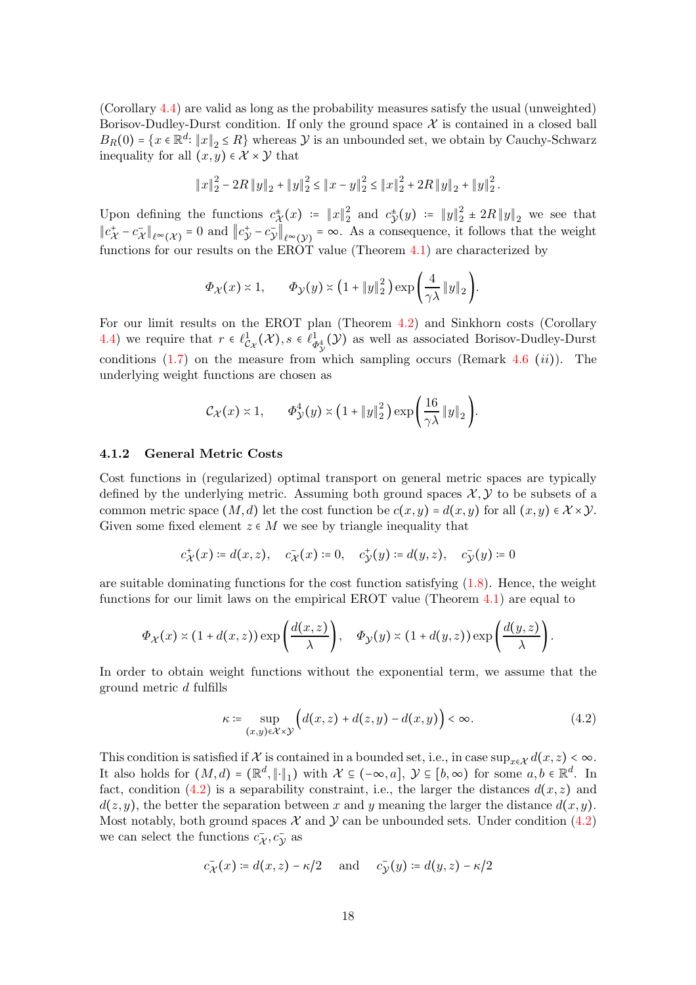(Corollary [4.4\)](#page-15-0) are valid as long as the probability measures satisfy the usual (unweighted) Borisov-Dudley-Durst condition. If only the ground space  $\mathcal X$  is contained in a closed ball  $B_R(0) = \{x \in \mathbb{R}^d : ||x||_2 \le R\}$  whereas  $\mathcal Y$  is an unbounded set, we obtain by Cauchy-Schwarz inequality for all  $(x, y) \in \mathcal{X} \times \mathcal{Y}$  that

$$
||x||_2^2 - 2R ||y||_2 + ||y||_2^2 \le ||x - y||_2^2 \le ||x||_2^2 + 2R ||y||_2 + ||y||_2^2.
$$

Upon defining the functions  $c^*_{\mathcal{X}}(x) := ||x||_2^2$  $\frac{2}{2}$  and  $c^{\pm}_{\mathcal{Y}}(y) := ||y||_2^2 \pm 2R ||y||_2$  we see that  $||c^+_{\mathcal{X}} - c^-_{\mathcal{X}}||_{\ell^{\infty}(\mathcal{X})} = 0$  and  $||c^+_{\mathcal{Y}} - c^-_{\mathcal{Y}}||_{\ell^{\infty}(\mathcal{Y})} = \infty$ . As a consequence, it follows that the weight functions for our results on the EROT value (Theorem  $4.1$ ) are characterized by

$$
\Phi_{\mathcal{X}}(x) \times 1
$$
,  $\Phi_{\mathcal{Y}}(y) \times (1 + \|y\|_2^2) \exp\left(\frac{4}{\gamma \lambda} \|y\|_2\right)$ .

For our limit results on the EROT plan (Theorem [4.2\)](#page-14-0) and Sinkhorn costs (Corollary [4.4\)](#page-15-0) we require that  $r \in \ell^1_{\mathcal{C}_{\mathcal{X}}}(\mathcal{X}), s \in \ell^1_{\Phi^4_{\mathcal{Y}}}(\mathcal{Y})$  as well as associated Borisov-Dudley-Durst conditions  $(1.7)$  on the measure from which sampling occurs (Remark 4.6  $(ii)$ ). The underlying weight functions are chosen as

$$
\mathcal{C}_{\mathcal{X}}(x) \approx 1, \qquad \Phi_{\mathcal{Y}}^4(y) \approx \left(1 + \|y\|_2^2\right) \exp\left(\frac{16}{\gamma \lambda} \|y\|_2\right).
$$

#### <span id="page-17-0"></span>4.1.2 General Metric Costs

Cost functions in (regularized) optimal transport on general metric spaces are typically defined by the underlying metric. Assuming both ground spaces  $\mathcal{X}, \mathcal{Y}$  to be subsets of a common metric space  $(M, d)$  let the cost function be  $c(x, y) = d(x, y)$  for all  $(x, y) \in \mathcal{X} \times \mathcal{Y}$ . Given some fixed element  $z \in M$  we see by triangle inequality that

$$
c^+_{\mathcal{X}}(x) \coloneqq d(x,z), \quad c^-_{\mathcal{X}}(x) \coloneqq 0, \quad c^+_{\mathcal{Y}}(y) \coloneqq d(y,z), \quad c^-_{\mathcal{Y}}(y) \coloneqq 0
$$

are suitable dominating functions for the cost function satisfying  $(1.8)$ . Hence, the weight functions for our limit laws on the empirical EROT value (Theorem [4.1\)](#page-13-0) are equal to

$$
\Phi_{\mathcal{X}}(x) \asymp (1+d(x,z)) \exp\left(\frac{d(x,z)}{\lambda}\right), \quad \Phi_{\mathcal{Y}}(y) \asymp (1+d(y,z)) \exp\left(\frac{d(y,z)}{\lambda}\right).
$$

In order to obtain weight functions without the exponential term, we assume that the ground metric d fulfills

<span id="page-17-1"></span>
$$
\kappa \coloneqq \sup_{(x,y)\in \mathcal{X}\times \mathcal{Y}} \Big( d(x,z) + d(z,y) - d(x,y) \Big) < \infty. \tag{4.2}
$$

This condition is satisfied if X is contained in a bounded set, i.e., in case sup<sub>x∈X</sub>  $d(x, z) < \infty$ . It also holds for  $(M, d) = (\mathbb{R}^d, \|\cdot\|_1)$  with  $\mathcal{X} \subseteq (-\infty, a], \mathcal{Y} \subseteq [b, \infty)$  for some  $a, b \in \mathbb{R}^d$ . In fact, condition [\(4.2\)](#page-17-1) is a separability constraint, i.e., the larger the distances  $d(x, z)$  and  $d(z, y)$ , the better the separation between x and y meaning the larger the distance  $d(x, y)$ . Most notably, both ground spaces  $\mathcal X$  and  $\mathcal Y$  can be unbounded sets. Under condition [\(4.2\)](#page-17-1) we can select the functions  $c_{\chi}^-, c_{\chi}^-$  as

$$
c_{\mathcal{X}}(x) \coloneqq d(x, z) - \kappa/2
$$
 and  $c_{\mathcal{Y}}(y) \coloneqq d(y, z) - \kappa/2$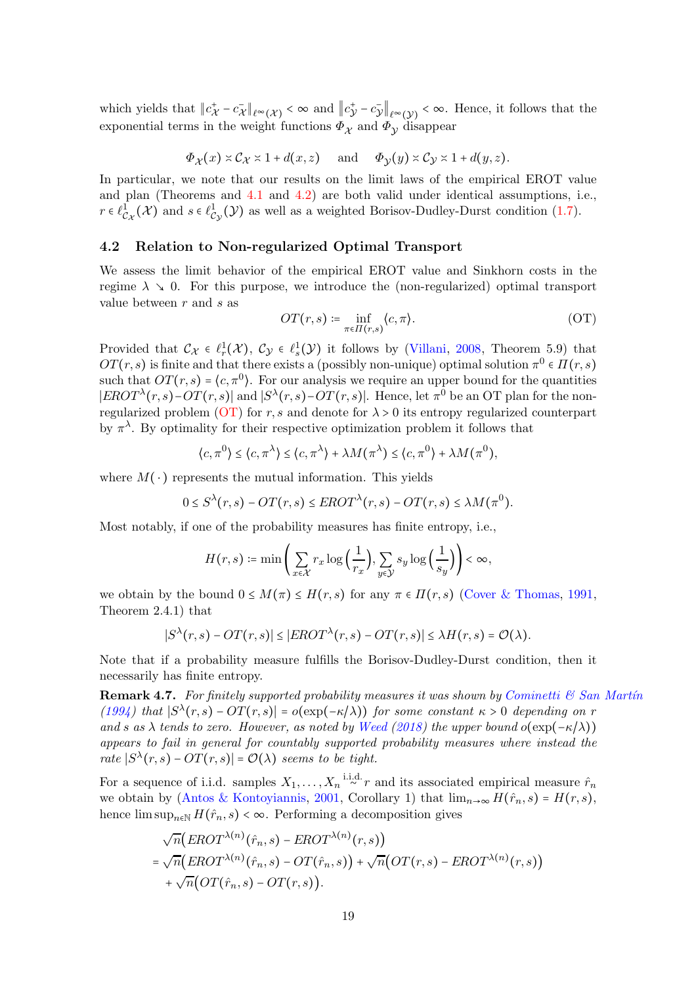which yields that  $||c^+_{\mathcal{X}} - c^-_{\mathcal{X}}||_{\ell^{\infty}(\mathcal{X})} < \infty$  and  $||c^+_{\mathcal{Y}} - c^-_{\mathcal{Y}}||_{\ell^{\infty}(\mathcal{Y})} < \infty$ . Hence, it follows that the exponential terms in the weight functions  $\Phi_{\chi}$  and  $\Phi_{\chi}$  disappear

$$
\Phi_{\mathcal{X}}(x) \approx \mathcal{C}_{\mathcal{X}} \approx 1 + d(x, z)
$$
 and  $\Phi_{\mathcal{Y}}(y) \approx \mathcal{C}_{\mathcal{Y}} \approx 1 + d(y, z)$ .

In particular, we note that our results on the limit laws of the empirical EROT value and plan (Theorems and [4.1](#page-13-0) and [4.2\)](#page-14-0) are both valid under identical assumptions, i.e.,  $r \in \ell_{C_{\mathcal{X}}}^1(\mathcal{X})$  and  $s \in \ell_{C_{\mathcal{Y}}}^1(\mathcal{Y})$  as well as a weighted Borisov-Dudley-Durst condition  $(1.7)$ .

#### <span id="page-18-0"></span>4.2 Relation to Non-regularized Optimal Transport

We assess the limit behavior of the empirical EROT value and Sinkhorn costs in the regime  $\lambda \searrow 0$ . For this purpose, we introduce the (non-regularized) optimal transport value between  $r$  and  $s$  as

<span id="page-18-1"></span>
$$
OT(r, s) \coloneqq \inf_{\pi \in \Pi(r, s)} \langle c, \pi \rangle. \tag{OT}
$$

Provided that  $C_{\mathcal{X}} \in \ell_r^1(\mathcal{X})$ ,  $C_{\mathcal{Y}} \in \ell_s^1(\mathcal{Y})$  it follows by [\(Villani,](#page-39-0) [2008](#page-39-0), Theorem 5.9) that  $OT(r, s)$  is finite and that there exists a (possibly non-unique) optimal solution  $\pi^0 \in \Pi(r, s)$ such that  $OT(r, s) = \langle c, \pi^0 \rangle$ . For our analysis we require an upper bound for the quantities  $|EROT^{\lambda}(r,s)-OT(r,s)|$  and  $|S^{\lambda}(r,s)-OT(r,s)|$ . Hence, let  $\pi^0$  be an OT plan for the non-regularized problem [\(OT\)](#page-18-1) for r, s and denote for  $\lambda > 0$  its entropy regularized counterpart by  $\pi^{\lambda}$ . By optimality for their respective optimization problem it follows that

$$
\langle c, \pi^0 \rangle \le \langle c, \pi^\lambda \rangle \le \langle c, \pi^\lambda \rangle + \lambda M(\pi^\lambda) \le \langle c, \pi^0 \rangle + \lambda M(\pi^0),
$$

where  $M(\cdot)$  represents the mutual information. This yields

$$
0 \le S^{\lambda}(r,s) - OT(r,s) \le EROT^{\lambda}(r,s) - OT(r,s) \le \lambda M(\pi^0).
$$

Most notably, if one of the probability measures has finite entropy, i.e.,

$$
H(r,s) \coloneqq \min\left(\sum_{x \in \mathcal{X}} r_x \log\left(\frac{1}{r_x}\right), \sum_{y \in \mathcal{Y}} s_y \log\left(\frac{1}{s_y}\right)\right) < \infty,
$$

we obtain by the bound  $0 \leq M(\pi) \leq H(r,s)$  for any  $\pi \in \Pi(r,s)$  [\(Cover & Thomas,](#page-37-10) [1991](#page-37-10), Theorem 2.4.1) that

$$
|S^{\lambda}(r,s) - OT(r,s)| \leq |EROT^{\lambda}(r,s) - OT(r,s)| \leq \lambda H(r,s) = \mathcal{O}(\lambda).
$$

Note that if a probability measure fulfills the Borisov-Dudley-Durst condition, then it necessarily has finite entropy.

**Remark 4.7.** For finitely supported probability measures it was shown by Cominetti  $\mathcal{B}$  San Martín [\(1994\)](#page-37-11) that  $|S^{\lambda}(r,s) - OT(r,s)| = o(\exp(-\kappa/\lambda))$  for some constant  $\kappa > 0$  depending on r and s as  $\lambda$  tends to zero. However, as noted by [Weed](#page-39-12) [\(2018](#page-39-12)) the upper bound o(exp( $-\kappa/\lambda$ )) appears to fail in general for countably supported probability measures where instead the rate  $|S^{\lambda}(r,s) - OT(r,s)| = \mathcal{O}(\lambda)$  seems to be tight.

For a sequence of i.i.d. samples  $X_1, \ldots, X_n \stackrel{\text{i.i.d.}}{\sim} r$  and its associated empirical measure  $\hat{r}_n$ we obtain by [\(Antos & Kontoyiannis,](#page-36-8) [2001](#page-36-8), Corollary 1) that  $\lim_{n\to\infty} H(\hat{r}_n, s) = H(r, s)$ , hence  $\limsup_{n\in\mathbb{N}} H(\hat{r}_n, s) < \infty$ . Performing a decomposition gives

$$
\sqrt{n} \big( EROT^{\lambda(n)}(\hat{r}_n, s) - EROT^{\lambda(n)}(r, s) \big) \n= \sqrt{n} \big( EROT^{\lambda(n)}(\hat{r}_n, s) - OT(\hat{r}_n, s) \big) + \sqrt{n} \big( OT(r, s) - EROT^{\lambda(n)}(r, s) \big) \n+ \sqrt{n} \big( OT(\hat{r}_n, s) - OT(r, s) \big).
$$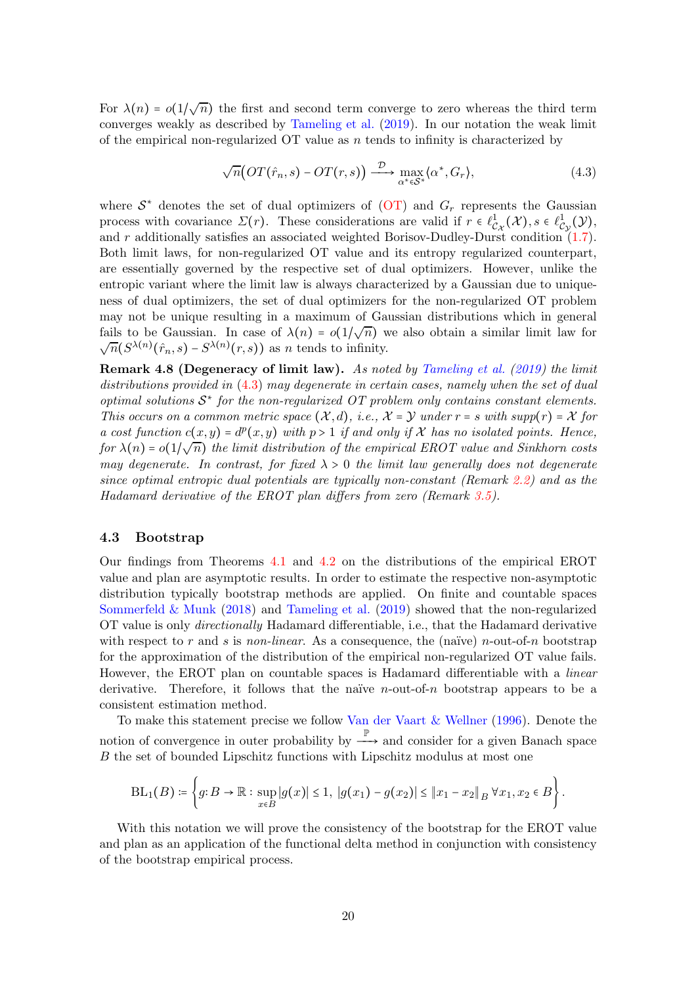For  $\lambda(n) = o(1/\sqrt{n})$  the first and second term converge to zero whereas the third term converges weakly as described by [Tameling et al.](#page-39-9) [\(2019](#page-39-9)). In our notation the weak limit of the empirical non-regularized  $\overline{OT}$  value as n tends to infinity is characterized by

<span id="page-19-0"></span>
$$
\sqrt{n}\big(OT(\hat{r}_n, s) - OT(r, s)\big) \xrightarrow{\mathcal{D}} \max_{\alpha^* \in \mathcal{S}^*} \langle \alpha^*, G_r \rangle,
$$
\n(4.3)

where  $S^*$  denotes the set of dual optimizers of  $(OT)$  and  $G_r$  represents the Gaussian process with covariance  $\Sigma(r)$ . These considerations are valid if  $r \in \ell^1_{\mathcal{C}_{\mathcal{X}}}(\mathcal{X}), s \in \ell^1_{\mathcal{C}_{\mathcal{Y}}}(\mathcal{Y}),$ and r additionally satisfies an associated weighted Borisov-Dudley-Durst condition  $(1.7)$ . Both limit laws, for non-regularized OT value and its entropy regularized counterpart, are essentially governed by the respective set of dual optimizers. However, unlike the entropic variant where the limit law is always characterized by a Gaussian due to uniqueness of dual optimizers, the set of dual optimizers for the non-regularized OT problem may not be unique resulting in a maximum of Gaussian distributions which in general fails to be Gaussian. In case of  $\lambda(n) = o(1/\sqrt{n})$  we also obtain a similar limit law for  $\sqrt{n}(S^{\lambda(n)}(\hat{r}_n, s) - S^{\lambda(n)}(r, s))$  as *n* tends to infinity.

**Remark 4.8 (Degeneracy of limit law).** As noted by [Tameling et al.](#page-39-9) [\(2019](#page-39-9)) the limit distributions provided in  $(4.3)$  may degenerate in certain cases, namely when the set of dual optimal solutions  $S^*$  for the non-regularized OT problem only contains constant elements. This occurs on a common metric space  $(\mathcal{X}, d)$ , i.e.,  $\mathcal{X} = \mathcal{Y}$  under  $r = s$  with supp(r) =  $\mathcal{X}$  for a cost function  $c(x, y) = d^p(x, y)$  with  $p > 1$  if and only if X has no isolated points. Hence, for  $\lambda(n) = o(1/\sqrt{n})$  the limit distribution of the empirical EROT value and Sinkhorn costs may degenerate. In contrast, for fixed  $\lambda > 0$  the limit law generally does not degenerate since optimal entropic dual potentials are typically non-constant (Remark [2.2\)](#page-7-2) and as the Hadamard derivative of the EROT plan differs from zero (Remark [3.5\)](#page-11-0).

#### 4.3 Bootstrap

Our findings from Theorems [4.1](#page-13-0) and [4.2](#page-14-0) on the distributions of the empirical EROT value and plan are asymptotic results. In order to estimate the respective non-asymptotic distribution typically bootstrap methods are applied. On finite and countable spaces [Sommerfeld & Munk](#page-39-1) [\(2018\)](#page-39-1) and [Tameling et al.](#page-39-9) [\(2019](#page-39-9)) showed that the non-regularized OT value is only directionally Hadamard differentiable, i.e., that the Hadamard derivative with respect to r and s is non-linear. As a consequence, the (naïve) n-out-of-n bootstrap for the approximation of the distribution of the empirical non-regularized OT value fails. However, the EROT plan on countable spaces is Hadamard differentiable with a *linear* derivative. Therefore, it follows that the naïve  $n$ -out-of-n bootstrap appears to be a consistent estimation method.

To make this statement precise we follow [Van der Vaart & Wellner](#page-39-11) [\(1996](#page-39-11)). Denote the notion of convergence in outer probability by  $\stackrel{\mathbb{P}}{\longrightarrow}$  and consider for a given Banach space B the set of bounded Lipschitz functions with Lipschitz modulus at most one

$$
BL_1(B) = \left\{ g: B \to \mathbb{R} : \sup_{x \in B} |g(x)| \leq 1, \ |g(x_1) - g(x_2)| \leq ||x_1 - x_2||_B \ \forall x_1, x_2 \in B \right\}.
$$

With this notation we will prove the consistency of the bootstrap for the EROT value and plan as an application of the functional delta method in conjunction with consistency of the bootstrap empirical process.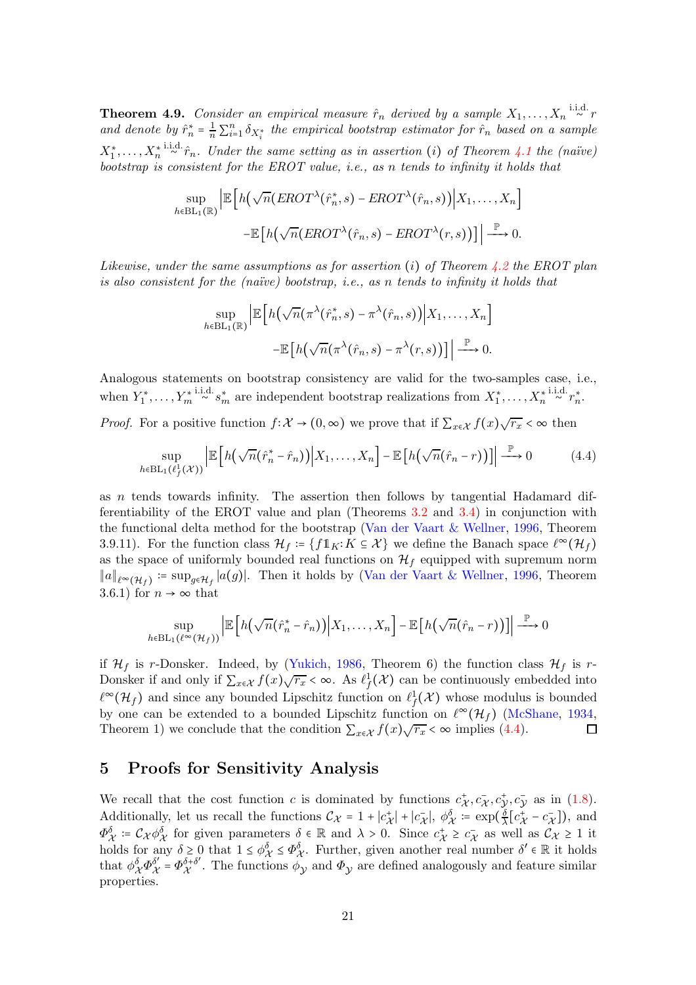<span id="page-20-0"></span>**Theorem 4.9.** Consider an empirical measure  $\hat{r}_n$  derived by a sample  $X_1, \ldots, X_n \stackrel{\text{i.i.d.}}{\sim} r$ and denote by  $\hat{r}_n^* = \frac{1}{n} \sum_{i=1}^n \delta_{X_i^*}$  the empirical bootstrap estimator for  $\hat{r}_n$  based on a sample  $X_1^*, \ldots, X_n^*$ i.i.d.  $\hat{r}_n$ . Under the same setting as in assertion (i) of Theorem [4.1](#page-13-0) the (naïve) bootstrap is consistent for the EROT value, i.e., as n tends to infinity it holds that

$$
\sup_{h \in BL_1(\mathbb{R})} \left| \mathbb{E} \left[ h(\sqrt{n}(\text{EROT}^{\lambda}(\hat{r}_n^*, s) - \text{EROT}^{\lambda}(\hat{r}_n, s)) \Big| X_1, \dots, X_n \right] \right|
$$

$$
- \mathbb{E} \left[ h(\sqrt{n}(\text{EROT}^{\lambda}(\hat{r}_n, s) - \text{EROT}^{\lambda}(r, s)) \Big| \right] \xrightarrow{\mathbb{P}} 0.
$$

Likewise, under the same assumptions as for assertion (i) of Theorem [4.2](#page-14-0) the EROT plan is also consistent for the (naïve) bootstrap, i.e., as n tends to infinity it holds that

$$
\sup_{h \in BL_1(\mathbb{R})} \left| \mathbb{E} \left[ h\left(\sqrt{n}(\pi^{\lambda}(\hat{r}_n^*, s) - \pi^{\lambda}(\hat{r}_n, s)\right) \middle| X_1, \dots, X_n \right] \right|
$$

$$
- \mathbb{E} \left[ h\left(\sqrt{n}(\pi^{\lambda}(\hat{r}_n, s) - \pi^{\lambda}(r, s)) \right) \middle| \xrightarrow{\mathbb{P}} 0.
$$

Analogous statements on bootstrap consistency are valid for the two-samples case, i.e., when  $Y_1^*, \ldots, Y_m^*$  $\stackrel{\text{i.i.d.}}{\sim} s_m^*$  are independent bootstrap realizations from  $X_1^*, \ldots, X_n^*$ i.i.d.  $r_n^*$ .

*Proof.* For a positive function  $f: \mathcal{X} \to (0, \infty)$  we prove that if  $\sum_{x \in \mathcal{X}} f(x) \sqrt{r_x} < \infty$  then

<span id="page-20-3"></span>
$$
\sup_{h \in BL_1(\ell_f^1(\mathcal{X}))} \left| \mathbb{E}\left[h\left(\sqrt{n}(\hat{r}_n^* - \hat{r}_n)\right) \middle| X_1, \dots, X_n \right] - \mathbb{E}\left[h\left(\sqrt{n}(\hat{r}_n - r)\right)\right] \right| \stackrel{\mathbb{P}}{\longrightarrow} 0 \tag{4.4}
$$

as n tends towards infinity. The assertion then follows by tangential Hadamard differentiability of the EROT value and plan (Theorems [3.2](#page-8-1) and [3.4\)](#page-10-0) in conjunction with the functional delta method for the bootstrap [\(Van der Vaart & Wellner](#page-39-11), [1996,](#page-39-11) Theorem 3.9.11). For the function class  $\mathcal{H}_f := \{f1_K: K \subseteq \mathcal{X}\}\$  we define the Banach space  $\ell^{\infty}(\mathcal{H}_f)$ as the space of uniformly bounded real functions on  $\mathcal{H}_f$  equipped with supremum norm  $||a||_{\ell^{\infty}(\mathcal{H}_f)} := \sup_{g \in \mathcal{H}_f} |a(g)|$ . Then it holds by [\(Van der Vaart & Wellner](#page-39-11), [1996](#page-39-11), Theorem 3.6.1) for  $n \to \infty$  that

$$
\sup_{h \in BL_1(\ell^{\infty}(\mathcal{H}_f))} \left| \mathbb{E}\left[h\left(\sqrt{n}(\hat{r}_n^* - \hat{r}_n)\right) \middle| X_1, \dots, X_n\right] - \mathbb{E}\left[h\left(\sqrt{n}(\hat{r}_n - r)\right)\right] \right| \stackrel{\mathbb{P}}{\longrightarrow} 0
$$

if  $\mathcal{H}_f$  is r-Donsker. Indeed, by [\(Yukich,](#page-39-10) [1986](#page-39-10), Theorem 6) the function class  $\mathcal{H}_f$  is r-Donsker if and only if  $\sum_{x \in \mathcal{X}} f(x) \sqrt{r_x} < \infty$ . As  $\ell_f^1(\mathcal{X})$  can be continuously embedded into  $\ell^{\infty}(\mathcal{H}_f)$  and since any bounded Lipschitz function on  $\ell_f^1(\mathcal{X})$  whose modulus is bounded by one can be extended to a bounded Lipschitz function on  $\ell^{\infty}(\mathcal{H}_f)$  [\(McShane](#page-38-14), [1934](#page-38-14), Theorem 1) we conclude that the condition  $\sum_{x \in \mathcal{X}} f(x) \sqrt{r_x} < \infty$  implies [\(4.4\)](#page-20-3).

### <span id="page-20-1"></span>5 Proofs for Sensitivity Analysis

<span id="page-20-2"></span>We recall that the cost function c is dominated by functions  $c^+_{\mathcal{X}}, c^-_{\mathcal{X}}, c^+_{\mathcal{Y}}, c^-_{\mathcal{Y}}$  as in [\(1.8\)](#page-4-1). Additionally, let us recall the functions  $C_{\mathcal{X}} = 1 + |c_{\mathcal{X}}^+| + |c_{\mathcal{X}}^-|$ ,  $\phi_{\mathcal{X}}^{\delta} := \exp\left(\frac{\delta}{\lambda}\right)$  $\frac{\delta}{\lambda} [c^+_{\mathcal{X}} - c^-_{\mathcal{X}}]$ , and  $\Phi_{\mathcal{X}}^{\delta} := \mathcal{C}_{\mathcal{X}} \phi_{\mathcal{X}}^{\delta}$  for given parameters  $\delta \in \mathbb{R}$  and  $\lambda > 0$ . Since  $c_{\mathcal{X}}^{\dagger} \geq c_{\mathcal{X}}^{\dagger}$  as well as  $\mathcal{C}_{\mathcal{X}} \geq 1$  it holds for any  $\delta \geq 0$  that  $1 \leq \phi_{\mathcal{X}}^{\delta} \leq \Phi_{\mathcal{X}}^{\delta}$ . Further, given another real number  $\delta' \in \mathbb{R}$  it holds that  $\phi_{\mathcal{X}}^{\delta} \Phi_{\mathcal{X}}^{\delta'}$  $\delta'_{\mathcal{X}} = \Phi_{\mathcal{X}}^{\delta + \delta'}$  $\chi^{0+\delta'}$ . The functions  $\phi_{\mathcal{Y}}$  and  $\Phi_{\mathcal{Y}}$  are defined analogously and feature similar properties.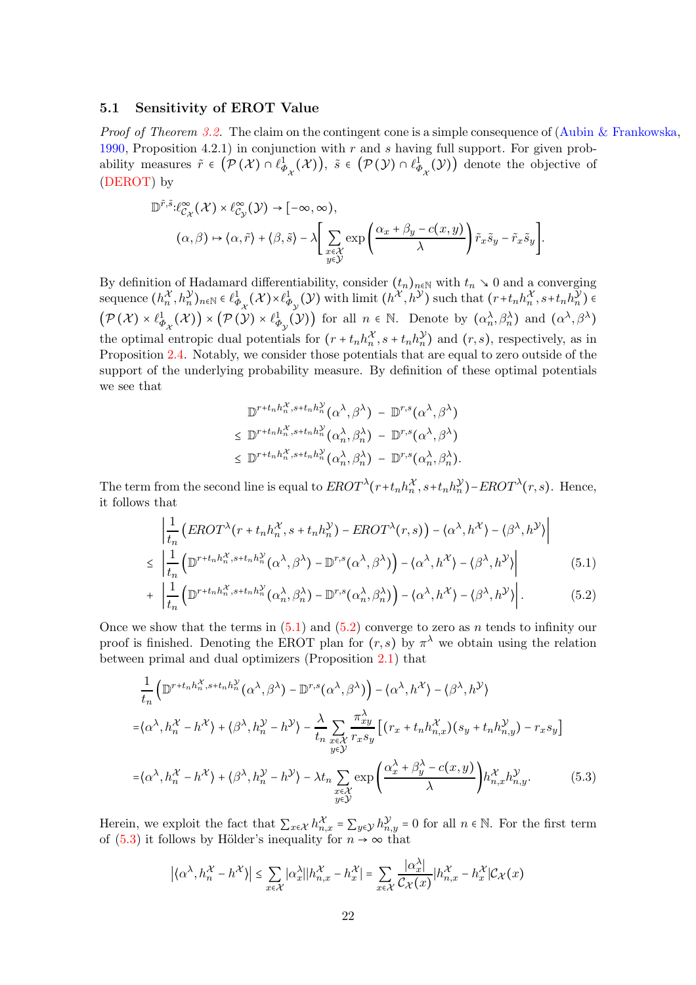#### 5.1 Sensitivity of EROT Value

*Proof of Theorem [3.2.](#page-8-1)* The claim on the contingent cone is a simple consequence of  $(Aubin \& Frankowski$ , [1990,](#page-36-9) Proposition 4.2.1) in conjunction with r and s having full support. For given probability measures  $\tilde{r} \in (\mathcal{P}(\mathcal{X}) \cap \ell_{\Phi_{\mathcal{X}}}^1(\mathcal{X}))$ ,  $\tilde{s} \in (\mathcal{P}(\mathcal{Y}) \cap \ell_{\Phi_{\mathcal{X}}}^1(\mathcal{Y}))$  denote the objective of [\(DEROT\)](#page-1-1) by

$$
\mathbb{D}^{\tilde{r},\tilde{s}}:\ell^{\infty}_{C_{\mathcal{X}}}(\mathcal{X})\times\ell^{\infty}_{C_{\mathcal{Y}}}(\mathcal{Y})\to[-\infty,\infty),(\alpha,\beta)\mapsto\langle\alpha,\tilde{r}\rangle+\langle\beta,\tilde{s}\rangle-\lambda\Bigg[\sum_{\substack{x\in\mathcal{X}\\y\in\mathcal{Y}}}\exp\left(\frac{\alpha_x+\beta_y-c(x,y)}{\lambda}\right)\tilde{r}_x\tilde{s}_y-\tilde{r}_x\tilde{s}_y\Bigg].
$$

By definition of Hadamard differentiability, consider  $(t_n)_{n\in\mathbb{N}}$  with  $t_n \searrow 0$  and a converging  $\mathsf{sequence}\ (h^\mathcal{X}_n,h^\mathcal{Y}_n)_{n\in\mathbb{N}}\in\ell^1_{\Phi_\mathcal{X}}(\mathcal{X})\times\ell^1_{\Phi_\mathcal{Y}}(\mathcal{Y})\ \text{with limit}\ (h^\mathcal{X},h^\mathcal{Y})\ \text{such that}\ (r+t_nh^\mathcal{X}_n,s+t_nh^\mathcal{Y}_n)\in\ell^1_{\Phi_\mathcal{X}}(\mathcal{X})\times\ell^1_{\Phi_\mathcal{Y}}(\mathcal{Y})\ \text{with}\ (\lambda^1,\lambda^2,\lambda^3)\ \text{such that}\ (r+t_nh^\mathcal{X}_n,s+t_nh^\mathcal{Y}_n)\in\ell^1$  $(\mathcal{P}(\mathcal{X}) \times \ell_{\Phi_{\mathcal{X}}}^1(\mathcal{X})) \times (\mathcal{P}(\mathcal{Y}) \times \ell_{\Phi_{\mathcal{Y}}}^1(\mathcal{Y}))$  for all  $n \in \mathbb{N}$ . Denote by  $(\alpha_n^{\lambda}, \beta_n^{\lambda})$  and  $(\alpha^{\lambda}, \beta^{\lambda})$ the optimal entropic dual potentials for  $(r + t_n h_n^{\mathcal{X}}, s + t_n h_n^{\mathcal{Y}})$  and  $(r, s)$ , respectively, as in Proposition [2.4.](#page-8-2) Notably, we consider those potentials that are equal to zero outside of the support of the underlying probability measure. By definition of these optimal potentials we see that

<span id="page-21-1"></span><span id="page-21-0"></span>
$$
\mathbb{D}^{r+t_n h_n^{\chi}, s+t_n h_n^{\chi}}(\alpha^{\lambda}, \beta^{\lambda}) - \mathbb{D}^{r,s}(\alpha^{\lambda}, \beta^{\lambda})
$$
  

$$
\leq \mathbb{D}^{r+t_n h_n^{\chi}, s+t_n h_n^{\chi}}(\alpha_n^{\lambda}, \beta_n^{\lambda}) - \mathbb{D}^{r,s}(\alpha^{\lambda}, \beta^{\lambda})
$$
  

$$
\leq \mathbb{D}^{r+t_n h_n^{\chi}, s+t_n h_n^{\chi}}(\alpha_n^{\lambda}, \beta_n^{\lambda}) - \mathbb{D}^{r,s}(\alpha_n^{\lambda}, \beta_n^{\lambda}).
$$

The term from the second line is equal to  $EROT^{\lambda}(r+t_nh_n^{\mathcal{X}}, s+t_nh_n^{\mathcal{Y}}) - EROT^{\lambda}(r, s)$ . Hence, it follows that

$$
\left| \frac{1}{t_n} \left( EROT^{\lambda}(r + t_n h_n^{\mathcal{X}}, s + t_n h_n^{\mathcal{Y}}) - EROT^{\lambda}(r, s) \right) - \left\langle \alpha^{\lambda}, h^{\mathcal{X}} \right\rangle - \left\langle \beta^{\lambda}, h^{\mathcal{Y}} \right\rangle \right|
$$
\n
$$
\leq \left| \frac{1}{t_n} \left( \mathbb{D}^{r + t_n h_n^{\mathcal{X}}, s + t_n h_n^{\mathcal{Y}}}{\left( \alpha^{\lambda}, \beta^{\lambda} \right)} - \mathbb{D}^{r, s}(\alpha^{\lambda}, \beta^{\lambda}) \right) - \left\langle \alpha^{\lambda}, h^{\mathcal{X}} \right\rangle - \left\langle \beta^{\lambda}, h^{\mathcal{Y}} \right\rangle \right|
$$
\n
$$
+ \left| \frac{1}{t_n} \left( \mathbb{D}^{r + t_n h_n^{\mathcal{X}}, s + t_n h_n^{\mathcal{Y}}}{\left( \alpha^{\lambda}, \beta^{\lambda} \right)} - \mathbb{D}^{r, s}(\alpha^{\lambda}, \beta^{\lambda}) \right) - \left\langle \alpha^{\lambda}, h^{\mathcal{X}} \right\rangle - \left\langle \beta^{\lambda}, h^{\mathcal{Y}} \right\rangle \right|
$$
\n
$$
(5.1)
$$

+ 
$$
\left| \frac{1}{t_n} \left( \mathbb{D}^{r+t_n h_n^{\chi}, s+t_n h_n^{\chi}} (\alpha_n^{\lambda}, \beta_n^{\lambda}) - \mathbb{D}^{r,s} (\alpha_n^{\lambda}, \beta_n^{\lambda}) \right) - \langle \alpha^{\lambda}, h^{\chi} \rangle - \langle \beta^{\lambda}, h^{\chi} \rangle \right|.
$$
 (5.2)

Once we show that the terms in  $(5.1)$  and  $(5.2)$  converge to zero as n tends to infinity our proof is finished. Denoting the EROT plan for  $(r, s)$  by  $\pi^{\lambda}$  we obtain using the relation between primal and dual optimizers (Proposition [2.1\)](#page-6-0) that

$$
\frac{1}{t_n} \left( \mathbb{D}^{r+t_n h_n^{\chi}, s+t_n h_n^{\chi}} (\alpha^{\lambda}, \beta^{\lambda}) - \mathbb{D}^{r,s} (\alpha^{\lambda}, \beta^{\lambda}) \right) - \left\langle \alpha^{\lambda}, h^{\chi} \right\rangle - \left\langle \beta^{\lambda}, h^{\chi} \right\rangle
$$
\n
$$
= \left\langle \alpha^{\lambda}, h_n^{\chi} - h^{\chi} \right\rangle + \left\langle \beta^{\lambda}, h_n^{\chi} - h^{\chi} \right\rangle - \frac{\lambda}{t_n} \sum_{\substack{x \in \mathcal{X} \\ y \in \mathcal{Y}}} \frac{\pi_{xy}^{\lambda}}{r_x s_y} \left[ \left( r_x + t_n h_{n,x}^{\chi} \right) \left( s_y + t_n h_{n,y}^{\chi} \right) - r_x s_y \right]
$$
\n
$$
= \left\langle \alpha^{\lambda}, h_n^{\chi} - h^{\chi} \right\rangle + \left\langle \beta^{\lambda}, h_n^{\chi} - h^{\chi} \right\rangle - \lambda t_n \sum_{\substack{x \in \mathcal{X} \\ y \in \mathcal{Y}}} \exp\left( \frac{\alpha_x^{\lambda} + \beta_y^{\lambda} - c(x, y)}{\lambda} \right) h_{n,x}^{\chi} h_{n,y}^{\chi}. \tag{5.3}
$$

Herein, we exploit the fact that  $\sum_{x \in \mathcal{X}} h_{n,x}^{\mathcal{X}} = \sum_{y \in \mathcal{Y}} h_{n,y}^{\mathcal{Y}} = 0$  for all  $n \in \mathbb{N}$ . For the first term of [\(5.3\)](#page-21-2) it follows by Hölder's inequality for  $n \to \infty$  that

<span id="page-21-2"></span>
$$
| \langle \alpha^{\lambda}, h_n^{\mathcal{X}} - h^{\mathcal{X}} \rangle | \leq \sum_{x \in \mathcal{X}} | \alpha_x^{\lambda} | | h_{n,x}^{\mathcal{X}} - h_x^{\mathcal{X}} | = \sum_{x \in \mathcal{X}} \frac{|\alpha_x^{\lambda}|}{\mathcal{C}_{\mathcal{X}}(x)} | h_{n,x}^{\mathcal{X}} - h_x^{\mathcal{X}} | \mathcal{C}_{\mathcal{X}}(x)
$$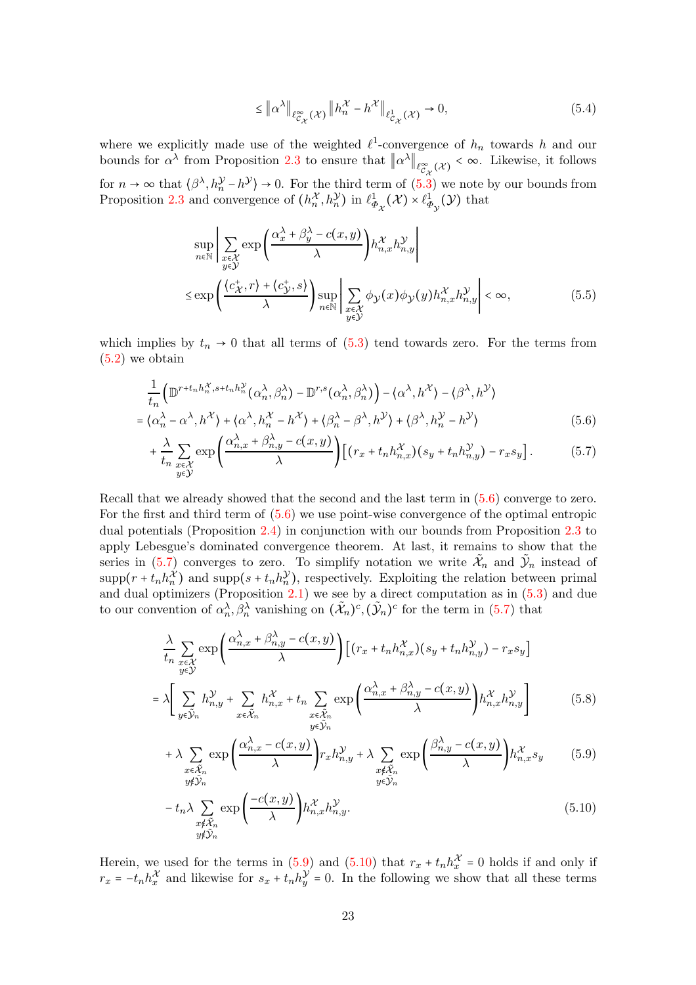<span id="page-22-6"></span><span id="page-22-5"></span>
$$
\leq \left\|\alpha^{\lambda}\right\|_{\ell_{C_{\mathcal{X}}}^{\infty}(\mathcal{X})}\left\|h_{n}^{\mathcal{X}} - h^{\mathcal{X}}\right\|_{\ell_{C_{\mathcal{X}}}^{1}(\mathcal{X})} \to 0,
$$
\n(5.4)

where we explicitly made use of the weighted  $\ell^1$ -convergence of  $h_n$  towards h and our bounds for  $\alpha^{\lambda}$  from Proposition [2.3](#page-7-3) to ensure that  $\|\alpha^{\lambda}\|_{\ell_{C_{\mathcal{X}}}^{\infty}(\mathcal{X})} < \infty$ . Likewise, it follows for  $n \to \infty$  that  $\langle \beta^{\lambda}, h_n^{\mathcal{Y}} - h^{\mathcal{Y}} \rangle \to 0$ . For the third term of  $(5.3)$  we note by our bounds from Proposition [2.3](#page-7-3) and convergence of  $(h_n^{\mathcal{X}}, h_n^{\mathcal{Y}})$  in  $\ell_{\Phi_{\mathcal{X}}}^1(\mathcal{X}) \times \ell_{\Phi_{\mathcal{Y}}}^1(\mathcal{Y})$  that

<span id="page-22-0"></span>
$$
\sup_{n \in \mathbb{N}} \left| \sum_{\substack{x \in \mathcal{X} \\ y \in \mathcal{Y}}} \exp\left(\frac{\alpha_x^{\lambda} + \beta_y^{\lambda} - c(x, y)}{\lambda}\right) h_{n,x}^{\mathcal{X}} h_{n,y}^{\mathcal{Y}} \right|
$$
\n
$$
\leq \exp\left(\frac{\langle c_x^+, r \rangle + \langle c_y^+, s \rangle}{\lambda}\right) \sup_{n \in \mathbb{N}} \left| \sum_{\substack{x \in \mathcal{X} \\ y \in \mathcal{Y}}} \phi_{\mathcal{Y}}(x) \phi_{\mathcal{Y}}(y) h_{n,x}^{\mathcal{X}} h_{n,y}^{\mathcal{Y}} \right| < \infty, \tag{5.5}
$$

which implies by  $t_n \to 0$  that all terms of [\(5.3\)](#page-21-2) tend towards zero. For the terms from [\(5.2\)](#page-21-1) we obtain

$$
\frac{1}{t_n} \left( \mathbb{D}^{r+t_n h_n^{\mathcal{X}}, s+t_n h_n^{\mathcal{Y}}} (\alpha_n^{\lambda}, \beta_n^{\lambda}) - \mathbb{D}^{r,s} (\alpha_n^{\lambda}, \beta_n^{\lambda}) \right) - \langle \alpha^{\lambda}, h^{\mathcal{X}} \rangle - \langle \beta^{\lambda}, h^{\mathcal{Y}} \rangle
$$
\n
$$
= \langle \alpha_n^{\lambda} - \alpha^{\lambda}, h^{\mathcal{X}} \rangle + \langle \alpha^{\lambda}, h_n^{\mathcal{X}} - h^{\mathcal{X}} \rangle + \langle \beta_n^{\lambda} - \beta^{\lambda}, h^{\mathcal{Y}} \rangle + \langle \beta_n^{\lambda}, h_n^{\mathcal{Y}} - h^{\mathcal{Y}} \rangle \tag{5.6}
$$

<span id="page-22-1"></span>
$$
+\frac{\lambda}{t_n}\sum_{\substack{x\in\mathcal{X}\\y\in\mathcal{Y}}}\exp\left(\frac{\alpha_{n,x}^{\lambda}+\beta_{n,y}^{\lambda}-c(x,y)}{\lambda}\right)\left[(r_x+t_nh_{n,x}^{\mathcal{X}})(s_y+t_nh_{n,y}^{\mathcal{Y}})-r_xs_y\right].
$$
 (5.7)

Recall that we already showed that the second and the last term in [\(5.6\)](#page-22-0) converge to zero. For the first and third term of [\(5.6\)](#page-22-0) we use point-wise convergence of the optimal entropic dual potentials (Proposition [2.4\)](#page-8-2) in conjunction with our bounds from Proposition [2.3](#page-7-3) to apply Lebesgue's dominated convergence theorem. At last, it remains to show that the series in [\(5.7\)](#page-22-1) converges to zero. To simplify notation we write  $\tilde{\mathcal{X}}_n$  and  $\tilde{\mathcal{Y}}_n$  instead of  $\text{supp}(r + t_n h_n^{\mathcal{X}})$  and  $\text{supp}(s + t_n h_n^{\mathcal{Y}})$ , respectively. Exploiting the relation between primal and dual optimizers (Proposition [2.1\)](#page-6-0) we see by a direct computation as in  $(5.3)$  and due to our convention of  $\alpha_n^{\lambda}, \beta_n^{\lambda}$  vanishing on  $(\tilde{\mathcal{X}}_n)^c, (\tilde{\mathcal{Y}}_n)^c$  for the term in [\(5.7\)](#page-22-1) that

$$
\frac{\lambda}{t_n} \sum_{\substack{x \in \mathcal{X} \\ y \in \mathcal{Y}}} \exp\left(\frac{\alpha_{n,x}^{\lambda} + \beta_{n,y}^{\lambda} - c(x,y)}{\lambda}\right) \left[ (r_x + t_n h_{n,x}^{\mathcal{X}})(s_y + t_n h_{n,y}^{\mathcal{Y}}) - r_x s_y \right]
$$
\n
$$
= \lambda \left[ \sum_{y \in \tilde{\mathcal{Y}}_n} h_{n,y}^{\mathcal{Y}} + \sum_{x \in \tilde{\mathcal{X}}_n} h_{n,x}^{\mathcal{X}} + t_n \sum_{x \in \tilde{\mathcal{X}}_n} \exp\left(\frac{\alpha_{n,x}^{\lambda} + \beta_{n,y}^{\lambda} - c(x,y)}{\lambda}\right) h_{n,x}^{\mathcal{X}} h_{n,y}^{\mathcal{Y}} \right] \tag{5.8}
$$

<span id="page-22-4"></span><span id="page-22-2"></span>
$$
+\lambda \sum_{\substack{x \in \tilde{\mathcal{X}}_n \\ y \notin \tilde{\mathcal{Y}}_n}} \exp\left(\frac{\alpha_{n,x}^{\lambda} - c(x,y)}{\lambda}\right) r_x h_{n,y}^{\mathcal{Y}} + \lambda \sum_{\substack{x \notin \tilde{\mathcal{X}}_n \\ y \in \tilde{\mathcal{Y}}_n}} \exp\left(\frac{\beta_{n,y}^{\lambda} - c(x,y)}{\lambda}\right) h_{n,x}^{\mathcal{X}} s_y \tag{5.9}
$$

<span id="page-22-3"></span>
$$
-t_n \lambda \sum_{\substack{x \notin \tilde{\mathcal{X}}_n \\ y \notin \tilde{\mathcal{Y}}_n}} \exp\left(\frac{-c(x,y)}{\lambda}\right) h_{n,x}^{\mathcal{X}} h_{n,y}^{\mathcal{Y}}.
$$
 (5.10)

Herein, we used for the terms in [\(5.9\)](#page-22-2) and [\(5.10\)](#page-22-3) that  $r_x + t_n h_x^{\mathcal{X}} = 0$  holds if and only if  $r_x = -t_n h_x^{\mathcal{X}}$  and likewise for  $s_x + t_n h_y^{\mathcal{Y}} = 0$ . In the following we show that all these terms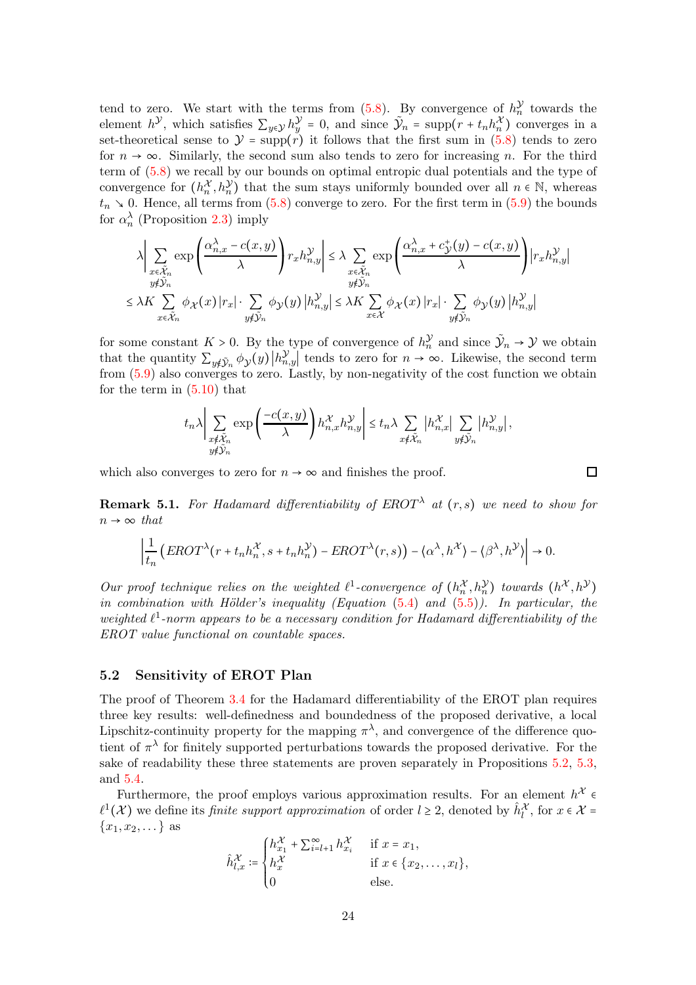tend to zero. We start with the terms from  $(5.8)$ . By convergence of  $h_n^{\mathcal{Y}}$  towards the element  $h^{\mathcal{Y}}$ , which satisfies  $\sum_{y \in \mathcal{Y}} h_y^{\mathcal{Y}} = 0$ , and since  $\tilde{\mathcal{Y}}_n = \text{supp}(r + t_n h_n^{\mathcal{X}})$  converges in a set-theoretical sense to  $\mathcal{Y} = \text{supp}(\tilde{r})$  it follows that the first sum in [\(5.8\)](#page-22-4) tends to zero for  $n \to \infty$ . Similarly, the second sum also tends to zero for increasing n. For the third term of [\(5.8\)](#page-22-4) we recall by our bounds on optimal entropic dual potentials and the type of convergence for  $(h_n^{\mathcal{X}}, h_n^{\mathcal{Y}})$  that the sum stays uniformly bounded over all  $n \in \mathbb{N}$ , whereas  $t_n \searrow 0$ . Hence, all terms from [\(5.8\)](#page-22-4) converge to zero. For the first term in [\(5.9\)](#page-22-2) the bounds for  $\alpha_n^{\lambda}$  (Proposition [2.3\)](#page-7-3) imply

$$
\lambda \Big| \sum_{\substack{x \in \tilde{\mathcal{X}}_n \\ y \notin \tilde{\mathcal{Y}}_n}} \exp \Big( \frac{\alpha_{n,x}^{\lambda} - c(x,y)}{\lambda} \Big) r_x h_{n,y}^{\mathcal{Y}} \Big| \leq \lambda \sum_{\substack{x \in \tilde{\mathcal{X}}_n \\ y \notin \tilde{\mathcal{Y}}_n}} \exp \Big( \frac{\alpha_{n,x}^{\lambda} + c_{\mathcal{Y}}^+(y) - c(x,y)}{\lambda} \Big) |r_x h_{n,y}^{\mathcal{Y}}|
$$
  

$$
\leq \lambda K \sum_{x \in \tilde{\mathcal{X}}_n} \phi_{\mathcal{X}}(x) |r_x| \cdot \sum_{y \notin \tilde{\mathcal{Y}}_n} \phi_{\mathcal{Y}}(y) |h_{n,y}^{\mathcal{Y}}| \leq \lambda K \sum_{x \in \mathcal{X}} \phi_{\mathcal{X}}(x) |r_x| \cdot \sum_{y \notin \tilde{\mathcal{Y}}_n} \phi_{\mathcal{Y}}(y) |h_{n,y}^{\mathcal{Y}}|
$$

for some constant  $K > 0$ . By the type of convergence of  $h_n^{\mathcal{Y}}$  and since  $\tilde{\mathcal{Y}}_n \to \mathcal{Y}$  we obtain that the quantity  $\sum_{y \notin \tilde{\mathcal{Y}}_n} \phi_{\mathcal{Y}}(y) \left| h_{n,y}^{\mathcal{Y}} \right|$  tends to zero for  $n \to \infty$ . Likewise, the second term from  $(5.9)$  also converges to zero. Lastly, by non-negativity of the cost function we obtain for the term in  $(5.10)$  that

$$
t_n\lambda\Bigg|\sum_{\substack{x\notin\tilde{\mathcal{X}}_n\\y\notin\tilde{\mathcal{Y}}_n}}\exp\Bigg(\frac{-c(x,y)}{\lambda}\Bigg)h_{n,x}^{\mathcal{X}}h_{n,y}^{\mathcal{Y}}\Bigg|\leq t_n\lambda\sum_{x\notin\tilde{\mathcal{X}}_n}|h_{n,x}^{\mathcal{X}}|\sum_{y\notin\tilde{\mathcal{Y}}_n}|h_{n,y}^{\mathcal{Y}}|,
$$

 $\Box$ 

which also converges to zero for  $n \to \infty$  and finishes the proof.

<span id="page-23-0"></span>**Remark 5.1.** For Hadamard differentiability of  $EROT^{\lambda}$  at  $(r, s)$  we need to show for  $n \rightarrow \infty$  that

$$
\left|\frac{1}{t_n}\left( EROT^{\lambda}(r+t_nh_n^{\mathcal{X}}, s+t_nh_n^{\mathcal{Y}}) - EROT^{\lambda}(r, s)\right) - \langle \alpha^{\lambda}, h^{\mathcal{X}} \rangle - \langle \beta^{\lambda}, h^{\mathcal{Y}} \rangle \right| \to 0.
$$

Our proof technique relies on the weighted  $\ell^1$ -convergence of  $(h_n^{\mathcal{X}}, h_n^{\mathcal{Y}})$  towards  $(h^{\mathcal{X}}, h^{\mathcal{Y}})$ in combination with Hölder's inequality (Equation  $(5.4)$  and  $(5.5)$ ). In particular, the weighted  $\ell^1$ -norm appears to be a necessary condition for Hadamard differentiability of the EROT value functional on countable spaces.

### <span id="page-23-1"></span>5.2 Sensitivity of EROT Plan

The proof of Theorem [3.4](#page-10-0) for the Hadamard differentiability of the EROT plan requires three key results: well-definedness and boundedness of the proposed derivative, a local Lipschitz-continuity property for the mapping  $\pi^{\lambda}$ , and convergence of the difference quotient of  $\pi^{\lambda}$  for finitely supported perturbations towards the proposed derivative. For the sake of readability these three statements are proven separately in Propositions [5.2,](#page-25-0) [5.3,](#page-25-1) and [5.4.](#page-26-0)

Furthermore, the proof employs various approximation results. For an element  $h^{\mathcal{X}}$  $\ell^1(\mathcal{X})$  we define its *finite support approximation* of order  $l \geq 2$ , denoted by  $\hat{h}_l^{\mathcal{X}}$ , for  $x \in \mathcal{X}$  ${x_1, x_2, \ldots}$  as

$$
\hat{h}_{l,x}^{\mathcal{X}} \coloneqq \begin{cases} h_{x_1}^{\mathcal{X}} + \sum_{i=l+1}^{\infty} h_{x_i}^{\mathcal{X}} & \text{if } x = x_1, \\ h_x^{\mathcal{X}} & \text{if } x \in \{x_2, \dots, x_l\}, \\ 0 & \text{else.} \end{cases}
$$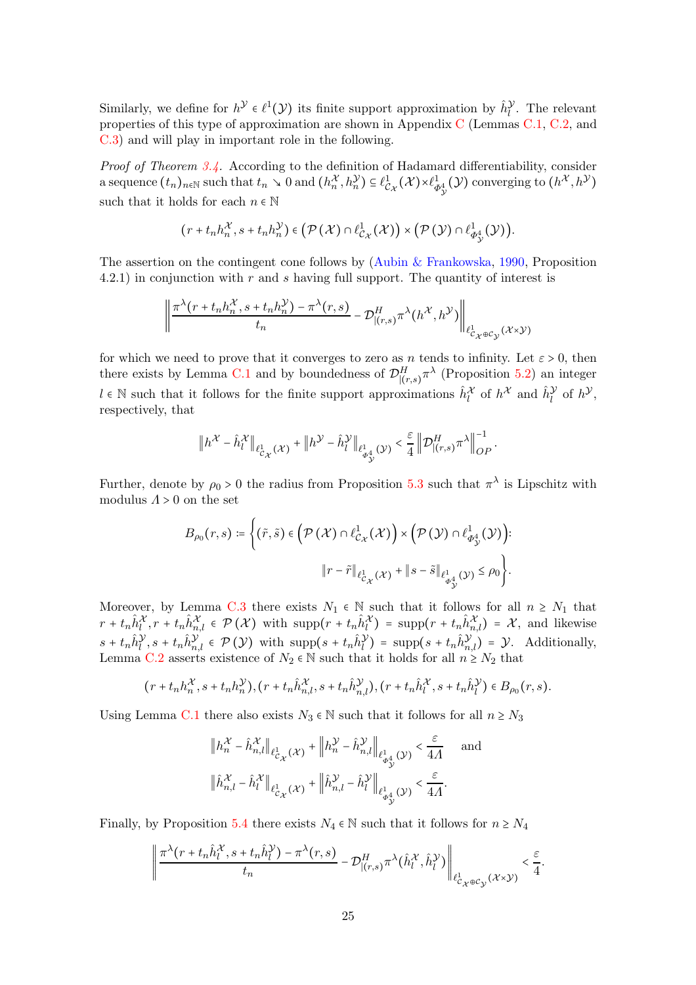Similarly, we define for  $h^{\mathcal{Y}} \in \ell^1(\mathcal{Y})$  its finite support approximation by  $\hat{h}^{\mathcal{Y}}_l$ . The relevant properties of this type of approximation are shown in Appendix [C](#page-51-0) (Lemmas [C.1,](#page-51-1) [C.2,](#page-52-0) and [C.3\)](#page-52-1) and will play in important role in the following.

Proof of Theorem [3.4.](#page-10-0) According to the definition of Hadamard differentiability, consider a sequence  $(t_n)_{n\in\mathbb{N}}$  such that  $t_n\searrow 0$  and  $(h_n^{\mathcal{X}},h_n^{\mathcal{Y}})\subseteq \ell_{\mathcal{C}_{\mathcal{X}}}^1(\mathcal{X})\times \ell_{\Phi_{\mathcal{Y}}^1}^1(\mathcal{Y})$  converging to  $(h^{\mathcal{X}},h^{\mathcal{Y}})$ such that it holds for each  $n \in \mathbb{N}$ 

$$
(r+t_nh_n^{\mathcal{X}},s+t_nh_n^{\mathcal{Y}})\in (\mathcal{P}(\mathcal{X})\cap \ell_{C_{\mathcal{X}}}^1(\mathcal{X}))\times (\mathcal{P}(\mathcal{Y})\cap \ell_{\Phi_{\mathcal{Y}}^4}^1(\mathcal{Y})).
$$

The assertion on the contingent cone follows by [\(Aubin & Frankowska](#page-36-9), [1990](#page-36-9), Proposition 4.2.1) in conjunction with r and s having full support. The quantity of interest is

$$
\left\|\frac{\pi^{\lambda}(r+t_nh_n^{\mathcal{X}},s+t_nh_n^{\mathcal{Y}})-\pi^{\lambda}(r,s)}{t_n}-\mathcal{D}_{|(r,s)}^H\pi^{\lambda}(h^{\mathcal{X}},h^{\mathcal{Y}})\right\|_{\ell^1_{\mathcal{C}_{\mathcal{X}}\oplus\mathcal{C}_{\mathcal{Y}}}(\mathcal{X}\times\mathcal{Y})}
$$

for which we need to prove that it converges to zero as n tends to infinity. Let  $\varepsilon > 0$ , then there exists by Lemma [C.1](#page-51-1) and by boundedness of  $\mathcal{D}_{\text{L}}^H$  $\int_{|(r,s)}^{H} \pi^{\lambda}$  (Proposition [5.2\)](#page-25-0) an integer  $l \in \mathbb{N}$  such that it follows for the finite support approximations  $\hat{h}_l^{\mathcal{X}}$  of  $h^{\mathcal{X}}$  and  $\hat{h}_l^{\mathcal{Y}}$  of  $h^{\mathcal{Y}}$ , respectively, that

$$
\left\| h^{\mathcal{X}} - \hat{h}^{\mathcal{X}}_l \right\|_{\ell^1_{C_{\mathcal{X}}}(\mathcal{X})} + \left\| h^{\mathcal{Y}} - \hat{h}^{\mathcal{Y}}_l \right\|_{\ell^1_{\Phi^4_{\mathcal{Y}}}(\mathcal{Y})} < \frac{\varepsilon}{4} \left\| \mathcal{D}^H_{|(r,s)} \pi^{\lambda} \right\|^{-1}_{OP}.
$$

Further, denote by  $\rho_0 > 0$  the radius from Proposition [5.3](#page-25-1) such that  $\pi^{\lambda}$  is Lipschitz with modulus  $\Lambda > 0$  on the set

$$
B_{\rho_0}(r,s) \coloneqq \left\{ (\tilde{r},\tilde{s}) \in \left( \mathcal{P}(\mathcal{X}) \cap \ell_{C_{\mathcal{X}}}^1(\mathcal{X}) \right) \times \left( \mathcal{P}(\mathcal{Y}) \cap \ell_{\varPhi_{\mathcal{Y}}^1}^1(\mathcal{Y}) \right) : \|r - \tilde{r}\|_{\ell_{C_{\mathcal{X}}}^1(\mathcal{X})} + \|s - \tilde{s}\|_{\ell_{\varPhi_{\mathcal{Y}}^1}^1(\mathcal{Y})} \le \rho_0 \right\}.
$$

Moreover, by Lemma [C.3](#page-52-1) there exists  $N_1 \in \mathbb{N}$  such that it follows for all  $n \ge N_1$  that  $r + t_n \hat{h}_l^{\mathcal{X}}, r + t_n \hat{h}_{n,l}^{\mathcal{X}} \in \mathcal{P}(\mathcal{X})$  with  $\text{supp}(r + t_n \hat{h}_l^{\mathcal{X}}) = \text{supp}(r + t_n \hat{h}_{n,l}^{\mathcal{X}}) = \mathcal{X}$ , and likewise  $s + t_n \hat{h}_l^y$ ,  $s + t_n \hat{h}_{n,l}^y \in \mathcal{P}(\mathcal{Y})$  with  $\text{supp}(s + t_n \hat{h}_l^y) = \text{supp}(s + t_n \hat{h}_{n,l}^y) = \mathcal{Y}$ . Additionally, Lemma [C.2](#page-52-0) asserts existence of  $N_2 \in \mathbb{N}$  such that it holds for all  $n \ge N_2$  that

$$
(r+t_nh_n^{\mathcal{X}},s+t_nh_n^{\mathcal{Y}}), (r+t_n\hat{h}_{n,l}^{\mathcal{X}},s+t_n\hat{h}_{n,l}^{\mathcal{Y}}), (r+t_n\hat{h}_l^{\mathcal{X}},s+t_n\hat{h}_l^{\mathcal{Y}}) \in B_{\rho_0}(r,s).
$$

Using Lemma [C.1](#page-51-1) there also exists  $N_3 \in \mathbb{N}$  such that it follows for all  $n \ge N_3$ 

$$
\begin{aligned} \left\| {h_n^\mathcal{X} - \hat h_{n,l}^\mathcal{X}} \right\|_{\ell_{C_\mathcal{X}}^1(\mathcal{X})} + \left\| {h_n^\mathcal{Y} - \hat h_{n,l}^\mathcal{Y}} \right\|_{\ell_{\varPhi_\mathcal{Y}}^1(\mathcal{Y})} < \frac{\varepsilon}{4\varLambda} \quad \text{ and } \\ \left\| \hat h_{n,l}^\mathcal{X} - \hat h_l^\mathcal{X} \right\|_{\ell_{C_\mathcal{X}}^1(\mathcal{X})} + \left\| \hat h_{n,l}^\mathcal{Y} - \hat h_l^\mathcal{Y} \right\|_{\ell_{\varPhi_\mathcal{Y}}^1(\mathcal{Y})} < \frac{\varepsilon}{4\varLambda}. \end{aligned}
$$

Finally, by Proposition [5.4](#page-26-0) there exists  $N_4 \in \mathbb{N}$  such that it follows for  $n \ge N_4$ 

$$
\left\|\frac{\pi^{\lambda}(r+t_n\hat{h}_l^{\mathcal{X}},s+t_n\hat{h}_l^{\mathcal{Y}})-\pi^{\lambda}(r,s)}{t_n}-\mathcal{D}_{|(r,s)}^H\pi^{\lambda}(\hat{h}_l^{\mathcal{X}},\hat{h}_l^{\mathcal{Y}})\right\|_{\ell_{\mathcal{C}_{\mathcal{X}}\oplus\mathcal{C}_{\mathcal{Y}}}^1(\mathcal{X}\times\mathcal{Y})}<\frac{\varepsilon}{4}.
$$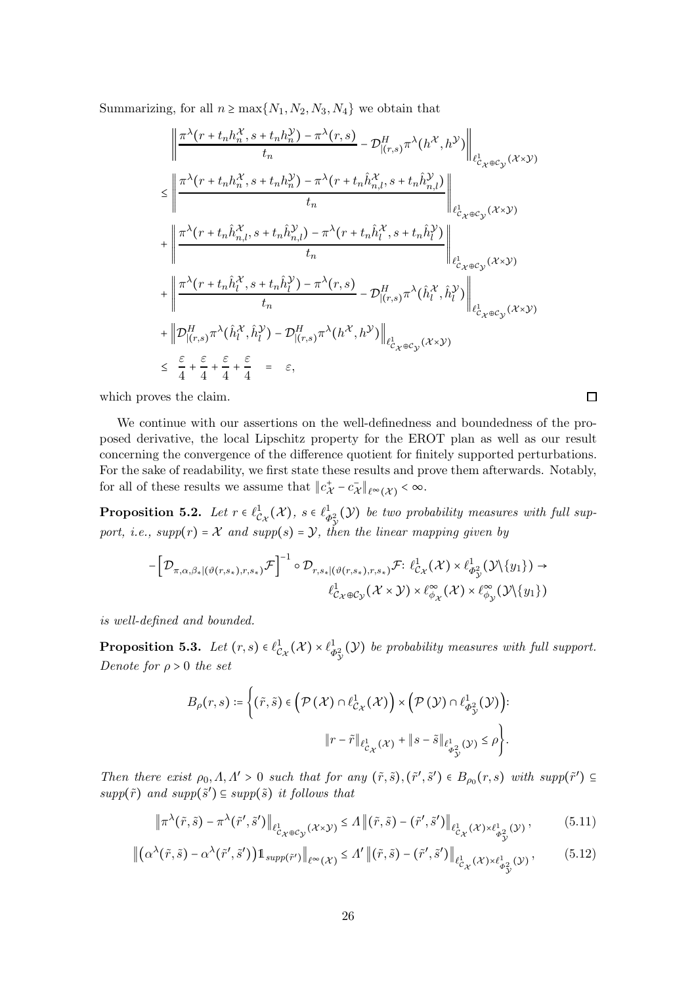Summarizing, for all  $n \ge \max\{N_1, N_2, N_3, N_4\}$  we obtain that

$$
\begin{split}\n&\quad\left\|\frac{\pi^{\lambda}(r+t_{n}h_{n}^{\chi},s+t_{n}h_{n}^{\gamma})-\pi^{\lambda}(r,s)}{t_{n}}-\mathcal{D}_{|(r,s)}^{H}\pi^{\lambda}(h^{\chi},h^{\gamma})\right\|_{\ell_{C_{\chi}\oplus C_{\gamma}}^{1}(\chi\times\gamma)} \\
&\leq\left\|\frac{\pi^{\lambda}(r+t_{n}h_{n}^{\chi},s+t_{n}h_{n}^{\gamma})-\pi^{\lambda}(r+t_{n}\hat{h}_{n,l}^{\chi},s+t_{n}\hat{h}_{n,l}^{\gamma})}{t_{n}}\right\|_{\ell_{C_{\chi}\oplus C_{\gamma}}^{1}(\chi\times\gamma)} \\
&+\left\|\frac{\pi^{\lambda}(r+t_{n}\hat{h}_{n,l}^{\chi},s+t_{n}\hat{h}_{n,l}^{\gamma})-\pi^{\lambda}(r+t_{n}\hat{h}_{l}^{\chi},s+t_{n}\hat{h}_{l}^{\gamma})}{t_{n}}\right\|_{\ell_{C_{\chi}\oplus C_{\gamma}}^{1}(\chi\times\gamma)} \\
&+\left\|\frac{\pi^{\lambda}(r+t_{n}\hat{h}_{l}^{\chi},s+t_{n}\hat{h}_{l}^{\gamma})-\pi^{\lambda}(r,s)}{t_{n}}-\mathcal{D}_{|(r,s)}^{H}\pi^{\lambda}(\hat{h}_{l}^{\chi},\hat{h}_{l}^{\gamma})\right\|_{\ell_{C_{\chi}\oplus C_{\gamma}}^{1}(\chi\times\gamma)} \\
&+\left\|\mathcal{D}_{|(r,s)}^{H}\pi^{\lambda}(\hat{h}_{l}^{\chi},\hat{h}_{l}^{\gamma})-\mathcal{D}_{|(r,s)}^{H}\pi^{\lambda}(h^{\chi},h^{\gamma})\right\|_{\ell_{C_{\chi}\oplus C_{\gamma}}^{1}(\chi\times\gamma)} \\
&\leq\frac{\varepsilon}{4}+\frac{\varepsilon}{4}+\frac{\varepsilon}{4}+\frac{\varepsilon}{4}+\frac{\varepsilon}{4}=\varepsilon,\n\end{split}
$$

which proves the claim.

We continue with our assertions on the well-definedness and boundedness of the proposed derivative, the local Lipschitz property for the EROT plan as well as our result concerning the convergence of the difference quotient for finitely supported perturbations. For the sake of readability, we first state these results and prove them afterwards. Notably, for all of these results we assume that  $||c^+_{\mathcal{X}} - c^-_{\mathcal{X}}||_{\ell^{\infty}(\mathcal{X})} < \infty$ .

 $\Box$ 

<span id="page-25-0"></span>**Proposition 5.2.** Let  $r \in \ell_{C_{\mathcal{X}}}^1(\mathcal{X}), s \in \ell_{\Phi_{\mathcal{Y}}^2}^1(\mathcal{Y})$  be two probability measures with full support, i.e.,  $supp(r) = X$  and  $supp(s) = Y$ , then the linear mapping given by

$$
-\left[\mathcal{D}_{\pi,\alpha,\beta*|(\vartheta(r,s_*),r,s_*)}\mathcal{F}\right]^{-1} \circ \mathcal{D}_{r,s*|(\vartheta(r,s_*),r,s_*)}\mathcal{F}:\ell^1_{\mathcal{C}_{\mathcal{X}}}(\mathcal{X}) \times \ell^1_{\varPhi^2_{\mathcal{Y}}}(\mathcal{Y}\backslash\{y_1\}) \to \ell^1_{\mathcal{C}_{\mathcal{X}}\oplus\mathcal{C}_{\mathcal{Y}}}(\mathcal{X} \times \mathcal{Y}) \times \ell^{\infty}_{\varphi_{\mathcal{X}}}(\mathcal{X}) \times \ell^{\infty}_{\varphi_{\mathcal{Y}}}(\mathcal{Y}\backslash\{y_1\})
$$

is well-defined and bounded.

<span id="page-25-1"></span>**Proposition 5.3.** Let  $(r, s) \in \ell^1_{\mathcal{C}_{\mathcal{X}}}(\mathcal{X}) \times \ell^1_{\Phi^2_{\mathcal{Y}}}(\mathcal{Y})$  be probability measures with full support. Denote for  $\rho > 0$  the set

$$
B_{\rho}(r,s) \coloneqq \left\{ (\tilde{r},\tilde{s}) \in \left( \mathcal{P}(\mathcal{X}) \cap \ell_{C_{\mathcal{X}}}^{1}(\mathcal{X}) \right) \times \left( \mathcal{P}(\mathcal{Y}) \cap \ell_{\varPhi_{\mathcal{Y}}^{2}}^{1}(\mathcal{Y}) \right) : \|r - \tilde{r}\|_{\ell_{C_{\mathcal{X}}}^{1}(\mathcal{X})} + \|s - \tilde{s}\|_{\ell_{\varPhi_{\mathcal{Y}}^{1}}^{1}(\mathcal{Y})} \leq \rho \right\}.
$$

Then there exist  $\rho_0, \Lambda, \Lambda' > 0$  such that for any  $(\tilde{r}, \tilde{s}), (\tilde{r}', \tilde{s}') \in B_{\rho_0}(r, s)$  with supp $(\tilde{r}') \subseteq$  $supp(\tilde{r})$  and  $supp(\tilde{s}') \subseteq supp(\tilde{s})$  it follows that

$$
\left\|\pi^{\lambda}(\tilde{r},\tilde{s}) - \pi^{\lambda}(\tilde{r}',\tilde{s}')\right\|_{\ell^1_{\mathcal{C}_{\mathcal{X}}\oplus\mathcal{C}_{\mathcal{Y}}}(\mathcal{X}\times\mathcal{Y})} \leq \Lambda\left\|(\tilde{r},\tilde{s}) - (\tilde{r}',\tilde{s}')\right\|_{\ell^1_{\mathcal{C}_{\mathcal{X}}}(\mathcal{X}) \times \ell^1_{\Phi^2_{\mathcal{Y}}}(\mathcal{Y})},\tag{5.11}
$$

$$
\left\| \left( \alpha^{\lambda}(\tilde{r}, \tilde{s}) - \alpha^{\lambda}(\tilde{r}', \tilde{s}') \right) 1_{supp(\tilde{r}')} \right\|_{\ell^{\infty}(\mathcal{X})} \leq \Lambda' \left\| (\tilde{r}, \tilde{s}) - (\tilde{r}', \tilde{s}') \right\|_{\ell^1_{\mathcal{C}_{\mathcal{X}}}(\mathcal{X}) \times \ell^1_{\Phi^2_{\mathcal{Y}}}(\mathcal{Y})},\tag{5.12}
$$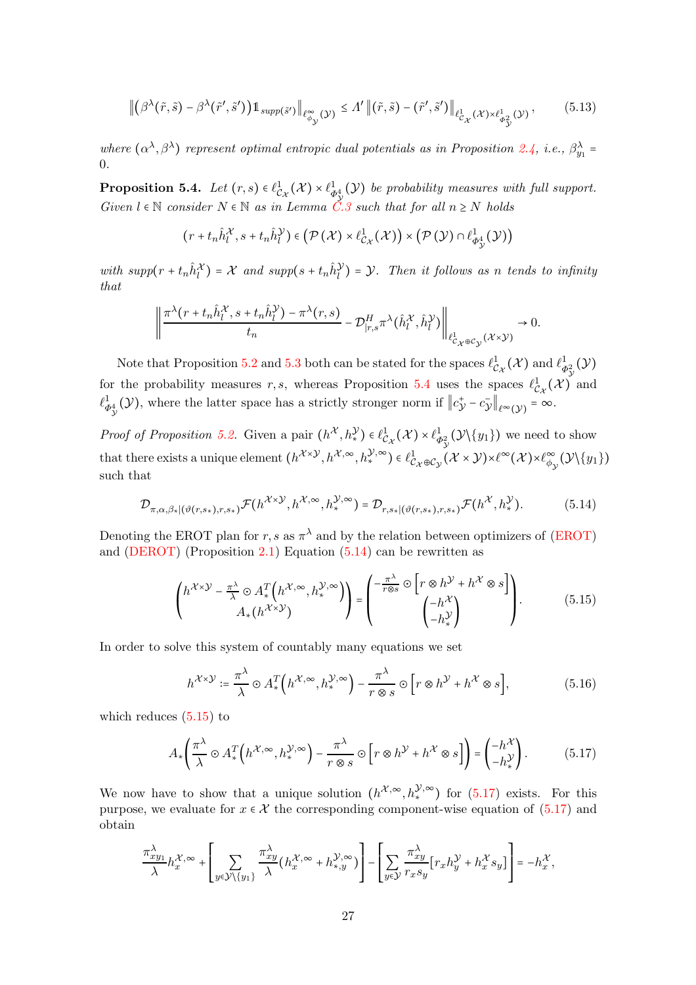$$
\left\| \left( \beta^{\lambda}(\tilde{r},\tilde{s}) - \beta^{\lambda}(\tilde{r}',\tilde{s}') \right) 1\right\|_{\ell^{\infty}_{\phi_{\mathcal{Y}}}(\mathcal{Y})} \leq \Lambda' \left\| (\tilde{r},\tilde{s}) - (\tilde{r}',\tilde{s}') \right\|_{\ell^1_{C_{\mathcal{X}}}(\mathcal{X}) \times \ell^1_{\phi_{\mathcal{Y}}^2}(\mathcal{Y})},\tag{5.13}
$$

where  $(\alpha^{\lambda}, \beta^{\lambda})$  represent optimal entropic dual potentials as in Proposition [2.4,](#page-8-2) i.e.,  $\beta^{\lambda}_{y_1}$  = 0.

<span id="page-26-0"></span>**Proposition 5.4.** Let  $(r, s) \in \ell^1_{\mathcal{C}_{\mathcal{X}}}(\mathcal{X}) \times \ell^1_{\Phi^4_{\mathcal{Y}}}(\mathcal{Y})$  be probability measures with full support. Given  $l \in \mathbb{N}$  consider  $N \in \mathbb{N}$  as in Lemma  $\check{C}.3$  such that for all  $n \geq N$  holds

<span id="page-26-5"></span>
$$
(r+t_n\hat{h}_l^{\mathcal{X}}, s+t_n\hat{h}_l^{\mathcal{Y}}) \in (\mathcal{P}(\mathcal{X}) \times \ell_{\mathcal{C}_{\mathcal{X}}}^1(\mathcal{X})) \times (\mathcal{P}(\mathcal{Y}) \cap \ell_{\Phi_{\mathcal{Y}}^1}^1(\mathcal{Y}))
$$

with supp $(r + t_n \hat{h}_l^{\mathcal{X}}) = \mathcal{X}$  and supp $(s + t_n \hat{h}_l^{\mathcal{Y}}) = \mathcal{Y}$ . Then it follows as n tends to infinity that

$$
\left\| \frac{\pi^{\lambda}(r+t_n \hat{h}_l^{\mathcal{X}}, s+t_n \hat{h}_l^{\mathcal{Y}}) - \pi^{\lambda}(r,s)}{t_n} - \mathcal{D}_{|r,s}^H \pi^{\lambda}(\hat{h}_l^{\mathcal{X}}, \hat{h}_l^{\mathcal{Y}}) \right\|_{\ell^1_{\mathcal{C}_{\mathcal{X}} \oplus \mathcal{C}_{\mathcal{Y}}}(\mathcal{X} \times \mathcal{Y})} \to 0.
$$

Note that Proposition [5.2](#page-25-0) and [5.3](#page-25-1) both can be stated for the spaces  $\ell_{C_{\mathcal{X}}}^1(\mathcal{X})$  and  $\ell_{\Phi_{\mathcal{Y}}^2}^1(\mathcal{Y})$ for the probability measures r, s, whereas Proposition [5.4](#page-26-0) uses the spaces  $\ell_{C\chi}^1(\mathcal{X})$  and  $\ell^1_{\Phi^4_{\mathcal{Y}}}(\mathcal{Y})$ , where the latter space has a strictly stronger norm if  $||c^+_{\mathcal{Y}} - c^-_{\mathcal{Y}}||_{\ell^{\infty}(\mathcal{Y})} = \infty$ .

Proof of Proposition [5.2.](#page-25-0) Given a pair  $(h^{\mathcal{X}}, h^{\mathcal{Y}}_*)\in \ell^1_{C_{\mathcal{X}}}(\mathcal{X})\times \ell^1_{\Phi^2_{\mathcal{Y}}}(\mathcal{Y}\{\{y_1\})$  we need to show that there exists a unique element  $(h^{\mathcal{X}\times\mathcal{Y}}, h^{\mathcal{X},\infty}, h_*^{\mathcal{Y},\infty}) \in \ell^1_{\mathcal{C}_{\mathcal{X}}\oplus\mathcal{C}_{\mathcal{Y}}}(\mathcal{X}\times\mathcal{Y})\times \ell^{\infty}(\mathcal{X})\times \ell^{\infty}_{\phi_{\mathcal{Y}}}(\mathcal{Y}\setminus\{y_1\})$ such that

<span id="page-26-1"></span>
$$
\mathcal{D}_{\pi,\alpha,\beta_*|(\vartheta(r,s_*),r,s_*)} \mathcal{F}(h^{\mathcal{X}\times\mathcal{Y}},h^{\mathcal{X},\infty},h^{\mathcal{Y},\infty}_*) = \mathcal{D}_{r,s_*|(\vartheta(r,s_*),r,s_*)} \mathcal{F}(h^{\mathcal{X}},h^{\mathcal{Y}}_*).
$$
(5.14)

Denoting the EROT plan for r, s as  $\pi^{\lambda}$  and by the relation between optimizers of [\(EROT\)](#page-1-0) and [\(DEROT\)](#page-1-1) (Proposition [2.1\)](#page-6-0) Equation [\(5.14\)](#page-26-1) can be rewritten as

<span id="page-26-2"></span>
$$
\begin{pmatrix} h^{\mathcal{X}\times\mathcal{Y}} - \frac{\pi^{\lambda}}{\lambda} \odot A_*^T \left( h^{\mathcal{X},\infty}, h_*^{\mathcal{Y},\infty} \right) \\ A_*(h^{\mathcal{X}\times\mathcal{Y}}) \end{pmatrix} = \begin{pmatrix} -\frac{\pi^{\lambda}}{r\otimes s} \odot \left[ r \otimes h^{\mathcal{Y}} + h^{\mathcal{X}} \otimes s \right] \\ -h_*^{\mathcal{X}} \end{pmatrix} . \tag{5.15}
$$

In order to solve this system of countably many equations we set

<span id="page-26-4"></span>
$$
h^{\mathcal{X}\times\mathcal{Y}} \coloneqq \frac{\pi^{\lambda}}{\lambda} \odot A^T_*(h^{\mathcal{X},\infty}, h^{\mathcal{Y},\infty}_*) - \frac{\pi^{\lambda}}{r \otimes s} \odot [r \otimes h^{\mathcal{Y}} + h^{\mathcal{X}} \otimes s],\tag{5.16}
$$

which reduces  $(5.15)$  to

<span id="page-26-3"></span>
$$
A_*\left(\frac{\pi^{\lambda}}{\lambda} \odot A_*^T\left(h^{\mathcal{X},\infty}, h_*^{\mathcal{Y},\infty}\right) - \frac{\pi^{\lambda}}{r \otimes s} \odot \left[r \otimes h^{\mathcal{Y}} + h^{\mathcal{X}} \otimes s\right]\right) = \begin{pmatrix} -h^{\mathcal{X}} \\ -h_*^{\mathcal{Y}} \end{pmatrix}.
$$
 (5.17)

We now have to show that a unique solution  $(h^{\mathcal{X},\infty}, h_*^{\mathcal{Y},\infty})$  for  $(5.17)$  exists. For this purpose, we evaluate for  $x \in \mathcal{X}$  the corresponding component-wise equation of [\(5.17\)](#page-26-3) and obtain

$$
\frac{\pi_{xy_1}^{\lambda}}{\lambda}h_x^{\mathcal{X},\infty} + \left[\sum_{y \in \mathcal{Y} \setminus \{y_1\}} \frac{\pi_{xy}^{\lambda}}{\lambda} \left(h_x^{\mathcal{X},\infty} + h_{*,y}^{\mathcal{Y},\infty}\right)\right] - \left[\sum_{y \in \mathcal{Y}} \frac{\pi_{xy}^{\lambda}}{r_x s_y} \left[r_x h_y^{\mathcal{Y}} + h_x^{\mathcal{X}} s_y\right]\right] = -h_x^{\mathcal{X}},
$$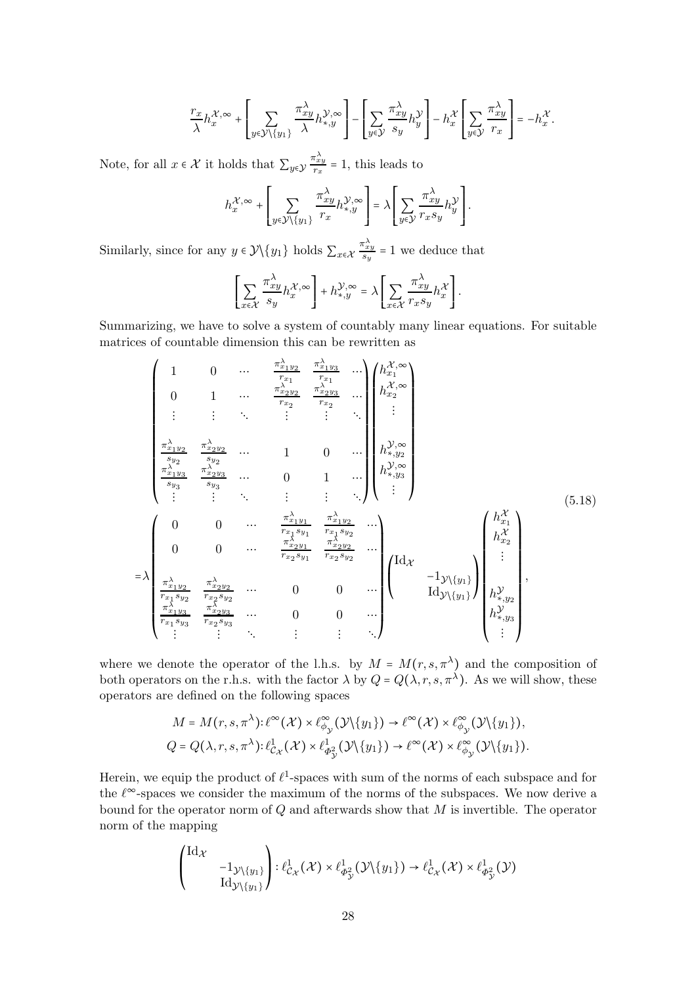$$
\frac{r_x}{\lambda}h^{\mathcal{X},\infty}_x + \left[\sum_{y \in \mathcal{Y}\backslash\{y_1\}} \frac{\pi_{xy}^{\lambda}}{\lambda} h^{\mathcal{Y},\infty}_{*,y}\right] - \left[\sum_{y \in \mathcal{Y}} \frac{\pi_{xy}^{\lambda}}{s_y} h^{\mathcal{Y}}_y \right] - h^{\mathcal{X}}_x \left[\sum_{y \in \mathcal{Y}} \frac{\pi_{xy}^{\lambda}}{r_x}\right] = - h^{\mathcal{X}}_x.
$$

Note, for all  $x \in \mathcal{X}$  it holds that  $\sum_{y \in \mathcal{Y}} \frac{\pi_{xy}^{\lambda_y}}{r_x} = 1$ , this leads to

$$
h_x^{\mathcal{X},\infty} + \left[ \sum_{y \in \mathcal{Y} \setminus \{y_1\}} \frac{\pi_{xy}^{\lambda}}{r_x} h_{*,y}^{\mathcal{Y},\infty} \right] = \lambda \left[ \sum_{y \in \mathcal{Y}} \frac{\pi_{xy}^{\lambda}}{r_x s_y} h_y^{\mathcal{Y}} \right].
$$

Similarly, since for any  $y \in \mathcal{Y}\setminus \{y_1\}$  holds  $\sum_{x \in \mathcal{X}} \frac{\pi_{xy}^{\lambda_y}}{s_y} = 1$  we deduce that

$$
\left[\sum_{x \in \mathcal{X}} \frac{\pi_{xy}^{\lambda}}{s_y} h_x^{\mathcal{X},\infty}\right] + h_{*,y}^{\mathcal{Y},\infty} = \lambda \left[\sum_{x \in \mathcal{X}} \frac{\pi_{xy}^{\lambda}}{r_x s_y} h_x^{\mathcal{X}}\right].
$$

Summarizing, we have to solve a system of countably many linear equations. For suitable matrices of countable dimension this can be rewritten as

<span id="page-27-0"></span>
$$
\begin{pmatrix}\n1 & 0 & \cdots & \frac{\pi_{2_{1}y_{2}}}{r_{x_{1}}} & \frac{\pi_{2_{1}y_{3}}}{r_{x_{1}}} & \cdots \\
0 & 1 & \cdots & \frac{\pi_{2_{2}y_{2}}}{r_{x_{2}}} & \frac{\pi_{2_{2}y_{3}}}{r_{x_{2}}} & \cdots \\
\vdots & \vdots & \ddots & \vdots & \vdots & \vdots \\
\frac{\pi_{2_{1}y_{2}}}{s_{y_{2}}} & \frac{\pi_{2_{2}y_{2}}}{s_{y_{2}}} & \cdots & 1 & 0 & \cdots \\
\frac{\pi_{2_{1}y_{3}}}{s_{y_{3}}} & \frac{\pi_{2_{2}y_{3}}}{s_{y_{3}}} & \cdots & 0 & 1 & \cdots \\
\vdots & \vdots & \ddots & \vdots & \vdots & \ddots \\
0 & 0 & \cdots & \frac{\pi_{2_{1}y_{1}}}{r_{x_{1}}s_{y_{1}}} & \frac{\pi_{2_{1}y_{2}}}{r_{x_{2}}s_{y_{2}}} & \cdots \\
0 & 0 & \cdots & \frac{\pi_{2_{1}y_{1}}}{r_{x_{2}}s_{y_{1}}} & \frac{\pi_{2_{1}y_{2}}}{r_{x_{2}}s_{y_{2}}} & \cdots \\
\frac{\pi_{2_{1}y_{2}}}{r_{x_{1}}s_{y_{2}}} & \frac{\pi_{2_{2}y_{2}}}{r_{x_{2}}s_{y_{1}}} & \cdots & \pi_{2_{2}y_{2}}}{r_{x_{2}s_{y_{2}}} & \cdots \\
\frac{\pi_{2_{1}y_{3}}}{r_{x_{1}}s_{y_{2}}} & \frac{\pi_{2_{2}y_{3}}}{r_{x_{2}}s_{y_{3}}} & \cdots & 0 & 0 & \cdots \\
\frac{\pi_{2_{1}y_{3}}}{r_{x_{1}}s_{y_{3}}} & \frac{\pi_{2_{2}y_{3}}}{r_{x_{2}}s_{y_{3}}} & \cdots & 0 & 0 & \cdots \\
\vdots & \vdots & \ddots & \vdots & \vdots & \ddots\n\end{pmatrix}\n\begin{pmatrix}\nh_{x,0}^{X,\infty} \\
h_{x,0}^{X,\infty} \\
h_{x,0}^{X,\infty} \\
\vdots \\
h_{x,0}^{X,\infty} \\
\vdots \\
h_{x,0}^{X,\infty}\n\end{pmatrix}
$$
\n
$$
\begin
$$

where we denote the operator of the l.h.s. by  $M = M(r, s, \pi^{\lambda})$  and the composition of both operators on the r.h.s. with the factor  $\lambda$  by  $Q = Q(\lambda, r, s, \pi^{\lambda})$ . As we will show, these operators are defined on the following spaces

$$
M = M(r, s, \pi^{\lambda}) : \ell^{\infty}(\mathcal{X}) \times \ell^{\infty}_{\phi_{\mathcal{Y}}}(\mathcal{Y} \setminus \{y_1\}) \to \ell^{\infty}(\mathcal{X}) \times \ell^{\infty}_{\phi_{\mathcal{Y}}}(\mathcal{Y} \setminus \{y_1\}),
$$
  

$$
Q = Q(\lambda, r, s, \pi^{\lambda}) : \ell^1_{C_{\mathcal{X}}}(\mathcal{X}) \times \ell^1_{\Phi^2_{\mathcal{Y}}}(\mathcal{Y} \setminus \{y_1\}) \to \ell^{\infty}(\mathcal{X}) \times \ell^{\infty}_{\phi_{\mathcal{Y}}}(\mathcal{Y} \setminus \{y_1\}).
$$

Herein, we equip the product of  $\ell^1$ -spaces with sum of the norms of each subspace and for the  $\ell^{\infty}$ -spaces we consider the maximum of the norms of the subspaces. We now derive a bound for the operator norm of  $Q$  and afterwards show that  $M$  is invertible. The operator norm of the mapping

$$
\begin{pmatrix} \mathrm{Id}_{\mathcal{X}} & & \\ & -1_{\mathcal{Y}\setminus\{y_1\}} \\ & \mathrm{Id}_{\mathcal{Y}\setminus\{y_1\}} \end{pmatrix} : \ell^1_{\mathcal{C}_{\mathcal{X}}}(\mathcal{X}) \times \ell^1_{\Phi^2_{\mathcal{Y}}}(\mathcal{Y}\setminus\{y_1\}) \to \ell^1_{\mathcal{C}_{\mathcal{X}}}(\mathcal{X}) \times \ell^1_{\Phi^2_{\mathcal{Y}}}(\mathcal{Y})
$$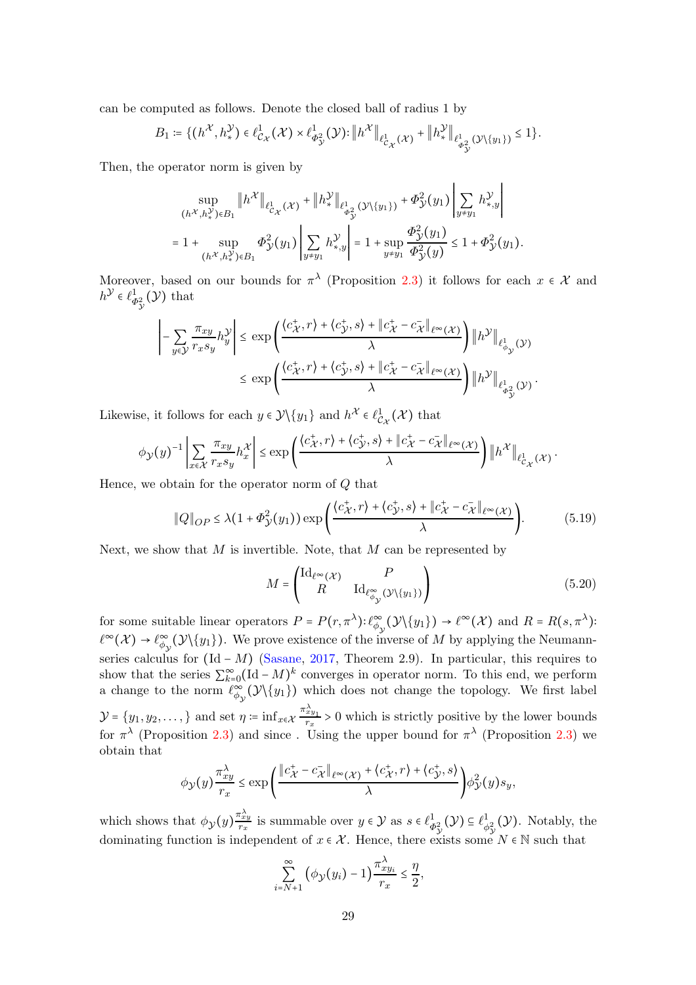can be computed as follows. Denote the closed ball of radius 1 by

$$
B_1\coloneqq\big\{\big(h^\mathcal X,h^\mathcal Y_*\big)\in\ell^1_{\mathcal C_\mathcal X}\big(\mathcal X\big)\times\ell^1_{\varPhi^2_\mathcal Y}\big(\mathcal Y\big) \colon\big\Vert h^\mathcal X\big\Vert_{\ell^1_{\mathcal C_\mathcal X}(\mathcal X)}+\big\Vert h^\mathcal Y_*\big\Vert_{\ell^1_{\varPhi^2_\mathcal Y}(\mathcal Y\setminus\{y_1\})}\leq 1\big\}.
$$

Then, the operator norm is given by

$$
\sup_{(h^{\mathcal{X}}, h^{\mathcal{Y}}_*) \in B_1} \|h^{\mathcal{X}}\|_{\ell^1_{C_{\mathcal{X}}}(\mathcal{X})} + \|h^{\mathcal{Y}}_*\|_{\ell^1_{\Phi^2_{\mathcal{Y}}}(\mathcal{Y} \setminus \{y_1\})} + \Phi^2_{\mathcal{Y}}(y_1) \left| \sum_{y \neq y_1} h^{\mathcal{Y}}_{*,y} \right|
$$
  
= 1 + 
$$
\sup_{(h^{\mathcal{X}}, h^{\mathcal{Y}}_*) \in B_1} \Phi^2_{\mathcal{Y}}(y_1) \left| \sum_{y \neq y_1} h^{\mathcal{Y}}_{*,y} \right| = 1 + \sup_{y \neq y_1} \frac{\Phi^2_{\mathcal{Y}}(y_1)}{\Phi^2_{\mathcal{Y}}(y)} \le 1 + \Phi^2_{\mathcal{Y}}(y_1).
$$

Moreover, based on our bounds for  $\pi^{\lambda}$  (Proposition [2.3\)](#page-7-3) it follows for each  $x \in \mathcal{X}$  and  $h^{\mathcal{Y}} \in \ell_{\varPhi^2_{\mathcal{Y}}}^1(\mathcal{Y})$  that

$$
\left|-\sum_{y\in\mathcal{Y}}\frac{\pi_{xy}}{r_xs_y}h^{\mathcal{Y}}_y\right|\leq \exp\left(\frac{\langle c^+_{{\mathcal{X}}},r\rangle+\langle c^+_{{\mathcal{Y}}},s\rangle+\|c^+_{{\mathcal{X}}}-c^{\scriptscriptstyle -}_{{\mathcal{X}}}\|_{\ell^\infty({\mathcal{X}})}}{\lambda}\right)\left\|h^{\mathcal{Y}}\right\|_{\ell^1_{\phi_{\mathcal{Y}}}({\mathcal{Y}})}\\ \leq \exp\left(\frac{\langle c^+_{{\mathcal{X}}},r\rangle+\langle c^+_{{\mathcal{Y}}},s\rangle+\|c^+_{{\mathcal{X}}}-c^{\scriptscriptstyle -}_{{\mathcal{X}}}\|_{\ell^\infty({\mathcal{X}})}}{\lambda}\right)\left\|h^{\mathcal{Y}}\right\|_{\ell^1_{\phi^2_{\mathcal{Y}}}({\mathcal{Y}})}.
$$

Likewise, it follows for each  $y \in \mathcal{Y} \setminus \{y_1\}$  and  $h^{\mathcal{X}} \in \ell^1_{C_{\mathcal{X}}}(\mathcal{X})$  that

$$
\phi_{\mathcal{Y}}(y)^{-1} \left| \sum_{x \in \mathcal{X}} \frac{\pi_{xy}}{r_x s_y} h_x^{\mathcal{X}} \right| \le \exp\left( \frac{\langle c_{\mathcal{X}}^+, r \rangle + \langle c_{\mathcal{Y}}^+, s \rangle + \| c_{\mathcal{X}}^+ - c_{\mathcal{X}}^- \|_{\ell^{\infty}(\mathcal{X})}}{\lambda} \right) \| h^{\mathcal{X}} \|_{\ell^1_{C_{\mathcal{X}}}(\mathcal{X})}.
$$

Hence, we obtain for the operator norm of Q that

$$
||Q||_{OP} \le \lambda \left(1 + \Phi_{\mathcal{Y}}^2(y_1)\right) \exp\left(\frac{\langle c_{\mathcal{X}}^+, r \rangle + \langle c_{\mathcal{Y}}^+, s \rangle + ||c_{\mathcal{X}}^+ - c_{\mathcal{X}}^-||_{\ell^\infty(\mathcal{X})}}{\lambda}\right).
$$
(5.19)

Next, we show that  $M$  is invertible. Note, that  $M$  can be represented by

<span id="page-28-0"></span>
$$
M = \begin{pmatrix} \mathrm{Id}_{\ell^{\infty}}(\mathcal{X}) & P \\ R & \mathrm{Id}_{\ell^{\infty}_{\phi_{\mathcal{Y}}}(\mathcal{Y}\backslash\{y_{1}\})} \end{pmatrix}
$$
(5.20)

for some suitable linear operators  $P = P(r, \pi^{\lambda}) : \ell_{\phi_{\mathcal{Y}}}^{\infty}(\mathcal{Y}\setminus\{y_1\}) \to \ell^{\infty}(\mathcal{X})$  and  $R = R(s, \pi^{\lambda})$ :  $\ell^{\infty}(\mathcal{X}) \to \ell^{\infty}_{\phi_{\mathcal{Y}}}(\mathcal{Y}\setminus \{y_1\})$ . We prove existence of the inverse of M by applying the Neumannseries calculus for  $(\text{Id} - M)$  [\(Sasane,](#page-39-13) [2017,](#page-39-13) Theorem 2.9). In particular, this requires to show that the series  $\sum_{k=0}^{\infty} (Id - M)^k$  converges in operator norm. To this end, we perform a change to the norm  $\ell^{\infty}_{\phi_{\mathcal{Y}}}(\mathcal{Y}\{\{y_1\})$  which does not change the topology. We first label  $\mathcal{Y} = \{y_1, y_2, \dots, \}$  and set  $\eta := \inf_{x \in \mathcal{X}} \frac{\pi_{xy_1}^{\lambda}}{r_x} > 0$  which is strictly positive by the lower bounds for  $\pi^{\lambda}$  (Proposition [2.3\)](#page-7-3) and since. Using the upper bound for  $\pi^{\lambda}$  (Proposition 2.3) we obtain that

$$
\phi_{\mathcal{Y}}(y) \frac{\pi_{xy}^{\lambda}}{r_x} \le \exp\left(\frac{\|c_{\mathcal{X}}^+ - c_{\mathcal{X}}^-\|_{\ell^{\infty}(\mathcal{X})} + \langle c_{\mathcal{X}}^+, r \rangle + \langle c_{\mathcal{Y}}^+, s \rangle}{\lambda}\right) \phi_{\mathcal{Y}}^2(y) s_y,
$$

which shows that  $\phi_{\mathcal{Y}}(y) \frac{\pi_{xy}^{\lambda}}{r_x}$  is summable over  $y \in \mathcal{Y}$  as  $s \in \ell_{\Phi_{\mathcal{Y}}^2}^1(\mathcal{Y}) \subseteq \ell_{\phi}^1$  $\frac{1}{\phi_{\mathcal{Y}}^2}(\mathcal{Y})$ . Notably, the dominating function is independent of  $x \in \mathcal{X}$ . Hence, there exists some  $N \in \mathbb{N}$  such that

$$
\sum_{i=N+1}^{\infty} \left( \phi_{\mathcal{Y}}(y_i) - 1 \right) \frac{\pi_{xy_i}^{\lambda}}{r_x} \le \frac{\eta}{2},
$$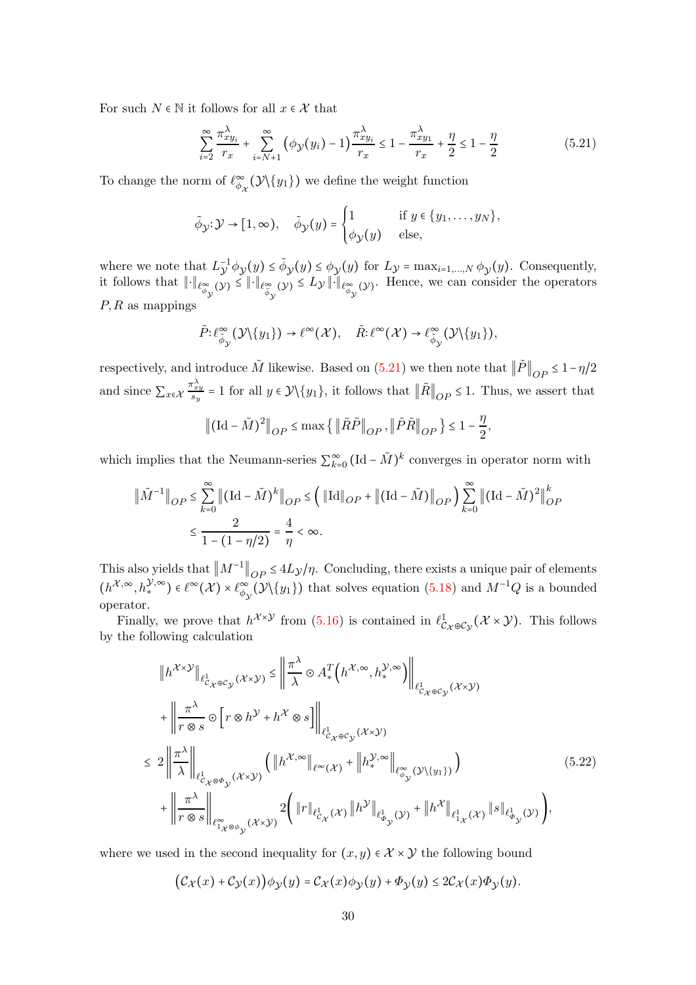For such  $N \in \mathbb{N}$  it follows for all  $x \in \mathcal{X}$  that

<span id="page-29-0"></span>
$$
\sum_{i=2}^{\infty} \frac{\pi_{xy_i}^{\lambda}}{r_x} + \sum_{i=N+1}^{\infty} \left( \phi_{\mathcal{Y}}(y_i) - 1 \right) \frac{\pi_{xy_i}^{\lambda}}{r_x} \le 1 - \frac{\pi_{xy_1}^{\lambda}}{r_x} + \frac{\eta}{2} \le 1 - \frac{\eta}{2}
$$
(5.21)

To change the norm of  $\ell_{\phi_{\mathcal{X}}}^{\infty}(\mathcal{Y}\setminus \{y_1\})$  we define the weight function

$$
\tilde{\phi}_{\mathcal{Y}} \colon \mathcal{Y} \to [1, \infty), \quad \tilde{\phi}_{\mathcal{Y}}(y) = \begin{cases} 1 & \text{if } y \in \{y_1, \dots, y_N\}, \\ \phi_{\mathcal{Y}}(y) & \text{else,} \end{cases}
$$

where we note that  $L_{\mathcal{Y}}^{-1}\phi_{\mathcal{Y}}(y) \leq \tilde{\phi}_{\mathcal{Y}}(y) \leq \phi_{\mathcal{Y}}(y)$  for  $L_{\mathcal{Y}} = \max_{i=1,\dots,N} \phi_{\mathcal{Y}}(y)$ . Consequently, it follows that  $\| \cdot \|_{\ell^{\infty}_{\phi_{\mathcal{Y}}(\mathcal{Y})}} \leq \| \cdot \|_{\ell^{\infty}_{\phi_{\mathcal{Y}}(\mathcal{Y})}} \leq L_{\mathcal{Y}} \|\cdot \|_{\ell^{\infty}_{\phi_{\mathcal{Y}}(\mathcal{Y})}}$ . Hence, we can consider the operators  $P, R$  as mappings

$$
\tilde{P}:\ell^{\infty}_{\tilde{\phi}_{\mathcal{Y}}}(\mathcal{Y}\backslash\{y_1\})\to \ell^{\infty}(\mathcal{X}), \quad \tilde{R}:\ell^{\infty}(\mathcal{X})\to \ell^{\infty}_{\tilde{\phi}_{\mathcal{Y}}}(\mathcal{Y}\backslash\{y_1\}),
$$

respectively, and introduce  $\tilde{M}$  likewise. Based on [\(5.21\)](#page-29-0) we then note that  $\|\tilde{P}\|_{OP} \leq 1-\eta/2$ and since  $\sum_{x \in \mathcal{X}} \frac{\pi_{xy}^{\lambda}}{s_y} = 1$  for all  $y \in \mathcal{Y} \setminus \{y_1\}$ , it follows that  $\|\tilde{R}\|_{OP} \leq 1$ . Thus, we assert that

$$
\left\| \left( \operatorname{Id} - \tilde{M} \right)^2 \right\|_{OP} \leq \max \left\{ \left\| \tilde{R}\tilde{P} \right\|_{OP}, \left\| \tilde{P}\tilde{R} \right\|_{OP} \right\} \leq 1 - \frac{\eta}{2},
$$

which implies that the Neumann-series  $\sum_{k=0}^{\infty} (\text{Id} - \tilde{M})^k$  converges in operator norm with

$$
\|\tilde{M}^{-1}\|_{OP} \le \sum_{k=0}^{\infty} \|( \text{Id} - \tilde{M})^k \|_{OP} \le ( \|\text{Id}\|_{OP} + \| (\text{Id} - \tilde{M}) \|_{OP} ) \sum_{k=0}^{\infty} \| (\text{Id} - \tilde{M})^2 \|_{OP}^k
$$
  

$$
\le \frac{2}{1 - (1 - \eta/2)} = \frac{4}{\eta} < \infty.
$$

This also yields that  $||M^{-1}||_{OP} \le 4L_y/\eta$ . Concluding, there exists a unique pair of elements  $(h^{\mathcal{X},\infty},h_*^{\mathcal{Y},\infty}) \in \ell^{\infty}(\mathcal{X}) \times \ell_{\phi_{\mathcal{Y}}}^{\infty}(\mathcal{Y}\setminus \{y_1\})$  that solves equation  $(5.18)$  and  $M^{-1}Q$  is a bounded operator.

Finally, we prove that  $h^{\chi \times \mathcal{Y}}$  from [\(5.16\)](#page-26-4) is contained in  $\ell^1_{\mathcal{C}_\mathcal{X} \oplus \mathcal{C}_\mathcal{Y}}(\mathcal{X} \times \mathcal{Y})$ . This follows by the following calculation

$$
\|h^{\chi\times\mathcal{Y}}\|_{\ell_{C_{\chi\oplus C_{\mathcal{Y}}}^{1}(\chi\times\mathcal{Y})}\leq \left\|\frac{\pi^{\lambda}}{\lambda}\odot A_{\star}^{T}\left(h^{\chi,\infty},h_{\star}^{\mathcal{Y},\infty}\right)\right\|_{\ell_{C_{\chi\oplus C_{\mathcal{Y}}}^{1}(\chi\times\mathcal{Y})}
$$
\n
$$
+\left\|\frac{\pi^{\lambda}}{r\otimes s}\odot\left[r\otimes h^{\mathcal{Y}}+h^{\chi}\otimes s\right]\right\|_{\ell_{C_{\chi\oplus C_{\mathcal{Y}}}^{1}(\chi\times\mathcal{Y})}
$$
\n
$$
\leq 2\left\|\frac{\pi^{\lambda}}{\lambda}\right\|_{\ell_{C_{\chi\oplus \Phi_{\mathcal{Y}}}^{1}(\chi\times\mathcal{Y})}\left(\left\|h^{\chi,\infty}\right\|_{\ell^{\infty}(\chi)}+\left\|h_{\star}^{\mathcal{Y},\infty}\right\|_{\ell^{\infty}_{\phi_{\mathcal{Y}}}(\mathcal{Y}\backslash\{y_{1}\})}\right)
$$
\n
$$
+\left\|\frac{\pi^{\lambda}}{r\otimes s}\right\|_{\ell^{\infty}_{1\chi\otimes\phi_{\mathcal{Y}}}(\chi\times\mathcal{Y})}2\left(\left\|r\right\|_{\ell^1_{C_{\chi}}(\chi)}\left\|h^{\mathcal{Y}}\right\|_{\ell^1_{\phi_{\mathcal{Y}}}(\mathcal{Y})}+\left\|h^{\chi}\right\|_{\ell^1_{1\chi}(\chi)}\left\|s\right\|_{\ell^1_{\phi_{\mathcal{Y}}}(\mathcal{Y})}\right),\tag{5.22}
$$

where we used in the second inequality for  $(x, y) \in \mathcal{X} \times \mathcal{Y}$  the following bound

<span id="page-29-1"></span>
$$
(C_{\mathcal{X}}(x)+C_{\mathcal{Y}}(x))\phi_{\mathcal{Y}}(y)=C_{\mathcal{X}}(x)\phi_{\mathcal{Y}}(y)+\Phi_{\mathcal{Y}}(y)\leq 2C_{\mathcal{X}}(x)\Phi_{\mathcal{Y}}(y).
$$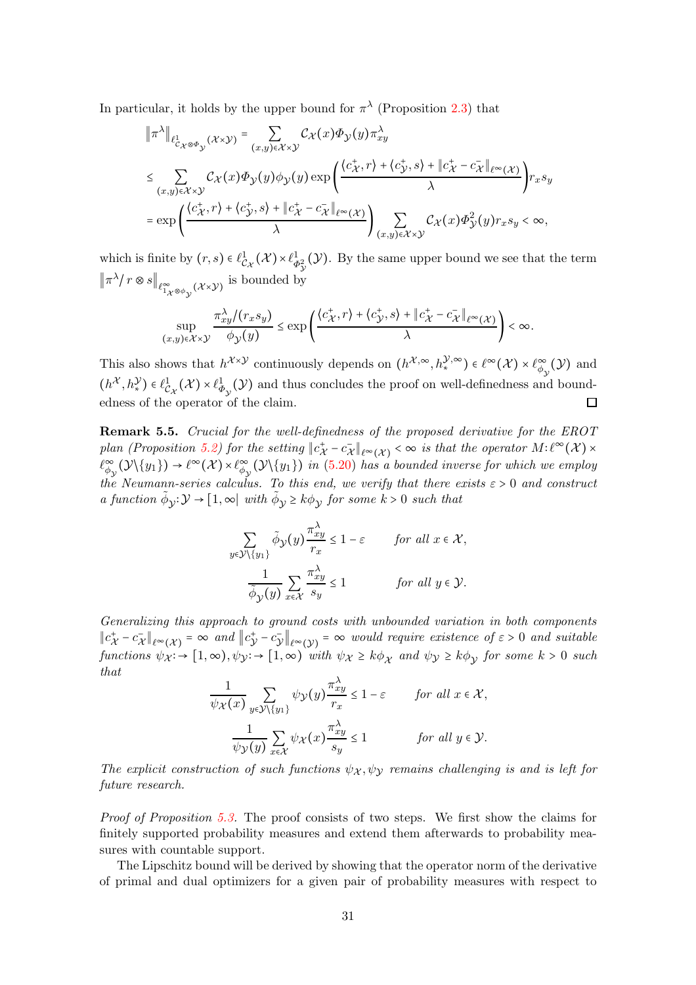In particular, it holds by the upper bound for  $\pi^{\lambda}$  (Proposition [2.3\)](#page-7-3) that

$$
\begin{split} &\left\|\pi^{\lambda}\right\|_{\ell_{C_{\mathcal{X}}\otimes\Phi_{\mathcal{Y}}}^{1}(\mathcal{X}\times\mathcal{Y})}=\sum_{(x,y)\in\mathcal{X}\times\mathcal{Y}}\mathcal{C}_{\mathcal{X}}(x)\Phi_{\mathcal{Y}}(y)\pi_{xy}^{\lambda} \\ &\leq \sum_{(x,y)\in\mathcal{X}\times\mathcal{Y}}\mathcal{C}_{\mathcal{X}}(x)\Phi_{\mathcal{Y}}(y)\phi_{\mathcal{Y}}(y)\exp\left(\frac{\langle c_{\mathcal{X}}^{+},r\rangle+\langle c_{\mathcal{Y}}^{+},s\rangle+\|c_{\mathcal{X}}^{+}-c_{\mathcal{X}}^{-}\|_{\ell^{\infty}(\mathcal{X})}}{\lambda}\right)r_{x}s_{y} \\ &=\exp\left(\frac{\langle c_{\mathcal{X}}^{+},r\rangle+\langle c_{\mathcal{Y}}^{+},s\rangle+\|c_{\mathcal{X}}^{+}-c_{\mathcal{X}}^{-}\|_{\ell^{\infty}(\mathcal{X})}}{\lambda}\right)\sum_{(x,y)\in\mathcal{X}\times\mathcal{Y}}\mathcal{C}_{\mathcal{X}}(x)\Phi_{\mathcal{Y}}^{2}(y)r_{x}s_{y}<\infty, \end{split}
$$

which is finite by  $(r, s) \in \ell^1_{C_{\mathcal{X}}}(\mathcal{X}) \times \ell^1_{\Phi^2_{\mathcal{Y}}}(\mathcal{Y})$ . By the same upper bound we see that the term  $\|\pi^{\lambda}/r\otimes s\|_{\ell^{\infty}_{1_{\mathcal{X}}\otimes\phi_{\mathcal{Y}}}(\mathcal{X}\times \mathcal{Y})}$  is bounded by

$$
\sup_{(x,y)\in\mathcal{X}\times\mathcal{Y}}\frac{\pi_{xy}^{\lambda}/(r_xs_y)}{\phi_y(y)} \le \exp\left(\frac{\langle c_{\mathcal{X}}^+,r\rangle+\langle c_{\mathcal{Y}}^+,s\rangle+\|c_{\mathcal{X}}^+-c_{\mathcal{X}}^-\|_{\ell^{\infty}(\mathcal{X})}}{\lambda}\right) < \infty.
$$

This also shows that  $h^{\mathcal{X}\times\mathcal{Y}}$  continuously depends on  $(h^{\mathcal{X},\infty},h_*^{\mathcal{Y},\infty})\in \ell^{\infty}(\mathcal{X})\times \ell_{\phi_{\mathcal{Y}}}^{\infty}(\mathcal{Y})$  and  $(h^{\mathcal{X}}, h^{\mathcal{Y}}_*) \in \ell^1_{\mathcal{C}_{\mathcal{X}}}(\mathcal{X}) \times \ell^1_{\Phi_{\mathcal{Y}}}(\mathcal{Y})$  and thus concludes the proof on well-definedness and boundedness of the operator of the claim.  $\Box$ 

<span id="page-30-0"></span>**Remark 5.5.** Crucial for the well-definedness of the proposed derivative for the EROT plan (Proposition [5.2\)](#page-25-0) for the setting  $||c^+_{\mathcal{X}} - c^-_{\mathcal{X}}||_{\ell^{\infty}(\mathcal{X})} < \infty$  is that the operator  $M:\ell^{\infty}(\mathcal{X}) \times$  $\ell^{\infty}_{\phi_{\mathcal{Y}}}(\mathcal{Y}\setminus \{y_1\}) \to \ell^{\infty}(\mathcal{X}) \times \ell^{\infty}_{\phi_{\mathcal{Y}}}(\mathcal{Y}\setminus \{y_1\})$  in [\(5.20\)](#page-28-0) has a bounded inverse for which we employ the Neumann-series calculus. To this end, we verify that there exists  $\varepsilon > 0$  and construct a function  $\tilde{\phi}_{\mathcal{Y}} : \mathcal{Y} \to [1, \infty]$  with  $\tilde{\phi}_{\mathcal{Y}} \geq k \phi_{\mathcal{Y}}$  for some  $k > 0$  such that

$$
\sum_{y \in \mathcal{Y} \setminus \{y_1\}} \tilde{\phi}_{\mathcal{Y}}(y) \frac{\pi_{xy}^{\lambda}}{r_x} \le 1 - \varepsilon \quad \text{for all } x \in \mathcal{X},
$$

$$
\frac{1}{\tilde{\phi}_{\mathcal{Y}}(y)} \sum_{x \in \mathcal{X}} \frac{\pi_{xy}^{\lambda}}{s_y} \le 1 \quad \text{for all } y \in \mathcal{Y}.
$$

Generalizing this approach to ground costs with unbounded variation in both components  $||c^+_{\mathcal{X}} - c^-_{\mathcal{X}}||_{\ell^{\infty}(\mathcal{X})} = \infty$  and  $||c^+_{\mathcal{Y}} - c^-_{\mathcal{Y}}||_{\ell^{\infty}(\mathcal{Y})} = \infty$  would require existence of  $\varepsilon > 0$  and suitable functions  $\psi_{\mathcal{X}} \to [1, \infty), \psi_{\mathcal{Y}} \to [1, \infty)$  with  $\psi_{\mathcal{X}} \geq k \phi_{\mathcal{X}}$  and  $\psi_{\mathcal{Y}} \geq k \phi_{\mathcal{Y}}$  for some  $k > 0$  such that

$$
\frac{1}{\psi_{\mathcal{X}}(x)} \sum_{y \in \mathcal{Y} \setminus \{y_1\}} \psi_{\mathcal{Y}}(y) \frac{\pi_{xy}^{\lambda}}{r_x} \le 1 - \varepsilon \quad \text{for all } x \in \mathcal{X},
$$

$$
\frac{1}{\psi_{\mathcal{Y}}(y)} \sum_{x \in \mathcal{X}} \psi_{\mathcal{X}}(x) \frac{\pi_{xy}^{\lambda}}{s_y} \le 1 \quad \text{for all } y \in \mathcal{Y}.
$$

The explicit construction of such functions  $\psi_{\mathcal{X}}, \psi_{\mathcal{Y}}$  remains challenging is and is left for future research.

Proof of Proposition [5.3.](#page-25-1) The proof consists of two steps. We first show the claims for finitely supported probability measures and extend them afterwards to probability measures with countable support.

The Lipschitz bound will be derived by showing that the operator norm of the derivative of primal and dual optimizers for a given pair of probability measures with respect to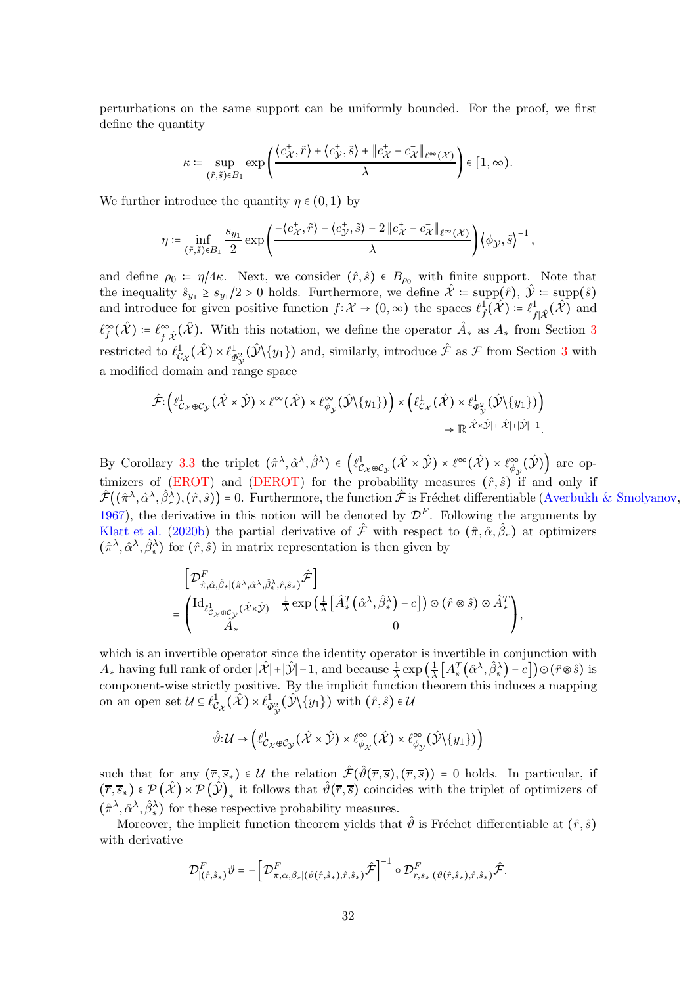perturbations on the same support can be uniformly bounded. For the proof, we first define the quantity

$$
\kappa \coloneqq \sup_{(\tilde{r},\tilde{s})\in B_1} \exp\left(\frac{\langle c_{\mathcal{X}}^+, \tilde{r}\rangle + \langle c_{\mathcal{Y}}^+, \tilde{s}\rangle + \|c_{\mathcal{X}}^+ - c_{\mathcal{X}}^- \|_{\ell^\infty(\mathcal{X})}}{\lambda}\right) \in [1,\infty).
$$

We further introduce the quantity  $\eta \in (0,1)$  by

$$
\eta \coloneqq \inf_{(\tilde{r},\tilde{s})\in B_1} \frac{s_{y_1}}{2} \exp\left(\frac{-\langle c_{\mathcal{X}}^+, \tilde{r}\rangle - \langle c_{\mathcal{Y}}^+, \tilde{s}\rangle - 2\left\|c_{\mathcal{X}}^+ - c_{\mathcal{X}}^- \right\|_{\ell^\infty(\mathcal{X})}}{\lambda}\right) \left\langle \phi_{\mathcal{Y}}, \tilde{s}\right\rangle^{-1},
$$

and define  $\rho_0 = \eta/4\kappa$ . Next, we consider  $(\hat{r}, \hat{s}) \in B_{\rho_0}$  with finite support. Note that the inequality  $\hat{s}_{y_1} \geq s_{y_1}/2 > 0$  holds. Furthermore, we define  $\hat{\mathcal{X}} \coloneqq \text{supp}(\hat{r})$ ,  $\hat{\mathcal{Y}} \coloneqq \text{supp}(\hat{s})$ and introduce for given positive function  $f: \mathcal{X} \to (0, \infty)$  the spaces  $\ell_f^1(\hat{\mathcal{X}}) \coloneqq \ell_f^1(\hat{\mathcal{X}})$  and  $\ell_f^{\infty}(\hat{\mathcal{X}}) \coloneqq \ell_{f|\hat{\mathcal{X}}}^{\infty}(\hat{\mathcal{X}})$ . With this notation, we define the operator  $\hat{A}_{*}$  as  $A_{*}$  from Section [3](#page-8-0) restricted to  $\ell^1_{\mathcal{C}_{\mathcal{X}}}(\hat{\mathcal{X}}) \times \ell^1_{\Phi^2_{\mathcal{Y}}}(\hat{\mathcal{Y}} \setminus {\{y_1\}})$  and, similarly, introduce  $\hat{\mathcal{F}}$  as  $\mathcal{F}$  from Section [3](#page-8-0) with a modified domain and range space

$$
\hat{\mathcal{F}}: \left( \ell^1_{\mathcal{C}_{\mathcal{X}} \oplus \mathcal{C}_{\mathcal{Y}}} (\hat{\mathcal{X}} \times \hat{\mathcal{Y}}) \times \ell^{\infty}(\hat{\mathcal{X}}) \times \ell^{\infty}_{\phi_{\mathcal{Y}}} (\hat{\mathcal{Y}} \setminus \{y_1\}) \right) \times \left( \ell^1_{\mathcal{C}_{\mathcal{X}}} (\hat{\mathcal{X}}) \times \ell^1_{\phi_{\mathcal{Y}}^2} (\hat{\mathcal{Y}} \setminus \{y_1\}) \right) \to \mathbb{R}^{|\hat{\mathcal{X}} \times \hat{\mathcal{Y}}| + |\hat{\mathcal{X}}| + |\hat{\mathcal{Y}}| - 1}.
$$

By Corollary [3.3](#page-10-3) the triplet  $(\hat{\pi}^{\lambda}, \hat{\alpha}^{\lambda}, \hat{\beta}^{\lambda}) \in (\ell^1_{\mathcal{C}_{\mathcal{X}} \oplus \mathcal{C}_{\mathcal{Y}}}(\hat{\mathcal{X}} \times \hat{\mathcal{Y}}) \times \ell^{\infty}(\hat{\mathcal{X}}) \times \ell^{\infty}_{\phi_{\mathcal{Y}}}(\hat{\mathcal{Y}}))$  are op-timizers of [\(EROT\)](#page-1-0) and [\(DEROT\)](#page-1-1) for the probability measures  $(\hat{r}, \hat{s})$  if and only if  $\hat{\mathcal{F}}((\hat{\pi}^{\lambda}, \hat{\alpha}^{\lambda}, \hat{\beta}^{\lambda}_{*}), (\hat{r}, \hat{s})) = 0$ . Furthermore, the function  $\hat{\mathcal{F}}$  is Fréchet differentiable [\(Averbukh & Smolyanov,](#page-36-10) [1967\)](#page-36-10), the derivative in this notion will be denoted by  $\mathcal{D}^F$ . Following the arguments by [Klatt et al.](#page-38-10) [\(2020b](#page-38-10)) the partial derivative of  $\hat{\mathcal{F}}$  with respect to  $(\hat{\pi}, \hat{\alpha}, \hat{\beta}_*)$  at optimizers  $(\hat{\pi}^{\lambda}, \hat{\alpha}^{\lambda}, \hat{\beta}^{\lambda}_{*})$  for  $(\hat{r}, \hat{s})$  in matrix representation is then given by

$$
\begin{aligned} & \left[ \mathcal{D}^F_{\hat{\pi}, \hat{\alpha}, \hat{\beta} * | (\hat{\pi}^{\lambda}, \hat{\alpha}^{\lambda}, \hat{\beta}^{\lambda}_*, \hat{r}, \hat{s}_*)} \hat{\mathcal{F}} \right] \\ &= \begin{pmatrix} \mathrm{Id}_{\ell^1_{\mathcal{C}_{\mathcal{X}} \oplus \mathcal{C}_{\mathcal{Y}}} (\hat{\mathcal{X}} \times \hat{\mathcal{Y}}) & \frac{1}{\lambda} \exp\left(\frac{1}{\lambda} \left[ \hat{A}^T_*(\hat{\alpha}^{\lambda}, \hat{\beta}^{\lambda}_*) - c \right] \right) \odot (\hat{r} \otimes \hat{s}) \odot \hat{A}^T_* \\ \hat{A}_* & 0 \end{pmatrix}, \end{aligned}
$$

which is an invertible operator since the identity operator is invertible in conjunction with  $A_*$  having full rank of order  $|\hat{\mathcal{X}}|$ + $|\hat{\mathcal{Y}}|$ -1, and because  $\frac{1}{\lambda} \exp\left(\frac{1}{\lambda}\right)$  $\frac{1}{\lambda}\left[A_*^T(\hat{\alpha}^\lambda,\hat{\beta}_*^\lambda)-c\right])\odot(\hat{r}\otimes\hat{s})$  is component-wise strictly positive. By the implicit function theorem this induces a mapping on an open set  $\mathcal{U} \subseteq \ell_{\mathcal{C}_{\mathcal{X}}}^1(\hat{\mathcal{X}}) \times \ell_{\varPhi^2_{\mathcal{Y}}}^1(\hat{\mathcal{Y}} \setminus \{y_1\})$  with  $(\hat{r}, \hat{s}) \in \mathcal{U}$ 

$$
\hat{\vartheta}\!:\!\mathcal{U}\to\left(\ell_{\mathcal{C}_{\mathcal{X}}\oplus\mathcal{C}_{\mathcal{Y}}}^1(\hat{\mathcal{X}}\times\hat{\mathcal{Y}})\times\ell_{\phi_{\mathcal{X}}}^{\infty}(\hat{\mathcal{X}})\times\ell_{\phi_{\mathcal{Y}}}^{\infty}(\hat{\mathcal{Y}}\backslash\{y_1\})\right)
$$

such that for any  $(\overline{r}, \overline{s}_*) \in \mathcal{U}$  the relation  $\mathcal{F}(\hat{\vartheta}(\overline{r}, \overline{s}), (\overline{r}, \overline{s})) = 0$  holds. In particular, if  $(\overline{r}, \overline{s}_*) \in \mathcal{P}(\hat{\mathcal{X}}) \times \mathcal{P}(\hat{\mathcal{Y}})_*$  it follows that  $\hat{\vartheta}(\overline{r}, \overline{s})$  coincides with the triplet of optimizers of  $(\hat{\pi}^{\lambda}, \hat{\alpha}^{\lambda}, \hat{\beta}^{\lambda}_{*})$  for these respective probability measures.

Moreover, the implicit function theorem yields that  $\hat{\theta}$  is Fréchet differentiable at  $(\hat{r}, \hat{s})$ with derivative

$$
\mathcal{D}_{|(\hat{r},\hat{s}_{*})}^F \vartheta = -\left[\mathcal{D}_{\pi,\alpha,\beta_{*}|(\vartheta(\hat{r},\hat{s}_{*}),\hat{r},\hat{s}_{*})}^F\right]^{-1} \circ \mathcal{D}_{r,s_{*}|(\vartheta(\hat{r},\hat{s}_{*}),\hat{r},\hat{s}_{*})}^F \hat{\mathcal{F}}.
$$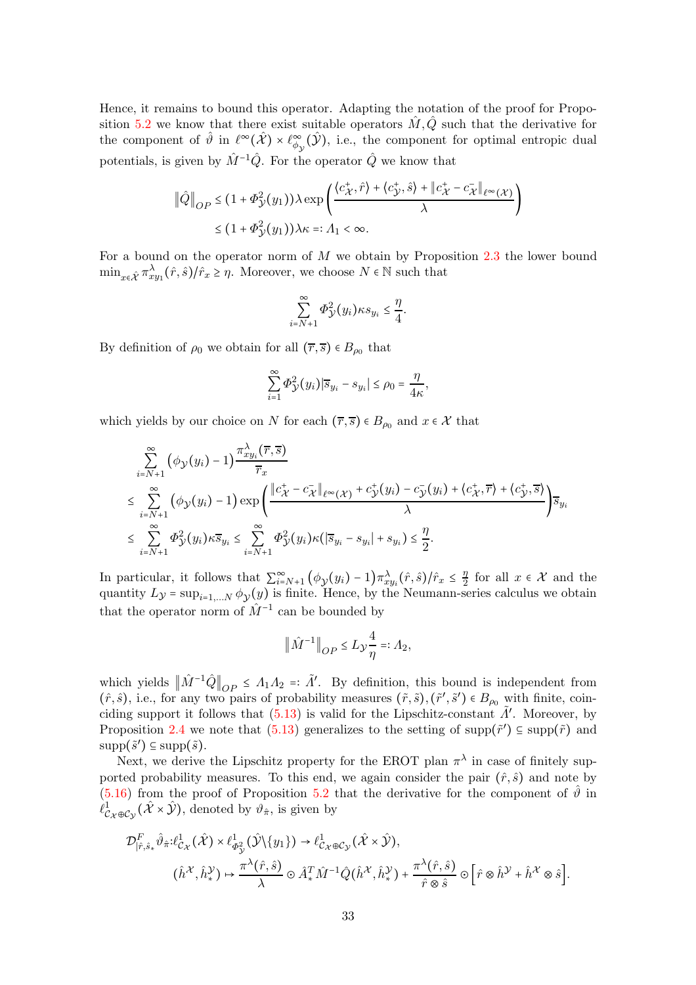Hence, it remains to bound this operator. Adapting the notation of the proof for Propo-sition [5.2](#page-25-0) we know that there exist suitable operators  $\hat{M}, \hat{Q}$  such that the derivative for the component of  $\hat{\vartheta}$  in  $\ell^{\infty}(\hat{\mathcal{X}}) \times \ell^{\infty}_{\phi_{\mathcal{Y}}}(\hat{\mathcal{Y}})$ , i.e., the component for optimal entropic dual potentials, is given by  $\hat{M}^{-1}\hat{Q}$ . For the operator  $\hat{Q}$  we know that

$$
\|\hat{Q}\|_{OP} \le (1 + \Phi_{\mathcal{Y}}^2(y_1))\lambda \exp\left(\frac{\langle c_{\mathcal{X}}^+, \hat{r} \rangle + \langle c_{\mathcal{Y}}^+, \hat{s} \rangle + \|c_{\mathcal{X}}^+ - c_{\mathcal{X}}^- \|_{\ell^{\infty}(\mathcal{X})}}{\lambda}\right)
$$

$$
\le (1 + \Phi_{\mathcal{Y}}^2(y_1))\lambda \kappa =: \Lambda_1 < \infty.
$$

For a bound on the operator norm of  $M$  we obtain by Proposition [2.3](#page-7-3) the lower bound  $\min_{x \in \hat{\mathcal{X}}} \pi_{xy_1}^{\lambda}(\hat{r}, \hat{s})/\hat{r}_x \geq \eta$ . Moreover, we choose  $N \in \mathbb{N}$  such that

$$
\sum_{i=N+1}^{\infty} \Phi_{\mathcal{Y}}^2(y_i) \kappa s_{y_i} \leq \frac{\eta}{4}.
$$

By definition of  $\rho_0$  we obtain for all  $(\overline{r}, \overline{s}) \in B_{\rho_0}$  that

$$
\sum_{i=1}^{\infty} \Phi_{\mathcal{Y}}^2(y_i) |\overline{s}_{y_i} - s_{y_i}| \le \rho_0 = \frac{\eta}{4\kappa},
$$

which yields by our choice on N for each  $(\overline{r}, \overline{s}) \in B_{\rho_0}$  and  $x \in \mathcal{X}$  that

$$
\sum_{i=N+1}^{\infty} (\phi_{\mathcal{Y}}(y_i) - 1) \frac{\pi_{xy_i}^{\lambda}(\overline{r}, \overline{s})}{\overline{r}_x}
$$
\n
$$
\leq \sum_{i=N+1}^{\infty} (\phi_{\mathcal{Y}}(y_i) - 1) \exp\left(\frac{\|c_{\mathcal{X}}^{\dagger} - c_{\mathcal{X}}^{\dagger}\|_{\ell^{\infty}(\mathcal{X})} + c_{\mathcal{Y}}^{\dagger}(y_i) - c_{\mathcal{Y}}^{\dagger}(y_i) + \langle c_{\mathcal{X}}^{\dagger}, \overline{r} \rangle + \langle c_{\mathcal{Y}}^{\dagger}, \overline{s} \rangle}{\lambda}\right) \overline{s}_{y_i}
$$
\n
$$
\leq \sum_{i=N+1}^{\infty} \Phi_{\mathcal{Y}}^2(y_i) \kappa \overline{s}_{y_i} \leq \sum_{i=N+1}^{\infty} \Phi_{\mathcal{Y}}^2(y_i) \kappa(|\overline{s}_{y_i} - s_{y_i}| + s_{y_i}) \leq \frac{\eta}{2}.
$$

In particular, it follows that  $\sum_{i=N+1}^{\infty} (\phi_{\mathcal{Y}}(y_i) - 1) \pi_{xy_i}^{\lambda}(\hat{r}, \hat{s}) / \hat{r}_x \leq \frac{\eta}{2}$  $\frac{\eta}{2}$  for all  $x \in \mathcal{X}$  and the quantity  $L_y = \sup_{i=1,...N} \phi_y(y)$  is finite. Hence, by the Neumann-series calculus we obtain that the operator norm of  $\hat{M}^{-1}$  can be bounded by

$$
\|\hat{M}^{-1}\|_{OP} \le L_{\mathcal{Y}} \frac{4}{\eta} =: A_2,
$$

which yields  $\|\hat{M}^{-1}\hat{Q}\|_{OP} \leq A_1 A_2 =: \tilde{A}'$ . By definition, this bound is independent from  $(\hat{r}, \hat{s})$ , i.e., for any two pairs of probability measures  $(\tilde{r}, \tilde{s})$ ,  $(\tilde{r}', \tilde{s}') \in B_{\rho_0}$  with finite, coinciding support it follows that  $(5.13)$  is valid for the Lipschitz-constant  $\tilde{\Lambda}'$ . Moreover, by Proposition [2.4](#page-8-2) we note that  $(5.13)$  generalizes to the setting of supp $(\tilde{r}') \subseteq \text{supp}(\tilde{r})$  and  $supp(\tilde{s}') \subseteq supp(\tilde{s})$ .

Next, we derive the Lipschitz property for the EROT plan  $\pi^{\lambda}$  in case of finitely supported probability measures. To this end, we again consider the pair  $(\hat{r}, \hat{s})$  and note by  $(5.16)$  from the proof of Proposition [5.2](#page-25-0) that the derivative for the component of  $\hat{\theta}$  in  $\ell^1_{\mathcal{C}_{\mathcal{X}}\oplus\mathcal{C}_{\mathcal{Y}}}(\hat{\mathcal{X}}\times\hat{\mathcal{Y}})$ , denoted by  $\vartheta_{\hat{\pi}}$ , is given by

$$
\mathcal{D}^{F}_{\vert \hat{r},\hat{s}_{*}}\hat{\vartheta}_{\hat{\pi}}:\ell^{1}_{C_{\mathcal{X}}}(\hat{\mathcal{X}})\times\ell^{1}_{\Phi^{2}_{\mathcal{Y}}}(\hat{\mathcal{Y}}\setminus\{y_{1}\})\to\ell^{1}_{C_{\mathcal{X}}\oplus C_{\mathcal{Y}}}(\hat{\mathcal{X}}\times\hat{\mathcal{Y}}),(\hat{h}^{\mathcal{X}},\hat{h}^{\mathcal{Y}}_{*})\mapsto\frac{\pi^{\lambda}(\hat{r},\hat{s})}{\lambda}\odot\hat{A}^{T}_{*}\hat{M}^{-1}\hat{Q}(\hat{h}^{\mathcal{X}},\hat{h}^{\mathcal{Y}}_{*})+\frac{\pi^{\lambda}(\hat{r},\hat{s})}{\hat{r}\otimes\hat{s}}\odot[\hat{r}\otimes\hat{h}^{\mathcal{Y}}+\hat{h}^{\mathcal{X}}\otimes\hat{s}].
$$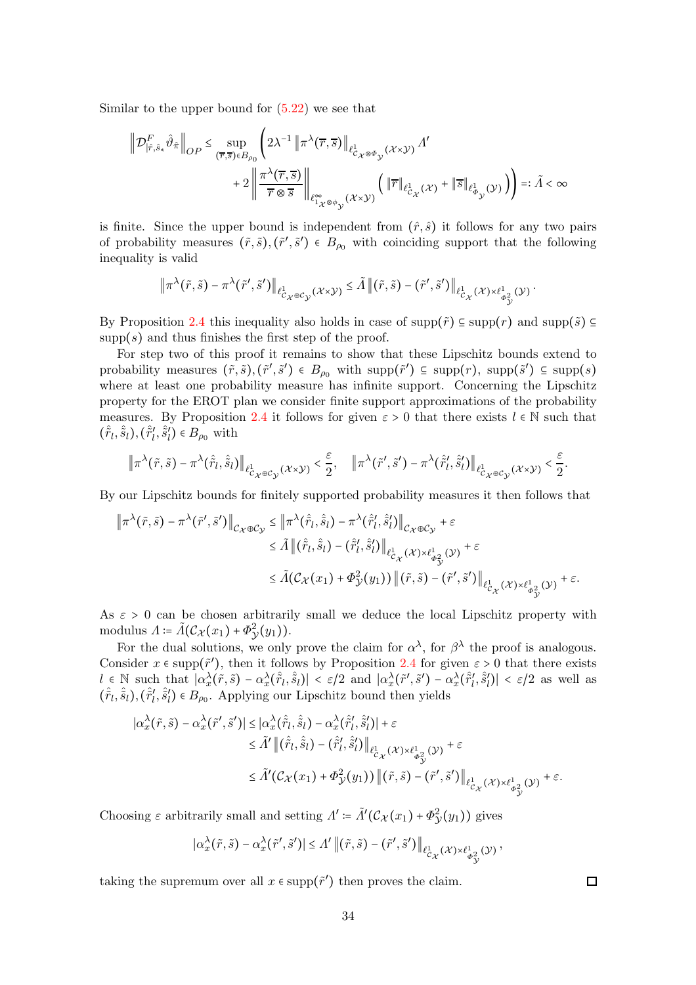Similar to the upper bound for  $(5.22)$  we see that

$$
\left\| \mathcal{D}^F_{|\hat{r},\hat{s}_{*}} \hat{\vartheta}_{\hat{\pi}} \right\|_{OP} \leq \sup_{(\overline{r},\overline{s}) \in B_{\rho_0}} \left( 2\lambda^{-1} \left\| \pi^{\lambda}(\overline{r},\overline{s}) \right\|_{\ell^1_{C_{\mathcal{X}} \otimes \Phi_{\mathcal{Y}}}(\mathcal{X} \times \mathcal{Y})} \Lambda' \right. \\
\left. + 2 \left\| \frac{\pi^{\lambda}(\overline{r},\overline{s})}{\overline{r} \otimes \overline{s}} \right\|_{\ell^{\infty}_{1_{\mathcal{X}} \otimes \phi_{\mathcal{Y}}}(\mathcal{X} \times \mathcal{Y})} \left( \left\| \overline{r} \right\|_{\ell^1_{C_{\mathcal{X}}}(\mathcal{X})} + \left\| \overline{s} \right\|_{\ell^1_{\Phi_{\mathcal{Y}}}(\mathcal{Y})} \right) \right) =: \tilde{\Lambda} < \infty
$$

is finite. Since the upper bound is independent from  $(\hat{r}, \hat{s})$  it follows for any two pairs of probability measures  $(\tilde{r}, \tilde{s}), (\tilde{r}', \tilde{s}') \in B_{\rho_0}$  with coinciding support that the following inequality is valid

$$
\left\|\pi^{\lambda}(\tilde{r},\tilde{s})-\pi^{\lambda}(\tilde{r}',\tilde{s}')\right\|_{\ell^1_{C_{\mathcal{X}}\oplus C_{\mathcal{Y}}}(\mathcal{X}\times \mathcal{Y})}\leq \tilde{A}\left\|(\tilde{r},\tilde{s})-(\tilde{r}',\tilde{s}')\right\|_{\ell^1_{C_{\mathcal{X}}}(\mathcal{X})\times \ell^1_{\Phi^2_{\mathcal{Y}}}(\mathcal{Y})}.
$$

By Proposition [2.4](#page-8-2) this inequality also holds in case of supp( $\tilde{r}$ ) ⊆ supp( $r$ ) and supp( $\tilde{s}$ ) ⊆  $supp(s)$  and thus finishes the first step of the proof.

For step two of this proof it remains to show that these Lipschitz bounds extend to probability measures  $(\tilde{r}, \tilde{s}), (\tilde{r}', \tilde{s}') \in B_{\rho_0}$  with  $\text{supp}(\tilde{r}') \subseteq \text{supp}(r)$ ,  $\text{supp}(\tilde{s}') \subseteq \text{supp}(s)$ where at least one probability measure has infinite support. Concerning the Lipschitz property for the EROT plan we consider finite support approximations of the probability measures. By Proposition [2.4](#page-8-2) it follows for given  $\varepsilon > 0$  that there exists  $l \in \mathbb{N}$  such that  $(\hat{\tilde{r}}_l, \hat{\tilde{s}}_l), (\hat{\tilde{r}}'_l, \hat{\tilde{s}}'_l) \in B_{\rho_0}$  with

$$
\left\| \pi^\lambda\big(\tilde{r},\tilde{s}\big) - \pi^\lambda\big(\hat{\tilde{r}}_l,\hat{\tilde{s}}_l\big) \right\|_{\ell^1_{C_\mathcal{X} \oplus \mathcal{C}_\mathcal{Y}}(\mathcal{X} \times \mathcal{Y})} < \frac{\varepsilon}{2}, \quad \left\| \pi^\lambda\big(\tilde{r}',\tilde{s}'\big) - \pi^\lambda\big(\hat{\tilde{r}}'_l,\hat{\tilde{s}}'_l\big) \right\|_{\ell^1_{C_\mathcal{X} \oplus C_\mathcal{Y}}(\mathcal{X} \times \mathcal{Y})} < \frac{\varepsilon}{2}.
$$

By our Lipschitz bounds for finitely supported probability measures it then follows that

$$
\begin{split} \left\|\pi^{\lambda}(\tilde{r},\tilde{s})-\pi^{\lambda}(\tilde{r}',\tilde{s}')\right\|_{\mathcal{C}_{\mathcal{X}}\oplus\mathcal{C}_{\mathcal{Y}}}\leq\left\|\pi^{\lambda}(\hat{\tilde{r}}_{l},\hat{\tilde{s}}_{l})-\pi^{\lambda}(\hat{\tilde{r}}'_{l},\hat{\tilde{s}}'_{l})\right\|_{\mathcal{C}_{\mathcal{X}}\oplus\mathcal{C}_{\mathcal{Y}}}+\varepsilon\\ &\leq\tilde{\Lambda}\left\|(\hat{\tilde{r}}_{l},\hat{\tilde{s}}_{l})-(\hat{\tilde{r}}'_{l},\hat{\tilde{s}}'_{l})\right\|_{\ell_{C_{\mathcal{X}}}^{1}(\mathcal{X})\times\ell_{\varPhi_{\tilde{\mathcal{Y}}}^{1}}^{1}(\mathcal{Y})}+\varepsilon\\ &\leq\tilde{\Lambda}(\mathcal{C}_{\mathcal{X}}(x_{1})+\Phi_{\mathcal{Y}}^{2}(y_{1}))\left\|(\tilde{r},\tilde{s})-(\tilde{r}',\tilde{s}')\right\|_{\ell_{C_{\mathcal{X}}}^{1}(\mathcal{X})\times\ell_{\varPhi_{\tilde{\mathcal{Y}}}^{1}}^{1}(\mathcal{Y})}+\varepsilon.\end{split}
$$

As  $\varepsilon > 0$  can be chosen arbitrarily small we deduce the local Lipschitz property with modulus  $\Lambda \coloneqq \tilde{\Lambda}(\mathcal{C}_{\mathcal{X}}(x_1) + \Phi_{\mathcal{Y}}^2(y_1)).$ 

For the dual solutions, we only prove the claim for  $\alpha^{\lambda}$ , for  $\beta^{\lambda}$  the proof is analogous. Consider  $x \in \text{supp}(\tilde{r}')$ , then it follows by Proposition [2.4](#page-8-2) for given  $\varepsilon > 0$  that there exists  $l \in \mathbb{N}$  such that  $|\alpha_x^{\lambda}(\tilde{r},\tilde{s}) - \alpha_x^{\lambda}(\hat{\tilde{r}}_l,\hat{\tilde{s}}_l)| < \varepsilon/2$  and  $|\alpha_x^{\lambda}(\tilde{r}',\tilde{s}') - \alpha_x^{\lambda}(\hat{\tilde{r}}'_l,\hat{\tilde{s}}'_l)| < \varepsilon/2$  as well as  $(\hat{\tilde{r}}_l, \hat{\tilde{s}}_l), (\hat{\tilde{r}}'_l, \hat{\tilde{s}}'_l) \in B_{\rho_0}$ . Applying our Lipschitz bound then yields

$$
\begin{split} |\alpha_x^{\lambda}(\tilde{r},\tilde{s}) - \alpha_x^{\lambda}(\tilde{r}',\tilde{s}')| &\leq |\alpha_x^{\lambda}(\hat{\tilde{r}}_l,\hat{\tilde{s}}_l) - \alpha_x^{\lambda}(\hat{\tilde{r}}_l',\hat{\tilde{s}}_l')| + \varepsilon \\ &\leq \tilde{\Lambda}' \left\| (\hat{\tilde{r}}_l,\hat{\tilde{s}}_l) - (\hat{\tilde{r}}_l',\hat{\tilde{s}}_l') \right\|_{\ell_{C_X}^1(\mathcal{X}) \times \ell_{\varPhi_y^2}^1(\mathcal{Y})} + \varepsilon \\ &\leq \tilde{\Lambda}'(C_{\mathcal{X}}(x_1) + \Phi_{\mathcal{Y}}^2(y_1)) \left\| (\tilde{r},\tilde{s}) - (\tilde{r}',\tilde{s}') \right\|_{\ell_{C_X}^1(\mathcal{X}) \times \ell_{\varPhi_y^2}^1(\mathcal{Y})} + \varepsilon. \end{split}
$$

Choosing  $\varepsilon$  arbitrarily small and setting  $\Lambda' \coloneqq \tilde{\Lambda}'(\mathcal{C}_{\mathcal{X}}(x_1) + \Phi_{\mathcal{Y}}^2(y_1))$  gives

$$
\left|\alpha_x^{\lambda}(\tilde{r},\tilde{s}) - \alpha_x^{\lambda}(\tilde{r}',\tilde{s}')\right| \leq \Lambda' \left\|(\tilde{r},\tilde{s}) - (\tilde{r}',\tilde{s}')\right\|_{\ell^1_{\mathcal{C}_{\mathcal{X}}}(\mathcal{X}) \times \ell^1_{\Phi^2_{\mathcal{Y}}}(\mathcal{Y})},
$$

taking the supremum over all  $x \in \text{supp}(\tilde{r}')$  then proves the claim.

 $\Box$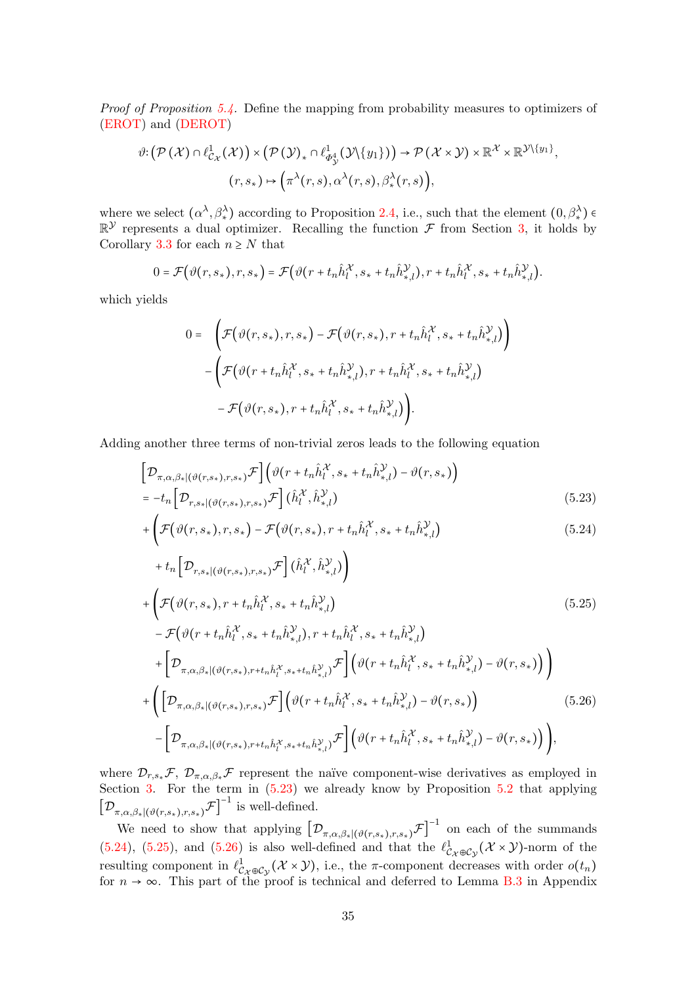Proof of Proposition [5.4.](#page-26-0) Define the mapping from probability measures to optimizers of [\(EROT\)](#page-1-0) and [\(DEROT\)](#page-1-1)

$$
\vartheta: (\mathcal{P}(\mathcal{X}) \cap \ell^1_{\mathcal{C}_{\mathcal{X}}}(\mathcal{X})) \times (\mathcal{P}(\mathcal{Y})_* \cap \ell^1_{\Phi^4_{\mathcal{Y}}}(\mathcal{Y} \setminus \{y_1\})) \to \mathcal{P}(\mathcal{X} \times \mathcal{Y}) \times \mathbb{R}^{\mathcal{X}} \times \mathbb{R}^{\mathcal{Y} \setminus \{y_1\}},
$$

$$
(r, s_*) \mapsto (\pi^{\lambda}(r, s), \alpha^{\lambda}(r, s), \beta^{\lambda}_*(r, s)),
$$

where we select  $(\alpha^{\lambda}, \beta^{\lambda}_{*})$  according to Proposition [2.4,](#page-8-2) i.e., such that the element  $(0, \beta^{\lambda}_{*}) \in$  $\mathbb{R}^{\mathcal{Y}}$  represents a dual optimizer. Recalling the function  $\mathcal{F}$  from Section [3,](#page-8-0) it holds by Corollary [3.3](#page-10-3) for each  $n \geq N$  that

$$
0 = \mathcal{F}(\vartheta(r,s_*),r,s_*) = \mathcal{F}(\vartheta(r+t_n\hat{h}_l^{\mathcal{X}},s_*+t_n\hat{h}_{*,l}^{\mathcal{Y}}),r+t_n\hat{h}_l^{\mathcal{X}},s_*+t_n\hat{h}_{*,l}^{\mathcal{Y}}).
$$

which yields

<span id="page-34-0"></span>
$$
0 = \left( \mathcal{F}(\vartheta(r, s_*), r, s_*) - \mathcal{F}(\vartheta(r, s_*), r + t_n \hat{h}_l^{\mathcal{X}}, s_* + t_n \hat{h}_{*,l}^{\mathcal{Y}}) \right) - \left( \mathcal{F}(\vartheta(r + t_n \hat{h}_l^{\mathcal{X}}, s_* + t_n \hat{h}_{*,l}^{\mathcal{Y}}), r + t_n \hat{h}_l^{\mathcal{X}}, s_* + t_n \hat{h}_{*,l}^{\mathcal{Y}}) \right) - \mathcal{F}(\vartheta(r, s_*), r + t_n \hat{h}_l^{\mathcal{X}}, s_* + t_n \hat{h}_{*,l}^{\mathcal{Y}}) \bigg).
$$

Adding another three terms of non-trivial zeros leads to the following equation

$$
\left[\mathcal{D}_{\pi,\alpha,\beta*|(\vartheta(r,s_*),r,s_*)}\mathcal{F}\right] \left(\vartheta(r+t_n\hat{h}_l^{\mathcal{X}},s_*+t_n\hat{h}_{*,l}^{\mathcal{Y}})-\vartheta(r,s_*)\right)
$$
\n
$$
=-t_n\left[\mathcal{D}_{r,s_*|(\vartheta(r,s_*),r,s_*)}\mathcal{F}\right] \left(\hat{h}_l^{\mathcal{X}},\hat{h}_{*,l}^{\mathcal{Y}}\right)
$$
\n(5.23)

<span id="page-34-1"></span>
$$
+\left(\mathcal{F}(\vartheta(r,s_*),r,s_*)-\mathcal{F}(\vartheta(r,s_*),r+t_n\hat{h}_l^{\mathcal{X}},s_*+t_n\hat{h}_{*,l}^{\mathcal{Y}})\right) \tag{5.24}
$$

<span id="page-34-3"></span><span id="page-34-2"></span>
$$
+ t_{n} \left[ \mathcal{D}_{r,s*|(\vartheta(r,s_*),r,s*)} \mathcal{F} \right] (\hat{h}_{l}^{\mathcal{X}}, \hat{h}_{*,l}^{\mathcal{Y}}) \Big)
$$
  
+ 
$$
\left( \mathcal{F}(\vartheta(r,s_*),r + t_{n} \hat{h}_{l}^{\mathcal{X}}, s_* + t_{n} \hat{h}_{*,l}^{\mathcal{Y}}) - \mathcal{F}(\vartheta(r + t_{n} \hat{h}_{l}^{\mathcal{X}}, s_* + t_{n} \hat{h}_{*,l}^{\mathcal{Y}}),r + t_{n} \hat{h}_{l}^{\mathcal{X}}, s_* + t_{n} \hat{h}_{*,l}^{\mathcal{Y}}) \right]
$$
  
+ 
$$
\left[ \mathcal{D}_{\pi,\alpha,\beta*|(\vartheta(r,s_*),r + t_{n} \hat{h}_{l}^{\mathcal{X}}, s_* + t_{n} \hat{h}_{*,l}^{\mathcal{Y}})} \mathcal{F} \right] \left( \vartheta(r + t_{n} \hat{h}_{l}^{\mathcal{X}}, s_* + t_{n} \hat{h}_{*,l}^{\mathcal{Y}}) - \vartheta(r,s_*) \right) \Big)
$$
  
+ 
$$
\left( \left[ \mathcal{D}_{\pi,\alpha,\beta*|(\vartheta(r,s_*),r,s_*)} \mathcal{F} \right] \left( \vartheta(r + t_{n} \hat{h}_{l}^{\mathcal{X}}, s_* + t_{n} \hat{h}_{*,l}^{\mathcal{Y}}) - \vartheta(r,s_*) \right) - \left[ \mathcal{D}_{\pi,\alpha,\beta*|(\vartheta(r,s_*),r + t_{n} \hat{h}_{l}^{\mathcal{X}}, s_* + t_{n} \hat{h}_{*,l}^{\mathcal{Y}})} \mathcal{F} \right] \left( \vartheta(r + t_{n} \hat{h}_{l}^{\mathcal{X}}, s_* + t_{n} \hat{h}_{*,l}^{\mathcal{Y}}) - \vartheta(r,s_*) \right) \right), \tag{5.26}
$$

where  $\mathcal{D}_{r,s*}\mathcal{F}, \mathcal{D}_{\pi,\alpha,\beta,*}\mathcal{F}$  represent the naïve component-wise derivatives as employed in Section [3.](#page-8-0) For the term in [\(5.23\)](#page-34-0) we already know by Proposition [5.2](#page-25-0) that applying  $\left[\mathcal{D}_{\pi,\alpha,\beta_*\mid (\vartheta(r,s_*),r,s_*)}\mathcal{F}\right]^{-1}$  is well-defined.

We need to show that applying  $[\mathcal{D}_{\pi,\alpha,\beta_*|(\vartheta(r,s_*),r,s_*)}\mathcal{F}]^{-1}$  on each of the summands [\(5.24\)](#page-34-1), [\(5.25\)](#page-34-2), and [\(5.26\)](#page-34-3) is also well-defined and that the  $\ell^1_{\mathcal{C}_{\mathcal{X}}\oplus\mathcal{C}_{\mathcal{Y}}}(\mathcal{X}\times\mathcal{Y})$ -norm of the resulting component in  $\ell^1_{C_{\mathcal{X}}\oplus C_{\mathcal{Y}}}(\mathcal{X}\times\mathcal{Y})$ , i.e., the  $\pi$ -component decreases with order  $o(t_n)$ for  $n \to \infty$ . This part of the proof is technical and deferred to Lemma [B.3](#page-46-1) in Appendix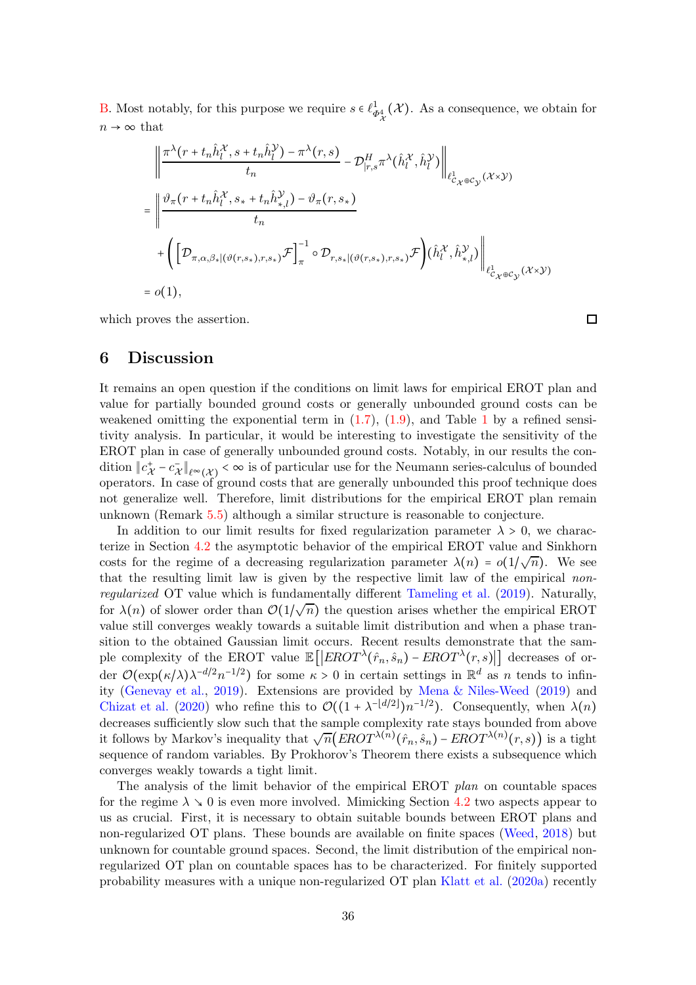[B.](#page-44-1) Most notably, for this purpose we require  $s \in \ell^1_{\Phi^4_{\mathcal{X}}}(\mathcal{X})$ . As a consequence, we obtain for  $n \to \infty$  that

$$
\begin{split}\n&\left\|\frac{\pi^{\lambda}(r+t_n\hat{h}_l^{\mathcal{X}},s+t_n\hat{h}_l^{\mathcal{Y}})-\pi^{\lambda}(r,s)}{t_n}-\mathcal{D}_{|r,s}^H\pi^{\lambda}(\hat{h}_l^{\mathcal{X}},\hat{h}_l^{\mathcal{Y}})\right\|_{\ell^1_{\mathcal{C}_{\mathcal{X}}\oplus\mathcal{C}_{\mathcal{Y}}}(\mathcal{X}\times\mathcal{Y})} \\
&=\left\|\frac{\vartheta_\pi(r+t_n\hat{h}_l^{\mathcal{X}},s_*+t_n\hat{h}_{*,l}^{\mathcal{Y}})-\vartheta_\pi(r,s_*)}{t_n} \\
&\quad \left.+\left(\left[\mathcal{D}_{\pi,\alpha,\beta_*|(\vartheta(r,s_*),r,s_*)}\mathcal{F}\right]_{\pi}^{-1}\circ\mathcal{D}_{r,s_*|(\vartheta(r,s_*),r,s_*)}\mathcal{F}\right)(\hat{h}_l^{\mathcal{X}},\hat{h}_{*,l}^{\mathcal{Y}})\right\|_{\ell^1_{\mathcal{C}_{\mathcal{X}}\oplus\mathcal{C}_{\mathcal{Y}}}(\mathcal{X}\times\mathcal{Y})} \\
&=o(1),\n\end{split}
$$

<span id="page-35-0"></span>which proves the assertion.

 $\Box$ 

# 6 Discussion

It remains an open question if the conditions on limit laws for empirical EROT plan and value for partially bounded ground costs or generally unbounded ground costs can be weakened omitting the exponential term in  $(1.7)$  $(1.7)$  $(1.7)$ ,  $(1.9)$ , and Table 1 by a refined sensitivity analysis. In particular, it would be interesting to investigate the sensitivity of the EROT plan in case of generally unbounded ground costs. Notably, in our results the condition  $||c^+_{\mathcal{X}} - c^-_{\mathcal{X}}||_{\ell^{\infty}(\mathcal{X})} < \infty$  is of particular use for the Neumann series-calculus of bounded operators. In case of ground costs that are generally unbounded this proof technique does not generalize well. Therefore, limit distributions for the empirical EROT plan remain unknown (Remark [5.5\)](#page-30-0) although a similar structure is reasonable to conjecture.

In addition to our limit results for fixed regularization parameter  $\lambda > 0$ , we characterize in Section [4.2](#page-18-0) the asymptotic behavior of the empirical EROT value and Sinkhorn costs for the regime of a decreasing regularization parameter  $\lambda(n) = o(1/\sqrt{n})$ . We see that the resulting limit law is given by the respective limit law of the empirical nonregularized OT value which is fundamentally different [Tameling et al.](#page-39-9) [\(2019](#page-39-9)). Naturally, for  $\lambda(n)$  of slower order than  $\mathcal{O}(1/\sqrt{n})$  the question arises whether the empirical EROT value still converges weakly towards a suitable limit distribution and when a phase transition to the obtained Gaussian limit occurs. Recent results demonstrate that the sample complexity of the EROT value  $\mathbb{E}\left[\ket{EROT^{\lambda}(\hat{r}_n, \hat{s}_n)} - EROT^{\lambda}(r, s)\right]$  decreases of order  $\mathcal{O}(\exp(\kappa/\lambda)\lambda^{-d/2}n^{-1/2})$  for some  $\kappa > 0$  in certain settings in  $\mathbb{R}^d$  as n tends to infinity [\(Genevay et al.,](#page-38-9) [2019](#page-38-9)). Extensions are provided by [Mena & Niles-Weed](#page-38-11) [\(2019](#page-38-11)) and [Chizat et al.](#page-37-12) [\(2020](#page-37-12)) who refine this to  $\mathcal{O}((1 + \lambda^{-\lfloor d/2 \rfloor})n^{-1/2})$ . Consequently, when  $\lambda(n)$ decreases sufficiently slow such that the sample complexity rate stays bounded from above it follows by Markov's inequality that  $\sqrt{n}(\hat{EROT}^{\lambda(n)}(\hat{r}_n, \hat{s}_n) - \hat{EROT}^{\lambda(n)}(r, s))$  is a tight sequence of random variables. By Prokhorov's Theorem there exists a subsequence which converges weakly towards a tight limit.

The analysis of the limit behavior of the empirical EROT plan on countable spaces for the regime  $\lambda \searrow 0$  is even more involved. Mimicking Section [4.2](#page-18-0) two aspects appear to us as crucial. First, it is necessary to obtain suitable bounds between EROT plans and non-regularized OT plans. These bounds are available on finite spaces [\(Weed](#page-39-12), [2018\)](#page-39-12) but unknown for countable ground spaces. Second, the limit distribution of the empirical nonregularized OT plan on countable spaces has to be characterized. For finitely supported probability measures with a unique non-regularized OT plan [Klatt et al.](#page-38-12) [\(2020a](#page-38-12)) recently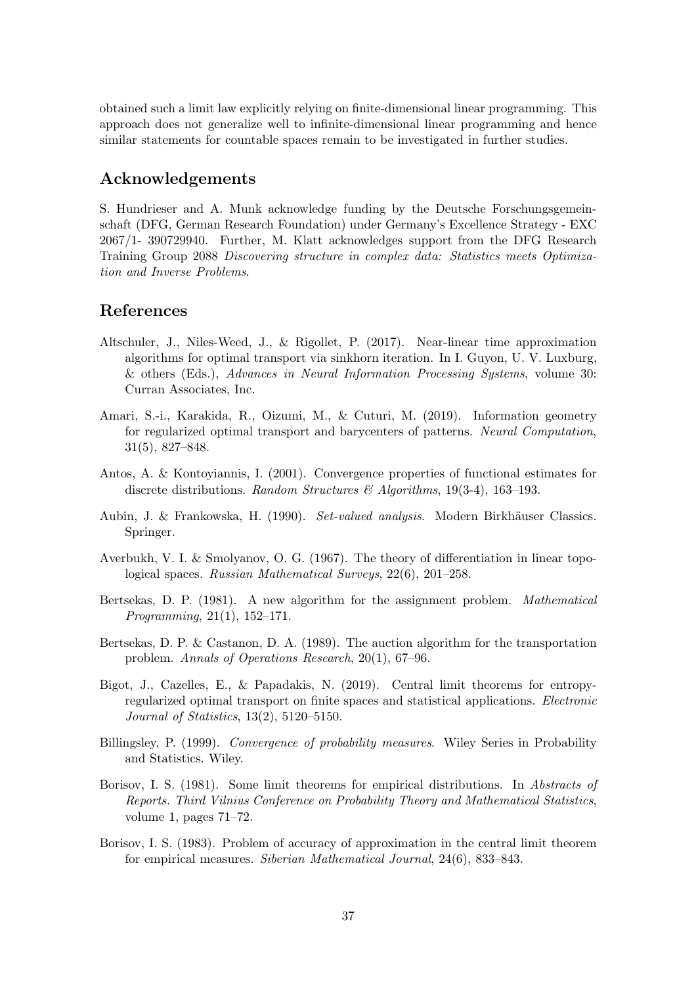obtained such a limit law explicitly relying on finite-dimensional linear programming. This approach does not generalize well to infinite-dimensional linear programming and hence similar statements for countable spaces remain to be investigated in further studies.

# Acknowledgements

S. Hundrieser and A. Munk acknowledge funding by the Deutsche Forschungsgemeinschaft (DFG, German Research Foundation) under Germany's Excellence Strategy - EXC 2067/1- 390729940. Further, M. Klatt acknowledges support from the DFG Research Training Group 2088 Discovering structure in complex data: Statistics meets Optimization and Inverse Problems.

### References

- <span id="page-36-2"></span>Altschuler, J., Niles-Weed, J., & Rigollet, P. (2017). Near-linear time approximation algorithms for optimal transport via sinkhorn iteration. In I. Guyon, U. V. Luxburg, & others (Eds.), Advances in Neural Information Processing Systems, volume 30: Curran Associates, Inc.
- <span id="page-36-3"></span>Amari, S.-i., Karakida, R., Oizumi, M., & Cuturi, M. (2019). Information geometry for regularized optimal transport and barycenters of patterns. Neural Computation, 31(5), 827–848.
- <span id="page-36-8"></span>Antos, A. & Kontoyiannis, I. (2001). Convergence properties of functional estimates for discrete distributions. Random Structures & Algorithms, 19(3-4), 163-193.
- <span id="page-36-9"></span>Aubin, J. & Frankowska, H. (1990). Set-valued analysis. Modern Birkhäuser Classics. Springer.
- <span id="page-36-10"></span>Averbukh, V. I. & Smolyanov, O. G. (1967). The theory of differentiation in linear topological spaces. Russian Mathematical Surveys, 22(6), 201–258.
- <span id="page-36-0"></span>Bertsekas, D. P. (1981). A new algorithm for the assignment problem. Mathematical Programming, 21(1), 152–171.
- <span id="page-36-1"></span>Bertsekas, D. P. & Castanon, D. A. (1989). The auction algorithm for the transportation problem. Annals of Operations Research, 20(1), 67–96.
- <span id="page-36-4"></span>Bigot, J., Cazelles, E., & Papadakis, N. (2019). Central limit theorems for entropyregularized optimal transport on finite spaces and statistical applications. Electronic Journal of Statistics, 13(2), 5120–5150.
- <span id="page-36-5"></span>Billingsley, P. (1999). Convergence of probability measures. Wiley Series in Probability and Statistics. Wiley.
- <span id="page-36-6"></span>Borisov, I. S. (1981). Some limit theorems for empirical distributions. In Abstracts of Reports. Third Vilnius Conference on Probability Theory and Mathematical Statistics, volume 1, pages 71–72.
- <span id="page-36-7"></span>Borisov, I. S. (1983). Problem of accuracy of approximation in the central limit theorem for empirical measures. Siberian Mathematical Journal, 24(6), 833–843.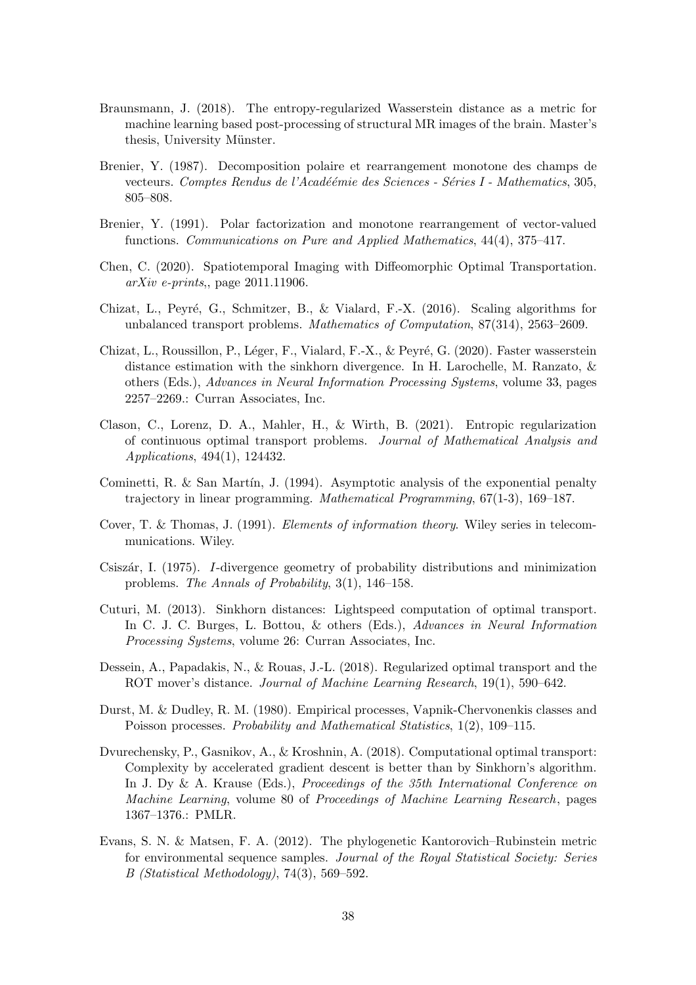- <span id="page-37-7"></span>Braunsmann, J. (2018). The entropy-regularized Wasserstein distance as a metric for machine learning based post-processing of structural MR images of the brain. Master's thesis, University Münster.
- <span id="page-37-8"></span>Brenier, Y. (1987). Decomposition polaire et rearrangement monotone des champs de vecteurs. Comptes Rendus de l'Acadéémie des Sciences - Séries I - Mathematics, 305, 805–808.
- <span id="page-37-9"></span>Brenier, Y. (1991). Polar factorization and monotone rearrangement of vector-valued functions. Communications on Pure and Applied Mathematics, 44(4), 375–417.
- <span id="page-37-1"></span>Chen, C. (2020). Spatiotemporal Imaging with Diffeomorphic Optimal Transportation.  $arXiv$  e-prints,, page 2011.11906.
- <span id="page-37-5"></span>Chizat, L., Peyré, G., Schmitzer, B., & Vialard, F.-X. (2016). Scaling algorithms for unbalanced transport problems. Mathematics of Computation, 87(314), 2563–2609.
- <span id="page-37-12"></span>Chizat, L., Roussillon, P., Léger, F., Vialard, F.-X., & Peyré, G. (2020). Faster wasserstein distance estimation with the sinkhorn divergence. In H. Larochelle, M. Ranzato, & others (Eds.), Advances in Neural Information Processing Systems, volume 33, pages 2257–2269.: Curran Associates, Inc.
- <span id="page-37-4"></span>Clason, C., Lorenz, D. A., Mahler, H., & Wirth, B. (2021). Entropic regularization of continuous optimal transport problems. Journal of Mathematical Analysis and Applications, 494(1), 124432.
- <span id="page-37-11"></span>Cominetti, R. & San Martín, J. (1994). Asymptotic analysis of the exponential penalty trajectory in linear programming. Mathematical Programming, 67(1-3), 169–187.
- <span id="page-37-10"></span>Cover, T. & Thomas, J. (1991). Elements of information theory. Wiley series in telecommunications. Wiley.
- <span id="page-37-14"></span>Csiszár, I. (1975). I-divergence geometry of probability distributions and minimization problems. The Annals of Probability, 3(1), 146–158.
- <span id="page-37-2"></span>Cuturi, M. (2013). Sinkhorn distances: Lightspeed computation of optimal transport. In C. J. C. Burges, L. Bottou, & others (Eds.), Advances in Neural Information Processing Systems, volume 26: Curran Associates, Inc.
- <span id="page-37-13"></span>Dessein, A., Papadakis, N., & Rouas, J.-L. (2018). Regularized optimal transport and the ROT mover's distance. Journal of Machine Learning Research, 19(1), 590–642.
- <span id="page-37-6"></span>Durst, M. & Dudley, R. M. (1980). Empirical processes, Vapnik-Chervonenkis classes and Poisson processes. Probability and Mathematical Statistics, 1(2), 109–115.
- <span id="page-37-3"></span>Dvurechensky, P., Gasnikov, A., & Kroshnin, A. (2018). Computational optimal transport: Complexity by accelerated gradient descent is better than by Sinkhorn's algorithm. In J. Dy & A. Krause (Eds.), *Proceedings of the 35th International Conference on* Machine Learning, volume 80 of Proceedings of Machine Learning Research, pages 1367–1376.: PMLR.
- <span id="page-37-0"></span>Evans, S. N. & Matsen, F. A. (2012). The phylogenetic Kantorovich–Rubinstein metric for environmental sequence samples. Journal of the Royal Statistical Society: Series B (Statistical Methodology), 74(3), 569–592.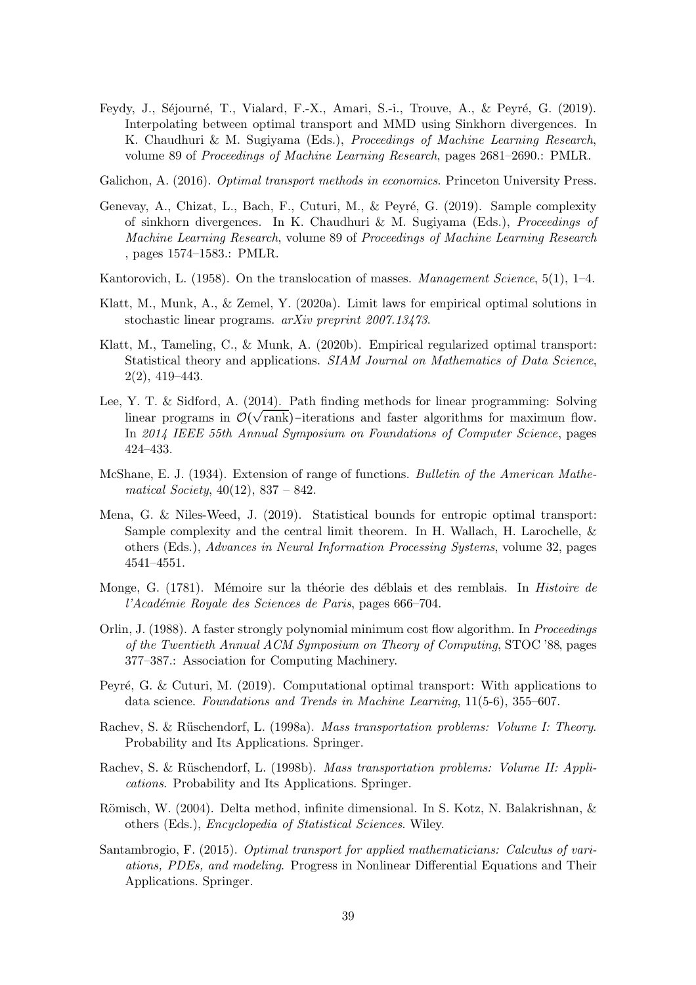<span id="page-38-15"></span>Feydy, J., Séjourné, T., Vialard, F.-X., Amari, S.-i., Trouve, A., & Peyré, G. (2019). Interpolating between optimal transport and MMD using Sinkhorn divergences. In K. Chaudhuri & M. Sugiyama (Eds.), Proceedings of Machine Learning Research, volume 89 of Proceedings of Machine Learning Research, pages 2681–2690.: PMLR.

<span id="page-38-5"></span>Galichon, A. (2016). *Optimal transport methods in economics*. Princeton University Press.

- <span id="page-38-9"></span>Genevay, A., Chizat, L., Bach, F., Cuturi, M., & Peyré, G.  $(2019)$ . Sample complexity of sinkhorn divergences. In K. Chaudhuri & M. Sugiyama (Eds.), Proceedings of Machine Learning Research, volume 89 of Proceedings of Machine Learning Research , pages 1574–1583.: PMLR.
- <span id="page-38-1"></span>Kantorovich, L. (1958). On the translocation of masses. *Management Science*, 5(1), 1–4.
- <span id="page-38-12"></span>Klatt, M., Munk, A., & Zemel, Y. (2020a). Limit laws for empirical optimal solutions in stochastic linear programs. arXiv preprint 2007.13473.
- <span id="page-38-10"></span>Klatt, M., Tameling, C., & Munk, A. (2020b). Empirical regularized optimal transport: Statistical theory and applications. SIAM Journal on Mathematics of Data Science, 2(2), 419–443.
- <span id="page-38-7"></span>Lee, Y. T. & Sidford, A. (2014). Path finding methods for linear programming: Solving linear programs in  $\mathcal{O}(\sqrt{\text{rank}})$ −iterations and faster algorithms for maximum flow. In 2014 IEEE 55th Annual Symposium on Foundations of Computer Science, pages 424–433.
- <span id="page-38-14"></span>McShane, E. J. (1934). Extension of range of functions. Bulletin of the American Mathematical Society,  $40(12)$ ,  $837 - 842$ .
- <span id="page-38-11"></span>Mena, G. & Niles-Weed, J. (2019). Statistical bounds for entropic optimal transport: Sample complexity and the central limit theorem. In H. Wallach, H. Larochelle, & others (Eds.), Advances in Neural Information Processing Systems, volume 32, pages 4541–4551.
- <span id="page-38-0"></span>Monge, G. (1781). Mémoire sur la théorie des déblais et des remblais. In Histoire de l'Académie Royale des Sciences de Paris, pages 666–704.
- <span id="page-38-6"></span>Orlin, J. (1988). A faster strongly polynomial minimum cost flow algorithm. In Proceedings of the Twentieth Annual ACM Symposium on Theory of Computing, STOC '88, pages 377–387.: Association for Computing Machinery.
- <span id="page-38-8"></span>Peyré, G. & Cuturi, M. (2019). Computational optimal transport: With applications to data science. Foundations and Trends in Machine Learning, 11(5-6), 355–607.
- <span id="page-38-2"></span>Rachev, S. & Rüschendorf, L. (1998a). Mass transportation problems: Volume I: Theory. Probability and Its Applications. Springer.
- <span id="page-38-3"></span>Rachev, S. & Rüschendorf, L. (1998b). Mass transportation problems: Volume II: Applications. Probability and Its Applications. Springer.
- <span id="page-38-13"></span>Römisch, W. (2004). Delta method, infinite dimensional. In S. Kotz, N. Balakrishnan, & others (Eds.), Encyclopedia of Statistical Sciences. Wiley.
- <span id="page-38-4"></span>Santambrogio, F. (2015). *Optimal transport for applied mathematicians: Calculus of vari*ations, PDEs, and modeling. Progress in Nonlinear Differential Equations and Their Applications. Springer.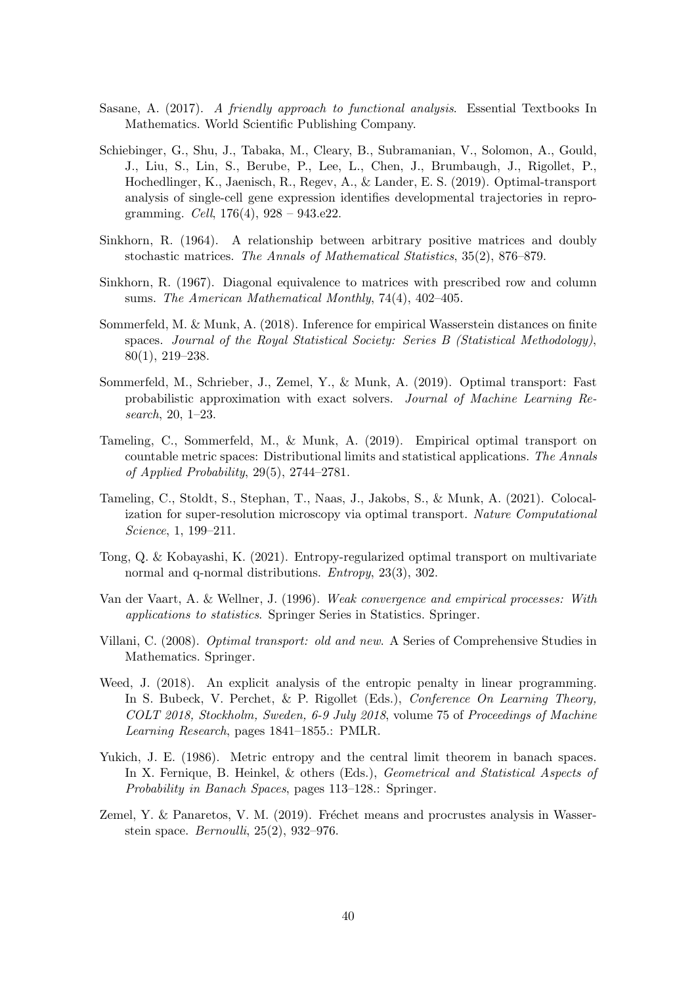- <span id="page-39-13"></span>Sasane, A. (2017). A friendly approach to functional analysis. Essential Textbooks In Mathematics. World Scientific Publishing Company.
- <span id="page-39-2"></span>Schiebinger, G., Shu, J., Tabaka, M., Cleary, B., Subramanian, V., Solomon, A., Gould, J., Liu, S., Lin, S., Berube, P., Lee, L., Chen, J., Brumbaugh, J., Rigollet, P., Hochedlinger, K., Jaenisch, R., Regev, A., & Lander, E. S. (2019). Optimal-transport analysis of single-cell gene expression identifies developmental trajectories in reprogramming. Cell, 176(4), 928 – 943.e22.
- <span id="page-39-5"></span>Sinkhorn, R. (1964). A relationship between arbitrary positive matrices and doubly stochastic matrices. The Annals of Mathematical Statistics, 35(2), 876–879.
- <span id="page-39-6"></span>Sinkhorn, R. (1967). Diagonal equivalence to matrices with prescribed row and column sums. The American Mathematical Monthly, 74(4), 402–405.
- <span id="page-39-1"></span>Sommerfeld, M. & Munk, A. (2018). Inference for empirical Wasserstein distances on finite spaces. Journal of the Royal Statistical Society: Series B (Statistical Methodology), 80(1), 219–238.
- <span id="page-39-8"></span>Sommerfeld, M., Schrieber, J., Zemel, Y., & Munk, A. (2019). Optimal transport: Fast probabilistic approximation with exact solvers. Journal of Machine Learning Research, 20, 1–23.
- <span id="page-39-9"></span>Tameling, C., Sommerfeld, M., & Munk, A. (2019). Empirical optimal transport on countable metric spaces: Distributional limits and statistical applications. The Annals of Applied Probability, 29(5), 2744–2781.
- <span id="page-39-3"></span>Tameling, C., Stoldt, S., Stephan, T., Naas, J., Jakobs, S., & Munk, A. (2021). Colocalization for super-resolution microscopy via optimal transport. Nature Computational Science, 1, 199–211.
- <span id="page-39-7"></span>Tong, Q. & Kobayashi, K. (2021). Entropy-regularized optimal transport on multivariate normal and q-normal distributions. *Entropy*, 23(3), 302.
- <span id="page-39-11"></span>Van der Vaart, A. & Wellner, J. (1996). Weak convergence and empirical processes: With applications to statistics. Springer Series in Statistics. Springer.
- <span id="page-39-0"></span>Villani, C. (2008). Optimal transport: old and new. A Series of Comprehensive Studies in Mathematics. Springer.
- <span id="page-39-12"></span>Weed, J. (2018). An explicit analysis of the entropic penalty in linear programming. In S. Bubeck, V. Perchet, & P. Rigollet (Eds.), Conference On Learning Theory, COLT 2018, Stockholm, Sweden, 6-9 July 2018, volume 75 of Proceedings of Machine Learning Research, pages 1841–1855.: PMLR.
- <span id="page-39-10"></span>Yukich, J. E. (1986). Metric entropy and the central limit theorem in banach spaces. In X. Fernique, B. Heinkel, & others (Eds.), Geometrical and Statistical Aspects of Probability in Banach Spaces, pages 113–128.: Springer.
- <span id="page-39-4"></span>Zemel, Y. & Panaretos, V. M. (2019). Fréchet means and procrustes analysis in Wasserstein space. Bernoulli, 25(2), 932–976.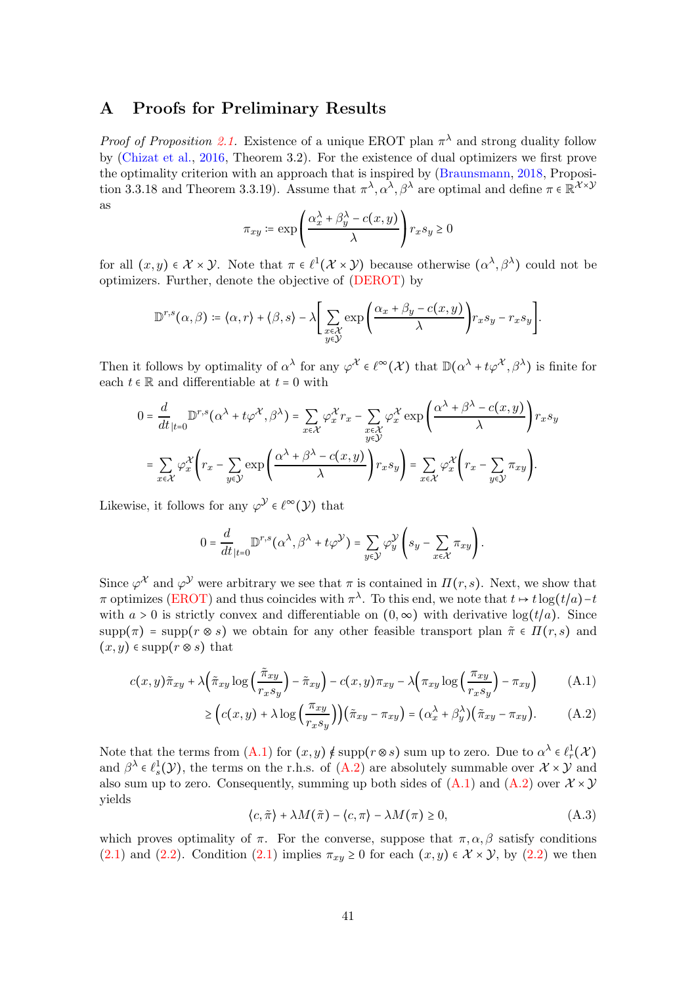### <span id="page-40-0"></span>A Proofs for Preliminary Results

*Proof of Proposition [2.1.](#page-6-0)* Existence of a unique EROT plan  $\pi^{\lambda}$  and strong duality follow by [\(Chizat et al.,](#page-37-5) [2016](#page-37-5), Theorem 3.2). For the existence of dual optimizers we first prove the optimality criterion with an approach that is inspired by [\(Braunsmann](#page-37-7), [2018](#page-37-7), Proposition 3.3.18 and Theorem 3.3.19). Assume that  $\pi^{\lambda}, \alpha^{\lambda}, \beta^{\lambda}$  are optimal and define  $\pi \in \mathbb{R}^{\mathcal{X} \times \mathcal{Y}}$ as

$$
\pi_{xy} := \exp\left(\frac{\alpha_x^{\lambda} + \beta_y^{\lambda} - c(x, y)}{\lambda}\right) r_x s_y \ge 0
$$

for all  $(x, y) \in \mathcal{X} \times \mathcal{Y}$ . Note that  $\pi \in \ell^1(\mathcal{X} \times \mathcal{Y})$  because otherwise  $(\alpha^{\lambda}, \beta^{\lambda})$  could not be optimizers. Further, denote the objective of [\(DEROT\)](#page-1-1) by

$$
\mathbb{D}^{r,s}(\alpha,\beta)\coloneqq \langle \alpha,r\rangle + \langle \beta,s\rangle - \lambda\Bigg[\sum_{\substack{x\in \mathcal{X}\\ y\in \mathcal{Y}}}\exp\Bigg(\frac{\alpha_x+\beta_y-c(x,y)}{\lambda}\Bigg)r_xs_y-r_xs_y\Bigg].
$$

Then it follows by optimality of  $\alpha^{\lambda}$  for any  $\varphi^{\mathcal{X}} \in \ell^{\infty}(\mathcal{X})$  that  $\mathbb{D}(\alpha^{\lambda} + t\varphi^{\mathcal{X}}, \beta^{\lambda})$  is finite for each  $t \in \mathbb{R}$  and differentiable at  $t = 0$  with

$$
0 = \frac{d}{dt}_{|t=0} \mathbb{D}^{r,s}(\alpha^{\lambda} + t\varphi^{\lambda}, \beta^{\lambda}) = \sum_{x \in \mathcal{X}} \varphi_x^{\lambda} r_x - \sum_{\substack{x \in \mathcal{X} \\ y \in \mathcal{Y}}} \varphi_x^{\lambda} \exp\left(\frac{\alpha^{\lambda} + \beta^{\lambda} - c(x, y)}{\lambda}\right) r_x s_y
$$

$$
= \sum_{x \in \mathcal{X}} \varphi_x^{\lambda} \left(r_x - \sum_{y \in \mathcal{Y}} \exp\left(\frac{\alpha^{\lambda} + \beta^{\lambda} - c(x, y)}{\lambda}\right) r_x s_y\right) = \sum_{x \in \mathcal{X}} \varphi_x^{\lambda} \left(r_x - \sum_{y \in \mathcal{Y}} \pi_{xy}\right).
$$

Likewise, it follows for any  $\varphi^{\mathcal{Y}} \in \ell^{\infty}(\mathcal{Y})$  that

$$
0 = \frac{d}{dt}_{|t=0} \mathbb{D}^{r,s}(\alpha^{\lambda}, \beta^{\lambda} + t\varphi^{\mathcal{Y}}) = \sum_{y \in \mathcal{Y}} \varphi^{\mathcal{Y}}_y \left( s_y - \sum_{x \in \mathcal{X}} \pi_{xy} \right).
$$

Since  $\varphi^{\mathcal{X}}$  and  $\varphi^{\mathcal{Y}}$  were arbitrary we see that  $\pi$  is contained in  $\Pi(r, s)$ . Next, we show that  $\pi$  optimizes [\(EROT\)](#page-1-0) and thus coincides with  $\pi^{\lambda}$ . To this end, we note that  $t \mapsto t \log(t/a) - t$ with  $a > 0$  is strictly convex and differentiable on  $(0, \infty)$  with derivative log( $t/a$ ). Since supp $(\pi)$  = supp $(r \otimes s)$  we obtain for any other feasible transport plan  $\tilde{\pi} \in \Pi(r, s)$  and  $(x, y) \in \text{supp}(r \otimes s)$  that

$$
c(x,y)\tilde{\pi}_{xy} + \lambda \left(\tilde{\pi}_{xy}\log\left(\frac{\tilde{\pi}_{xy}}{r_x s_y}\right) - \tilde{\pi}_{xy}\right) - c(x,y)\pi_{xy} - \lambda \left(\pi_{xy}\log\left(\frac{\pi_{xy}}{r_x s_y}\right) - \pi_{xy}\right) \tag{A.1}
$$

$$
\geq \Big(c(x,y) + \lambda \log\Big(\frac{\pi_{xy}}{r_x s_y}\Big)\Big)\Big(\tilde{\pi}_{xy} - \pi_{xy}\Big) = \big(\alpha_x^{\lambda} + \beta_y^{\lambda}\big)\Big(\tilde{\pi}_{xy} - \pi_{xy}\Big). \tag{A.2}
$$

Note that the terms from  $(A.1)$  for  $(x, y) \notin \text{supp}(r \otimes s)$  sum up to zero. Due to  $\alpha^{\lambda} \in \ell_r^1(\mathcal{X})$ and  $\beta^{\lambda} \in \ell_s^1(\mathcal{Y})$ , the terms on the r.h.s. of  $(A.2)$  are absolutely summable over  $\mathcal{X} \times \mathcal{Y}$  and also sum up to zero. Consequently, summing up both sides of  $(A.1)$  and  $(A.2)$  over  $\mathcal{X} \times \mathcal{Y}$ yields

<span id="page-40-2"></span><span id="page-40-1"></span>
$$
\langle c, \tilde{\pi} \rangle + \lambda M(\tilde{\pi}) - \langle c, \pi \rangle - \lambda M(\pi) \ge 0, \tag{A.3}
$$

which proves optimality of  $\pi$ . For the converse, suppose that  $\pi, \alpha, \beta$  satisfy conditions [\(2.1\)](#page-6-2) and [\(2.2\)](#page-6-3). Condition [\(2.1\)](#page-6-2) implies  $\pi_{xy} \ge 0$  for each  $(x, y) \in \mathcal{X} \times \mathcal{Y}$ , by (2.2) we then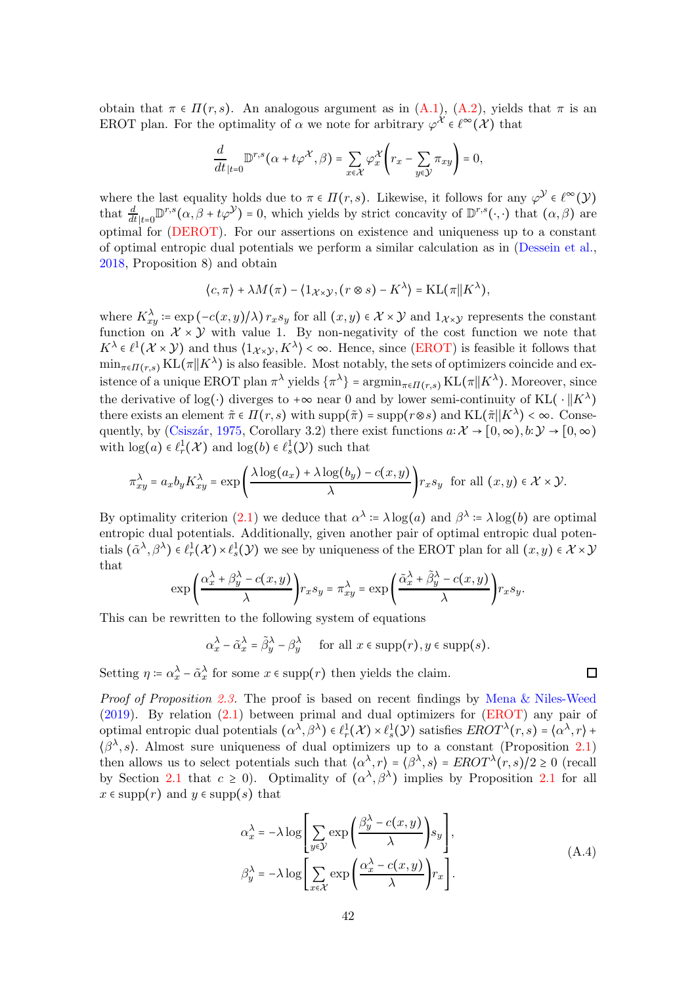obtain that  $\pi \in \Pi(r, s)$ . An analogous argument as in [\(A.1\)](#page-40-1), [\(A.2\)](#page-40-2), yields that  $\pi$  is an EROT plan. For the optimality of  $\alpha$  we note for arbitrary  $\varphi^{\mathcal{X}} \in \ell^{\infty}(\mathcal{X})$  that

$$
\frac{d}{dt}_{|t=0} \mathbb{D}^{r,s}(\alpha + t\varphi^{\mathcal{X}}, \beta) = \sum_{x \in \mathcal{X}} \varphi_x^{\mathcal{X}} \left( r_x - \sum_{y \in \mathcal{Y}} \pi_{xy} \right) = 0,
$$

where the last equality holds due to  $\pi \in \Pi(r, s)$ . Likewise, it follows for any  $\varphi^{\mathcal{Y}} \in \ell^{\infty}(\mathcal{Y})$ that  $\frac{d}{dt}_{|t=0} \mathbb{D}^{r,s}(\alpha,\beta+t\varphi^{\mathcal{Y}})=0$ , which yields by strict concavity of  $\mathbb{D}^{r,s}(\cdot,\cdot)$  that  $(\alpha,\beta)$  are optimal for [\(DEROT\)](#page-1-1). For our assertions on existence and uniqueness up to a constant of optimal entropic dual potentials we perform a similar calculation as in [\(Dessein et al.](#page-37-13), [2018,](#page-37-13) Proposition 8) and obtain

$$
\langle c, \pi \rangle + \lambda M(\pi) - \langle 1_{\mathcal{X} \times \mathcal{Y}}, (r \otimes s) - K^{\lambda} \rangle = \mathrm{KL}(\pi || K^{\lambda}),
$$

where  $K_{xy}^{\lambda}$  := exp  $(-c(x,y)/\lambda) r_x s_y$  for all  $(x, y) \in \mathcal{X} \times \mathcal{Y}$  and  $1_{\mathcal{X} \times \mathcal{Y}}$  represents the constant function on  $\mathcal{X} \times \mathcal{Y}$  with value 1. By non-negativity of the cost function we note that  $K^{\lambda} \in \ell^{1}(\mathcal{X} \times \mathcal{Y})$  and thus  $\langle 1_{\mathcal{X} \times \mathcal{Y}}, K^{\lambda} \rangle < \infty$ . Hence, since [\(EROT\)](#page-1-0) is feasible it follows that  $\min_{\pi \in \Pi(r,s)} \text{KL}(\pi | K^{\lambda})$  is also feasible. Most notably, the sets of optimizers coincide and existence of a unique EROT plan  $\pi^{\lambda}$  yields  $\{\pi^{\lambda}\}$  =  $\operatorname{argmin}_{\pi \in \Pi(r,s)} \text{KL}(\pi \| K^{\lambda})$ . Moreover, since the derivative of log(⋅) diverges to +∞ near 0 and by lower semi-continuity of KL(  $\cdot || K^{\lambda}$ ) there exists an element  $\tilde{\pi} \in \Pi(r, s)$  with  $\text{supp}(\tilde{\pi}) = \text{supp}(r \otimes s)$  and  $\text{KL}(\tilde{\pi} || K^{\lambda}) < \infty$ . Conse-quently, by (Csiszár, [1975,](#page-37-14) Corollary 3.2) there exist functions  $a: \mathcal{X} \to [0, \infty), b: \mathcal{Y} \to [0, \infty)$ with  $\log(a) \in \ell_r^1(\mathcal{X})$  and  $\log(b) \in \ell_s^1(\mathcal{Y})$  such that

$$
\pi_{xy}^{\lambda} = a_x b_y K_{xy}^{\lambda} = \exp\left(\frac{\lambda \log(a_x) + \lambda \log(b_y) - c(x, y)}{\lambda}\right) r_x s_y \text{ for all } (x, y) \in \mathcal{X} \times \mathcal{Y}.
$$

By optimality criterion [\(2.1\)](#page-6-2) we deduce that  $\alpha^{\lambda}$  :=  $\lambda \log(a)$  and  $\beta^{\lambda}$  :=  $\lambda \log(b)$  are optimal entropic dual potentials. Additionally, given another pair of optimal entropic dual potentials  $(\tilde{\alpha}^{\lambda}, \beta^{\lambda}) \in \ell_r^1(\mathcal{X}) \times \ell_s^1(\mathcal{Y})$  we see by uniqueness of the EROT plan for all  $(x, y) \in \mathcal{X} \times \mathcal{Y}$ that

$$
\exp\left(\frac{\alpha_x^{\lambda}+\beta_y^{\lambda}-c(x,y)}{\lambda}\right) r_x s_y = \pi_{xy}^{\lambda} = \exp\left(\frac{\tilde{\alpha}_x^{\lambda}+\tilde{\beta}_y^{\lambda}-c(x,y)}{\lambda}\right) r_x s_y.
$$

This can be rewritten to the following system of equations

$$
\alpha_x^{\lambda} - \tilde{\alpha}_x^{\lambda} = \tilde{\beta}_y^{\lambda} - \beta_y^{\lambda} \quad \text{ for all } x \in \text{supp}(r), y \in \text{supp}(s).
$$

Setting  $\eta \coloneqq \alpha_x^{\lambda} - \tilde{\alpha}_x^{\lambda}$  for some  $x \in \text{supp}(r)$  then yields the claim.

Proof of Proposition [2.3.](#page-7-3) The proof is based on recent findings by [Mena & Niles-Weed](#page-38-11) [\(2019](#page-38-11)). By relation [\(2.1\)](#page-6-2) between primal and dual optimizers for [\(EROT\)](#page-1-0) any pair of optimal entropic dual potentials  $(\alpha^{\lambda}, \beta^{\lambda}) \in \ell^1_r(\mathcal{X}) \times \ell^1_s(\mathcal{Y})$  satisfies  $EROT^{\lambda}(r, s) = \langle \alpha^{\lambda}, r \rangle +$  $\langle \beta^{\lambda}, s \rangle$ . Almost sure uniqueness of dual optimizers up to a constant (Proposition [2.1\)](#page-6-0) then allows us to select potentials such that  $\langle \alpha^{\lambda}, r \rangle = \langle \beta^{\lambda}, s \rangle = EROT^{\lambda}(r, s)/2 \ge 0$  (recall by Section [2.1](#page-6-0) that  $c \ge 0$ . Optimality of  $(\alpha^{\lambda}, \beta^{\lambda})$  implies by Proposition 2.1 for all  $x \in \text{supp}(r)$  and  $y \in \text{supp}(s)$  that

<span id="page-41-0"></span>
$$
\alpha_x^{\lambda} = -\lambda \log \left[ \sum_{y \in \mathcal{Y}} \exp \left( \frac{\beta_y^{\lambda} - c(x, y)}{\lambda} \right) s_y \right],
$$
  

$$
\beta_y^{\lambda} = -\lambda \log \left[ \sum_{x \in \mathcal{X}} \exp \left( \frac{\alpha_x^{\lambda} - c(x, y)}{\lambda} \right) r_x \right].
$$
 (A.4)

 $\Box$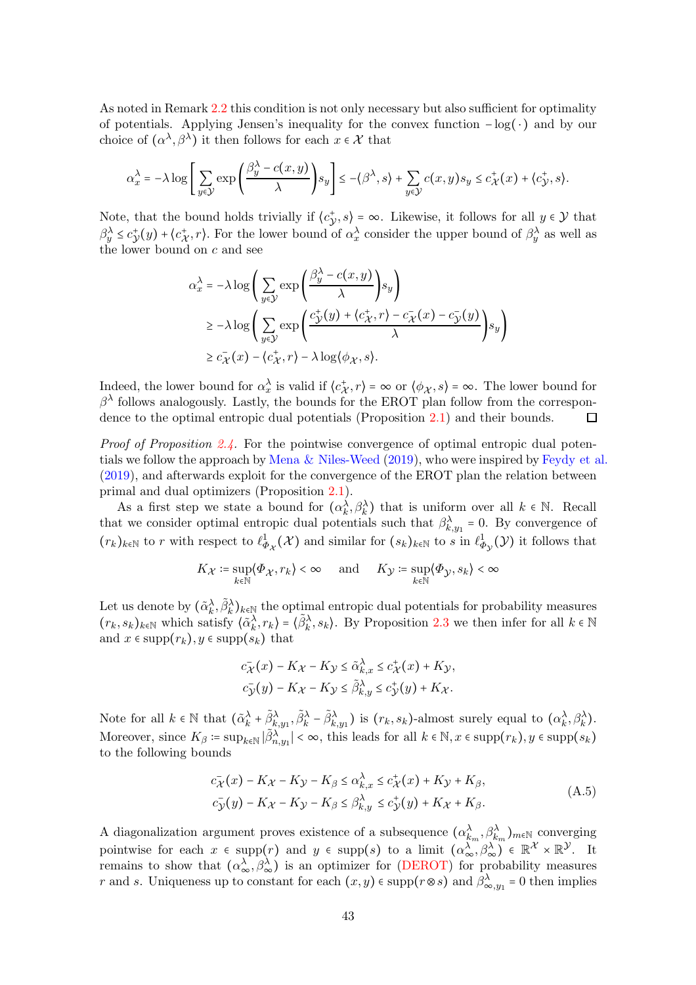As noted in Remark [2.2](#page-7-2) this condition is not only necessary but also sufficient for optimality of potentials. Applying Jensen's inequality for the convex function <sup>−</sup>log( <sup>⋅</sup> ) and by our choice of  $(\alpha^{\lambda}, \beta^{\lambda})$  it then follows for each  $x \in \mathcal{X}$  that

$$
\alpha_x^{\lambda} = -\lambda \log \left[ \sum_{y \in \mathcal{Y}} \exp \left( \frac{\beta_y^{\lambda} - c(x, y)}{\lambda} \right) s_y \right] \le -\left\langle \beta^{\lambda}, s \right\rangle + \sum_{y \in \mathcal{Y}} c(x, y) s_y \le c_{\mathcal{X}}^{+}(x) + \left\langle c_{\mathcal{Y}}^{+}, s \right\rangle.
$$

Note, that the bound holds trivially if  $\langle c_y^+, s \rangle = \infty$ . Likewise, it follows for all  $y \in \mathcal{Y}$  that  $\beta_y^{\lambda} \leq c_y^+(y) + \langle c_x^+, r \rangle$ . For the lower bound of  $\alpha_x^{\lambda}$  consider the upper bound of  $\beta_y^{\lambda}$  as well as the lower bound on  $c$  and see

$$
\alpha_x^{\lambda} = -\lambda \log \left( \sum_{y \in \mathcal{Y}} \exp \left( \frac{\beta_y^{\lambda} - c(x, y)}{\lambda} \right) s_y \right)
$$
  
\n
$$
\geq -\lambda \log \left( \sum_{y \in \mathcal{Y}} \exp \left( \frac{c_y^+(y) + \langle c_x^+, r \rangle - c_x^-(x) - c_y^-(y)}{\lambda} \right) s_y \right)
$$
  
\n
$$
\geq c_x^-(x) - \langle c_x^+, r \rangle - \lambda \log \langle \phi_x, s \rangle.
$$

Indeed, the lower bound for  $\alpha_x^{\lambda}$  is valid if  $\langle c_x^+, r \rangle = \infty$  or  $\langle \phi_{\mathcal{X}}, s \rangle = \infty$ . The lower bound for  $\beta^{\lambda}$  follows analogously. Lastly, the bounds for the EROT plan follow from the correspondence to the optimal entropic dual potentials (Proposition [2.1\)](#page-6-0) and their bounds.  $\Box$ 

*Proof of Proposition [2.4.](#page-8-2)* For the pointwise convergence of optimal entropic dual potentials we follow the approach by Mena  $&$  Niles-Weed [\(2019](#page-38-11)), who were inspired by [Feydy et al.](#page-38-15) [\(2019](#page-38-15)), and afterwards exploit for the convergence of the EROT plan the relation between primal and dual optimizers (Proposition [2.1\)](#page-6-0).

As a first step we state a bound for  $(\alpha_k^{\lambda}, \beta_k^{\lambda})$  that is uniform over all  $k \in \mathbb{N}$ . Recall that we consider optimal entropic dual potentials such that  $\beta_{k,y_1}^{\lambda} = 0$ . By convergence of  $(r_k)_{k\in\mathbb{N}}$  to r with respect to  $\ell^1_{\Phi_{\mathcal{X}}}(\mathcal{X})$  and similar for  $(s_k)_{k\in\mathbb{N}}$  to s in  $\ell^1_{\Phi_{\mathcal{Y}}}(\mathcal{Y})$  it follows that

$$
K_{\mathcal{X}} \coloneqq \sup_{k \in \mathbb{N}} \langle \varPhi_{\mathcal{X}}, r_k \rangle < \infty \quad \text{ and } \quad K_{\mathcal{Y}} \coloneqq \sup_{k \in \mathbb{N}} \langle \varPhi_{\mathcal{Y}}, s_k \rangle < \infty
$$

Let us denote by  $(\tilde{\alpha}_k^{\lambda}, \tilde{\beta}_k^{\lambda})_{k \in \mathbb{N}}$  the optimal entropic dual potentials for probability measures  $(r_k, s_k)_{k \in \mathbb{N}}$  which satisfy  $\langle \tilde{\alpha}_k^{\lambda}, r_k \rangle = \langle \tilde{\beta}_k^{\lambda}, s_k \rangle$ . By Proposition [2.3](#page-7-3) we then infer for all  $k \in \mathbb{N}$ and  $x \in \text{supp}(r_k)$ ,  $y \in \text{supp}(s_k)$  that

<span id="page-42-0"></span>
$$
c_{\mathcal{X}}^-(x) - K_{\mathcal{X}} - K_{\mathcal{Y}} \leq \tilde{\alpha}_{k,x}^{\lambda} \leq c_{\mathcal{X}}^+(x) + K_{\mathcal{Y}},
$$
  

$$
c_{\mathcal{Y}}^-(y) - K_{\mathcal{X}} - K_{\mathcal{Y}} \leq \tilde{\beta}_{k,y}^{\lambda} \leq c_{\mathcal{Y}}^+(y) + K_{\mathcal{X}}.
$$

Note for all  $k \in \mathbb{N}$  that  $(\tilde{\alpha}_k^{\lambda} + \tilde{\beta}_{k,y_1}^{\lambda}, \tilde{\beta}_k^{\lambda} - \tilde{\beta}_{k,y_1}^{\lambda})$  is  $(r_k, s_k)$ -almost surely equal to  $(\alpha_k^{\lambda}, \beta_k^{\lambda})$ . Moreover, since  $K_\beta \coloneqq \sup_{k \in \mathbb{N}} |\tilde{\beta}_{n,y_1}^{\lambda}| < \infty$ , this leads for all  $k \in \mathbb{N}, x \in \text{supp}(r_k), y \in \text{supp}(s_k)$ to the following bounds

$$
c_{\mathcal{X}}^-(x) - K_{\mathcal{X}} - K_{\mathcal{Y}} - K_{\beta} \leq \alpha_{k,x}^{\lambda} \leq c_{\mathcal{X}}^+(x) + K_{\mathcal{Y}} + K_{\beta},
$$
  
\n
$$
c_{\mathcal{Y}}^-(y) - K_{\mathcal{X}} - K_{\mathcal{Y}} - K_{\beta} \leq \beta_{k,y}^{\lambda} \leq c_{\mathcal{Y}}^+(y) + K_{\mathcal{X}} + K_{\beta}.
$$
\n(A.5)

A diagonalization argument proves existence of a subsequence  $(\alpha_{k_m}^{\lambda}, \beta_{k_m}^{\lambda})_{m \in \mathbb{N}}$  converging pointwise for each  $x \in \text{supp}(r)$  and  $y \in \text{supp}(s)$  to a limit  $(\alpha_{\infty}^{\lambda}, \beta_{\infty}^{\lambda}) \in \mathbb{R}^{\mathcal{X}} \times \mathbb{R}^{\mathcal{Y}}$ . It remains to show that  $(\alpha_{\infty}^{\lambda}, \beta_{\infty}^{\lambda})$  is an optimizer for [\(DEROT\)](#page-1-1) for probability measures r and s. Uniqueness up to constant for each  $(x, y) \in \text{supp}(r \otimes s)$  and  $\beta^{\lambda}_{\infty, y_1} = 0$  then implies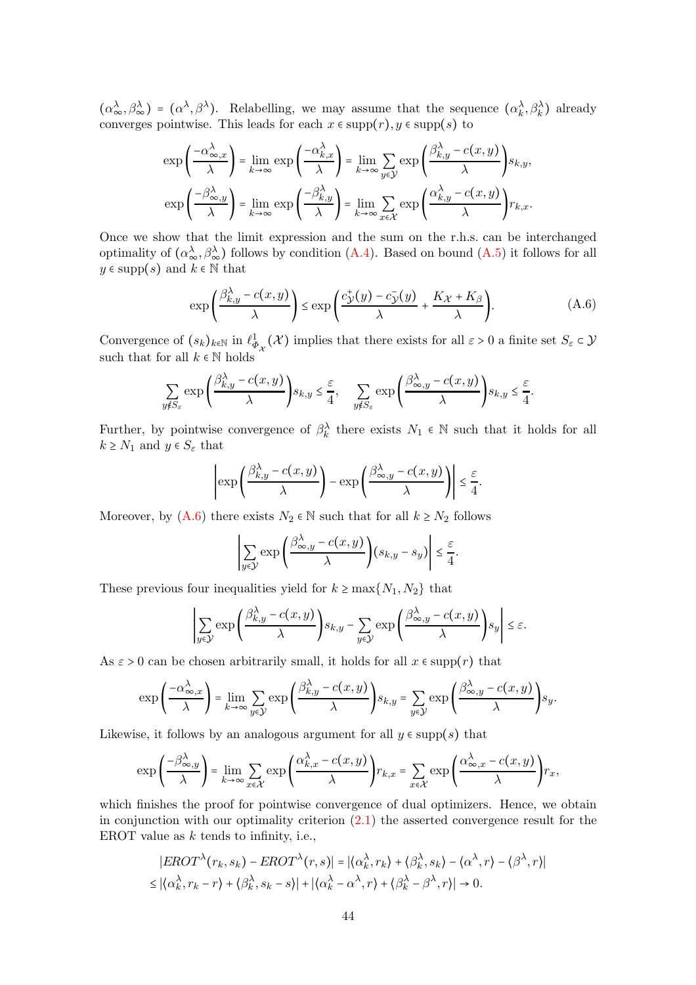$(\alpha_{\infty}^{\lambda}, \beta_{\infty}^{\lambda}) = (\alpha^{\lambda}, \beta^{\lambda})$ . Relabelling, we may assume that the sequence  $(\alpha_{k}^{\lambda}, \beta_{k}^{\lambda})$  already converges pointwise. This leads for each  $x \in \text{supp}(r)$ ,  $y \in \text{supp}(s)$  to

$$
\exp\left(\frac{-\alpha_{\infty,x}^{\lambda}}{\lambda}\right) = \lim_{k \to \infty} \exp\left(\frac{-\alpha_{k,x}^{\lambda}}{\lambda}\right) = \lim_{k \to \infty} \sum_{y \in \mathcal{Y}} \exp\left(\frac{\beta_{k,y}^{\lambda} - c(x,y)}{\lambda}\right) s_{k,y},
$$

$$
\exp\left(\frac{-\beta_{\infty,y}^{\lambda}}{\lambda}\right) = \lim_{k \to \infty} \exp\left(\frac{-\beta_{k,y}^{\lambda}}{\lambda}\right) = \lim_{k \to \infty} \sum_{x \in \mathcal{X}} \exp\left(\frac{\alpha_{k,y}^{\lambda} - c(x,y)}{\lambda}\right) r_{k,x}.
$$

Once we show that the limit expression and the sum on the r.h.s. can be interchanged optimality of  $(\alpha_{\infty}^{\lambda}, \beta_{\infty}^{\lambda})$  follows by condition [\(A.4\)](#page-41-0). Based on bound [\(A.5\)](#page-42-0) it follows for all  $y \in \text{supp}(s)$  and  $k \in \mathbb{N}$  that

<span id="page-43-0"></span>
$$
\exp\left(\frac{\beta_{k,y}^{\lambda} - c(x,y)}{\lambda}\right) \le \exp\left(\frac{c_{\mathcal{Y}}^{+}(y) - c_{\mathcal{Y}}^{-}(y)}{\lambda} + \frac{K_{\mathcal{X}} + K_{\beta}}{\lambda}\right).
$$
(A.6)

Convergence of  $(s_k)_{k \in \mathbb{N}}$  in  $\ell^1_{\Phi_\mathcal{X}}(\mathcal{X})$  implies that there exists for all  $\varepsilon > 0$  a finite set  $S_\varepsilon \subset \mathcal{Y}$ such that for all  $k \in \mathbb{N}$  holds

$$
\sum_{y \notin S_{\varepsilon}} \exp\left(\frac{\beta_{k,y}^{\lambda} - c(x,y)}{\lambda}\right) s_{k,y} \leq \frac{\varepsilon}{4}, \quad \sum_{y \notin S_{\varepsilon}} \exp\left(\frac{\beta_{\infty,y}^{\lambda} - c(x,y)}{\lambda}\right) s_{k,y} \leq \frac{\varepsilon}{4}.
$$

Further, by pointwise convergence of  $\beta_k^{\lambda}$  there exists  $N_1 \in \mathbb{N}$  such that it holds for all  $k \geq N_1$  and  $y \in S_{\varepsilon}$  that

$$
\left|\exp\left(\frac{\beta_{k,y}^{\lambda} - c(x,y)}{\lambda}\right) - \exp\left(\frac{\beta_{\infty,y}^{\lambda} - c(x,y)}{\lambda}\right)\right| \leq \frac{\varepsilon}{4}.
$$

Moreover, by  $(A.6)$  there exists  $N_2 \in \mathbb{N}$  such that for all  $k \ge N_2$  follows

$$
\left|\sum_{y\in\mathcal{Y}}\exp\left(\frac{\beta_{\infty,y}^{\lambda}-c(x,y)}{\lambda}\right)(s_{k,y}-s_y)\right|\leq\frac{\varepsilon}{4}.
$$

These previous four inequalities yield for  $k \ge \max\{N_1, N_2\}$  that

$$
\left|\sum_{y\in\mathcal{Y}}\exp\left(\frac{\beta_{k,y}^{\lambda}-c(x,y)}{\lambda}\right)s_{k,y}-\sum_{y\in\mathcal{Y}}\exp\left(\frac{\beta_{\infty,y}^{\lambda}-c(x,y)}{\lambda}\right)s_{y}\right|\leq\varepsilon.
$$

As  $\varepsilon > 0$  can be chosen arbitrarily small, it holds for all  $x \in \text{supp}(r)$  that

$$
\exp\left(\frac{-\alpha_{\infty,x}^{\lambda}}{\lambda}\right) = \lim_{k \to \infty} \sum_{y \in \mathcal{Y}} \exp\left(\frac{\beta_{k,y}^{\lambda} - c(x,y)}{\lambda}\right) s_{k,y} = \sum_{y \in \mathcal{Y}} \exp\left(\frac{\beta_{\infty,y}^{\lambda} - c(x,y)}{\lambda}\right) s_y.
$$

Likewise, it follows by an analogous argument for all  $y \in \text{supp}(s)$  that

$$
\exp\left(\frac{-\beta_{\infty,y}^{\lambda}}{\lambda}\right) = \lim_{k \to \infty} \sum_{x \in \mathcal{X}} \exp\left(\frac{\alpha_{k,x}^{\lambda} - c(x,y)}{\lambda}\right) r_{k,x} = \sum_{x \in \mathcal{X}} \exp\left(\frac{\alpha_{\infty,x}^{\lambda} - c(x,y)}{\lambda}\right) r_x,
$$

which finishes the proof for pointwise convergence of dual optimizers. Hence, we obtain in conjunction with our optimality criterion  $(2.1)$  the asserted convergence result for the EROT value as  $k$  tends to infinity, i.e.,

$$
|EROT^{\lambda}(r_k, s_k) - EROT^{\lambda}(r, s)| = |\langle \alpha_k^{\lambda}, r_k \rangle + \langle \beta_k^{\lambda}, s_k \rangle - \langle \alpha^{\lambda}, r \rangle - \langle \beta^{\lambda}, r \rangle|
$$
  

$$
\leq |\langle \alpha_k^{\lambda}, r_k - r \rangle + \langle \beta_k^{\lambda}, s_k - s \rangle| + |\langle \alpha_k^{\lambda} - \alpha^{\lambda}, r \rangle + \langle \beta_k^{\lambda} - \beta^{\lambda}, r \rangle| \to 0.
$$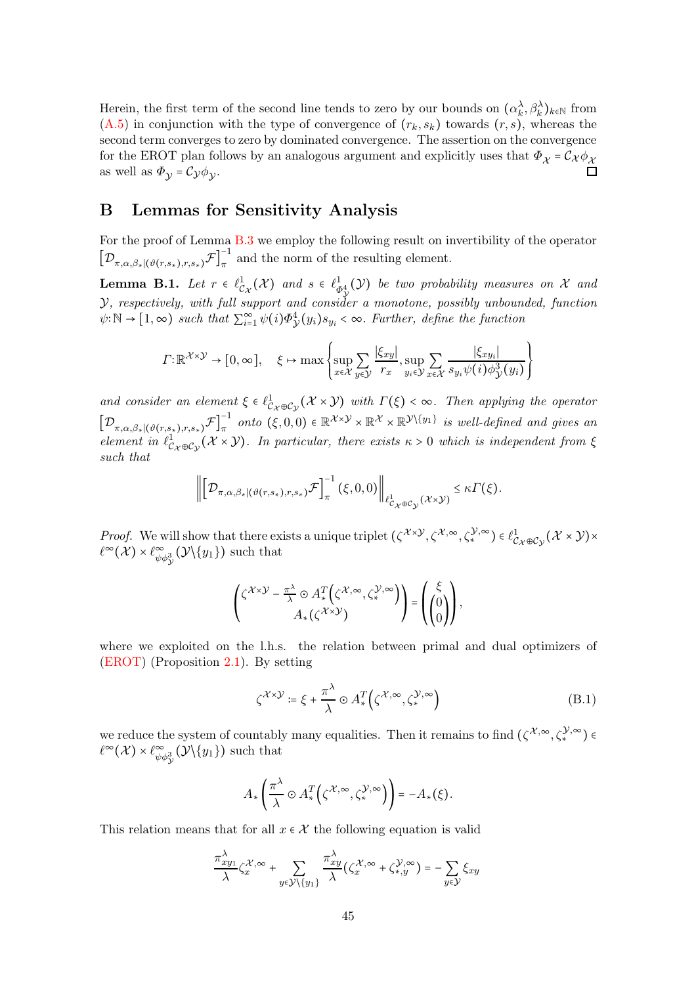Herein, the first term of the second line tends to zero by our bounds on  $(\alpha_k^{\lambda}, \beta_k^{\lambda})_{k \in \mathbb{N}}$  from  $(A.5)$  in conjunction with the type of convergence of  $(r_k, s_k)$  towards  $(r, s)$ , whereas the second term converges to zero by dominated convergence. The assertion on the convergence for the EROT plan follows by an analogous argument and explicitly uses that  $\Phi_\mathcal{X}$  =  $\mathcal{C}_\mathcal{X} \phi_\mathcal{X}$ as well as  $\Phi_{\mathcal{Y}} = C_{\mathcal{Y}} \phi_{\mathcal{Y}}$ .

### <span id="page-44-1"></span>B Lemmas for Sensitivity Analysis

For the proof of Lemma [B.3](#page-46-1) we employ the following result on invertibility of the operator  $\left[\mathcal{D}_{\pi,\alpha,\beta_*\mid (\vartheta(r,s_*),r,s_*)}\mathcal{F}\right]^{-1}_\pi$  $\pi$ <sup>1</sup> and the norm of the resulting element.

<span id="page-44-0"></span>**Lemma B.1.** Let  $r \in \ell^1_{\mathcal{C}_{\mathcal{X}}}(\mathcal{X})$  and  $s \in \ell^1_{\Phi^4_{\mathcal{Y}}}(\mathcal{Y})$  be two probability measures on  $\mathcal X$  and  $Y$ , respectively, with full support and consider a monotone, possibly unbounded, function  $\psi:\mathbb{N}\to[1,\infty)$  such that  $\sum_{i=1}^{\infty}\psi(i)\Phi_{\mathcal{Y}}^{4}(y_{i})s_{y_{i}}<\infty$ . Further, define the function

$$
\Gamma: \mathbb{R}^{\mathcal{X} \times \mathcal{Y}} \to [0, \infty], \quad \xi \mapsto \max \left\{ \sup_{x \in \mathcal{X}} \sum_{y \in \mathcal{Y}} \frac{|\xi_{xy}|}{r_x}, \sup_{y_i \in \mathcal{Y}} \sum_{x \in \mathcal{X}} \frac{|\xi_{xy_i}|}{s_{y_i} \psi(i) \phi_{\mathcal{Y}}^3(y_i)} \right\}
$$

and consider an element  $\xi \in \ell^1_{C_{\mathcal{X}} \oplus C_{\mathcal{Y}}}(\mathcal{X} \times \mathcal{Y})$  with  $\Gamma(\xi) < \infty$ . Then applying the operator  $\left[\mathcal{D}_{\pi,\alpha,\beta_*|(\vartheta(r,s_*),r,s_*)}\mathcal{F}\right]^{-1}_\pi$  $\pi$ <sup>-1</sup> onto  $(\xi, 0, 0) \in \mathbb{R}^{\mathcal{X} \times \mathcal{Y}} \times \mathbb{R}^{\mathcal{X}} \times \mathbb{R}^{\mathcal{Y} \setminus \{y_1\}}$  is well-defined and gives an element in  $\ell_{C_X \oplus C_Y}^1(\mathcal{X} \times \mathcal{Y})$ . In particular, there exists  $\kappa > 0$  which is independent from  $\xi$ such that

$$
\left\| \left[ \mathcal{D}_{\pi,\alpha,\beta_*|(\vartheta(r,s_*),r,s_*)} \mathcal{F} \right]_{\pi}^{-1} (\xi,0,0) \right\|_{\ell_{C_\mathcal{X} \oplus C_\mathcal{Y}}^1(\mathcal{X} \times \mathcal{Y})} \leq \kappa \Gamma(\xi).
$$

*Proof.* We will show that there exists a unique triplet  $(\zeta^{\mathcal{X}\times\mathcal{Y}}, \zeta^{\mathcal{X},\infty}, \zeta_*^{\mathcal{Y},\infty}) \in \ell^1_{\mathcal{C}_{\mathcal{X}}\oplus\mathcal{C}_{\mathcal{Y}}}(\mathcal{X}\times\mathcal{Y})\times$  $\ell^{\infty}(\mathcal{X}) \times \ell^{\infty}_{\psi \phi_{\mathcal{Y}}^{3}}(\mathcal{Y} \setminus \{y_{1}\})$  such that

$$
\begin{pmatrix} \zeta^{\mathcal{X}\times\mathcal{Y}}-\frac{\pi^\lambda}{\lambda}\odot A_*^T\Big(\zeta^{\mathcal{X},\infty},\zeta_*^{\mathcal{Y},\infty}\Big)\\ A_*(\zeta^{\mathcal{X}\times\mathcal{Y}})\end{pmatrix}=\begin{pmatrix} \xi\\ \begin{pmatrix} 0\\0\\0\end{pmatrix}\end{pmatrix},
$$

where we exploited on the l.h.s. the relation between primal and dual optimizers of [\(EROT\)](#page-1-0) (Proposition [2.1\)](#page-6-0). By setting

<span id="page-44-2"></span>
$$
\zeta^{\mathcal{X}\times\mathcal{Y}} \coloneqq \xi + \frac{\pi^{\lambda}}{\lambda} \odot A_*^T \left( \zeta^{\mathcal{X},\infty}, \zeta_*^{\mathcal{Y},\infty} \right) \tag{B.1}
$$

we reduce the system of countably many equalities. Then it remains to find  $({\zeta}^{\mathcal{X},\infty},{\zeta}_{*}^{\mathcal{Y},\infty})\in$  $\ell^{\infty}(\mathcal{X}) \times \ell^{\infty}_{\psi \phi_{\mathcal{Y}}^{3}}(\mathcal{Y} \setminus \{y_{1}\})$  such that

$$
A_*\left(\frac{\pi^{\lambda}}{\lambda} \odot A_*^T\left(\zeta^{\mathcal{X},\infty},\zeta_*^{\mathcal{Y},\infty}\right)\right) = -A_*\left(\xi\right).
$$

This relation means that for all  $x \in \mathcal{X}$  the following equation is valid

$$
\frac{\pi_{xy_1}^{\lambda}}{\lambda} \zeta_x^{\mathcal{X},\infty} + \sum_{y \in \mathcal{Y} \setminus \{y_1\}} \frac{\pi_{xy}^{\lambda}}{\lambda} (\zeta_x^{\mathcal{X},\infty} + \zeta_{*,y}^{\mathcal{Y},\infty}) = -\sum_{y \in \mathcal{Y}} \xi_{xy}
$$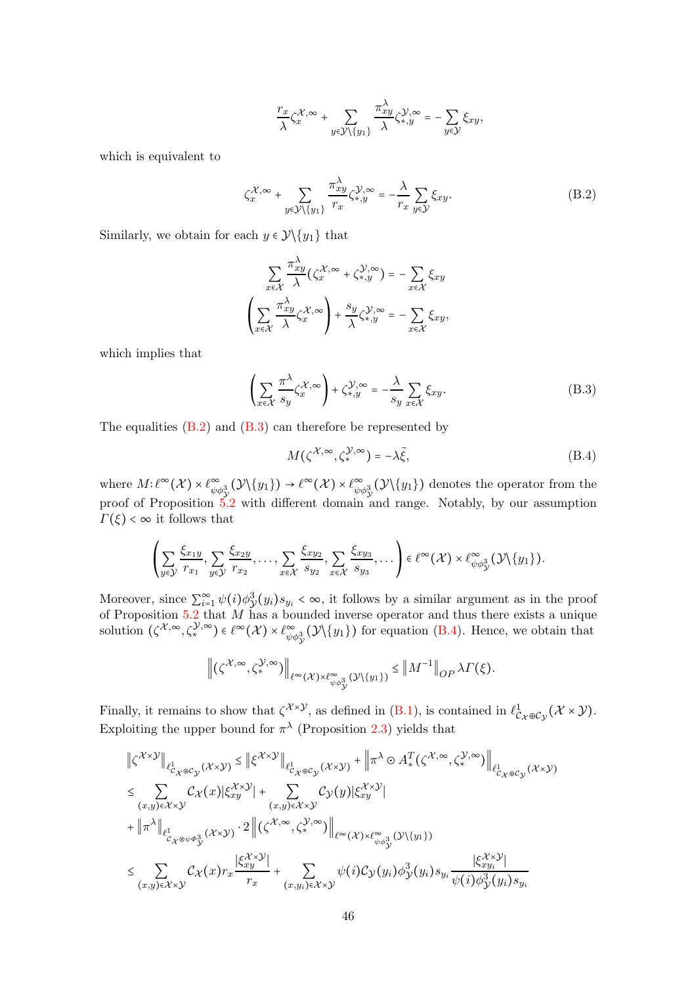$$
\frac{r_x}{\lambda} \zeta_x^{\mathcal{X},\infty} + \sum_{y \in \mathcal{Y} \setminus \{y_1\}} \frac{\pi_{xy}^{\lambda}}{\lambda} \zeta_{*,y}^{\mathcal{Y},\infty} = -\sum_{y \in \mathcal{Y}} \xi_{xy},
$$

which is equivalent to

<span id="page-45-0"></span>
$$
\zeta_x^{\mathcal{X},\infty} + \sum_{y \in \mathcal{Y} \setminus \{y_1\}} \frac{\pi_{xy}^{\lambda}}{r_x} \zeta_{*,y}^{\mathcal{Y},\infty} = -\frac{\lambda}{r_x} \sum_{y \in \mathcal{Y}} \xi_{xy}.
$$
 (B.2)

Similarly, we obtain for each  $y \in \mathcal{Y}\backslash \{y_1\}$  that

$$
\sum_{x \in \mathcal{X}} \frac{\pi_{xy}^{\lambda}}{\lambda} \left( \zeta_x^{\mathcal{X},\infty} + \zeta_{*,y}^{\mathcal{Y},\infty} \right) = -\sum_{x \in \mathcal{X}} \xi_{xy}
$$

$$
\left( \sum_{x \in \mathcal{X}} \frac{\pi_{xy}^{\lambda}}{\lambda} \zeta_x^{\mathcal{X},\infty} \right) + \frac{s_y}{\lambda} \zeta_{*,y}^{\mathcal{Y},\infty} = -\sum_{x \in \mathcal{X}} \xi_{xy},
$$

which implies that

$$
\left(\sum_{x \in \mathcal{X}} \frac{\pi^{\lambda}}{s_y} \zeta_x^{\mathcal{X}, \infty}\right) + \zeta_{*,y}^{\mathcal{Y}, \infty} = -\frac{\lambda}{s_y} \sum_{x \in \mathcal{X}} \xi_{xy}.
$$
\n(B.3)

The equalities  $(B.2)$  and  $(B.3)$  can therefore be represented by

<span id="page-45-2"></span><span id="page-45-1"></span>
$$
M(\zeta^{\mathcal{X},\infty},\zeta_*^{\mathcal{Y},\infty}) = -\lambda \tilde{\xi},\tag{B.4}
$$

where  $M: \ell^{\infty}(\mathcal{X}) \times \ell^{\infty}_{\psi \phi_{\mathcal{Y}}^{3}}(\mathcal{Y} \setminus \{y_{1}\}) \to \ell^{\infty}(\mathcal{X}) \times \ell^{\infty}_{\psi \phi_{\mathcal{Y}}^{3}}(\mathcal{Y} \setminus \{y_{1}\})$  denotes the operator from the proof of Proposition [5.2](#page-25-0) with different domain and range. Notably, by our assumption  $\Gamma(\xi) < \infty$  it follows that

$$
\left(\sum_{y\in\mathcal{Y}}\frac{\xi_{x_1y}}{r_{x_1}},\sum_{y\in\mathcal{Y}}\frac{\xi_{x_2y}}{r_{x_2}},\ldots,\sum_{x\in\mathcal{X}}\frac{\xi_{xy_2}}{s_{y_2}},\sum_{x\in\mathcal{X}}\frac{\xi_{xy_3}}{s_{y_3}},\ldots\right)\in\ell^{\infty}(\mathcal{X})\times\ell^{\infty}_{\psi\phi^3_{\mathcal{Y}}}(\mathcal{Y}\setminus\{y_1\}).
$$

Moreover, since  $\sum_{i=1}^{\infty} \psi(i) \phi_{\mathcal{Y}}^3(y_i) s_{y_i} < \infty$ , it follows by a similar argument as in the proof of Proposition [5.2](#page-25-0) that M has a bounded inverse operator and thus there exists a unique solution  $(\zeta^{\mathcal{X},\infty},\zeta^{y,\infty}_*)\in\ell^{\infty}(\mathcal{X})\times\ell^{\infty}_{\psi\phi^3_y}(\mathcal{Y}\setminus\{y_1\})$  for equation [\(B.4\)](#page-45-2). Hence, we obtain that

$$
\left\|(\zeta^{\mathcal{X},\infty},\zeta^{ \mathcal{Y},\infty}_*)\right\|_{\ell^{\infty}(\mathcal{X})\times\ell^{\infty}_{\psi\phi^3_{\mathcal{Y}}}(\mathcal{Y}\backslash\{y_1\})}\leq\left\|M^{-1}\right\|_{OP}\lambda\Gamma(\xi).
$$

Finally, it remains to show that  $\zeta^{\mathcal{X}\times\mathcal{Y}}$ , as defined in  $(B.1)$ , is contained in  $\ell^1_{\mathcal{C}_\mathcal{X}\oplus\mathcal{C}_\mathcal{Y}}(\mathcal{X}\times\mathcal{Y})$ . Exploiting the upper bound for  $\pi^{\lambda}$  (Proposition [2.3\)](#page-7-3) yields that

$$
\begin{split}\n\left\|\zeta^{X\times\mathcal{Y}}\right\|_{\ell_{C_{\mathcal{X}}\oplus C_{\mathcal{Y}}}^{1}(\mathcal{X}\times\mathcal{Y})} &\leq \left\|\xi^{X\times\mathcal{Y}}\right\|_{\ell_{C_{\mathcal{X}}\oplus C_{\mathcal{Y}}}^{1}(\mathcal{X}\times\mathcal{Y})} + \left\|\pi^{\lambda}\odot A_{*}^{T}(\zeta^{X,\infty},\zeta_{*}^{\mathcal{Y},\infty})\right\|_{\ell_{C_{\mathcal{X}}\oplus C_{\mathcal{Y}}}^{1}(\mathcal{X}\times\mathcal{Y})} \\
&\leq \sum_{(x,y)\in\mathcal{X}\times\mathcal{Y}} \mathcal{C}_{\mathcal{X}}(x)|\xi_{xy}^{X\times\mathcal{Y}}| + \sum_{(x,y)\in\mathcal{X}\times\mathcal{Y}} \mathcal{C}_{\mathcal{Y}}(y)|\xi_{xy}^{X\times\mathcal{Y}}| \\
&+ \left\|\pi^{\lambda}\right\|_{\ell_{C_{\mathcal{X}}\oplus\psi\Phi_{\mathcal{Y}}^{3}(\mathcal{X}\times\mathcal{Y})} \cdot 2\left\|\left(\zeta^{X,\infty},\zeta_{*}^{\mathcal{Y},\infty}\right)\right\|_{\ell^{\infty}(\mathcal{X})\times\ell_{\psi\Phi_{\mathcal{Y}}^{3}(\mathcal{Y})}(\mathcal{Y}_{1})}\n\\ &\leq \sum_{(x,y)\in\mathcal{X}\times\mathcal{Y}} \mathcal{C}_{\mathcal{X}}(x)r_{x}\frac{\left|\xi_{xy}^{X\times\mathcal{Y}}\right|}{r_{x}} + \sum_{(x,y)\in\mathcal{X}\times\mathcal{Y}} \psi(i)\mathcal{C}_{\mathcal{Y}}(y_{i})\phi_{\mathcal{Y}}^{3}(y_{i})s_{y_{i}}\frac{\left|\xi_{xy}^{X\times\mathcal{Y}}\right|}{\psi(i)\phi_{\mathcal{Y}}^{3}(y_{i})s_{y_{i}}} \n\end{split}
$$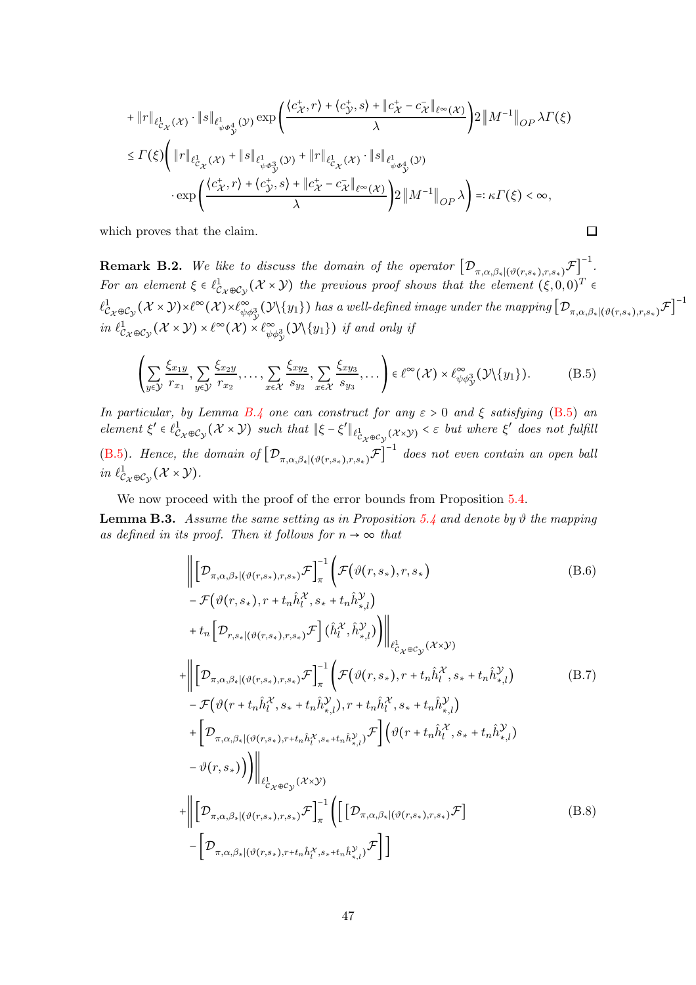$$
+\|r\|_{\ell^1_{C_{\mathcal{X}}}(\mathcal{X})}\cdot \|s\|_{\ell^1_{\psi\Phi^4_{\mathcal{Y}}}(\mathcal{Y})}\exp\left(\frac{\langle c^+_{\mathcal{X}},r\rangle+\langle c^+_{\mathcal{Y}},s\rangle+\|c^+_{\mathcal{X}}-c^-_{\mathcal{X}}\|_{\ell^\infty(\mathcal{X})}}{\lambda}\right)2\|M^{-1}\|_{OP}\lambda\Gamma(\xi)
$$
  

$$
\leq \Gamma(\xi)\Bigg(\|r\|_{\ell^1_{C_{\mathcal{X}}}(\mathcal{X})}+\|s\|_{\ell^1_{\psi\Phi^3_{\mathcal{Y}}}(\mathcal{Y})}+\|r\|_{\ell^1_{C_{\mathcal{X}}}(\mathcal{X})}\cdot \|s\|_{\ell^1_{\psi\Phi^4_{\mathcal{Y}}}(\mathcal{Y})}
$$
  

$$
\cdot\exp\Bigg(\frac{\langle c^+_{\mathcal{X}},r\rangle+\langle c^+_{\mathcal{Y}},s\rangle+\|c^+_{\mathcal{X}}-c^-_{\mathcal{X}}\|_{\ell^\infty(\mathcal{X})}}{\lambda}\Bigg)2\|M^{-1}\|_{OP}\lambda\Bigg)=:\kappa\Gamma(\xi)<\infty,
$$

which proves that the claim.

<span id="page-46-0"></span>**Remark B.2.** We like to discuss the domain of the operator  $\left[\mathcal{D}_{\pi,\alpha,\beta_*\mid(\vartheta(r,s_*),r,s_*)}\mathcal{F}\right]^{-1}$ . For an element  $\xi \in \ell^1_{C_{\mathcal{X}} \oplus C_{\mathcal{Y}}} (\mathcal{X} \times \mathcal{Y})$  the previous proof shows that the element  $(\xi, 0, 0)^T \in$  $\ell^1_{\mathcal{C}_{\mathcal{X}}\oplus\mathcal{C}_{\mathcal{Y}}}(\mathcal{X}\times \mathcal{Y})\times\ell^{\infty}(\mathcal{X})\times\ell^{\infty}_{\psi\phi^3_{\mathcal{Y}}}(\mathcal{Y}\backslash\{y_1\})$  has a well-defined image under the mapping  $\left[\mathcal{D}_{\pi,\alpha,\beta_{\star}\mid (\vartheta(r,s_{\star}),r,s_{\star})}\mathcal{F}\right]^{-1}$ in  $\ell^1_{C_\mathcal{X} \oplus C_\mathcal{Y}}(\mathcal{X} \times \mathcal{Y}) \times \ell^{\infty}(\mathcal{X}) \times \ell^{\infty}_{\psi \phi^3_{\mathcal{Y}}}(\mathcal{Y} \setminus \{y_1\})$  if and only if

<span id="page-46-3"></span> $\Box$ 

<span id="page-46-2"></span>
$$
\left(\sum_{y\in\mathcal{Y}}\frac{\xi_{x_1y}}{r_{x_1}},\sum_{y\in\mathcal{Y}}\frac{\xi_{x_2y}}{r_{x_2}},\ldots,\sum_{x\in\mathcal{X}}\frac{\xi_{xy_2}}{s_{y_2}},\sum_{x\in\mathcal{X}}\frac{\xi_{xy_3}}{s_{y_3}},\ldots\right)\in\ell^{\infty}(\mathcal{X})\times\ell^{\infty}_{\psi\phi^3_{\mathcal{Y}}}(\mathcal{Y}\backslash\{y_1\}).
$$
\n(B.5)

In particular, by Lemma [B.4](#page-51-2) one can construct for any  $\varepsilon > 0$  and  $\xi$  satisfying [\(B.5\)](#page-46-2) an  $element \xi' \in \ell^1_{C_{\mathcal{X}} \oplus C_{\mathcal{Y}}}(\mathcal{X} \times \mathcal{Y})$  such that  $\|\xi - \xi'\|_{\ell^1_{C_{\mathcal{X}} \oplus C_{\mathcal{Y}}}(\mathcal{X} \times \mathcal{Y})} < \varepsilon$  but where  $\xi'$  does not fulfill [\(B.5\)](#page-46-2). Hence, the domain of  $[\mathcal{D}_{\pi,\alpha,\beta_*|(\vartheta(r,s_*),r,s_*)}\mathcal{F}]^{-1}$  does not even contain an open ball in  $\ell^1_{\mathcal{C}_{\mathcal{X}}\oplus\mathcal{C}_{\mathcal{Y}}}(\mathcal{X}\times\mathcal{Y})$ .

We now proceed with the proof of the error bounds from Proposition [5.4.](#page-26-0)

<span id="page-46-1"></span>**Lemma B.3.** Assume the same setting as in Proposition [5.4](#page-26-0) and denote by  $\vartheta$  the mapping as defined in its proof. Then it follows for  $n \to \infty$  that

<span id="page-46-5"></span><span id="page-46-4"></span>
$$
\left\| \left[ \mathcal{D}_{\pi,\alpha,\beta_{*}|(\vartheta(r,s_{*}),r,s_{*})} \mathcal{F} \right]_{\pi}^{-1} \left( \mathcal{F}(\vartheta(r,s_{*}),r,s_{*}) \right) \right\|
$$
\n
$$
- \mathcal{F}(\vartheta(r,s_{*}),r+t_{n} \hat{h}_{l}^{\chi}, s_{*}+t_{n} \hat{h}_{*,l}^{\chi})
$$
\n
$$
+ t_{n} \left[ \mathcal{D}_{r,s_{*}|(\vartheta(r,s_{*}),r,s_{*})} \mathcal{F} \right] (\hat{h}_{l}^{\chi}, \hat{h}_{*,l}^{\chi}) \right) \Big\|_{\ell_{C_{\chi}\oplus C_{\chi}}^{1}(\chi \times \mathcal{Y})}
$$
\n
$$
+ \left\| \left[ \mathcal{D}_{\pi,\alpha,\beta_{*}|(\vartheta(r,s_{*}),r,s_{*})} \mathcal{F} \right]_{\pi}^{-1} \left( \mathcal{F}(\vartheta(r,s_{*}),r+t_{n} \hat{h}_{l}^{\chi}, s_{*}+t_{n} \hat{h}_{*,l}^{\chi}) \right) \right. \left. - \mathcal{F}(\vartheta(r+t_{n} \hat{h}_{l}^{\chi}, s_{*}+t_{n} \hat{h}_{*,l}^{\chi}),r+t_{n} \hat{h}_{l}^{\chi}, s_{*}+t_{n} \hat{h}_{*,l}^{\chi}) \right\|
$$
\n
$$
+ \left[ \mathcal{D}_{\pi,\alpha,\beta_{*}|(\vartheta(r,s_{*}),r+t_{n} \hat{h}_{l}^{\chi}, s_{*}+t_{n} \hat{h}_{*,l}^{\chi})} \mathcal{F} \right] \left( \vartheta(r+t_{n} \hat{h}_{l}^{\chi}, s_{*}+t_{n} \hat{h}_{*,l}^{\chi}) \right)
$$
\n
$$
- \vartheta(r,s_{*}) \right) \Big\|_{\ell_{C_{\chi}\oplus C_{\chi}}^{1}(\chi \times \mathcal{Y})}
$$
\n
$$
+ \left\| \left[ \mathcal{D}_{\pi,\alpha,\beta_{*}|(\vartheta(r,s_{*}),r,s_{*})} \mathcal{F} \right]_{\pi}^{-1} \left( \left[ \left[ \mathcal{D}_{\pi,\alpha,\beta_{*}|(\vartheta(r,s_{*}),r,t_{n} \hat{h}_{l}^
$$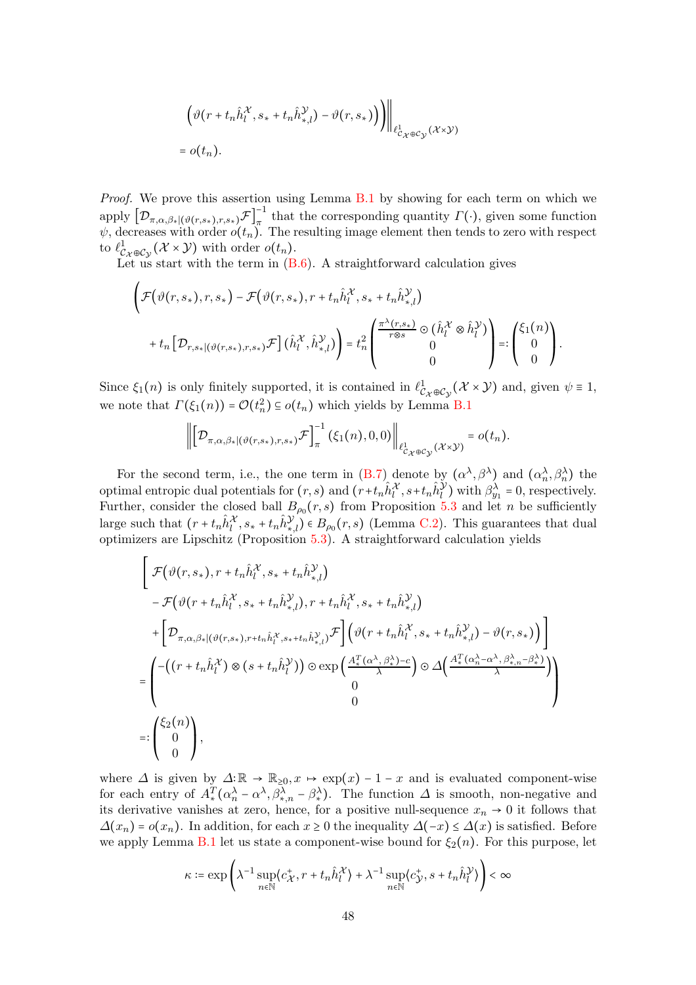$$
\left. \left( \vartheta \left( r + t_n \hat{h}_l^{\mathcal{X}}, s_* + t_n \hat{h}_{*,l}^{\mathcal{Y}} \right) - \vartheta \left( r, s_* \right) \right) \right) \right\|_{\ell^1_{C_{\mathcal{X}} \oplus C_{\mathcal{Y}}} (\mathcal{X} \times \mathcal{Y})}
$$
  
=  $o(t_n)$ .

*Proof.* We prove this assertion using Lemma [B.1](#page-44-0) by showing for each term on which we apply  $\left[\mathcal{D}_{\pi,\alpha,\beta_*|(\vartheta(r,s_*),r,s_*)}\mathcal{F}\right]_{\pi}^{-1}$ <sup>-1</sup> that the corresponding quantity  $\Gamma(\cdot)$ , given some function  $\psi$ , decreases with order  $o(t_n)$ . The resulting image element then tends to zero with respect to  $\ell^1_{\mathcal{C}_{\mathcal{X}}\oplus\mathcal{C}_{\mathcal{Y}}}(\mathcal{X}\times\mathcal{Y})$  with order  $o(t_n)$ .

Let us start with the term in  $(B.6)$ . A straightforward calculation gives

$$
\left(\mathcal{F}(\vartheta(r,s_*),r,s_*) - \mathcal{F}(\vartheta(r,s_*),r+t_n\hat{h}_l^{\mathcal{X}},s_*+t_n\hat{h}_{*,l}^{\mathcal{Y}})\n+ t_n\left[\mathcal{D}_{r,s_*|(\vartheta(r,s_*),r,s_*)}\mathcal{F}\right](\hat{h}_l^{\mathcal{X}},\hat{h}_{*,l}^{\mathcal{Y}})\right) = t_n^2 \begin{pmatrix} \frac{\pi^{\lambda}(r,s_*)}{r\otimes s} & \odot (\hat{h}_l^{\mathcal{X}}\otimes \hat{h}_l^{\mathcal{Y}}) \\
0 & 0 \end{pmatrix} =: \begin{pmatrix} \xi_1(n) \\ 0 \\ 0 \end{pmatrix}.
$$

Since  $\xi_1(n)$  is only finitely supported, it is contained in  $\ell^1_{\mathcal{C}_{\mathcal{X}}\oplus\mathcal{C}_{\mathcal{Y}}}(\mathcal{X}\times\mathcal{Y})$  and, given  $\psi\equiv 1$ , we note that  $\Gamma(\xi_1(n)) = \mathcal{O}(t_n^2) \subseteq o(t_n)$  which yields by Lemma [B.1](#page-44-0)

$$
\left\|\left[\mathcal{D}_{\pi,\alpha,\beta_*|(\vartheta(r,s_*),r,s_*)}\mathcal{F}\right]_{\pi}^{-1}(\xi_1(n),0,0)\right\|_{\ell^1_{\mathcal{C}_{\mathcal{X}}\oplus\mathcal{C}_{\mathcal{Y}}}(\mathcal{X}\times\mathcal{Y})}=o(t_n).
$$

For the second term, i.e., the one term in [\(B.7\)](#page-46-4) denote by  $(\alpha^{\lambda}, \beta^{\lambda})$  and  $(\alpha^{\lambda}_{n}, \beta^{\lambda}_{n})$  the optimal entropic dual potentials for  $(r, s)$  and  $(r+t_n\hat{h}_l^{\chi}, s+t_n\hat{h}_l^{\chi})$  with  $\beta_{y_1}^{\lambda} = 0$ , respectively. Further, consider the closed ball  $B_{\rho_0}(r,s)$  from Proposition [5.3](#page-25-1) and let *n* be sufficiently large such that  $(r+t_n\hat{h}_l^{\mathcal{X}}, s_*+t_n\hat{h}_{*,l}^{\mathcal{Y}}) \in B_{\rho_0}(r,s)$  (Lemma [C.2\)](#page-52-0). This guarantees that dual optimizers are Lipschitz (Proposition [5.3\)](#page-25-1). A straightforward calculation yields

$$
\begin{aligned}\n&\left[\mathcal{F}(\vartheta(r,s_*),r+t_n\hat{h}_l^{\chi},s_*+t_n\hat{h}_{*,l}^{\chi})\right.\\&\left. -\mathcal{F}(\vartheta(r+t_n\hat{h}_l^{\chi},s_*+t_n\hat{h}_{*,l}^{\chi}),r+t_n\hat{h}_l^{\chi},s_*+t_n\hat{h}_{*,l}^{\chi})\right.\\&\left. +\left[\mathcal{D}_{\pi,\alpha,\beta_*|(\vartheta(r,s_*),r+t_n\hat{h}_l^{\chi},s_*+t_n\hat{h}_{*,l}^{\chi})}\mathcal{F}\right](\vartheta(r+t_n\hat{h}_l^{\chi},s_*+t_n\hat{h}_{*,l}^{\chi})-\vartheta(r,s_*)\right)\right] \\
&= \left(\begin{aligned}\n&-\left((r+t_n\hat{h}_l^{\chi})\otimes(s+t_n\hat{h}_l^{\chi})\right)\odot\exp\left(\frac{A_{*}^{T}(\alpha^{\lambda},\beta^{\lambda}_{*})-c}{\lambda}\right)\odot\mathcal{A}\left(\frac{A_{*}^{T}(\alpha^{\lambda}-\alpha^{\lambda},\beta^{\lambda}_{*,n}-\beta^{\lambda}_{*})}{\lambda}\right)\\
&0\n\end{aligned}\right) \\
&=:\begin{pmatrix}\n\xi_{2}(n) \\
0\n\end{pmatrix},\n\end{aligned}
$$

where  $\Delta$  is given by  $\Delta: \mathbb{R} \to \mathbb{R}_{\geq 0}$ ,  $x \mapsto \exp(x) - 1 - x$  and is evaluated component-wise for each entry of  $A_*^T(\alpha_n^{\lambda} - \alpha^{\lambda}, \beta_{*,n}^{\lambda} - \beta_{*}^{\lambda})$ . The function  $\Delta$  is smooth, non-negative and its derivative vanishes at zero, hence, for a positive null-sequence  $x_n \to 0$  it follows that  $\Delta(x_n) = o(x_n)$ . In addition, for each  $x \geq 0$  the inequality  $\Delta(-x) \leq \Delta(x)$  is satisfied. Before we apply Lemma [B.1](#page-44-0) let us state a component-wise bound for  $\xi_2(n)$ . For this purpose, let

$$
\kappa \coloneqq \exp\left(\lambda^{-1} \sup_{n \in \mathbb{N}} \langle c_{\mathcal{X}}^+, r + t_n \hat{h}_l^{\mathcal{X}} \rangle + \lambda^{-1} \sup_{n \in \mathbb{N}} \langle c_{\mathcal{Y}}^+, s + t_n \hat{h}_l^{\mathcal{Y}} \rangle \right) < \infty
$$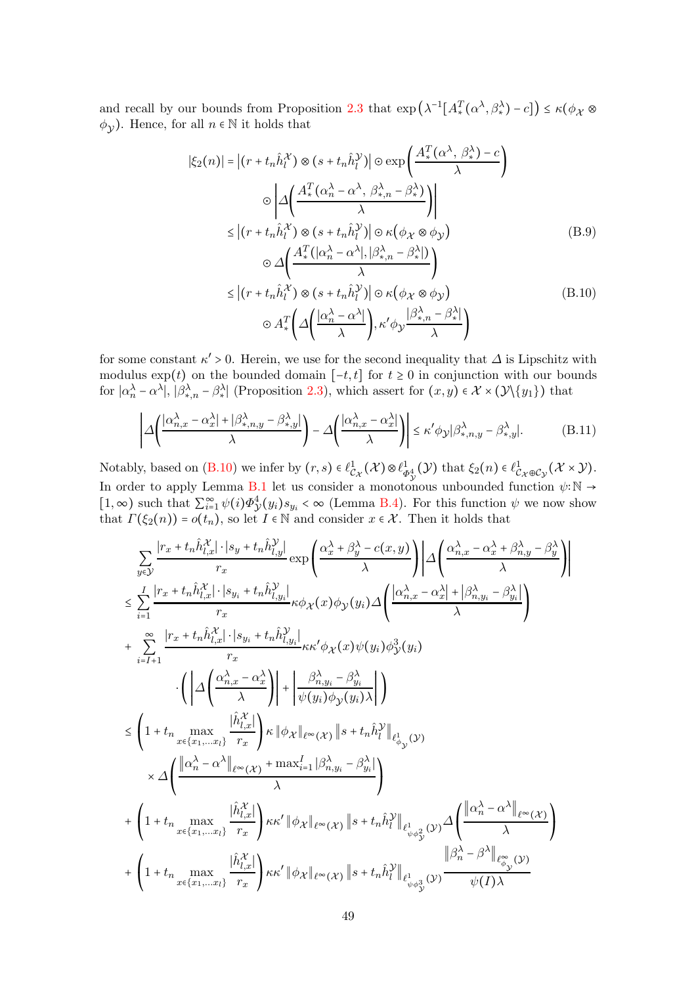and recall by our bounds from Proposition [2.3](#page-7-3) that  $\exp\left(\lambda^{-1}[A_*^T(\alpha^{\lambda}, \beta_*^{\lambda}) - c]\right) \le \kappa(\phi_{\mathcal{X}} \otimes$  $\phi_{\mathcal{Y}}$ ). Hence, for all  $n \in \mathbb{N}$  it holds that

<span id="page-48-1"></span><span id="page-48-0"></span>
$$
|\xi_2(n)| = |(r + t_n \hat{h}_l^{\chi}) \otimes (s + t_n \hat{h}_l^{\gamma})| \odot \exp\left(\frac{A_*^T(\alpha^{\lambda}, \beta_*^{\lambda}) - c}{\lambda}\right)
$$
  

$$
\odot \left| \Delta\left(\frac{A_*^T(\alpha_n^{\lambda} - \alpha^{\lambda}, \beta_{*,n}^{\lambda} - \beta_*^{\lambda})}{\lambda}\right) \right|
$$
  

$$
\leq |(r + t_n \hat{h}_l^{\gamma}) \otimes (s + t_n \hat{h}_l^{\gamma})| \odot \kappa(\phi_{\chi} \otimes \phi_{\gamma})
$$
  

$$
\odot \Delta\left(\frac{A_*^T(|\alpha_n^{\lambda} - \alpha^{\lambda}|, |\beta_{*,n}^{\lambda} - \beta_*^{\lambda}|)}{\lambda}\right)
$$
  

$$
\leq |(r + t_n \hat{h}_l^{\gamma}) \otimes (s + t_n \hat{h}_l^{\gamma})| \odot \kappa(\phi_{\chi} \otimes \phi_{\gamma})
$$
  

$$
\odot A_*^T\left(\Delta\left(\frac{|\alpha_n^{\lambda} - \alpha^{\lambda}|}{\lambda}\right), \kappa' \phi_{\gamma} \frac{|\beta_{*,n}^{\lambda} - \beta_*^{\lambda}|}{\lambda}\right)
$$
  
(B.10)

for some constant  $\kappa' > 0$ . Herein, we use for the second inequality that  $\Delta$  is Lipschitz with modulus  $\exp(t)$  on the bounded domain  $[-t, t]$  for  $t \geq 0$  in conjunction with our bounds for  $|\alpha_n^{\lambda} - \alpha^{\lambda}|$ ,  $|\beta_{*,n}^{\lambda} - \beta_{*}^{\lambda}|$  (Proposition [2.3\)](#page-7-3), which assert for  $(x, y) \in \mathcal{X} \times (\mathcal{Y} \setminus \{y_1\})$  that

<span id="page-48-2"></span>
$$
\left| \Delta \left( \frac{|\alpha_{n,x}^{\lambda} - \alpha_x^{\lambda}| + |\beta_{\star,n,y}^{\lambda} - \beta_{\star,y}^{\lambda}|}{\lambda} \right) - \Delta \left( \frac{|\alpha_{n,x}^{\lambda} - \alpha_x^{\lambda}|}{\lambda} \right) \right| \le \kappa' \phi_{\mathcal{Y}} |\beta_{\star,n,y}^{\lambda} - \beta_{\star,y}^{\lambda}|. \tag{B.11}
$$

Notably, based on [\(B.10\)](#page-48-0) we infer by  $(r, s) \in \ell_{C_{\mathcal{X}}}^1(\mathcal{X}) \otimes \ell_{\mathcal{O}_{\mathcal{X}}}^1(\mathcal{Y})$  that  $\xi_2(n) \in \ell_{C_{\mathcal{X}} \oplus C_{\mathcal{Y}}}^1(\mathcal{X} \times \mathcal{Y})$ . In order to apply Lemma [B.1](#page-44-0) let us consider a monotonous unbounded function  $\psi: \mathbb{N} \to$ [1, ∞) such that  $\sum_{i=1}^{\infty} \psi(i) \Phi_{\mathcal{Y}}^4(y_i) s_{y_i} < \infty$  (Lemma [B.4\)](#page-51-2). For this function  $\psi$  we now show that  $\Gamma(\xi_2(n)) = o(t_n)$ , so let  $I \in \mathbb{N}$  and consider  $x \in \mathcal{X}$ . Then it holds that

$$
\sum_{y \in \mathcal{Y}} \frac{|r_x + t_n \hat{h}_{l,x}^{\mathcal{X}}| \cdot |s_y + t_n \hat{h}_{l,y}^{\mathcal{Y}}|}{r_x} \exp\left(\frac{\alpha_x^{\lambda} + \beta_y^{\lambda} - c(x,y)}{\lambda}\right) \left| \Delta \left(\frac{\alpha_{n,x}^{\lambda} - \alpha_x^{\lambda} + \beta_{n,y}^{\lambda} - \beta_y^{\lambda}}{\lambda}\right) \right|
$$
\n
$$
\leq \sum_{i=1}^{I} \frac{|r_x + t_n \hat{h}_{l,x}^{\mathcal{X}}| \cdot |s_{y_i} + t_n \hat{h}_{l,y_i}^{\mathcal{Y}}|}{r_x} \kappa \phi_{\mathcal{X}}(x) \phi_{\mathcal{Y}}(y_i) \Delta \left(\frac{|\alpha_{n,x}^{\lambda} - \alpha_x^{\lambda}| + |\beta_{n,y_i}^{\lambda} - \beta_y^{\lambda}|}{\lambda}\right)
$$
\n
$$
+ \sum_{i=I+1}^{\infty} \frac{|r_x + t_n \hat{h}_{l,x}^{\mathcal{X}}| \cdot |s_{y_i} + t_n \hat{h}_{l,y_i}^{\mathcal{Y}}|}{r_x} \kappa \phi_{\mathcal{X}}(x) \psi(y_i) \phi_{\mathcal{Y}}^{\lambda}(y_i)
$$
\n
$$
\cdot \left(\left| \Delta \left(\frac{\alpha_{n,x}^{\lambda} - \alpha_x^{\lambda}}{\lambda}\right) \right| + \left| \frac{\beta_{n,y_i}^{\lambda} - \beta_{y_i}^{\lambda}}{\psi(y_i) \phi_{\mathcal{Y}}(y_i) \lambda} \right| \right)
$$
\n
$$
\leq \left(1 + t_n \max_{x \in \{x_1, \ldots x_l\}} \frac{|\hat{h}_{l,x}^{\mathcal{X}}|}{r_x}\right) \kappa \left\|\phi_{\mathcal{X}}\|_{\ell^{\infty}(\mathcal{X})} \left\|s + t_n \hat{h}_{l}^{\mathcal{Y}}\right\|_{\ell_{\phi_{\mathcal{Y}}}^1(\mathcal{Y})}
$$
\n
$$
\times \Delta \left(\frac{\|\alpha_n^{\lambda} - \alpha^{\lambda}\|_{\ell^{\infty}(\mathcal{X})} + \max_{i=1}^{i} |\beta_{n,y_i}^{\lambda} - \beta_{y_i}^{\lambda}|}{\lambda}\right)
$$
\n<math display="block</math>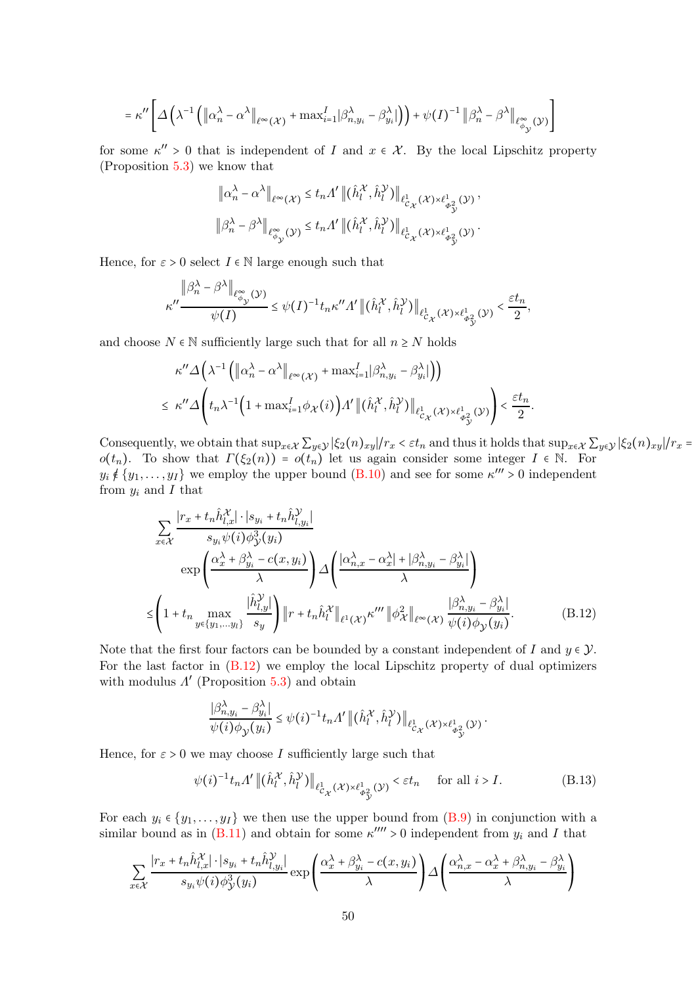$$
= \kappa'' \left[ \Delta \left( \lambda^{-1} \left( \left\| \alpha_n^{\lambda} - \alpha^{\lambda} \right\|_{\ell^{\infty}(\mathcal{X})} + \max_{i=1}^I |\beta_{n,y_i}^{\lambda} - \beta_{y_i}^{\lambda}| \right) \right) + \psi(I)^{-1} \left\| \beta_n^{\lambda} - \beta^{\lambda} \right\|_{\ell^{\infty}_{\phi_{\mathcal{Y}}}(\mathcal{Y})} \right]
$$

for some  $\kappa'' > 0$  that is independent of I and  $x \in \mathcal{X}$ . By the local Lipschitz property (Proposition [5.3\)](#page-25-1) we know that

$$
\begin{aligned} \left\| \alpha_n^\lambda - \alpha^\lambda \right\|_{\ell^\infty(\mathcal{X})} &\leq t_n \varLambda' \left\| \left( \hat{h}_l^\mathcal{X}, \hat{h}_l^\mathcal{Y} \right) \right\|_{\ell_{C_\mathcal{X}}^1(\mathcal{X}) \times \ell_{\varPhi_\mathcal{Y}}^1(\mathcal{Y})}, \\ \left\| \beta_n^\lambda - \beta^\lambda \right\|_{\ell^\infty_{\phi_\mathcal{Y}}(\mathcal{Y})} &\leq t_n \varLambda' \left\| \left( \hat{h}_l^\mathcal{X}, \hat{h}_l^\mathcal{Y} \right) \right\|_{\ell_{C_\mathcal{X}}^1(\mathcal{X}) \times \ell_{\varPhi_\mathcal{Y}}^1(\mathcal{Y})}. \end{aligned}
$$

Hence, for  $\varepsilon > 0$  select  $I \in \mathbb{N}$  large enough such that

$$
\kappa'' \frac{\left\|\beta_n^\lambda-\beta^\lambda\right\|_{\ell^\infty_{\phi_{\mathcal{Y}}}(\mathcal{Y})}}{\psi(I)} \leq \psi(I)^{-1} t_n \kappa'' \varLambda' \left\|\left(\hat{h}_l^{\mathcal{X}}, \hat{h}_l^{\mathcal{Y}}\right)\right\|_{\ell^1_{C_{\mathcal{X}}}(\mathcal{X}) \times \ell^1_{\Phi^2_{\mathcal{Y}}}(\mathcal{Y})} < \frac{\varepsilon t_n}{2},
$$

and choose  $N \in \mathbb{N}$  sufficiently large such that for all  $n \geq N$  holds

$$
\begin{aligned} &\kappa''\varDelta\left(\lambda^{-1}\left(\left\|\alpha_n^\lambda-\alpha^\lambda\right\|_{\ell^\infty(\mathcal{X})}+\max_{i=1}^I\left|\beta_{n,y_i}^\lambda-\beta_{y_i}^\lambda\right|\right)\right)\\ &\leq \kappa''\varDelta\left(t_n\lambda^{-1}\Big(1+\max_{i=1}^I\phi_{\mathcal{X}}(i)\Big)\varDelta'\left\|(\hat{h}_l^{\mathcal{X}},\hat{h}_l^{\mathcal{Y}})\right\|_{\ell^1_{C_{\mathcal{X}}}(\mathcal{X})\times\ell^1_{\varPhi^2_{\mathcal{Y}}}(\mathcal{Y})}\right) <\frac{\varepsilon t_n}{2}.\end{aligned}
$$

Consequently, we obtain that  $\sup_{x\in\mathcal{X}}\sum_{y\in\mathcal{Y}}|\xi_2(n)_{xy}|/r_x < \varepsilon t_n$  and thus it holds that  $\sup_{x\in\mathcal{X}}\sum_{y\in\mathcal{Y}}|\xi_2(n)_{xy}|/r_x =$  $o(t_n)$ . To show that  $\Gamma(\xi_2(n)) = o(t_n)$  let us again consider some integer  $I \in \mathbb{N}$ . For  $y_i \notin \{y_1, \ldots, y_I\}$  we employ the upper bound [\(B.10\)](#page-48-0) and see for some  $\kappa''' > 0$  independent from  $y_i$  and  $I$  that

$$
\sum_{x \in \mathcal{X}} \frac{|r_x + t_n \hat{h}_{l,x}^{\mathcal{X}}| \cdot |s_{y_i} + t_n \hat{h}_{l,y_i}^{\mathcal{Y}}|}{s_{y_i} \psi(i) \phi_{\mathcal{Y}}^3(y_i)}\n\exp\left(\frac{\alpha_x^{\lambda} + \beta_{y_i}^{\lambda} - c(x, y_i)}{\lambda}\right) \Delta\left(\frac{|\alpha_{n,x}^{\lambda} - \alpha_x^{\lambda}| + |\beta_{n,y_i}^{\lambda} - \beta_{y_i}^{\lambda}|}{\lambda}\right)\n\leq \left(1 + t_n \max_{y \in \{y_1, \dots, y_l\}} \frac{|\hat{h}_{l,y}^{\mathcal{Y}}|}{s_y}\right) \|r + t_n \hat{h}_l^{\mathcal{X}}\|_{\ell^1(\mathcal{X})} \kappa'''\|\phi_{\mathcal{X}}^2\|_{\ell^{\infty}(\mathcal{X})} \frac{|\beta_{n,y_i}^{\lambda} - \beta_{y_i}^{\lambda}|}{\psi(i) \phi_{\mathcal{Y}}(y_i)}.
$$
\n(B.12)

Note that the first four factors can be bounded by a constant independent of I and  $y \in \mathcal{Y}$ . For the last factor in  $(B.12)$  we employ the local Lipschitz property of dual optimizers with modulus  $\Lambda'$  (Proposition [5.3\)](#page-25-1) and obtain

<span id="page-49-0"></span>
$$
\frac{|\beta^{\lambda}_{n,y_i}-\beta^{\lambda}_{y_i}|}{\psi(i)\phi_{\mathcal{Y}}(y_i)}\leq \psi(i)^{-1}t_n\varLambda'\left\|\left(\hat{h}^{\mathcal{X}}_l,\hat{h}^{\mathcal{Y}}_l\right)\right\|_{\ell^1_{C_{\mathcal{X}}}(\mathcal{X})\times \ell^1_{\varPhi^2_{\mathcal{Y}}}(\mathcal{Y})}.
$$

Hence, for  $\varepsilon > 0$  we may choose I sufficiently large such that

<span id="page-49-1"></span>
$$
\psi(i)^{-1}t_n\Lambda'\left\|(\hat{h}_l^{\mathcal{X}}, \hat{h}_l^{\mathcal{Y}})\right\|_{\ell^1_{\mathcal{C}_{\mathcal{X}}}(\mathcal{X}) \times \ell^1_{\Phi^2_{\mathcal{Y}}}(\mathcal{Y})} < \varepsilon t_n \quad \text{ for all } i > I. \tag{B.13}
$$

For each  $y_i \in \{y_1, \ldots, y_I\}$  we then use the upper bound from [\(B.9\)](#page-48-1) in conjunction with a similar bound as in [\(B.11\)](#page-48-2) and obtain for some  $\kappa^{\prime\prime\prime\prime} > 0$  independent from  $y_i$  and I that

$$
\sum_{x \in \mathcal{X}} \frac{|r_x + t_n \hat{h}_{l,x}^{\mathcal{X}}| \cdot |s_{y_i} + t_n \hat{h}_{l,y_i}^{\mathcal{Y}}|}{s_{y_i} \psi(i) \phi_{\mathcal{Y}}^3(y_i)} \exp\left(\frac{\alpha_x^{\lambda} + \beta_{y_i}^{\lambda} - c(x, y_i)}{\lambda}\right) \Delta\left(\frac{\alpha_{n,x}^{\lambda} - \alpha_x^{\lambda} + \beta_{n,y_i}^{\lambda} - \beta_{y_i}^{\lambda}}{\lambda}\right)
$$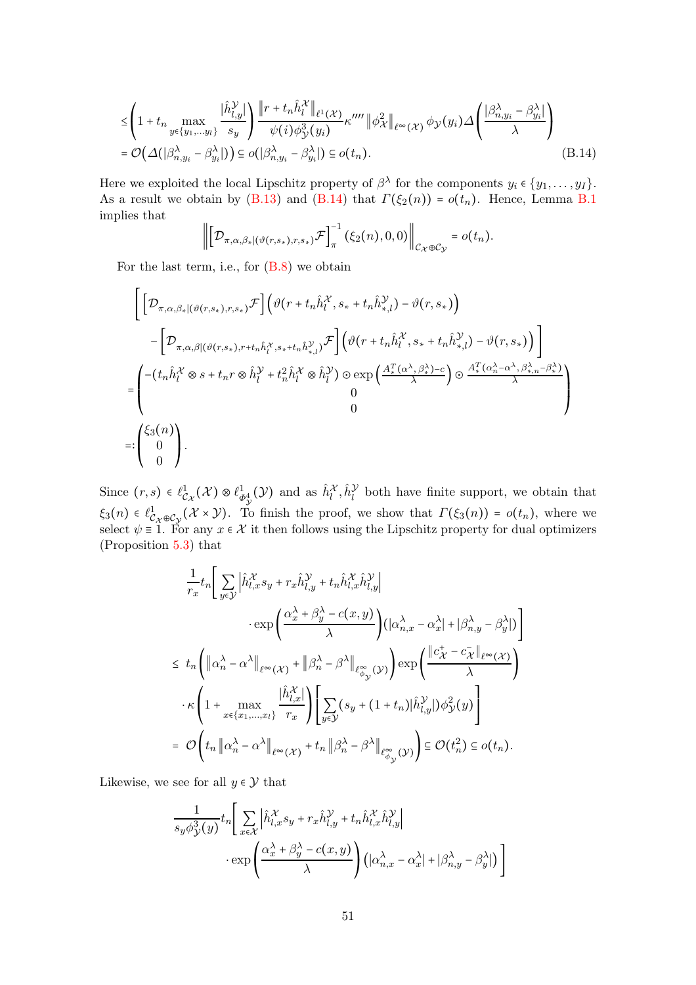$$
\leq \left(1 + t_n \max_{y \in \{y_1, \ldots, y_l\}} \frac{|\hat{h}_{l,y}^{\mathcal{Y}}|}{s_y}\right) \frac{\|r + t_n \hat{h}_l^{\mathcal{X}}\|_{\ell^1(\mathcal{X})}}{\psi(i)\phi_{\mathcal{Y}}^3(y_i)} \kappa'''' \|\phi_{\mathcal{X}}^2\|_{\ell^{\infty}(\mathcal{X})} \phi_{\mathcal{Y}}(y_i) \Delta\left(\frac{|\beta_{n,y_i}^{\lambda} - \beta_{y_i}^{\lambda}|}{\lambda}\right)
$$
  
=  $\mathcal{O}\Big(\Delta\big(|\beta_{n,y_i}^{\lambda} - \beta_{y_i}^{\lambda}| \big)\Big) \subseteq o\big(|\beta_{n,y_i}^{\lambda} - \beta_{y_i}^{\lambda}| \big) \subseteq o(t_n).$  (B.14)

Here we exploited the local Lipschitz property of  $\beta^{\lambda}$  for the components  $y_i \in \{y_1, \ldots, y_I\}$ . As a result we obtain by [\(B.13\)](#page-49-1) and [\(B.14\)](#page-50-0) that  $\Gamma(\xi_2(n)) = o(t_n)$ . Hence, Lemma [B.1](#page-44-0) implies that

<span id="page-50-0"></span>
$$
\left\|\left[\mathcal{D}_{\pi,\alpha,\beta_*|(\vartheta(r,s_*),r,s_*)}\mathcal{F}\right]_{\pi}^{-1}(\xi_2(n),0,0)\right\|_{\mathcal{C}_{\mathcal{X}}\oplus\mathcal{C}_{\mathcal{Y}}} = o(t_n).
$$

For the last term, i.e., for [\(B.8\)](#page-46-5) we obtain

$$
\begin{split} &\left[\left[\mathcal{D}_{\pi,\alpha,\beta_{*}|(\vartheta(r,s_{*}),r,s_{*})}\mathcal{F}\right]\left(\vartheta(r+t_{n}\hat{h}_{l}^{\mathcal{X}},s_{*}+t_{n}\hat{h}_{*,l}^{\mathcal{Y}})-\vartheta(r,s_{*})\right)\\ &-\left[\mathcal{D}_{\pi,\alpha,\beta|(\vartheta(r,s_{*}),r+t_{n}\hat{h}_{l}^{\mathcal{X}},s_{*}+t_{n}\hat{h}_{*,l}^{\mathcal{Y}})}\mathcal{F}\right]\left(\vartheta(r+t_{n}\hat{h}_{l}^{\mathcal{X}},s_{*}+t_{n}\hat{h}_{*,l}^{\mathcal{Y}})-\vartheta(r,s_{*})\right)\right]\\ =&\left(\begin{aligned} &-(t_{n}\hat{h}_{l}^{\mathcal{X}}\otimes s+t_{n}r\otimes\hat{h}_{l}^{\mathcal{Y}}+t_{n}^{2}\hat{h}_{l}^{\mathcal{X}}\otimes\hat{h}_{l}^{\mathcal{Y}})\odot\exp\left(\frac{A_{*}^{T}(\alpha^{\lambda},\beta_{*}^{\lambda})-c}{\lambda}\right)\odot\frac{A_{*}^{T}(\alpha_{n}^{\lambda}-\alpha^{\lambda},\beta_{*,n}^{\lambda}-\beta_{*}^{\lambda})}{\lambda}\right)\\ &\qquad \qquad 0\end{aligned}\right)\\ =:\left(\begin{aligned} &\left(\xi_{3}(n)\\ &0\end{aligned}\right). \end{split}
$$

Since  $(r, s) \in \ell^1_{\mathcal{C}_{\mathcal{X}}}(\mathcal{X}) \otimes \ell^1_{\Phi^4_{\mathcal{Y}}}(\mathcal{Y})$  and as  $\hat{h}_l^{\mathcal{X}}, \hat{h}_l^{\mathcal{Y}}$  both have finite support, we obtain that  $\xi_3(n) \in \ell^1_{C_{\mathcal{X}} \oplus C_{\mathcal{Y}}}(\mathcal{X} \times \mathcal{Y})$ . To finish the proof, we show that  $\Gamma(\xi_3(n)) = o(t_n)$ , where we select  $\psi \equiv 1$ . For any  $x \in \mathcal{X}$  it then follows using the Lipschitz property for dual optimizers (Proposition [5.3\)](#page-25-1) that

$$
\frac{1}{r_x} t_n \Bigg[ \sum_{y \in \mathcal{Y}} \Big| \hat{h}_{l,x}^{\mathcal{X}} s_y + r_x \hat{h}_{l,y}^{\mathcal{Y}} + t_n \hat{h}_{l,x}^{\mathcal{X}} \hat{h}_{l,y}^{\mathcal{Y}} \Big|
$$
\n
$$
\cdot \exp \Bigg( \frac{\alpha_x^{\lambda} + \beta_y^{\lambda} - c(x,y)}{\lambda} \Bigg) \Big( |\alpha_{n,x}^{\lambda} - \alpha_x^{\lambda}| + |\beta_{n,y}^{\lambda} - \beta_y^{\lambda}| \Big) \Bigg]
$$
\n
$$
\leq t_n \Bigg( \|\alpha_n^{\lambda} - \alpha^{\lambda}\|_{\ell^{\infty}(\mathcal{X})} + \|\beta_n^{\lambda} - \beta^{\lambda}\|_{\ell^{\infty}_{\phi_{\mathcal{Y}}}(\mathcal{Y})} \Bigg) \exp \Bigg( \frac{\|c_x^{\mu} - c_x^{\lambda}\|_{\ell^{\infty}(\mathcal{X})}}{\lambda} \Bigg)
$$
\n
$$
\cdot \kappa \Bigg( 1 + \max_{x \in \{x_1, \dots, x_l\}} \frac{|\hat{h}_{l,x}^{\mathcal{X}}|}{r_x} \Bigg) \Bigg[ \sum_{y \in \mathcal{Y}} (s_y + (1 + t_n) |\hat{h}_{l,y}^{\mathcal{Y}}|) \phi_{\mathcal{Y}}^{\lambda}(y) \Bigg]
$$
\n
$$
= \mathcal{O} \Bigg( t_n \|\alpha_n^{\lambda} - \alpha^{\lambda}\|_{\ell^{\infty}(\mathcal{X})} + t_n \|\beta_n^{\lambda} - \beta^{\lambda}\|_{\ell^{\infty}_{\phi_{\mathcal{Y}}}(\mathcal{Y})} \Bigg) \subseteq \mathcal{O}(t_n^2) \subseteq o(t_n).
$$

Likewise, we see for all  $y \in \mathcal{Y}$  that

$$
\frac{1}{s_y \phi_y^3(y)} t_n \left[ \sum_{x \in \mathcal{X}} \left| \hat{h}_{l,x}^{\mathcal{X}} s_y + r_x \hat{h}_{l,y}^{\mathcal{Y}} + t_n \hat{h}_{l,x}^{\mathcal{X}} \hat{h}_{l,y}^{\mathcal{Y}} \right| \right] \cdot \exp \left( \frac{\alpha_x^{\lambda} + \beta_y^{\lambda} - c(x, y)}{\lambda} \right) \left( |\alpha_{n,x}^{\lambda} - \alpha_x^{\lambda}| + |\beta_{n,y}^{\lambda} - \beta_y^{\lambda}| \right) \right]
$$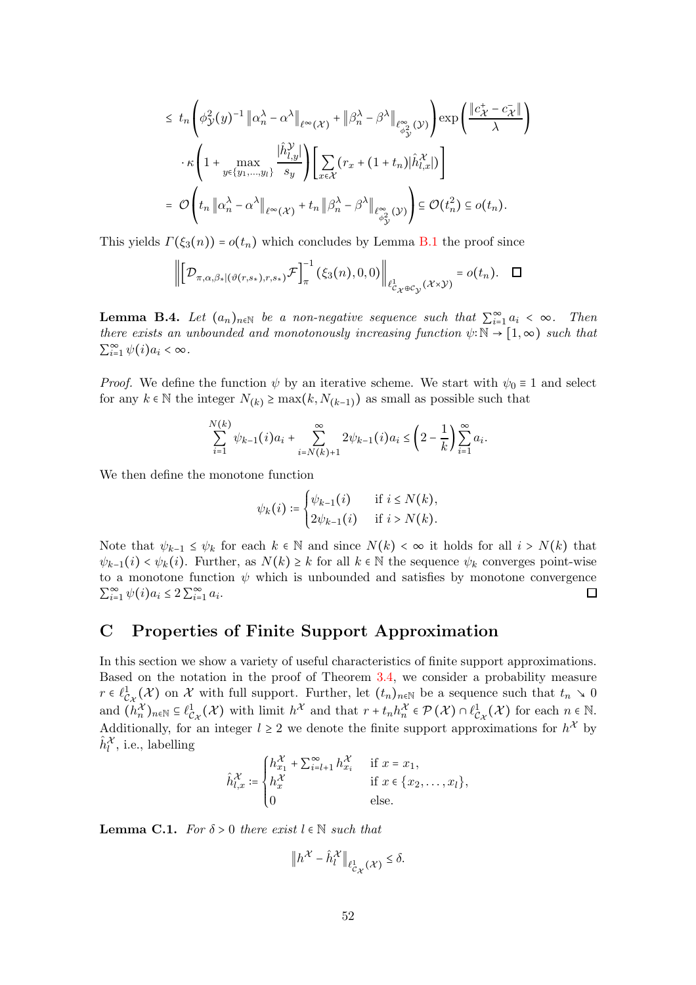$$
\leq t_n \left( \phi_{\mathcal{Y}}^2(y)^{-1} \left\| \alpha_n^{\lambda} - \alpha^{\lambda} \right\|_{\ell^{\infty}(\mathcal{X})} + \left\| \beta_n^{\lambda} - \beta^{\lambda} \right\|_{\ell^{\infty}(\mathcal{Y})} \right) \exp\left( \frac{\left\| c_{\mathcal{X}}^+ - c_{\mathcal{X}}^- \right\|}{\lambda} \right)
$$

$$
\cdot \kappa \left( 1 + \max_{y \in \{y_1, \dots, y_l\}} \frac{\left| \hat{h}_{l,y}^{\mathcal{Y}} \right|}{s_y} \right) \left[ \sum_{x \in \mathcal{X}} (r_x + (1 + t_n) \left| \hat{h}_{l,x}^{\mathcal{X}} \right|) \right]
$$

$$
= \mathcal{O}\left( t_n \left\| \alpha_n^{\lambda} - \alpha^{\lambda} \right\|_{\ell^{\infty}(\mathcal{X})} + t_n \left\| \beta_n^{\lambda} - \beta^{\lambda} \right\|_{\ell^{\infty}(\mathcal{Y})} \right) \subseteq \mathcal{O}(t_n^2) \subseteq o(t_n).
$$

This yields  $\Gamma(\xi_3(n)) = o(t_n)$  which concludes by Lemma [B.1](#page-44-0) the proof since

$$
\left\| \left[ \mathcal{D}_{\pi,\alpha,\beta_*|(\vartheta(r,s_*),r,s_*)} \mathcal{F} \right]_{\pi}^{-1} (\xi_3(n),0,0) \right\|_{\ell^1_{\mathcal{C}_{\mathcal{X}} \oplus \mathcal{C}_{\mathcal{Y}}} (\mathcal{X} \times \mathcal{Y})} = o(t_n). \quad \Box
$$

<span id="page-51-2"></span>**Lemma B.4.** Let  $(a_n)_{n\in\mathbb{N}}$  be a non-negative sequence such that  $\sum_{i=1}^{\infty} a_i < \infty$ . Then there exists an unbounded and monotonously increasing function  $\psi: \mathbb{N} \to [1,\infty)$  such that  $\sum_{i=1}^{\infty} \psi(i) a_i < \infty$ .

*Proof.* We define the function  $\psi$  by an iterative scheme. We start with  $\psi_0 \equiv 1$  and select for any  $k \in \mathbb{N}$  the integer  $N_{(k)} \ge \max(k, N_{(k-1)})$  as small as possible such that

$$
\sum_{i=1}^{N(k)} \psi_{k-1}(i)a_i + \sum_{i=N(k)+1}^{\infty} 2\psi_{k-1}(i)a_i \leq \left(2 - \frac{1}{k}\right) \sum_{i=1}^{\infty} a_i.
$$

We then define the monotone function

$$
\psi_k(i) \coloneqq \begin{cases} \psi_{k-1}(i) & \text{if } i \le N(k), \\ 2\psi_{k-1}(i) & \text{if } i > N(k). \end{cases}
$$

Note that  $\psi_{k-1} \leq \psi_k$  for each  $k \in \mathbb{N}$  and since  $N(k) < \infty$  it holds for all  $i > N(k)$  that  $\psi_{k-1}(i) < \psi_k(i)$ . Further, as  $N(k) \geq k$  for all  $k \in \mathbb{N}$  the sequence  $\psi_k$  converges point-wise to a monotone function  $\psi$  which is unbounded and satisfies by monotone convergence  $\sum_{i=1}^{\infty} \psi(i) a_i \leq 2 \sum_{i=1}^{\infty} a_i.$  $\Box$ 

# <span id="page-51-0"></span>C Properties of Finite Support Approximation

In this section we show a variety of useful characteristics of finite support approximations. Based on the notation in the proof of Theorem [3.4,](#page-10-0) we consider a probability measure  $r \in \ell^1_{C_{\mathcal{X}}(\mathcal{X})}$  on X with full support. Further, let  $(t_n)_{n \in \mathbb{N}}$  be a sequence such that  $t_n \searrow 0$ and  $(h_n^{\mathcal{X}})_{n\in\mathbb{N}}\subseteq\ell_{\mathcal{C}_{\mathcal{X}}}^1(\mathcal{X})$  with limit  $h^{\mathcal{X}}$  and that  $r+t_nh_n^{\mathcal{X}}\in\mathcal{P}(\mathcal{X})\cap\ell_{\mathcal{C}_{\mathcal{X}}}^1(\mathcal{X})$  for each  $n\in\mathbb{N}$ . Additionally, for an integer  $l \geq 2$  we denote the finite support approximations for  $h^{\mathcal{X}}$  by  $\hat{h}^{\mathcal{X}}_l$ , i.e., labelling

$$
\hat{h}_{l,x}^{\mathcal{X}} \coloneqq \begin{cases}\nh_{x_1}^{\mathcal{X}} + \sum_{i=l+1}^{\infty} h_{x_i}^{\mathcal{X}} & \text{if } x = x_1, \\
h_x^{\mathcal{X}} & \text{if } x \in \{x_2, \dots, x_l\}, \\
0 & \text{else.}\n\end{cases}
$$

<span id="page-51-1"></span>**Lemma C.1.** For  $\delta > 0$  there exist  $l \in \mathbb{N}$  such that

 $||h^{\mathcal{X}} - \hat{h}_l^{\mathcal{X}}||_{\ell_{\mathcal{C}_{\mathcal{X}}}^1(\mathcal{X})} \leq \delta.$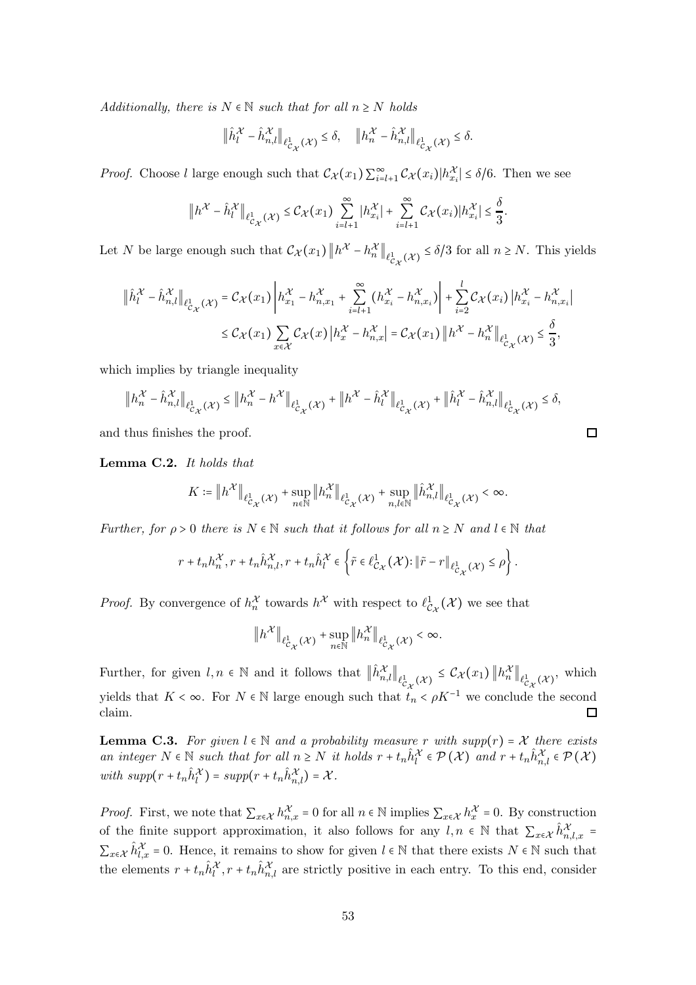Additionally, there is  $N \in \mathbb{N}$  such that for all  $n \geq N$  holds

$$
\left\|\hat{h}_l^{\mathcal{X}} - \hat{h}_{n,l}^{\mathcal{X}}\right\|_{\ell_{C_{\mathcal{X}}}^1(\mathcal{X})} \le \delta, \quad \left\|h_n^{\mathcal{X}} - \hat{h}_{n,l}^{\mathcal{X}}\right\|_{\ell_{C_{\mathcal{X}}}^1(\mathcal{X})} \le \delta.
$$

*Proof.* Choose l large enough such that  $\mathcal{C}_{\mathcal{X}}(x_1) \sum_{i=l+1}^{\infty} \mathcal{C}_{\mathcal{X}}(x_i) |h_{x_i}^{\mathcal{X}}| \leq \delta/6$ . Then we see

$$
\left\|h^{\mathcal{X}}-\hat{h}_l^{\mathcal{X}}\right\|_{\ell_{C_{\mathcal{X}}}^1(\mathcal{X})}\leq \mathcal{C}_{\mathcal{X}}(x_1)\sum_{i=l+1}^{\infty}|h_{x_i}^{\mathcal{X}}|+\sum_{i=l+1}^{\infty}\mathcal{C}_{\mathcal{X}}(x_i)|h_{x_i}^{\mathcal{X}}|\leq \frac{\delta}{3}.
$$

Let N be large enough such that  $\mathcal{C}_{\mathcal{X}}(x_1)$   $\|h^{\mathcal{X}} - h_n^{\mathcal{X}}\|_{\ell_{\mathcal{C}_{\mathcal{X}}}^1(\mathcal{X})} \le \delta/3$  for all  $n \ge N$ . This yields

$$
\left\|\hat{h}_l^{\mathcal{X}} - \hat{h}_{n,l}^{\mathcal{X}}\right\|_{\ell_{C_{\mathcal{X}}}^1(\mathcal{X})} = \mathcal{C}_{\mathcal{X}}(x_1) \left|h_{x_1}^{\mathcal{X}} - h_{n,x_1}^{\mathcal{X}} + \sum_{i=l+1}^{\infty} (h_{x_i}^{\mathcal{X}} - h_{n,x_i}^{\mathcal{X}})\right| + \sum_{i=2}^l \mathcal{C}_{\mathcal{X}}(x_i) \left|h_{x_i}^{\mathcal{X}} - h_{n,x_i}^{\mathcal{X}}\right|
$$
  
\$\leq \mathcal{C}\_{\mathcal{X}}(x\_1) \sum\_{x \in \mathcal{X}} \mathcal{C}\_{\mathcal{X}}(x) \left|h\_{x\_i}^{\mathcal{X}} - h\_{n,x\_i}^{\mathcal{X}}\right| = \mathcal{C}\_{\mathcal{X}}(x\_1) \left\|h^{\mathcal{X}} - h\_{n}^{\mathcal{X}}\right\|\_{\ell\_{C\_{\mathcal{X}}}^1(\mathcal{X})} \leq \frac{\delta}{3},

which implies by triangle inequality

$$
\left\| {h}^{\mathcal{X}}_n - \hat{h}^{\mathcal{X}}_{n,l} \right\|_{\ell^1_{C_{\mathcal{X}}}(\mathcal{X})} \leq \left\| {h}^{\mathcal{X}}_n - {h}^{\mathcal{X}} \right\|_{\ell^1_{C_{\mathcal{X}}}(\mathcal{X})} + \left\| {h}^{\mathcal{X}} - \hat{h}^{\mathcal{X}}_l \right\|_{\ell^1_{C_{\mathcal{X}}}(\mathcal{X})} + \left\| \hat{h}^{\mathcal{X}}_l - \hat{h}^{\mathcal{X}}_{n,l} \right\|_{\ell^1_{C_{\mathcal{X}}}(\mathcal{X})} \leq \delta,
$$

 $\Box$ 

and thus finishes the proof.

<span id="page-52-0"></span>Lemma C.2. It holds that

$$
K \coloneqq \|h^{\mathcal{X}}\|_{\ell^1_{C_{\mathcal{X}}}(\mathcal{X})} + \sup_{n \in \mathbb{N}} \|h_n^{\mathcal{X}}\|_{\ell^1_{C_{\mathcal{X}}}(\mathcal{X})} + \sup_{n, l \in \mathbb{N}} \|\hat{h}_{n, l}^{\mathcal{X}}\|_{\ell^1_{C_{\mathcal{X}}}(\mathcal{X})} < \infty.
$$

Further, for  $\rho > 0$  there is  $N \in \mathbb{N}$  such that it follows for all  $n \geq N$  and  $l \in \mathbb{N}$  that

$$
r + t_n h_n^{\mathcal{X}}, r + t_n \hat{h}_{n,l}^{\mathcal{X}}, r + t_n \hat{h}_l^{\mathcal{X}} \in \left\{ \tilde{r} \in \ell_{C_{\mathcal{X}}}^1(\mathcal{X}) : \|\tilde{r} - r\|_{\ell_{C_{\mathcal{X}}}^1(\mathcal{X})} \leq \rho \right\}.
$$

*Proof.* By convergence of  $h_n^{\mathcal{X}}$  towards  $h^{\mathcal{X}}$  with respect to  $\ell_{\mathcal{C}_{\mathcal{X}}}^1(\mathcal{X})$  we see that

$$
\|h^{\mathcal X}\|_{\ell^1_{\mathcal{C}_{\mathcal X}}({\mathcal X})}+\sup_{n\in\mathbb N}\|h_n^{\mathcal X}\|_{\ell^1_{\mathcal{C}_{\mathcal X}}({\mathcal X})}<\infty.
$$

Further, for given  $l, n \in \mathbb{N}$  and it follows that  $\|\hat{h}_{n,l}^{\mathcal{X}}\|_{\ell_{c_{\mathcal{X}}}^1(\mathcal{X})} \leq C_{\mathcal{X}}(x_1) \|h_n^{\mathcal{X}}\|_{\ell_{c_{\mathcal{X}}}^1(\mathcal{X})}$ , which yields that  $K < \infty$ . For  $N \in \mathbb{N}$  large enough such that  $t_n < \rho K^{-1}$  we conclude the second claim.  $\Box$ 

<span id="page-52-1"></span>**Lemma C.3.** For given  $l \in \mathbb{N}$  and a probability measure r with supp(r) =  $\mathcal{X}$  there exists an integer  $N \in \mathbb{N}$  such that for all  $n \geq N$  it holds  $r + t_n \hat{h}_l^{\mathcal{X}} \in \mathcal{P}(\mathcal{X})$  and  $r + t_n \hat{h}_{n,l}^{\mathcal{X}} \in \mathcal{P}(\mathcal{X})$ with  $supp(r+t_n\hat{h}_l^{\mathcal{X}})=supp(r+t_n\hat{h}_{n,l}^{\mathcal{X}})=\mathcal{X}$ .

*Proof.* First, we note that  $\sum_{x \in \mathcal{X}} h_{n,x}^{\mathcal{X}} = 0$  for all  $n \in \mathbb{N}$  implies  $\sum_{x \in \mathcal{X}} h_x^{\mathcal{X}} = 0$ . By construction of the finite support approximation, it also follows for any  $l, n \in \mathbb{N}$  that  $\sum_{x \in \mathcal{X}} \hat{h}_{n,l,x}^{\mathcal{X}}$  $\sum_{x \in \mathcal{X}} \hat{h}_{l,x}^{\mathcal{X}} = 0$ . Hence, it remains to show for given  $l \in \mathbb{N}$  that there exists  $N \in \mathbb{N}$  such that the elements  $r + t_n \hat{h}_l^{\mathcal{X}}, r + t_n \hat{h}_{n,l}^{\mathcal{X}}$  are strictly positive in each entry. To this end, consider